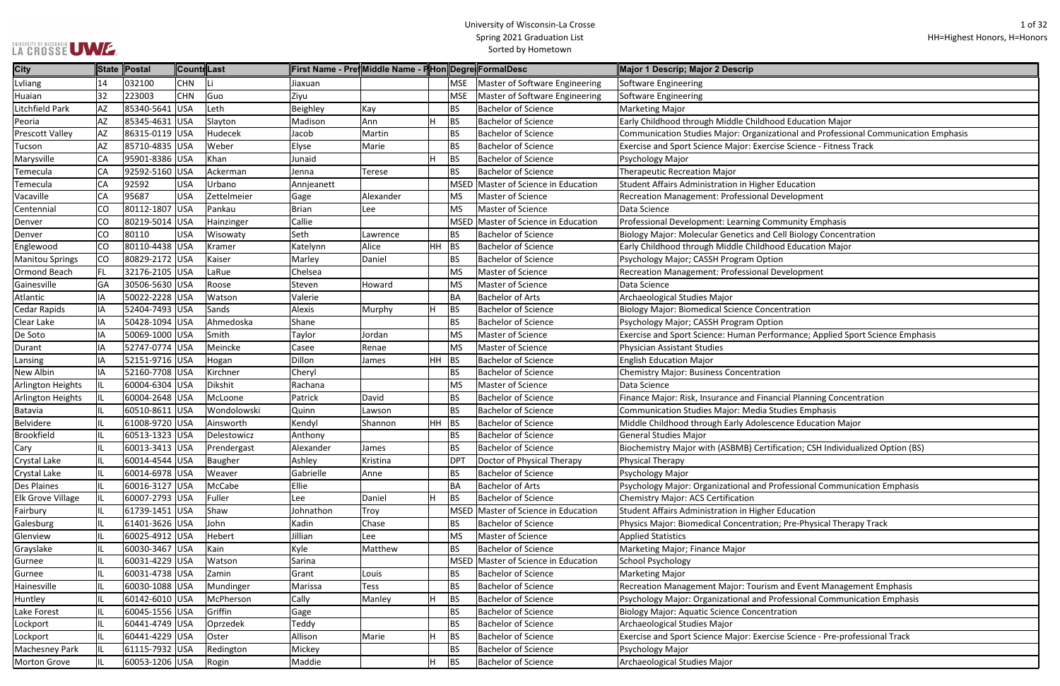|  | LA CROSSE UWE. |  |
|--|----------------|--|

ional and Professional Communication Emphasis se Science - Fitness Track **Pell Biology Concentration** rmance; Applied Sport Science Emphasis cial Planning Concentration ence Education Major cation; CSH Individualized Option (BS) ofessional Communication Emphasis ; Pre-Physical Therapy Track and Event Management Emphasis ofessional Communication Emphasis e Science - Pre-professional Track

| <b>City</b>              |           | State Postal   | Countr  Last |             | ∥First Name - Pre¶Middle Name - F Hon Degre FormalDesc |           |    |             |                                       | Major 1 Descrip; Major 2 Descrip                                  |
|--------------------------|-----------|----------------|--------------|-------------|--------------------------------------------------------|-----------|----|-------------|---------------------------------------|-------------------------------------------------------------------|
| Lvliang                  | 14        | 032100         | <b>CHN</b>   |             | Jiaxuan                                                |           |    | <b>MSE</b>  | Master of Software Engineering        | Software Engineering                                              |
| Huaian                   | 32        | 223003         | <b>CHN</b>   | Guo         | Ziyu                                                   |           |    | <b>MSE</b>  | Master of Software Engineering        | Software Engineering                                              |
| Litchfield Park          | AZ        | 85340-5641     | <b>USA</b>   | Leth        | Beighley                                               | Kay       |    | <b>BS</b>   | <b>Bachelor of Science</b>            | <b>Marketing Major</b>                                            |
| Peoria                   | AZ        | 85345-4631     | <b>USA</b>   | Slayton     | Madison                                                | Ann       | H  | <b>BS</b>   | <b>Bachelor of Science</b>            | Early Childhood through Middle Childhood Education Major          |
| <b>Prescott Valley</b>   | AZ        | 86315-0119 USA |              | Hudecek     | Jacob                                                  | Martin    |    | <b>BS</b>   | <b>Bachelor of Science</b>            | <b>Communication Studies Major: Organizational and Profession</b> |
| Tucson                   | AZ        | 85710-4835     | <b>USA</b>   | Weber       | Elyse                                                  | Marie     |    | <b>BS</b>   | <b>Bachelor of Science</b>            | Exercise and Sport Science Major: Exercise Science - Fitness      |
| Marysville               | CA        | 95901-8386 USA |              | Khan        | Junaid                                                 |           |    | <b>BS</b>   | <b>Bachelor of Science</b>            | Psychology Major                                                  |
| Temecula                 | CA        | 92592-5160 USA |              | Ackerman    | Jenna                                                  | Terese    |    | <b>BS</b>   | <b>Bachelor of Science</b>            | <b>Therapeutic Recreation Major</b>                               |
| Temecula                 | CA        | 92592          | <b>USA</b>   | Urbano      | Annjeanett                                             |           |    | MSED        | Master of Science in Education        | Student Affairs Administration in Higher Education                |
| Vacaville                | CA        | 95687          | <b>USA</b>   | Zettelmeier | Gage                                                   | Alexander |    | <b>MS</b>   | Master of Science                     | Recreation Management: Professional Development                   |
| Centennial               | CO        | 80112-1807     | <b>USA</b>   | Pankau      | Brian                                                  | Lee       |    | <b>MS</b>   | Master of Science                     | Data Science                                                      |
| Denver                   | CO        | 80219-5014 USA |              | Hainzinger  | Callie                                                 |           |    | <b>MSED</b> | <b>Master of Science in Education</b> | Professional Development: Learning Community Emphasis             |
| Denver                   | CO        | 80110          | <b>USA</b>   | Wisowaty    | Seth                                                   | Lawrence  |    | BS          | <b>Bachelor of Science</b>            | Biology Major: Molecular Genetics and Cell Biology Concent        |
| Englewood                | <b>CO</b> | 80110-4438 USA |              | Kramer      | Katelynn                                               | Alice     | HH | BS          | <b>Bachelor of Science</b>            | Early Childhood through Middle Childhood Education Major          |
| <b>Manitou Springs</b>   | CO        | 80829-2172 USA |              | Kaiser      | Marley                                                 | Daniel    |    | <b>BS</b>   | <b>Bachelor of Science</b>            | Psychology Major; CASSH Program Option                            |
| <b>Ormond Beach</b>      | <b>FL</b> | 32176-2105     | <b>USA</b>   | LaRue       | Chelsea                                                |           |    | <b>MS</b>   | Master of Science                     | Recreation Management: Professional Development                   |
| Gainesville              | GA        | 30506-5630 USA |              | Roose       | Steven                                                 | Howard    |    | <b>MS</b>   | Master of Science                     | Data Science                                                      |
| Atlantic                 | IA        | 50022-2228     | <b>USA</b>   | Watson      | Valerie                                                |           |    | <b>BA</b>   | <b>Bachelor of Arts</b>               | Archaeological Studies Major                                      |
| Cedar Rapids             | IA        | 52404-7493 USA |              | Sands       | Alexis                                                 | Murphy    | H  | <b>BS</b>   | <b>Bachelor of Science</b>            | <b>Biology Major: Biomedical Science Concentration</b>            |
| Clear Lake               | ΙA        | 50428-1094 USA |              | Ahmedoska   | Shane                                                  |           |    | <b>BS</b>   | <b>Bachelor of Science</b>            | Psychology Major; CASSH Program Option                            |
| De Soto                  | IA        | 50069-1000     | <b>USA</b>   | Smith       | Taylor                                                 | Jordan    |    | <b>MS</b>   | Master of Science                     | Exercise and Sport Science: Human Performance; Applied S          |
| Durant                   | IA        | 52747-0774 USA |              | Meincke     | Casee                                                  | Renae     |    | <b>MS</b>   | Master of Science                     | <b>Physician Assistant Studies</b>                                |
| Lansing                  | IA        | 52151-9716     | <b>USA</b>   | Hogan       | Dillon                                                 | James     | HH | BS          | <b>Bachelor of Science</b>            | <b>English Education Major</b>                                    |
| New Albin                | IA        | 52160-7708 USA |              | Kirchner    | Cheryl                                                 |           |    | <b>BS</b>   | <b>Bachelor of Science</b>            | Chemistry Major: Business Concentration                           |
| Arlington Heights        | IL.       | 60004-6304 USA |              | Dikshit     | Rachana                                                |           |    | <b>MS</b>   | Master of Science                     | Data Science                                                      |
| Arlington Heights        | IL        | 60004-2648 USA |              | McLoone     | Patrick                                                | David     |    | <b>BS</b>   | <b>Bachelor of Science</b>            | Finance Major: Risk, Insurance and Financial Planning Conce       |
| <b>Batavia</b>           | IL        | 60510-8611 USA |              | Wondolowski | Quinn                                                  | Lawson    |    | <b>BS</b>   | <b>Bachelor of Science</b>            | <b>Communication Studies Major: Media Studies Emphasis</b>        |
| <b>Belvidere</b>         | IL        | 61008-9720     | <b>USA</b>   | Ainsworth   | Kendyl                                                 | Shannon   | HH | BS          | <b>Bachelor of Science</b>            | Middle Childhood through Early Adolescence Education Ma           |
| <b>Brookfield</b>        | IL.       | 60513-1323 USA |              | Delestowicz | Anthony                                                |           |    | <b>BS</b>   | <b>Bachelor of Science</b>            | <b>General Studies Major</b>                                      |
| Cary                     | IL        | 60013-3413 USA |              | Prendergast | Alexander                                              | James     |    | <b>BS</b>   | <b>Bachelor of Science</b>            | Biochemistry Major with (ASBMB) Certification; CSH Individ        |
| <b>Crystal Lake</b>      | IL        | 60014-4544 USA |              | Baugher     | Ashley                                                 | Kristina  |    | <b>DPT</b>  | Doctor of Physical Therapy            | <b>Physical Therapy</b>                                           |
| <b>Crystal Lake</b>      | IL.       | 60014-6978 USA |              | Weaver      | Gabrielle                                              | Anne      |    | <b>BS</b>   | <b>Bachelor of Science</b>            | Psychology Major                                                  |
| <b>Des Plaines</b>       | IL.       | 60016-3127 USA |              | McCabe      | Ellie                                                  |           |    | BA          | <b>Bachelor of Arts</b>               | Psychology Major: Organizational and Professional Commun          |
| <b>Elk Grove Village</b> | IL.       | 60007-2793 USA |              | Fuller      | Lee                                                    | Daniel    | н  | <b>BS</b>   | <b>Bachelor of Science</b>            | Chemistry Major: ACS Certification                                |
| Fairbury                 | IL        | 61739-1451 USA |              | Shaw        | Johnathon                                              | Troy      |    | <b>MSED</b> | Master of Science in Education        | Student Affairs Administration in Higher Education                |
| Galesburg                | IL.       | 61401-3626 USA |              | John        | Kadin                                                  | Chase     |    | BS          | <b>Bachelor of Science</b>            | Physics Major: Biomedical Concentration; Pre-Physical Ther        |
| Glenview                 | IL.       | 60025-4912 USA |              | Hebert      | Jillian                                                | Lee       |    | <b>MS</b>   | Master of Science                     | <b>Applied Statistics</b>                                         |
| Grayslake                | IL        | 60030-3467 USA |              | Kain        | Kyle                                                   | Matthew   |    | <b>BS</b>   | <b>Bachelor of Science</b>            | Marketing Major; Finance Major                                    |
| Gurnee                   | IL.       | 60031-4229 USA |              | Watson      | Sarina                                                 |           |    | MSED        | Master of Science in Education        | <b>School Psychology</b>                                          |
| Gurnee                   | IL        | 60031-4738 USA |              | Zamin       | Grant                                                  | Louis     |    | <b>BS</b>   | <b>Bachelor of Science</b>            | <b>Marketing Major</b>                                            |
| Hainesville              | IL.       | 60030-1088 USA |              | Mundinger   | Marissa                                                | Tess      |    | <b>BS</b>   | <b>Bachelor of Science</b>            | Recreation Management Major: Tourism and Event Manage             |
| Huntley                  | IL.       | 60142-6010 USA |              | McPherson   | Cally                                                  | Manley    | н  | <b>BS</b>   | <b>Bachelor of Science</b>            | Psychology Major: Organizational and Professional Commun          |
| Lake Forest              | IL.       | 60045-1556 USA |              | Griffin     | Gage                                                   |           |    | <b>BS</b>   | <b>Bachelor of Science</b>            | <b>Biology Major: Aquatic Science Concentration</b>               |
| Lockport                 | IL.       | 60441-4749 USA |              | Oprzedek    | Teddy                                                  |           |    | <b>BS</b>   | <b>Bachelor of Science</b>            | Archaeological Studies Major                                      |
| Lockport                 | IL        | 60441-4229 USA |              | Oster       | Allison                                                | Marie     | н  | <b>BS</b>   | <b>Bachelor of Science</b>            | Exercise and Sport Science Major: Exercise Science - Pre-pro      |
| <b>Machesney Park</b>    | IL.       | 61115-7932 USA |              | Redington   | Mickey                                                 |           |    | <b>BS</b>   | <b>Bachelor of Science</b>            | Psychology Major                                                  |
| <b>Morton Grove</b>      |           | 60053-1206 USA |              | Rogin       | Maddie                                                 |           | H  | <b>BS</b>   | <b>Bachelor of Science</b>            | Archaeological Studies Major                                      |
|                          |           |                |              |             |                                                        |           |    |             |                                       |                                                                   |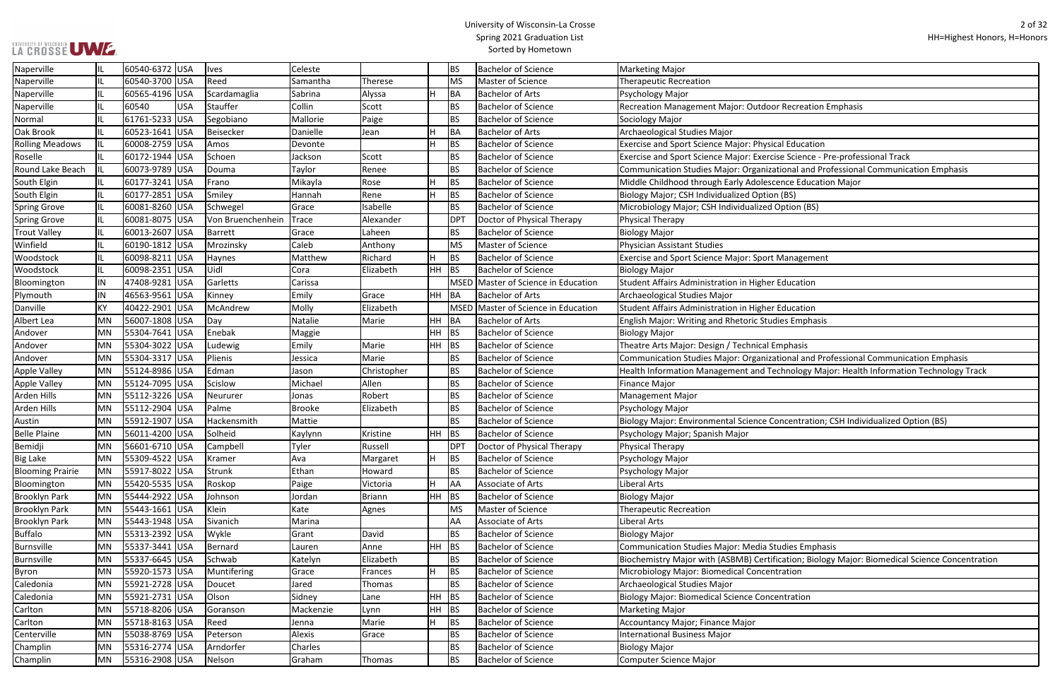## **LA CROSSE UME.**

## University of Wisconsin-La Crosse Spring 2021 Graduation List Sorted by Hometown

Roselle Incorpselle Incorpsion Schoen Schoen Science - Pre-professional Track

Round Lake Beach IL 60073-9789 USA Douma Taylor Renee BS Bachelor of Science Communication Studies Major: Organizational and Professional Communication Emphasis

| Naperville              |     | 60540-6372 USA |            | <b>Ives</b>       | Celeste       |               |           | ΒS         | <b>Bachelor of Science</b>          | <b>Marketing Major</b>                                          |
|-------------------------|-----|----------------|------------|-------------------|---------------|---------------|-----------|------------|-------------------------------------|-----------------------------------------------------------------|
| Naperville              |     | 60540-3700 USA |            | Reed              | Samantha      | Therese       |           | <b>MS</b>  | Master of Science                   | <b>Therapeutic Recreation</b>                                   |
| Naperville              |     | 60565-4196 USA |            | Scardamaglia      | Sabrina       | Alyssa        | H         | BA         | <b>Bachelor of Arts</b>             | Psychology Major                                                |
| Naperville              |     | 60540          | <b>USA</b> | Stauffer          | Collin        | Scott         |           | ΒS         | <b>Bachelor of Science</b>          | Recreation Management Major: Outdoor Recreation Emphasis        |
| Normal                  |     | 61761-5233 USA |            | Segobiano         | Mallorie      | Paige         |           | <b>BS</b>  | <b>Bachelor of Science</b>          | Sociology Major                                                 |
| Oak Brook               |     | 60523-1641 USA |            | Beisecker         | Danielle      | Jean          | H.        | <b>BA</b>  | <b>Bachelor of Arts</b>             | Archaeological Studies Major                                    |
| <b>Rolling Meadows</b>  |     | 60008-2759 USA |            | Amos              | Devonte       |               | H.        | <b>BS</b>  | <b>Bachelor of Science</b>          | <b>Exercise and Sport Science Major: Physical Education</b>     |
| Roselle                 |     | 60172-1944 USA |            | Schoen            | Jackson       | Scott         |           | ΒS         | <b>Bachelor of Science</b>          | Exercise and Sport Science Major: Exercise Science - Pre-profes |
| Round Lake Beach        |     | 60073-9789 USA |            | Douma             | Taylor        | Renee         |           | <b>BS</b>  | <b>Bachelor of Science</b>          | Communication Studies Major: Organizational and Professiona     |
| South Elgin             |     | 60177-3241 USA |            | Frano             | Mikayla       | Rose          | H         | <b>BS</b>  | <b>Bachelor of Science</b>          | Middle Childhood through Early Adolescence Education Major      |
| South Elgin             |     | 60177-2851 USA |            | Smiley            | Hannah        | Rene          | H.        | <b>BS</b>  | <b>Bachelor of Science</b>          | Biology Major; CSH Individualized Option (BS)                   |
| <b>Spring Grove</b>     | IL. | 60081-8260 USA |            | Schwegel          | Grace         | Isabelle      |           | <b>BS</b>  | <b>Bachelor of Science</b>          | Microbiology Major; CSH Individualized Option (BS)              |
| <b>Spring Grove</b>     | IL. | 60081-8075 USA |            | Von Bruenchenhein | Trace         | Alexander     |           | <b>DPT</b> | Doctor of Physical Therapy          | Physical Therapy                                                |
| <b>Trout Valley</b>     | IL. | 60013-2607 USA |            | Barrett           | Grace         | Laheen        |           | <b>BS</b>  | <b>Bachelor of Science</b>          | <b>Biology Major</b>                                            |
| Winfield                |     | 60190-1812 USA |            | Mrozinsky         | Caleb         | Anthony       |           | <b>MS</b>  | Master of Science                   | Physician Assistant Studies                                     |
| Woodstock               |     | 60098-8211     | <b>USA</b> | Haynes            | Matthew       | Richard       | H         | BS         | <b>Bachelor of Science</b>          | <b>Exercise and Sport Science Major: Sport Management</b>       |
| Woodstock               |     | 60098-2351 USA |            | Uidl              | Cora          | Elizabeth     | <b>HH</b> | <b>BS</b>  | <b>Bachelor of Science</b>          | <b>Biology Major</b>                                            |
| Bloomington             | IN  | 47408-9281 USA |            | Garletts          | Carissa       |               |           |            | MSED Master of Science in Education | Student Affairs Administration in Higher Education              |
| Plymouth                | IN  | 46563-9561 USA |            | Kinney            | Emily         | Grace         | HH.       | <b>BA</b>  | <b>Bachelor of Arts</b>             | Archaeological Studies Major                                    |
| Danville                | KY  | 40422-2901 USA |            | McAndrew          | Molly         | Elizabeth     |           |            | MSED Master of Science in Education | Student Affairs Administration in Higher Education              |
| Albert Lea              | MN  | 56007-1808 USA |            | Day               | Natalie       | Marie         | HH        | <b>BA</b>  | <b>Bachelor of Arts</b>             | English Major: Writing and Rhetoric Studies Emphasis            |
| Andover                 | MN  | 55304-7641 USA |            | Enebak            | Maggie        |               | HН        | <b>BS</b>  | <b>Bachelor of Science</b>          | <b>Biology Major</b>                                            |
| Andover                 | MN  | 55304-3022 USA |            | Ludewig           | Emily         | Marie         | HH        | BS         | <b>Bachelor of Science</b>          | Theatre Arts Major: Design / Technical Emphasis                 |
| Andover                 | MN  | 55304-3317 USA |            | Plienis           | Jessica       | Marie         |           | BS         | <b>Bachelor of Science</b>          | Communication Studies Major: Organizational and Professiona     |
| Apple Valley            | MN  | 55124-8986 USA |            | Edman             | Jason         | Christopher   |           | ВS         | <b>Bachelor of Science</b>          | Health Information Management and Technology Major: Healt       |
| <b>Apple Valley</b>     | MN  | 55124-7095 USA |            | Scislow           | Michael       | Allen         |           | <b>BS</b>  | <b>Bachelor of Science</b>          | Finance Major                                                   |
| Arden Hills             | MN  | 55112-3226 USA |            | Neururer          | Jonas         | Robert        |           | ΒS         | <b>Bachelor of Science</b>          | Management Major                                                |
| Arden Hills             | MN  | 55112-2904 USA |            | Palme             | <b>Brooke</b> | Elizabeth     |           | BS         | <b>Bachelor of Science</b>          | Psychology Major                                                |
| Austin                  | MN  | 55912-1907 USA |            | Hackensmith       | Mattie        |               |           | ВS         | <b>Bachelor of Science</b>          | Biology Major: Environmental Science Concentration; CSH Indi-   |
| <b>Belle Plaine</b>     | MN  | 56011-4200 USA |            | Solheid           | Kaylynn       | Kristine      | HH        | <b>BS</b>  | <b>Bachelor of Science</b>          | Psychology Major; Spanish Major                                 |
| Bemidji                 | MN  | 56601-6710 USA |            | Campbell          | Tyler         | Russell       |           | <b>DPT</b> | Doctor of Physical Therapy          | Physical Therapy                                                |
| <b>Big Lake</b>         | MN  | 55309-4522 USA |            | Kramer            | Ava           | Margaret      | Н.        | <b>BS</b>  | <b>Bachelor of Science</b>          | Psychology Major                                                |
| <b>Blooming Prairie</b> | MN  | 55917-8022 USA |            | Strunk            | Ethan         | Howard        |           | <b>BS</b>  | <b>Bachelor of Science</b>          | Psychology Major                                                |
| Bloomington             | MN  | 55420-5535 USA |            | Roskop            | Paige         | Victoria      | H.        | AA         | Associate of Arts                   | Liberal Arts                                                    |
| <b>Brooklyn Park</b>    | MN  | 55444-2922 USA |            | Johnson           | Jordan        | <b>Briann</b> | HH        | <b>BS</b>  | <b>Bachelor of Science</b>          | <b>Biology Major</b>                                            |
| <b>Brooklyn Park</b>    | MN  | 55443-1661 USA |            | Klein             | Kate          | Agnes         |           | <b>MS</b>  | Master of Science                   | <b>Therapeutic Recreation</b>                                   |
| <b>Brooklyn Park</b>    | MN  | 55443-1948 USA |            | Sivanich          | Marina        |               |           | AA         | Associate of Arts                   | Liberal Arts                                                    |
| <b>Buffalo</b>          | MN  | 55313-2392 USA |            | Wykle             | Grant         | David         |           | <b>BS</b>  | <b>Bachelor of Science</b>          | <b>Biology Major</b>                                            |
| Burnsville              | MN  | 55337-3441 USA |            | Bernard           | Lauren        | Anne          | HH I      | <b>BS</b>  | <b>Bachelor of Science</b>          | Communication Studies Major: Media Studies Emphasis             |
| Burnsville              | MN  | 55337-6645 USA |            | Schwab            | Katelyn       | Elizabeth     |           | <b>BS</b>  | <b>Bachelor of Science</b>          | Biochemistry Major with (ASBMB) Certification; Biology Major:   |
| Byron                   | MN  | 55920-1573 USA |            | Muntifering       | Grace         | Frances       | H.        | BS         | <b>Bachelor of Science</b>          | Microbiology Major: Biomedical Concentration                    |
| Caledonia               | MN  | 55921-2728 USA |            | Doucet            | Jared         | Thomas        |           | BS         | <b>Bachelor of Science</b>          | Archaeological Studies Major                                    |
| Caledonia               | MN  | 55921-2731 USA |            | Olson             | Sidney        | Lane          | HH        | BS         | <b>Bachelor of Science</b>          | <b>Biology Major: Biomedical Science Concentration</b>          |
| Carlton                 | MN  | 55718-8206 USA |            | Goranson          | Mackenzie     | Lynn          | HH        | <b>BS</b>  | <b>Bachelor of Science</b>          | <b>Marketing Major</b>                                          |
| Carlton                 | MN  | 55718-8163 USA |            | Reed              | Jenna         | Marie         | H         | <b>BS</b>  | <b>Bachelor of Science</b>          | Accountancy Major; Finance Major                                |
| Centerville             | MN  | 55038-8769 USA |            | Peterson          | Alexis        | Grace         |           | ΒS         | <b>Bachelor of Science</b>          | International Business Major                                    |
| Champlin                | MN  | 55316-2774 USA |            | Arndorfer         | Charles       |               |           | ΒS         | <b>Bachelor of Science</b>          | <b>Biology Major</b>                                            |
| Champlin                | MN  | 55316-2908 USA |            | Nelson            | Graham        | Thomas        |           | BS         | <b>Bachelor of Science</b>          | Computer Science Major                                          |
|                         |     |                |            |                   |               |               |           |            |                                     |                                                                 |

Andover MN 55304-3317 USA Plienis Jessica Marie BS Bachelor of Science Communication Studies Major: Organizational and Professional Communication Emphasis

chnology Major: Health Information Technology Track

**Dimentation**; CSH Individualized Option (BS)

cation; Biology Major: Biomedical Science Concentration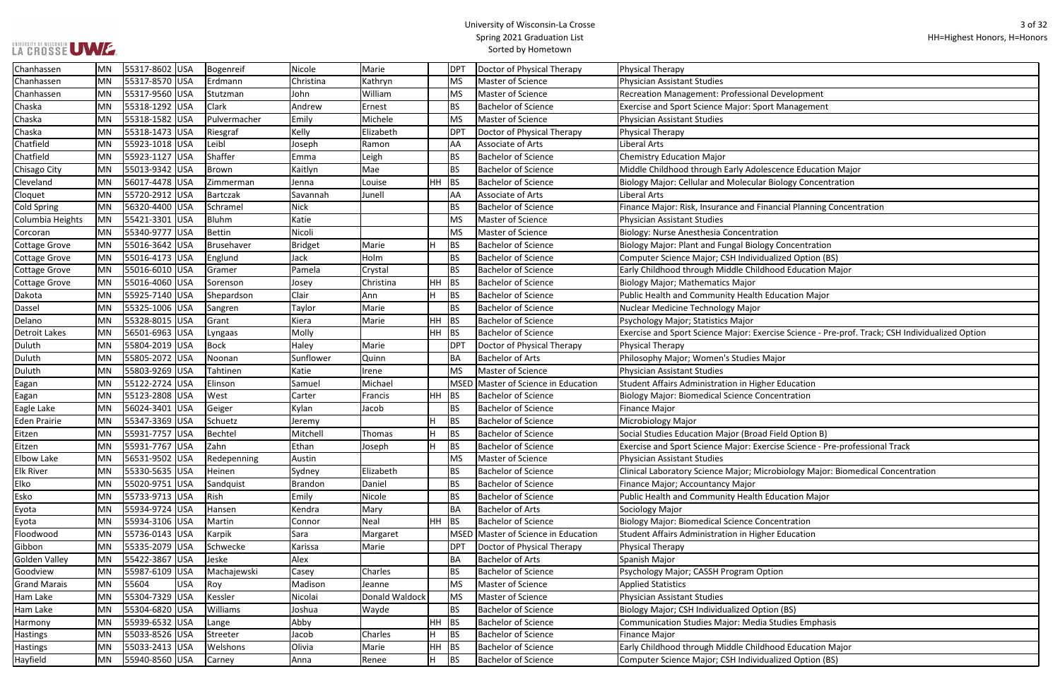ncial Planning Concentration ise Science - Pre-prof. Track; CSH Individualized Option ise Science - Pre-professional Track bbiology Major: Biomedical Concentration

| Chanhassen           | <b>MN</b> | 55317-8602 USA |            | Bogenreif    | Nicole         | Marie          |           | <b>DPT</b>  | Doctor of Physical Therapy     | <b>Physical Therapy</b>                                          |
|----------------------|-----------|----------------|------------|--------------|----------------|----------------|-----------|-------------|--------------------------------|------------------------------------------------------------------|
| Chanhassen           | <b>MN</b> | 55317-8570 USA |            | Erdmann      | Christina      | Kathryn        |           | <b>MS</b>   | Master of Science              | <b>Physician Assistant Studies</b>                               |
| Chanhassen           | <b>MN</b> | 55317-9560 USA |            | Stutzman     | John           | William        |           | <b>MS</b>   | Master of Science              | Recreation Management: Professional Development                  |
| Chaska               | MN        | 55318-1292 USA |            | Clark        | Andrew         | Ernest         |           | <b>BS</b>   | <b>Bachelor of Science</b>     | <b>Exercise and Sport Science Major: Sport Management</b>        |
| Chaska               | <b>MN</b> | 55318-1582 USA |            | Pulvermacher | Emily          | Michele        |           | <b>MS</b>   | <b>Master of Science</b>       | Physician Assistant Studies                                      |
| Chaska               | MN        | 55318-1473 USA |            | Riesgraf     | Kelly          | Elizabeth      |           | <b>DPT</b>  | Doctor of Physical Therapy     | <b>Physical Therapy</b>                                          |
| Chatfield            | MN        | 55923-1018 USA |            | Leibl        | Joseph         | Ramon          |           | AA          | Associate of Arts              | Liberal Arts                                                     |
| Chatfield            | <b>MN</b> | 55923-1127 USA |            | Shaffer      | Emma           | Leigh          |           | <b>BS</b>   | <b>Bachelor of Science</b>     | <b>Chemistry Education Major</b>                                 |
| Chisago City         | MN        | 55013-9342 USA |            | Brown        | Kaitlyn        | Mae            |           | <b>BS</b>   | <b>Bachelor of Science</b>     | Middle Childhood through Early Adolescence Education Major       |
| Cleveland            | MN        | 56017-4478 USA |            | Zimmerman    | Jenna          | Louise         | $HH$ BS   |             | <b>Bachelor of Science</b>     | Biology Major: Cellular and Molecular Biology Concentration      |
| Cloquet              | MN        | 55720-2912 USA |            | Bartczak     | Savannah       | Junell         |           | AA          | Associate of Arts              | Liberal Arts                                                     |
| Cold Spring          | <b>MN</b> | 56320-4400 USA |            | Schramel     | <b>Nick</b>    |                |           | <b>BS</b>   | <b>Bachelor of Science</b>     | Finance Major: Risk, Insurance and Financial Planning Concenti   |
| Columbia Heights     | MN        | 55421-3301 USA |            | Bluhm        | Katie          |                |           | <b>MS</b>   | Master of Science              | <b>Physician Assistant Studies</b>                               |
| Corcoran             | MN        | 55340-9777 USA |            | Bettin       | Nicoli         |                |           | <b>MS</b>   | <b>Master of Science</b>       | Biology: Nurse Anesthesia Concentration                          |
| Cottage Grove        | MN        | 55016-3642 USA |            | Brusehaver   | <b>Bridget</b> | Marie          |           | <b>BS</b>   | <b>Bachelor of Science</b>     | Biology Major: Plant and Fungal Biology Concentration            |
| <b>Cottage Grove</b> | MN        | 55016-4173 USA |            | Englund      | Jack           | Holm           |           | <b>BS</b>   | <b>Bachelor of Science</b>     | Computer Science Major; CSH Individualized Option (BS)           |
| Cottage Grove        | MN        | 55016-6010 USA |            | Gramer       | Pamela         | Crystal        |           | <b>BS</b>   | <b>Bachelor of Science</b>     | Early Childhood through Middle Childhood Education Major         |
| Cottage Grove        | MN        | 55016-4060 USA |            | Sorenson     | Josey          | Christina      | HH        | BS          | <b>Bachelor of Science</b>     | <b>Biology Major; Mathematics Major</b>                          |
| Dakota               | <b>MN</b> | 55925-7140 USA |            | Shepardson   | Clair          | Ann            |           | <b>BS</b>   | <b>Bachelor of Science</b>     | Public Health and Community Health Education Major               |
| Dassel               | MN        | 55325-1006 USA |            | Sangren      | Taylor         | Marie          |           | <b>BS</b>   | <b>Bachelor of Science</b>     | Nuclear Medicine Technology Major                                |
| Delano               | <b>MN</b> | 55328-8015 USA |            | Grant        | Kiera          | Marie          | HH        | BS          | <b>Bachelor of Science</b>     | Psychology Major; Statistics Major                               |
| Detroit Lakes        | <b>MN</b> | 56501-6963 USA |            | Lyngaas      | Molly          |                | <b>HH</b> | <b>BS</b>   | <b>Bachelor of Science</b>     | Exercise and Sport Science Major: Exercise Science - Pre-prof. 1 |
| Duluth               | MN        | 55804-2019 USA |            | Bock         | Haley          | Marie          |           | <b>DPT</b>  | Doctor of Physical Therapy     | <b>Physical Therapy</b>                                          |
| Duluth               | <b>MN</b> | 55805-2072 USA |            | Noonan       | Sunflower      | Quinn          |           | <b>BA</b>   | <b>Bachelor of Arts</b>        | Philosophy Major; Women's Studies Major                          |
| Duluth               | MN        | 55803-9269 USA |            | Tahtinen     | Katie          | Irene          |           | <b>MS</b>   | <b>Master of Science</b>       | Physician Assistant Studies                                      |
| Eagan                | <b>MN</b> | 55122-2724 USA |            | Elinson      | Samuel         | Michael        |           | <b>MSED</b> | Master of Science in Education | Student Affairs Administration in Higher Education               |
| Eagan                | MN        | 55123-2808 USA |            | West         | Carter         | Francis        | <b>HH</b> | <b>BS</b>   | <b>Bachelor of Science</b>     | <b>Biology Major: Biomedical Science Concentration</b>           |
| Eagle Lake           | MN        | 56024-3401 USA |            | Geiger       | Kylan          | Jacob          |           | <b>BS</b>   | <b>Bachelor of Science</b>     | <b>Finance Major</b>                                             |
| Eden Prairie         | <b>MN</b> | 55347-3369 USA |            | Schuetz      | Jeremy         |                |           | <b>BS</b>   | <b>Bachelor of Science</b>     | Microbiology Major                                               |
| Eitzen               | <b>MN</b> | 55931-7757 USA |            | Bechtel      | Mitchell       | Thomas         |           | <b>BS</b>   | <b>Bachelor of Science</b>     | Social Studies Education Major (Broad Field Option B)            |
| Eitzen               | MN        | 55931-7767 USA |            | Zahn         | Ethan          | Joseph         |           | <b>BS</b>   | <b>Bachelor of Science</b>     | Exercise and Sport Science Major: Exercise Science - Pre-profes  |
| <b>Elbow Lake</b>    | MN        | 56531-9502 USA |            | Redepenning  | Austin         |                |           | <b>MS</b>   | Master of Science              | Physician Assistant Studies                                      |
| <b>Elk River</b>     | MN        | 55330-5635 USA |            | Heinen       | Sydney         | Elizabeth      |           | <b>BS</b>   | <b>Bachelor of Science</b>     | Clinical Laboratory Science Major; Microbiology Major: Biomed    |
| <b>Elko</b>          | MN        | 55020-9751 USA |            | Sandquist    | Brandon        | Daniel         |           | <b>BS</b>   | <b>Bachelor of Science</b>     | Finance Major; Accountancy Major                                 |
| Esko                 | MN        | 55733-9713 USA |            | Rish         | Emily          | Nicole         |           | <b>BS</b>   | <b>Bachelor of Science</b>     | Public Health and Community Health Education Major               |
| Eyota                | MN        | 55934-9724 USA |            | Hansen       | Kendra         | Mary           |           | <b>BA</b>   | <b>Bachelor of Arts</b>        | Sociology Major                                                  |
| Eyota                | <b>MN</b> | 55934-3106 USA |            | Martin       | Connor         | Neal           | <b>HH</b> | BS          | <b>Bachelor of Science</b>     | <b>Biology Major: Biomedical Science Concentration</b>           |
| Floodwood            | MN        | 55736-0143 USA |            | Karpik       | Sara           | Margaret       |           | <b>MSED</b> | Master of Science in Education | <b>Student Affairs Administration in Higher Education</b>        |
| Gibbon               | <b>MN</b> | 55335-2079 USA |            | Schwecke     | Karissa        | Marie          |           | <b>DPT</b>  | Doctor of Physical Therapy     | <b>Physical Therapy</b>                                          |
| Golden Valley        | MN        | 55422-3867 USA |            | Jeske        | Alex           |                |           | <b>BA</b>   | <b>Bachelor of Arts</b>        | Spanish Major                                                    |
| Goodview             | MN        | 55987-6109 USA |            | Machajewski  | Casey          | Charles        |           | <b>BS</b>   | <b>Bachelor of Science</b>     | Psychology Major; CASSH Program Option                           |
| <b>Grand Marais</b>  | MN        | 55604          | <b>USA</b> | Roy          | Madison        | Jeanne         |           | <b>MS</b>   | Master of Science              | <b>Applied Statistics</b>                                        |
| Ham Lake             | <b>MN</b> | 55304-7329 USA |            | Kessler      | Nicolai        | Donald Waldock |           | <b>MS</b>   | Master of Science              | <b>Physician Assistant Studies</b>                               |
| Ham Lake             | MN        | 55304-6820 USA |            | Williams     | Joshua         | Wayde          |           | <b>BS</b>   | <b>Bachelor of Science</b>     | Biology Major; CSH Individualized Option (BS)                    |
| Harmony              | MN        | 55939-6532 USA |            | Lange        | Abby           |                | HH        | BS          | <b>Bachelor of Science</b>     | <b>Communication Studies Major: Media Studies Emphasis</b>       |
| <b>Hastings</b>      | MN        | 55033-8526 USA |            | Streeter     | Jacob          | Charles        |           | <b>BS</b>   | <b>Bachelor of Science</b>     | <b>Finance Major</b>                                             |
| <b>Hastings</b>      | MN        | 55033-2413 USA |            | Welshons     | Olivia         | Marie          | <b>HH</b> | <b>BS</b>   | <b>Bachelor of Science</b>     | Early Childhood through Middle Childhood Education Major         |
| Hayfield             | MN        | 55940-8560 USA |            | Carney       | Anna           | Renee          |           | BS          | <b>Bachelor of Science</b>     | Computer Science Major; CSH Individualized Option (BS)           |
|                      |           |                |            |              |                |                |           |             |                                |                                                                  |

LA CROSSE UWE.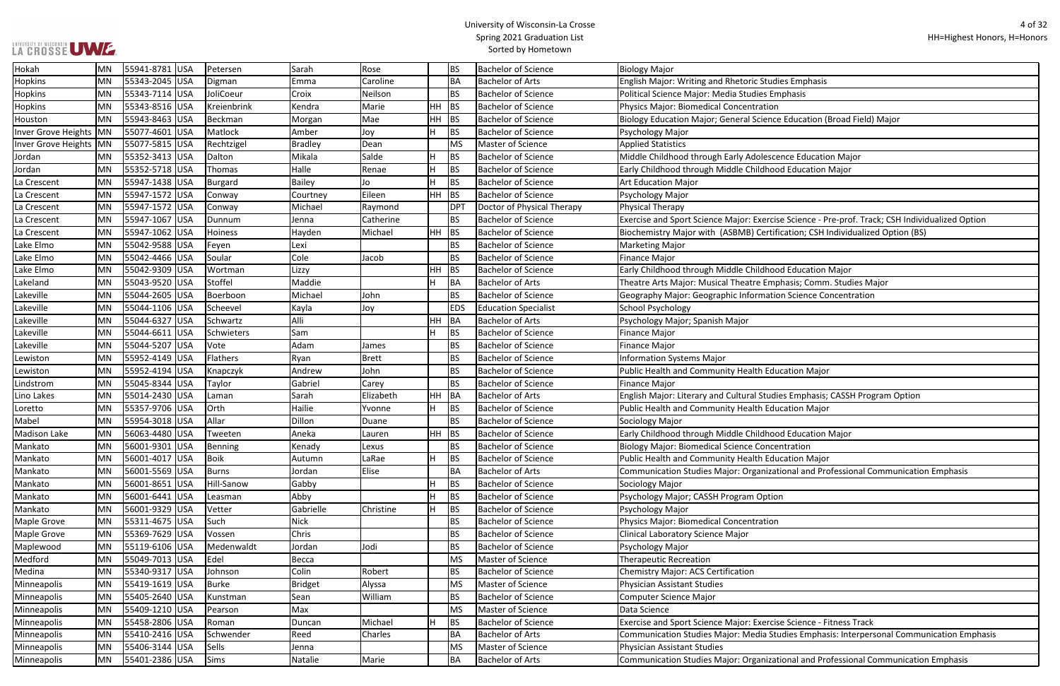## LA CROSSE UWE ...

## University of Wisconsin-La Crosse Spring 2021 Graduation List Sorted by Hometown

e Education (Broad Field) Major:

ence Education Major

se Science - Pre-prof. Track; CSH Individualized Option ication; CSH Individualized Option (BS)

phasis; Comm. Studies Major

on Science Concentration

ies Emphasis; CASSH Program Option

tional and Professional Communication Emphasis

se Science - Fitness Track

Indies Emphasis: Interpersonal Communication Emphasis: Major: Media Studies Emphasis: Interpersonal Communication Emphasis:

tional and Professional Communication Emphasis

| Hokah                    | <b>MN</b> | 55941-8781  USA |     | Petersen    | Sarah     | Rose         |    | <b>BS</b>  | <b>Bachelor of Science</b>  | <b>Biology Major</b>                                         |
|--------------------------|-----------|-----------------|-----|-------------|-----------|--------------|----|------------|-----------------------------|--------------------------------------------------------------|
| Hopkins                  | <b>MN</b> | 55343-2045 USA  |     | Digman      | Emma      | Caroline     |    | BA         | <b>Bachelor of Arts</b>     | <b>English Major: Writing and Rhetoric Studies Emphasis</b>  |
| Hopkins                  | <b>MN</b> | 55343-7114 USA  |     | JoliCoeur   | Croix     | Neilson      |    | <b>BS</b>  | <b>Bachelor of Science</b>  | Political Science Major: Media Studies Emphasis              |
| <b>Hopkins</b>           | <b>MN</b> | 55343-8516  USA |     | Kreienbrink | Kendra    | Marie        | HH | BS         | <b>Bachelor of Science</b>  | Physics Major: Biomedical Concentration                      |
| Houston                  | MN        | 55943-8463 USA  |     | Beckman     | Morgan    | Mae          | HH | <b>BS</b>  | <b>Bachelor of Science</b>  | Biology Education Major; General Science Education (Broad    |
| Inver Grove Heights MN   |           | 55077-4601 USA  |     | Matlock     | Amber     | Joy          |    | <b>BS</b>  | <b>Bachelor of Science</b>  | Psychology Major                                             |
| Inver Grove Heights   MN |           | 55077-5815 USA  |     | Rechtzigel  | Bradley   | Dean         |    | MS         | Master of Science           | <b>Applied Statistics</b>                                    |
| Jordan                   | <b>MN</b> | 55352-3413  USA |     | Dalton      | Mikala    | Salde        |    | BS         | <b>Bachelor of Science</b>  | Middle Childhood through Early Adolescence Education Ma      |
| Jordan                   | <b>MN</b> | 55352-5718 USA  |     | Thomas      | Halle     | Renae        |    | <b>BS</b>  | <b>Bachelor of Science</b>  | Early Childhood through Middle Childhood Education Major     |
| La Crescent              | <b>MN</b> | 55947-1438 USA  |     | Burgard     | Bailey    | Jo           |    | <b>BS</b>  | <b>Bachelor of Science</b>  | <b>Art Education Major</b>                                   |
| La Crescent              | <b>MN</b> | 55947-1572 USA  |     | Conway      | Courtney  | Eileen       | HH | <b>BS</b>  | <b>Bachelor of Science</b>  | Psychology Major                                             |
| La Crescent              | <b>MN</b> | 55947-1572 USA  |     | Conway      | Michael   | Raymond      |    | DPT        | Doctor of Physical Therapy  | Physical Therapy                                             |
| La Crescent              | <b>MN</b> | 55947-1067  USA |     | Dunnum      | Jenna     | Catherine    |    | <b>BS</b>  | <b>Bachelor of Science</b>  | Exercise and Sport Science Major: Exercise Science - Pre-pro |
| La Crescent              | <b>MN</b> | 55947-1062      | USA | Hoiness     | Hayden    | Michael      |    | HH BS      | <b>Bachelor of Science</b>  | Biochemistry Major with (ASBMB) Certification; CSH Indivic   |
| Lake Elmo                | <b>MN</b> | 55042-9588 USA  |     | Feyen       | Lexi      |              |    | <b>BS</b>  | <b>Bachelor of Science</b>  | <b>Marketing Major</b>                                       |
| Lake Elmo                | <b>MN</b> | 55042-4466 USA  |     | Soular      | Cole      | Jacob        |    | <b>BS</b>  | <b>Bachelor of Science</b>  | <b>Finance Major</b>                                         |
| Lake Elmo                | <b>MN</b> | 55042-9309  USA |     | Wortman     | Lizzy     |              | HH | BS         | <b>Bachelor of Science</b>  | Early Childhood through Middle Childhood Education Major     |
| Lakeland                 | <b>MN</b> | 55043-9520 USA  |     | Stoffel     | Maddie    |              |    | BA         | <b>Bachelor of Arts</b>     | Theatre Arts Major: Musical Theatre Emphasis; Comm. Stud     |
| Lakeville                | <b>MN</b> | 55044-2605 USA  |     | Boerboon    | Michael   | John         |    | <b>BS</b>  | <b>Bachelor of Science</b>  | Geography Major: Geographic Information Science Concent      |
| Lakeville                | <b>MN</b> | 55044-1106 USA  |     | Scheevel    | Kayla     | Joy          |    | <b>EDS</b> | <b>Education Specialist</b> | <b>School Psychology</b>                                     |
| Lakeville                | <b>MN</b> | 55044-6327 USA  |     | Schwartz    | Alli      |              | HH | BA         | <b>Bachelor of Arts</b>     | Psychology Major; Spanish Major                              |
| Lakeville                | <b>MN</b> | 55044-6611  USA |     | Schwieters  | Sam       |              |    | <b>BS</b>  | <b>Bachelor of Science</b>  | Finance Major                                                |
| Lakeville                | <b>MN</b> | 55044-5207 USA  |     | Vote        | Adam      | James        |    | <b>BS</b>  | <b>Bachelor of Science</b>  | Finance Major                                                |
| Lewiston                 | MN        | 55952-4149 USA  |     | Flathers    | Ryan      | <b>Brett</b> |    | <b>BS</b>  | <b>Bachelor of Science</b>  | <b>Information Systems Major</b>                             |
| Lewiston                 | <b>MN</b> | 55952-4194  USA |     | Knapczyk    | Andrew    | John         |    | <b>BS</b>  | <b>Bachelor of Science</b>  | Public Health and Community Health Education Major           |
| Lindstrom                | <b>MN</b> | 55045-8344 USA  |     | Taylor      | Gabriel   | Carey        |    | <b>BS</b>  | <b>Bachelor of Science</b>  | Finance Major                                                |
| Lino Lakes               | <b>MN</b> | 55014-2430  USA |     | Laman       | Sarah     | Elizabeth    | HH | BA         | <b>Bachelor of Arts</b>     | English Major: Literary and Cultural Studies Emphasis; CASS  |
| Loretto                  | <b>MN</b> | 55357-9706  USA |     | Orth        | Hailie    | Yvonne       |    | <b>BS</b>  | <b>Bachelor of Science</b>  | Public Health and Community Health Education Major           |
| Mabel                    | MN        | 55954-3018 USA  |     | Allar       | Dillon    | Duane        |    | <b>BS</b>  | <b>Bachelor of Science</b>  | Sociology Major                                              |
| Madison Lake             | <b>MN</b> | 56063-4480 USA  |     | Tweeten     | Aneka     | Lauren       | HH | BS         | <b>Bachelor of Science</b>  | Early Childhood through Middle Childhood Education Major     |
| Mankato                  | <b>MN</b> | 56001-9301 USA  |     | Benning     | Kenady    | Lexus        |    | <b>BS</b>  | <b>Bachelor of Science</b>  | <b>Biology Major: Biomedical Science Concentration</b>       |
| Mankato                  | <b>MN</b> | 56001-4017 USA  |     | Boik        | Autumn    | LaRae        | н  | <b>BS</b>  | <b>Bachelor of Science</b>  | Public Health and Community Health Education Major           |
| Mankato                  | <b>MN</b> | 56001-5569 USA  |     | Burns       | Jordan    | Elise        |    | BA         | <b>Bachelor of Arts</b>     | Communication Studies Major: Organizational and Professio    |
| Mankato                  | <b>MN</b> | 56001-8651 USA  |     | Hill-Sanow  | Gabby     |              |    | <b>BS</b>  | <b>Bachelor of Science</b>  | Sociology Major                                              |
| Mankato                  | <b>MN</b> | 56001-6441 USA  |     | Leasman     | Abby      |              |    | <b>BS</b>  | <b>Bachelor of Science</b>  | Psychology Major; CASSH Program Option                       |
| Mankato                  | MN        | 56001-9329 USA  |     | Vetter      | Gabrielle | Christine    | н  | <b>BS</b>  | <b>Bachelor of Science</b>  | Psychology Major                                             |
| Maple Grove              | <b>MN</b> | 55311-4675 USA  |     | Such        | Nick      |              |    | <b>BS</b>  | <b>Bachelor of Science</b>  | Physics Major: Biomedical Concentration                      |
| Maple Grove              | MN        | 55369-7629 USA  |     | Vossen      | Chris     |              |    | <b>BS</b>  | <b>Bachelor of Science</b>  | Clinical Laboratory Science Major                            |
| Maplewood                | MN        | 55119-6106 USA  |     | Medenwaldt  | Jordan    | Jodi         |    | <b>BS</b>  | <b>Bachelor of Science</b>  | Psychology Major                                             |
| Medford                  | <b>MN</b> | 55049-7013 USA  |     | Edel        | Becca     |              |    | MS         | Master of Science           | <b>Therapeutic Recreation</b>                                |
| Medina                   | <b>MN</b> | 55340-9317 USA  |     | Johnson     | Colin     | Robert       |    | <b>BS</b>  | <b>Bachelor of Science</b>  | Chemistry Major: ACS Certification                           |
| Minneapolis              | <b>MN</b> | 55419-1619 USA  |     | Burke       | Bridget   | Alyssa       |    | <b>MS</b>  | Master of Science           | Physician Assistant Studies                                  |
| Minneapolis              | <b>MN</b> | 55405-2640 USA  |     | Kunstman    | Sean      | William      |    | <b>BS</b>  | <b>Bachelor of Science</b>  | Computer Science Major                                       |
| Minneapolis              | MN        | 55409-1210  USA |     | Pearson     | Max       |              |    | <b>MS</b>  | Master of Science           | Data Science                                                 |
| Minneapolis              | MN        | 55458-2806 USA  |     | Roman       | Duncan    | Michael      |    | <b>BS</b>  | <b>Bachelor of Science</b>  | Exercise and Sport Science Major: Exercise Science - Fitness |
| Minneapolis              | MN        | 55410-2416 USA  |     | Schwender   | Reed      | Charles      |    | BA         | <b>Bachelor of Arts</b>     | Communication Studies Major: Media Studies Emphasis: Int     |
| Minneapolis              | MN        | 55406-3144 USA  |     | Sells       | Jenna     |              |    | <b>MS</b>  | Master of Science           | Physician Assistant Studies                                  |
| Minneapolis              | MN        | 55401-2386 USA  |     | Sims        | Natalie   | Marie        |    | <b>BA</b>  | <b>Bachelor of Arts</b>     | Communication Studies Major: Organizational and Professio    |
|                          |           |                 |     |             |           |              |    |            |                             |                                                              |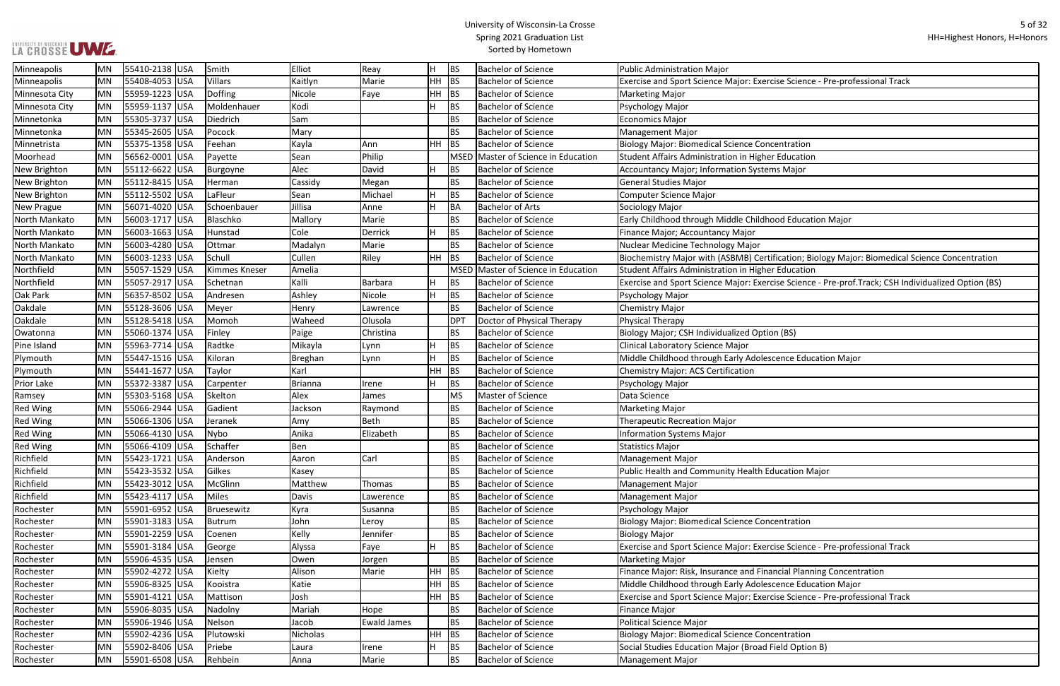## UNIVERSITY OF WISCONSIN<br>LA CROSSE UWE.

## University of Wisconsin-La Crosse Spring 2021 Graduation List Sorted by Hometown

| e Science - Pre-professional Track                         |
|------------------------------------------------------------|
|                                                            |
|                                                            |
|                                                            |
|                                                            |
| ntration                                                   |
| ducation                                                   |
|                                                            |
| Major                                                      |
|                                                            |
|                                                            |
|                                                            |
| d Education Major                                          |
|                                                            |
|                                                            |
| cation; Biology Major: Biomedical Science Concentration    |
| ducation                                                   |
| e Science - Pre-prof.Track; CSH Individualized Option (BS) |
|                                                            |
|                                                            |
|                                                            |
| (BS)                                                       |
|                                                            |
| nce Education Major                                        |
|                                                            |
|                                                            |
|                                                            |
|                                                            |
|                                                            |
|                                                            |
|                                                            |
|                                                            |
|                                                            |
| cation Major                                               |
|                                                            |
|                                                            |
|                                                            |
| ntration                                                   |
|                                                            |
| e Science - Pre-professional Track                         |
|                                                            |
| cial Planning Concentration                                |
| nce Education Major                                        |
| e Science - Pre-professional Track                         |
|                                                            |
|                                                            |
|                                                            |
| ntration                                                   |
| Id Option B)                                               |
|                                                            |

| Minneapolis       | <b>MN</b> | 55410-2138 USA | Smith          | Elliot         | Reay               |         | BS              | <b>Bachelor of Science</b>          | <b>Public Administration Major</b>                                                                   |
|-------------------|-----------|----------------|----------------|----------------|--------------------|---------|-----------------|-------------------------------------|------------------------------------------------------------------------------------------------------|
| Minneapolis       | MN        | 55408-4053 USA | <b>Villars</b> | Kaitlyn        | Marie              | $HH$ BS |                 | <b>Bachelor of Science</b>          | Exercise and Sport Science Major: Exercise Science - Pre-professional Track                          |
| Minnesota City    | MN        | 55959-1223 USA | Doffing        | Nicole         | Faye               | $HH$ BS |                 | <b>Bachelor of Science</b>          | <b>Marketing Major</b>                                                                               |
| Minnesota City    | MN        | 55959-1137 USA | Moldenhauer    | Kodi           |                    |         | <b>BS</b>       | <b>Bachelor of Science</b>          | Psychology Major                                                                                     |
| Minnetonka        | MN        | 55305-3737 USA | Diedrich       | Sam            |                    |         | <b>BS</b>       | <b>Bachelor of Science</b>          | Economics Major                                                                                      |
| Minnetonka        | MN        | 55345-2605 USA | Pocock         | Mary           |                    |         | <b>BS</b>       | <b>Bachelor of Science</b>          | Management Major                                                                                     |
| Minnetrista       | MN        | 55375-1358 USA | Feehan         | Kayla          | Ann                | $HH$ BS |                 | <b>Bachelor of Science</b>          | <b>Biology Major: Biomedical Science Concentration</b>                                               |
| Moorhead          | MN        | 56562-0001 USA | Payette        | Sean           | Philip             |         |                 | MSED Master of Science in Education | Student Affairs Administration in Higher Education                                                   |
| New Brighton      | MN        | 55112-6622 USA | Burgoyne       | Alec           | David              |         | BS              | <b>Bachelor of Science</b>          | <b>Accountancy Major; Information Systems Major</b>                                                  |
| New Brighton      | MN        | 55112-8415 USA | Herman         | Cassidy        | Megan              |         | <b>BS</b>       | <b>Bachelor of Science</b>          | General Studies Major                                                                                |
| New Brighton      | MN        | 55112-5502 USA | LaFleur        | Sean           | Michael            |         | BS              | <b>Bachelor of Science</b>          | <b>Computer Science Major</b>                                                                        |
| New Prague        | MN        | 56071-4020 USA | Schoenbauer    | Jillisa        | Anne               |         | BA              | <b>Bachelor of Arts</b>             | Sociology Major                                                                                      |
| North Mankato     | MN        | 56003-1717 USA | Blaschko       | Mallory        | Marie              |         | <b>BS</b>       | <b>Bachelor of Science</b>          | Early Childhood through Middle Childhood Education Major                                             |
| North Mankato     | MN        | 56003-1663 USA | Hunstad        | Cole           | Derrick            |         | BS              | <b>Bachelor of Science</b>          | Finance Major; Accountancy Major                                                                     |
| North Mankato     | MN        | 56003-4280 USA | Ottmar         | Madalyn        | Marie              |         | <b>BS</b>       | <b>Bachelor of Science</b>          | Nuclear Medicine Technology Major                                                                    |
| North Mankato     | MN        | 56003-1233 USA | Schull         | Cullen         | Riley              | $HH$ BS |                 | <b>Bachelor of Science</b>          | Biochemistry Major with (ASBMB) Certification; Biology Major: Biomedical Science Concentration       |
| Northfield        | MN        | 55057-1529 USA | Kimmes Kneser  | Amelia         |                    |         |                 | MSED Master of Science in Education | Student Affairs Administration in Higher Education                                                   |
| Northfield        | MN        | 55057-2917 USA | Schetnan       | Kalli          | Barbara            |         | BS              | <b>Bachelor of Science</b>          | Exercise and Sport Science Major: Exercise Science - Pre-prof. Track; CSH Individualized Option (BS) |
| Oak Park          | MN        | 56357-8502 USA | Andresen       | Ashley         | Nicole             |         | BS              | <b>Bachelor of Science</b>          | Psychology Major                                                                                     |
| Oakdale           | MN        | 55128-3606 USA | Meyer          | Henry          | Lawrence           |         | <b>BS</b>       | <b>Bachelor of Science</b>          | <b>Chemistry Major</b>                                                                               |
| Oakdale           | MN        | 55128-5418 USA | Momoh          | Waheed         | Olusola            |         | DP <sub>1</sub> | Doctor of Physical Therapy          | Physical Therapy                                                                                     |
| Owatonna          | MN        | 55060-1374 USA | Finley         | Paige          | Christina          |         | <b>BS</b>       | <b>Bachelor of Science</b>          | Biology Major; CSH Individualized Option (BS)                                                        |
| Pine Island       | MN        | 55963-7714 USA | Radtke         | Mikayla        | Lynn               |         | <b>BS</b>       | <b>Bachelor of Science</b>          | Clinical Laboratory Science Major                                                                    |
| Plymouth          | MN        | 55447-1516 USA | Kiloran        | Breghan        | Lynn               |         | <b>BS</b>       | <b>Bachelor of Science</b>          | Middle Childhood through Early Adolescence Education Major                                           |
| Plymouth          | MN        | 55441-1677 USA | Taylor         | Karl           |                    | HН      | BS              | <b>Bachelor of Science</b>          | <b>Chemistry Major: ACS Certification</b>                                                            |
| <b>Prior Lake</b> | MN        | 55372-3387 USA | Carpenter      | <b>Brianna</b> | Irene              |         | BS              | <b>Bachelor of Science</b>          | Psychology Major                                                                                     |
| Ramsey            | <b>MN</b> | 55303-5168 USA | Skelton        | Alex           | James              |         | MS              | Master of Science                   | Data Science                                                                                         |
| <b>Red Wing</b>   | MN        | 55066-2944 USA | Gadient        | Jackson        | Raymond            |         | BS              | <b>Bachelor of Science</b>          | <b>Marketing Major</b>                                                                               |
| <b>Red Wing</b>   | MN        | 55066-1306 USA | Jeranek        | Amy            | Beth               |         | <b>BS</b>       | <b>Bachelor of Science</b>          | <b>Therapeutic Recreation Major</b>                                                                  |
| <b>Red Wing</b>   | MN        | 55066-4130 USA | Nybo           | Anika          | Elizabeth          |         | <b>BS</b>       | <b>Bachelor of Science</b>          | <b>Information Systems Major</b>                                                                     |
| <b>Red Wing</b>   | MN        | 55066-4109 USA | Schaffer       | Ben            |                    |         | <b>BS</b>       | <b>Bachelor of Science</b>          | <b>Statistics Major</b>                                                                              |
| Richfield         | MN        | 55423-1721 USA | Anderson       | Aaron          | Carl               |         | <b>BS</b>       | <b>Bachelor of Science</b>          | Management Major                                                                                     |
| Richfield         | MN        | 55423-3532 USA | Gilkes         | Kasey          |                    |         | <b>BS</b>       | <b>Bachelor of Science</b>          | Public Health and Community Health Education Major                                                   |
| Richfield         | MN        | 55423-3012 USA | McGlinn        | Matthew        | Thomas             |         | <b>BS</b>       | <b>Bachelor of Science</b>          | Management Major                                                                                     |
| Richfield         | MN        | 55423-4117 USA | Miles          | Davis          | Lawerence          |         | <b>BS</b>       | <b>Bachelor of Science</b>          | Management Major                                                                                     |
| Rochester         | MN        | 55901-6952 USA | Bruesewitz     | Kyra           | Susanna            |         | <b>BS</b>       | <b>Bachelor of Science</b>          | Psychology Major                                                                                     |
| Rochester         | MN        | 55901-3183 USA | Butrum         | John           | Leroy              |         | <b>BS</b>       | <b>Bachelor of Science</b>          | <b>Biology Major: Biomedical Science Concentration</b>                                               |
| Rochester         | MN        | 55901-2259 USA | Coenen         | Kelly          | Jennifer           |         | <b>BS</b>       | <b>Bachelor of Science</b>          | <b>Biology Major</b>                                                                                 |
| Rochester         | MN        | 55901-3184 USA | George         | Alyssa         | Faye               |         | BS              | <b>Bachelor of Science</b>          | Exercise and Sport Science Major: Exercise Science - Pre-professional Track                          |
| Rochester         | MN        | 55906-4535 USA | Jensen         | Owen           | Jorgen             |         | BS              | <b>Bachelor of Science</b>          | <b>Marketing Major</b>                                                                               |
| Rochester         | MN        | 55902-4272 USA | Kielty         | Alison         | Marie              | $HH$ BS |                 | <b>Bachelor of Science</b>          | Finance Major: Risk, Insurance and Financial Planning Concentration                                  |
| Rochester         | MN        | 55906-8325 USA | Kooistra       | Katie          |                    | $HH$ BS |                 | <b>Bachelor of Science</b>          | Middle Childhood through Early Adolescence Education Major                                           |
| Rochester         | MN        | 55901-4121 USA | Mattison       | Josh           |                    | $HH$ BS |                 | <b>Bachelor of Science</b>          | Exercise and Sport Science Major: Exercise Science - Pre-professional Track                          |
| Rochester         | MN        | 55906-8035 USA | Nadolny        | Mariah         | Hope               |         | <b>BS</b>       | <b>Bachelor of Science</b>          | <b>Finance Major</b>                                                                                 |
| Rochester         | MN        | 55906-1946 USA | Nelson         | Jacob          | <b>Ewald James</b> |         | <b>BS</b>       | <b>Bachelor of Science</b>          | Political Science Major                                                                              |
| Rochester         | MN        | 55902-4236 USA | Plutowski      | Nicholas       |                    | $HH$ BS |                 | <b>Bachelor of Science</b>          | <b>Biology Major: Biomedical Science Concentration</b>                                               |
| Rochester         | MN        | 55902-8406 USA | Priebe         | Laura          | Irene              |         | BS              | <b>Bachelor of Science</b>          | Social Studies Education Major (Broad Field Option B)                                                |
| Rochester         | MN        | 55901-6508 USA | Rehbein        | Anna           | Marie              |         | <b>BS</b>       | <b>Bachelor of Science</b>          | Management Major                                                                                     |
|                   |           |                |                |                |                    |         |                 |                                     |                                                                                                      |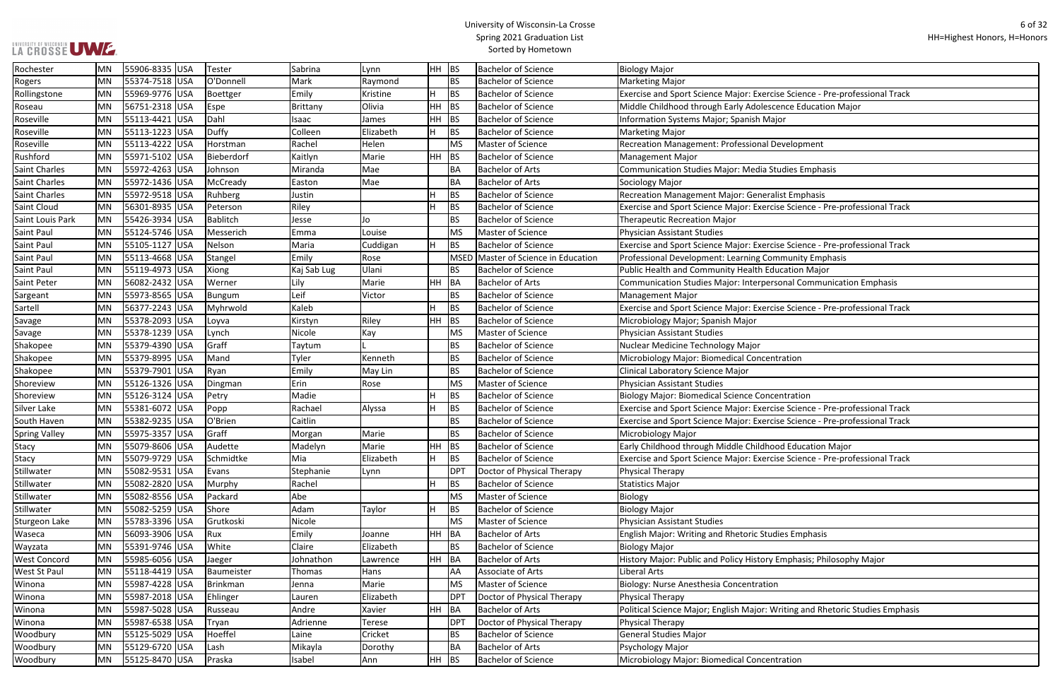## LA CROSSE UWE ...

## University of Wisconsin-La Crosse Spring 2021 Graduation List Sorted by Hometown

Rollingstone Bre-professional Track

se Science - Pre-professional Track

se Science - Pre-professional Track

Sonal Communication Emphasis

se Science - Pre-professional Track

se Science - Pre-professional Track se Science - Pre-professional Track

Stachmidte H BS Elizabeth Bachelore Science - Pre-professional Track

Imphasis; Philosophy Major:

riting and Rhetoric Studies Emphasis

| Rochester            | MN        | 55906-8335 USA  | Tester     | Sabrina     | Lynn          | <b>HH</b> | <b>BS</b>   | <b>Bachelor of Science</b>     | <b>Biology Major</b>                                             |
|----------------------|-----------|-----------------|------------|-------------|---------------|-----------|-------------|--------------------------------|------------------------------------------------------------------|
| Rogers               | MN        | 55374-7518 USA  | O'Donnell  | Mark        | Raymond       |           | <b>BS</b>   | <b>Bachelor of Science</b>     | Marketing Major                                                  |
| Rollingstone         | <b>MN</b> | 55969-9776 USA  | Boettger   | Emily       | Kristine      | H         | <b>BS</b>   | <b>Bachelor of Science</b>     | Exercise and Sport Science Major: Exercise Science - Pre-profes  |
| Roseau               | MN        | 56751-2318 USA  | Espe       | Brittany    | Olivia        | HH        | BS          | <b>Bachelor of Science</b>     | Middle Childhood through Early Adolescence Education Major       |
| Roseville            | <b>MN</b> | 55113-4421 USA  | Dahl       | Isaac       | James         | <b>HH</b> | <b>BS</b>   | <b>Bachelor of Science</b>     | Information Systems Major; Spanish Major                         |
| Roseville            | MN        | 55113-1223 USA  | Duffy      | Colleen     | Elizabeth     | H.        | <b>BS</b>   | <b>Bachelor of Science</b>     | <b>Marketing Major</b>                                           |
| Roseville            | <b>MN</b> | 55113-4222 USA  | Horstman   | Rachel      | Helen         |           | <b>MS</b>   | Master of Science              | Recreation Management: Professional Development                  |
| Rushford             | MN        | 55971-5102 USA  | Bieberdorf | Kaitlyn     | Marie         | HH        | BS          | <b>Bachelor of Science</b>     | Management Major                                                 |
| Saint Charles        | <b>MN</b> | 55972-4263 USA  | Johnson    | Miranda     | Mae           |           | BA          | <b>Bachelor of Arts</b>        | Communication Studies Major: Media Studies Emphasis              |
| Saint Charles        | <b>MN</b> | 55972-1436 USA  | McCready   | Easton      | Mae           |           | <b>BA</b>   | <b>Bachelor of Arts</b>        | Sociology Major                                                  |
| <b>Saint Charles</b> | <b>MN</b> | 55972-9518 USA  | Ruhberg    | Justin      |               | н         | <b>BS</b>   | <b>Bachelor of Science</b>     | Recreation Management Major: Generalist Emphasis                 |
| Saint Cloud          | <b>MN</b> | 56301-8935 USA  | Peterson   | Riley       |               | H         | <b>BS</b>   | <b>Bachelor of Science</b>     | Exercise and Sport Science Major: Exercise Science - Pre-profes  |
| Saint Louis Park     | MN        | 55426-3934 USA  | Bablitch   | Jesse       | Jo            |           | <b>BS</b>   | <b>Bachelor of Science</b>     | Therapeutic Recreation Major                                     |
| Saint Paul           | MN        | 55124-5746 USA  | Messerich  | Emma        | Louise        |           | <b>MS</b>   | Master of Science              | Physician Assistant Studies                                      |
| Saint Paul           | <b>MN</b> | 55105-1127 USA  | Nelson     | Maria       | Cuddigan      | H         | <b>BS</b>   | <b>Bachelor of Science</b>     | Exercise and Sport Science Major: Exercise Science - Pre-profes  |
| <b>Saint Paul</b>    | MN        | 55113-4668 USA  | Stangel    | Emily       | Rose          |           | <b>MSED</b> | Master of Science in Education | Professional Development: Learning Community Emphasis            |
| <b>Saint Paul</b>    | <b>MN</b> | 55119-4973 USA  | Xiong      | Kaj Sab Lug | Ulani         |           | BS          | <b>Bachelor of Science</b>     | Public Health and Community Health Education Major               |
| Saint Peter          | MN        | 56082-2432 USA  | Werner     | Lily        | Marie         | HH.       | BA          | <b>Bachelor of Arts</b>        | Communication Studies Major: Interpersonal Communication I       |
| Sargeant             | MN        | 55973-8565 USA  | Bungum     | Leif        | Victor        |           | <b>BS</b>   | <b>Bachelor of Science</b>     | Management Major                                                 |
| Sartell              | MN        | 56377-2243 USA  | Myhrwold   | Kaleb       |               | H         | <b>BS</b>   | <b>Bachelor of Science</b>     | Exercise and Sport Science Major: Exercise Science - Pre-profes  |
| Savage               | MN        | 55378-2093 USA  | Loyva      | Kirstyn     | Riley         | <b>HH</b> | <b>BS</b>   | <b>Bachelor of Science</b>     | Microbiology Major; Spanish Major                                |
| Savage               | <b>MN</b> | 55378-1239 USA  | Lynch      | Nicole      | Kay           |           | <b>MS</b>   | Master of Science              | Physician Assistant Studies                                      |
| Shakopee             | MN        | 55379-4390  USA | Graff      | Taytum      |               |           | BS          | <b>Bachelor of Science</b>     | Nuclear Medicine Technology Major                                |
| Shakopee             | <b>MN</b> | 55379-8995 USA  | Mand       | Tyler       | Kenneth       |           | <b>BS</b>   | <b>Bachelor of Science</b>     | Microbiology Major: Biomedical Concentration                     |
| Shakopee             | MN        | 55379-7901 USA  | Ryan       | Emily       | May Lin       |           | <b>BS</b>   | <b>Bachelor of Science</b>     | Clinical Laboratory Science Major                                |
| Shoreview            | MN        | 55126-1326 USA  | Dingman    | Erin        | Rose          |           | <b>MS</b>   | Master of Science              | Physician Assistant Studies                                      |
| Shoreview            | MN        | 55126-3124 USA  | Petry      | Madie       |               | H         | <b>BS</b>   | <b>Bachelor of Science</b>     | <b>Biology Major: Biomedical Science Concentration</b>           |
| Silver Lake          | MN        | 55381-6072 USA  | Popp       | Rachael     | Alyssa        | H.        | <b>BS</b>   | <b>Bachelor of Science</b>     | Exercise and Sport Science Major: Exercise Science - Pre-profes  |
| South Haven          | <b>MN</b> | 55382-9235 USA  | O'Brien    | Caitlin     |               |           | <b>BS</b>   | <b>Bachelor of Science</b>     | Exercise and Sport Science Major: Exercise Science - Pre-profes  |
| <b>Spring Valley</b> | MN        | 55975-3357 USA  | Graff      | Morgan      | Marie         |           | <b>BS</b>   | <b>Bachelor of Science</b>     | Microbiology Major                                               |
| <b>Stacy</b>         | MN        | 55079-8606 USA  | Audette    | Madelyn     | Marie         | HH        | <b>BS</b>   | <b>Bachelor of Science</b>     | Early Childhood through Middle Childhood Education Major         |
| <b>Stacy</b>         | MN        | 55079-9729 USA  | Schmidtke  | Mia         | Elizabeth     | Η.        | <b>BS</b>   | <b>Bachelor of Science</b>     | Exercise and Sport Science Major: Exercise Science - Pre-profes  |
| Stillwater           | MN        | 55082-9531 USA  | Evans      | Stephanie   | Lynn          |           | <b>DPT</b>  | Doctor of Physical Therapy     | <b>Physical Therapy</b>                                          |
| Stillwater           | <b>MN</b> | 55082-2820 USA  | Murphy     | Rachel      |               | H         | <b>BS</b>   | <b>Bachelor of Science</b>     | <b>Statistics Major</b>                                          |
| Stillwater           | MN        | 55082-8556 USA  | Packard    | Abe         |               |           | <b>MS</b>   | Master of Science              | Biology                                                          |
| Stillwater           | <b>MN</b> | 55082-5259 USA  | Shore      | Adam        | Taylor        | H         | <b>BS</b>   | <b>Bachelor of Science</b>     | <b>Biology Major</b>                                             |
| Sturgeon Lake        | MN        | 55783-3396 USA  | Grutkoski  | Nicole      |               |           | <b>MS</b>   | Master of Science              | Physician Assistant Studies                                      |
| Waseca               | MN        | 56093-3906 USA  | Rux        | Emily       | Joanne        | HH -      | BA          | <b>Bachelor of Arts</b>        | English Major: Writing and Rhetoric Studies Emphasis             |
| Wayzata              | MN        | 55391-9746 USA  | White      | Claire      | Elizabeth     |           | ВS          | <b>Bachelor of Science</b>     | <b>Biology Major</b>                                             |
| <b>West Concord</b>  | MN        | 55985-6056 USA  | Jaeger     | Johnathon   | Lawrence      | <b>HH</b> | <b>BA</b>   | <b>Bachelor of Arts</b>        | History Major: Public and Policy History Emphasis; Philosophy    |
| <b>West St Paul</b>  | MN        | 55118-4419 USA  | Baumeister | Thomas      | Hans          |           | AA          | Associate of Arts              | Liberal Arts                                                     |
| Winona               | MN        | 55987-4228 USA  | Brinkman   | Jenna       | Marie         |           | <b>MS</b>   | Master of Science              | Biology: Nurse Anesthesia Concentration                          |
| Winona               | MN        | 55987-2018 USA  | Ehlinger   | Lauren      | Elizabeth     |           | <b>DPT</b>  | Doctor of Physical Therapy     | Physical Therapy                                                 |
| Winona               | MN        | 55987-5028 USA  | Russeau    | Andre       | Xavier        | HH.       | BA          | <b>Bachelor of Arts</b>        | Political Science Major; English Major: Writing and Rhetoric Stu |
| Winona               | MN        | 55987-6538 USA  | Tryan      | Adrienne    | <b>Terese</b> |           | <b>DPT</b>  | Doctor of Physical Therapy     | <b>Physical Therapy</b>                                          |
| Woodbury             | MN        | 55125-5029 USA  | Hoeffel    | Laine       | Cricket       |           | <b>BS</b>   | <b>Bachelor of Science</b>     | General Studies Major                                            |
| Woodbury             | MN        | 55129-6720 USA  | Lash       | Mikayla     | Dorothy       |           | BA          | <b>Bachelor of Arts</b>        | Psychology Major                                                 |
| Woodbury             | MN        | 55125-8470 USA  | Praska     | Isabel      | Ann           | $HH$ BS   |             | <b>Bachelor of Science</b>     | Microbiology Major: Biomedical Concentration                     |
|                      |           |                 |            |             |               |           |             |                                |                                                                  |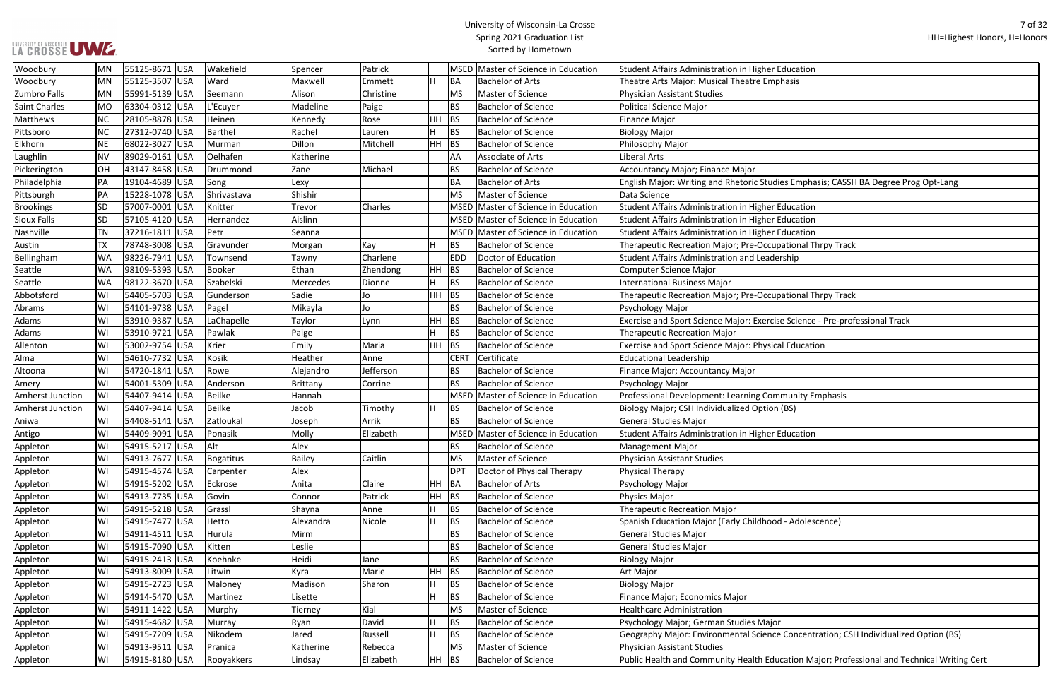| ducation                                              |
|-------------------------------------------------------|
| hasis                                                 |
|                                                       |
|                                                       |
|                                                       |
|                                                       |
|                                                       |
|                                                       |
|                                                       |
| es Emphasis; CASSH BA Degree Prog Opt-Lang            |
|                                                       |
| ducation                                              |
| ducation                                              |
| ducation                                              |
| ational Thrpy Track                                   |
| rship                                                 |
|                                                       |
|                                                       |
| ational Thrpy Track                                   |
|                                                       |
| e Science - Pre-professional Track                    |
|                                                       |
| al Education                                          |
|                                                       |
|                                                       |
|                                                       |
|                                                       |
| munity Emphasis                                       |
| (BS)                                                  |
|                                                       |
| ducation                                              |
|                                                       |
|                                                       |
|                                                       |
|                                                       |
|                                                       |
|                                                       |
| d - Adolescence)                                      |
|                                                       |
|                                                       |
|                                                       |
|                                                       |
|                                                       |
|                                                       |
|                                                       |
|                                                       |
| Concentration; CSH Individualized Option (BS)         |
|                                                       |
| cation Major; Professional and Technical Writing Cert |
|                                                       |

| Woodbury                | MN        | 55125-8671 USA | Wakefield   | Spencer       | Patrick   |     |             | MSED Master of Science in Education | Student Affairs Administration in Higher Education                                          |
|-------------------------|-----------|----------------|-------------|---------------|-----------|-----|-------------|-------------------------------------|---------------------------------------------------------------------------------------------|
| Woodbury                | <b>MN</b> | 55125-3507 USA | Ward        | Maxwell       | Emmett    | H   | BA          | <b>Bachelor of Arts</b>             | Theatre Arts Major: Musical Theatre Emphasis                                                |
| Zumbro Falls            | MN        | 55991-5139 USA | Seemann     | Alison        | Christine |     | <b>MS</b>   | Master of Science                   | <b>Physician Assistant Studies</b>                                                          |
| <b>Saint Charles</b>    | <b>MO</b> | 63304-0312 USA | L'Ecuyer    | Madeline      | Paige     |     | <b>BS</b>   | <b>Bachelor of Science</b>          | Political Science Major                                                                     |
| Matthews                | NC        | 28105-8878 USA | Heinen      | Kennedy       | Rose      |     | $HH$ BS     | <b>Bachelor of Science</b>          | Finance Major                                                                               |
| Pittsboro               | ΝC        | 27312-0740 USA | Barthel     | Rachel        | Lauren    |     | <b>BS</b>   | <b>Bachelor of Science</b>          | <b>Biology Major</b>                                                                        |
| Elkhorn                 | ΝE        | 68022-3027 USA | Murman      | Dillon        | Mitchell  | HH. | BS          | <b>Bachelor of Science</b>          | Philosophy Major                                                                            |
| Laughlin                | <b>NV</b> | 89029-0161 USA | Oelhafen    | Katherine     |           |     | AA          | Associate of Arts                   | Liberal Arts                                                                                |
| Pickerington            | <b>OH</b> | 43147-8458 USA | Drummond    | Zane          | Michael   |     | <b>BS</b>   | <b>Bachelor of Science</b>          | Accountancy Major; Finance Major                                                            |
| Philadelphia            | PA        | 19104-4689 USA | Song        | Lexy          |           |     | <b>BA</b>   | <b>Bachelor of Arts</b>             | English Major: Writing and Rhetoric Studies Emphasis; CASSH BA Degree Prog Opt-Lang         |
| Pittsburgh              | PA        | 15228-1078 USA | Shrivastava | Shishir       |           |     | <b>MS</b>   | Master of Science                   | Data Science                                                                                |
| <b>Brookings</b>        | <b>SD</b> | 57007-0001 USA | Knitter     | Trevor        | Charles   |     | <b>MSED</b> | Master of Science in Education      | Student Affairs Administration in Higher Education                                          |
| <b>Sioux Falls</b>      | SD        | 57105-4120 USA | Hernandez   | Aislinn       |           |     |             | MSED Master of Science in Education | Student Affairs Administration in Higher Education                                          |
| Nashville               | TN        | 37216-1811 USA | Petr        | Seanna        |           |     |             | MSED Master of Science in Education | Student Affairs Administration in Higher Education                                          |
| Austin                  | <b>TX</b> | 78748-3008 USA | Gravunder   | Morgan        | Kay       | H   | <b>BS</b>   | <b>Bachelor of Science</b>          | Therapeutic Recreation Major; Pre-Occupational Thrpy Track                                  |
| Bellingham              | WA.       | 98226-7941 USA | Townsend    | Tawny         | Charlene  |     | <b>EDD</b>  | Doctor of Education                 | <b>Student Affairs Administration and Leadership</b>                                        |
| Seattle                 | WA        | 98109-5393 USA | Booker      | Ethan         | Zhendong  |     | $HH$ BS     | <b>Bachelor of Science</b>          | Computer Science Major                                                                      |
| Seattle                 | WA        | 98122-3670 USA | Szabelski   | Mercedes      | Dionne    | H.  | <b>BS</b>   | <b>Bachelor of Science</b>          | <b>International Business Major</b>                                                         |
| Abbotsford              | WI        | 54405-5703 USA | Gunderson   | Sadie         | Jo        |     | $HH$ BS     | <b>Bachelor of Science</b>          | Therapeutic Recreation Major; Pre-Occupational Thrpy Track                                  |
| Abrams                  | WI        | 54101-9738 USA | Pagel       | Mikayla       | Jo        |     | <b>BS</b>   | <b>Bachelor of Science</b>          | Psychology Major                                                                            |
| Adams                   | WI        | 53910-9387 USA | LaChapelle  | Taylor        | Lynn      |     | $HH$ BS     | <b>Bachelor of Science</b>          | Exercise and Sport Science Major: Exercise Science - Pre-professional Track                 |
| Adams                   | WI        | 53910-9721 USA | Pawlak      | Paige         |           | H.  | <b>BS</b>   | <b>Bachelor of Science</b>          | <b>Therapeutic Recreation Major</b>                                                         |
| Allenton                | WI        | 53002-9754 USA | Krier       | Emily         | Maria     |     | $HH$ BS     | <b>Bachelor of Science</b>          | Exercise and Sport Science Major: Physical Education                                        |
| Alma                    | WI        | 54610-7732 USA | Kosik       | Heather       | Anne      |     | <b>CERT</b> | Certificate                         | <b>Educational Leadership</b>                                                               |
| Altoona                 | WI        | 54720-1841 USA | Rowe        | Alejandro     | Jefferson |     | <b>BS</b>   | <b>Bachelor of Science</b>          | Finance Major; Accountancy Major                                                            |
| Amery                   | WI        | 54001-5309 USA | Anderson    | Brittany      | Corrine   |     | <b>BS</b>   | <b>Bachelor of Science</b>          | Psychology Major                                                                            |
| <b>Amherst Junction</b> | WI        | 54407-9414 USA | Beilke      | Hannah        |           |     |             | MSED Master of Science in Education | Professional Development: Learning Community Emphasis                                       |
| <b>Amherst Junction</b> | WI        | 54407-9414 USA | Beilke      | Jacob         | Timothy   | H   | <b>BS</b>   | <b>Bachelor of Science</b>          | Biology Major; CSH Individualized Option (BS)                                               |
| Aniwa                   | WI        | 54408-5141 USA | Zatloukal   | Joseph        | Arrik     |     | <b>BS</b>   | <b>Bachelor of Science</b>          | General Studies Major                                                                       |
| Antigo                  | W١        | 54409-9091 USA | Ponasik     | Molly         | Elizabeth |     |             | MSED Master of Science in Education | Student Affairs Administration in Higher Education                                          |
| Appleton                | WI        | 54915-5217 USA | Alt         | Alex          |           |     | <b>BS</b>   | <b>Bachelor of Science</b>          | <b>Management Major</b>                                                                     |
| Appleton                | WI        | 54913-7677 USA | Bogatitus   | <b>Bailey</b> | Caitlin   |     | <b>MS</b>   | Master of Science                   | <b>Physician Assistant Studies</b>                                                          |
| Appleton                | WI        | 54915-4574 USA | Carpenter   | Alex          |           |     | <b>DPT</b>  | Doctor of Physical Therapy          | Physical Therapy                                                                            |
| Appleton                | WI        | 54915-5202 USA | Eckrose     | Anita         | Claire    |     | HH BA       | <b>Bachelor of Arts</b>             | Psychology Major                                                                            |
| Appleton                | WI        | 54913-7735 USA | Govin       | Connor        | Patrick   |     | HH BS       | <b>Bachelor of Science</b>          | Physics Major                                                                               |
| Appleton                | WI        | 54915-5218 USA | Grassl      | Shayna        | Anne      | н   | <b>BS</b>   | <b>Bachelor of Science</b>          | <b>Therapeutic Recreation Major</b>                                                         |
| Appleton                | WI        | 54915-7477 USA | Hetto       | Alexandra     | Nicole    | H.  | <b>BS</b>   | <b>Bachelor of Science</b>          | Spanish Education Major (Early Childhood - Adolescence)                                     |
| Appleton                | WI        | 54911-4511 USA | Hurula      | Mirm          |           |     | <b>BS</b>   | <b>Bachelor of Science</b>          | General Studies Major                                                                       |
| Appleton                | WI        | 54915-7090 USA | Kitten      | Leslie        |           |     | <b>BS</b>   | <b>Bachelor of Science</b>          | <b>General Studies Major</b>                                                                |
| Appleton                | WI        | 54915-2413 USA | Koehnke     | Heidi         | Jane      |     | <b>BS</b>   | <b>Bachelor of Science</b>          | <b>Biology Major</b>                                                                        |
| Appleton                | WI        | 54913-8009 USA | Litwin      | Kyra          | Marie     |     | $HH$ BS     | <b>Bachelor of Science</b>          | Art Major                                                                                   |
| Appleton                | WI        | 54915-2723 USA | Maloney     | Madison       | Sharon    | H.  | <b>BS</b>   | <b>Bachelor of Science</b>          | <b>Biology Major</b>                                                                        |
| Appleton                | WI        | 54914-5470 USA | Martinez    | Lisette       |           | H   | <b>BS</b>   | <b>Bachelor of Science</b>          | Finance Major; Economics Major                                                              |
| Appleton                | WI        | 54911-1422 USA | Murphy      | Tierney       | Kial      |     | <b>MS</b>   | Master of Science                   | <b>Healthcare Administration</b>                                                            |
| Appleton                | WI        | 54915-4682 USA | Murray      | Ryan          | David     | H.  | <b>BS</b>   | <b>Bachelor of Science</b>          | Psychology Major; German Studies Major                                                      |
| Appleton                | WI        | 54915-7209 USA | Nikodem     | Jared         | Russell   | H   | <b>BS</b>   | <b>Bachelor of Science</b>          | Geography Major: Environmental Science Concentration; CSH Individualized Option (BS)        |
| Appleton                | WI        | 54913-9511 USA | Pranica     | Katherine     | Rebecca   |     | <b>MS</b>   | Master of Science                   | Physician Assistant Studies                                                                 |
| Appleton                | WI        | 54915-8180 USA | Rooyakkers  | Lindsay       | Elizabeth |     | $HH$ BS     | <b>Bachelor of Science</b>          | Public Health and Community Health Education Major; Professional and Technical Writing Cert |
|                         |           |                |             |               |           |     |             |                                     |                                                                                             |

UNIVERSITY OF WISCONSIN<br>LA CROSSE UWE.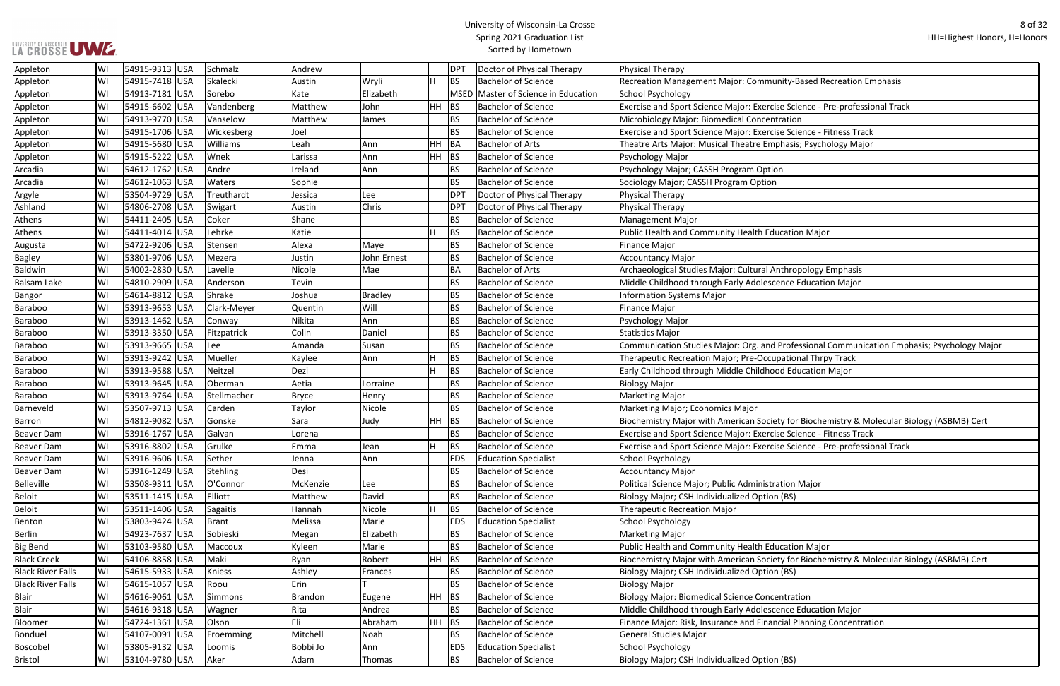anity-Based Recreation Emphasis ise Science - Pre-professional Track se Science - Fitness Track phasis; Psychology Major nthropology Emphasis Brofessional Communication Emphasis; Psychology Major: Org. and Professional Communication Emphasis; Psychology Major Barron Windor Width Windor Biology (ASBMB) Certchemistry & Molecular Biology (ASBMB) Cert ise Science - Fitness Track se Science - Pre-professional Track Black Creek Creek Biology (ASBMB) Cert Biology (ASBMB) Cert

ncial Planning Concentration

| Appleton                 | WI  | 54915-9313 USA | Schmalz       | Andrew         |             |                | <b>DPT</b> | Doctor of Physical Therapy                 | Physical Therapy                                                 |
|--------------------------|-----|----------------|---------------|----------------|-------------|----------------|------------|--------------------------------------------|------------------------------------------------------------------|
| Appleton                 | WI  | 54915-7418 USA | Skalecki      | Austin         | Wryli       | Н              | BS         | <b>Bachelor of Science</b>                 | Recreation Management Major: Community-Based Recreation          |
| Appleton                 | WI  | 54913-7181 USA | Sorebo        | Kate           | Elizabeth   |                |            | <b>MSED Master of Science in Education</b> | School Psychology                                                |
| Appleton                 | WI  | 54915-6602 USA | Vandenberg    | Matthew        | John        | HH             | <b>BS</b>  | <b>Bachelor of Science</b>                 | Exercise and Sport Science Major: Exercise Science - Pre-profes  |
| Appleton                 | WI  | 54913-9770 USA | Vanselow      | Matthew        | James       |                | BS         | <b>Bachelor of Science</b>                 | Microbiology Major: Biomedical Concentration                     |
| Appleton                 | WI  | 54915-1706 USA | Wickesberg    | Joel           |             |                | <b>BS</b>  | <b>Bachelor of Science</b>                 | Exercise and Sport Science Major: Exercise Science - Fitness Tra |
| Appleton                 | WI  | 54915-5680 USA | Williams      | Leah           | Ann         | <b>HH</b>      | BA         | <b>Bachelor of Arts</b>                    | Theatre Arts Major: Musical Theatre Emphasis; Psychology Ma      |
| Appleton                 | WI  | 54915-5222 USA | Wnek          | Larissa        | Ann         | HH             | <b>BS</b>  | <b>Bachelor of Science</b>                 | Psychology Major                                                 |
| Arcadia                  | WI  | 54612-1762 USA | Andre         | Ireland        | Ann         |                | BS         | <b>Bachelor of Science</b>                 | Psychology Major; CASSH Program Option                           |
| Arcadia                  | lWI | 54612-1063 USA | <b>Waters</b> | Sophie         |             |                | <b>BS</b>  | <b>Bachelor of Science</b>                 | Sociology Major; CASSH Program Option                            |
| Argyle                   | WI  | 53504-9729 USA | Treuthardt    | Jessica        | Lee         |                | <b>DPT</b> | Doctor of Physical Therapy                 | <b>Physical Therapy</b>                                          |
| Ashland                  | WI  | 54806-2708 USA | Swigart       | Austin         | Chris       |                | <b>DPT</b> | Doctor of Physical Therapy                 | Physical Therapy                                                 |
| Athens                   | WI  | 54411-2405 USA | Coker         | Shane          |             |                | <b>BS</b>  | <b>Bachelor of Science</b>                 | <b>Management Major</b>                                          |
| Athens                   | WI  | 54411-4014 USA | Lehrke        | Katie          |             |                | BS         | <b>Bachelor of Science</b>                 | Public Health and Community Health Education Major               |
| Augusta                  | WI  | 54722-9206 USA | Stensen       | Alexa          | Maye        |                | BS         | <b>Bachelor of Science</b>                 | <b>Finance Major</b>                                             |
| <b>Bagley</b>            | WI  | 53801-9706 USA | Mezera        | Justin         | John Ernest |                | BS         | <b>Bachelor of Science</b>                 | <b>Accountancy Major</b>                                         |
| Baldwin                  | WI  | 54002-2830 USA | Lavelle       | Nicole         | Mae         |                | BA         | <b>Bachelor of Arts</b>                    | Archaeological Studies Major: Cultural Anthropology Emphasis     |
| <b>Balsam Lake</b>       | WI  | 54810-2909 USA | Anderson      | Tevin          |             |                | BS         | <b>Bachelor of Science</b>                 | Middle Childhood through Early Adolescence Education Major       |
| Bangor                   | WI  | 54614-8812 USA | Shrake        | Joshua         | Bradley     |                | BS         | <b>Bachelor of Science</b>                 | <b>Information Systems Major</b>                                 |
| Baraboo                  | WI  | 53913-9653 USA | Clark-Meyer   | Quentin        | Will        |                | BS         | <b>Bachelor of Science</b>                 | <b>Finance Major</b>                                             |
| Baraboo                  | WI  | 53913-1462 USA | Conway        | Nikita         | Ann         |                | BS         | <b>Bachelor of Science</b>                 | Psychology Major                                                 |
| <b>Baraboo</b>           | WI  | 53913-3350 USA | Fitzpatrick   | Colin          | Daniel      |                | <b>BS</b>  | <b>Bachelor of Science</b>                 | <b>Statistics Major</b>                                          |
| Baraboo                  | WI  | 53913-9665 USA | Lee           | Amanda         | Susan       |                | BS         | <b>Bachelor of Science</b>                 | Communication Studies Major: Org. and Professional Commun        |
| Baraboo                  | WI  | 53913-9242 USA | Mueller       | Kaylee         | Ann         |                | <b>BS</b>  | <b>Bachelor of Science</b>                 | Therapeutic Recreation Major; Pre-Occupational Thrpy Track       |
| <b>Baraboo</b>           | WI  | 53913-9588 USA | Neitzel       | Dezi           |             |                | <b>BS</b>  | <b>Bachelor of Science</b>                 | Early Childhood through Middle Childhood Education Major         |
| Baraboo                  | WI  | 53913-9645 USA | Oberman       | Aetia          | Lorraine    |                | <b>BS</b>  | <b>Bachelor of Science</b>                 | <b>Biology Major</b>                                             |
| Baraboo                  | WI  | 53913-9764 USA | Stellmacher   | <b>Bryce</b>   | Henry       |                | <b>BS</b>  | <b>Bachelor of Science</b>                 | <b>Marketing Major</b>                                           |
| Barneveld                | WI  | 53507-9713 USA | Carden        | Taylor         | Nicole      |                | <b>BS</b>  | <b>Bachelor of Science</b>                 | Marketing Major; Economics Major                                 |
| Barron                   | WI  | 54812-9082 USA | Gonske        | Sara           | Judy        | <b>HH</b>      | <b>BS</b>  | <b>Bachelor of Science</b>                 | Biochemistry Major with American Society for Biochemistry &      |
| <b>Beaver Dam</b>        | WI  | 53916-1767 USA | Galvan        | Lorena         |             |                | <b>BS</b>  | <b>Bachelor of Science</b>                 | Exercise and Sport Science Major: Exercise Science - Fitness Tra |
| <b>Beaver Dam</b>        | WI  | 53916-8802 USA | Grulke        | Emma           | Jean        | $\blacksquare$ | <b>BS</b>  | <b>Bachelor of Science</b>                 | Exercise and Sport Science Major: Exercise Science - Pre-profes  |
| <b>Beaver Dam</b>        | WI  | 53916-9606 USA | Sether        | Jenna          | Ann         |                | <b>EDS</b> | <b>Education Specialist</b>                | School Psychology                                                |
| <b>Beaver Dam</b>        | WI  | 53916-1249 USA | Stehling      | Desi           |             |                | BS         | <b>Bachelor of Science</b>                 | <b>Accountancy Major</b>                                         |
| Belleville               | WI  | 53508-9311 USA | O'Connor      | McKenzie       | Lee         |                | <b>BS</b>  | <b>Bachelor of Science</b>                 | Political Science Major; Public Administration Major             |
| <b>Beloit</b>            | WI  | 53511-1415 USA | Elliott       | Matthew        | David       |                | <b>BS</b>  | <b>Bachelor of Science</b>                 | Biology Major; CSH Individualized Option (BS)                    |
| <b>Beloit</b>            | WI  | 53511-1406 USA | Sagaitis      | Hannah         | Nicole      | H              | <b>BS</b>  | <b>Bachelor of Science</b>                 | <b>Therapeutic Recreation Major</b>                              |
| Benton                   | WI  | 53803-9424 USA | Brant         | Melissa        | Marie       |                | <b>EDS</b> | <b>Education Specialist</b>                | School Psychology                                                |
| <b>Berlin</b>            | WI  | 54923-7637 USA | Sobieski      | Megan          | Elizabeth   |                | BS         | <b>Bachelor of Science</b>                 | Marketing Major                                                  |
| <b>Big Bend</b>          | WI  | 53103-9580 USA | Maccoux       | Kyleen         | Marie       |                | BS         | <b>Bachelor of Science</b>                 | Public Health and Community Health Education Major               |
| <b>Black Creek</b>       | WI  | 54106-8858 USA | Maki          | Ryan           | Robert      | <b>HH</b>      | <b>BS</b>  | <b>Bachelor of Science</b>                 | Biochemistry Major with American Society for Biochemistry &      |
| <b>Black River Falls</b> | WI  | 54615-5933 USA | Kniess        | Ashley         | Frances     |                | <b>BS</b>  | <b>Bachelor of Science</b>                 | Biology Major; CSH Individualized Option (BS)                    |
| <b>Black River Falls</b> | WI  | 54615-1057 USA | Roou          | Erin           |             |                | BS         | <b>Bachelor of Science</b>                 | <b>Biology Major</b>                                             |
| Blair                    | WI  | 54616-9061 USA | Simmons       | <b>Brandon</b> | Eugene      | <b>HH</b>      | BS         | <b>Bachelor of Science</b>                 | <b>Biology Major: Biomedical Science Concentration</b>           |
| <b>Blair</b>             | WI  | 54616-9318 USA | Wagner        | Rita           | Andrea      |                | <b>BS</b>  | <b>Bachelor of Science</b>                 | Middle Childhood through Early Adolescence Education Major       |
| Bloomer                  | WI  | 54724-1361 USA | Olson         | Eli            | Abraham     | <b>HH</b>      | <b>BS</b>  | <b>Bachelor of Science</b>                 | Finance Major: Risk, Insurance and Financial Planning Concenti   |
| Bonduel                  | WI  | 54107-0091 USA | Froemming     | Mitchell       | Noah        |                | BS         | <b>Bachelor of Science</b>                 | <b>General Studies Major</b>                                     |
| Boscobel                 | WI  | 53805-9132 USA | Loomis        | Bobbi Jo       | Ann         |                | <b>EDS</b> | <b>Education Specialist</b>                | School Psychology                                                |
| <b>Bristol</b>           | WI  | 53104-9780 USA | Aker          | Adam           | Thomas      |                | <b>BS</b>  | <b>Bachelor of Science</b>                 | Biology Major; CSH Individualized Option (BS)                    |
|                          |     |                |               |                |             |                |            |                                            |                                                                  |

## LA CROSSE UWE ...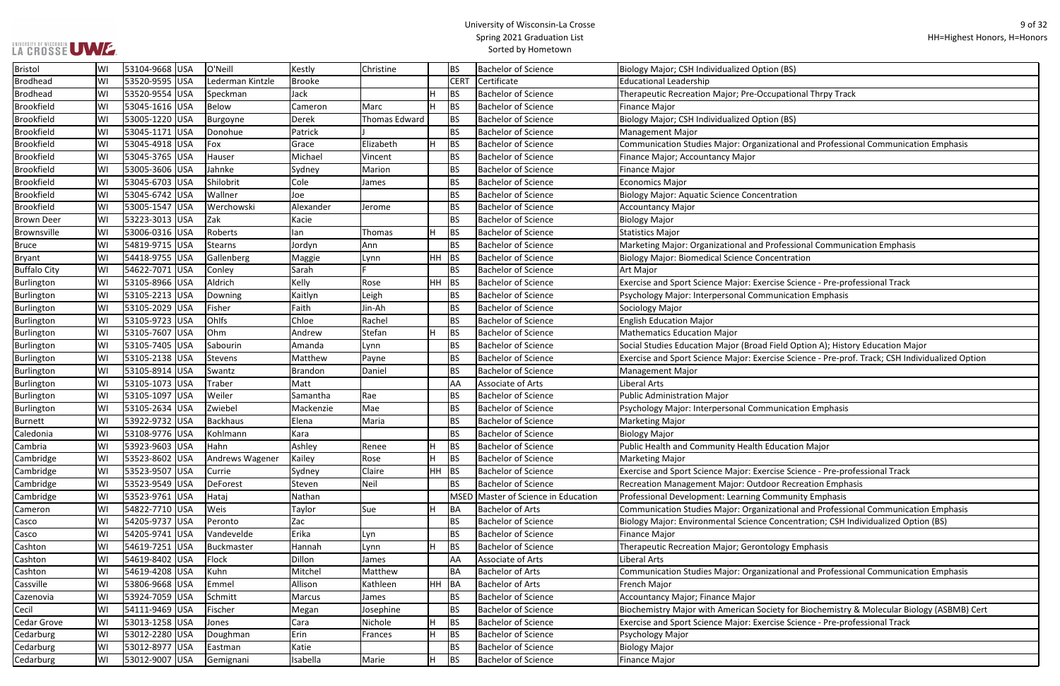ational and Professional Communication Emphasis

ofessional Communication Emphasis

ise Science - Pre-professional Track

ield Option A); History Education Major ise Science - Pre-prof. Track; CSH Individualized Option

ise Science - Pre-professional Track

or Recreation Emphasis

ational and Professional Communication Emphasis

Concentration; CSH Individualized Option (BS)

**ational and Professional Communication Emphasis** 

ety for Biochemistry & Molecular Biology (ASBMB) Cert ise Science - Pre-professional Track

| <b>Bristol</b>      | WI  | 53104-9668 USA  |            | O'Neill          | Kestly         | Christine            |           | <b>BS</b>       | <b>Bachelor of Science</b>          | Biology Major; CSH Individualized Option (BS)                  |
|---------------------|-----|-----------------|------------|------------------|----------------|----------------------|-----------|-----------------|-------------------------------------|----------------------------------------------------------------|
| <b>Brodhead</b>     | lwı | 53520-9595 USA  |            | Lederman Kintzle | Brooke         |                      |           | <b>CERT</b>     | Certificate                         | <b>Educational Leadership</b>                                  |
| <b>Brodhead</b>     | WI  | 53520-9554      | <b>USA</b> | Speckman         | Jack           |                      | Н         | <b>BS</b>       | <b>Bachelor of Science</b>          | Therapeutic Recreation Major; Pre-Occupational Thrpy Track     |
| <b>Brookfield</b>   | WI  | 53045-1616 USA  |            | Below            | Cameron        | Marc                 |           | <b>BS</b>       | <b>Bachelor of Science</b>          | <b>Finance Major</b>                                           |
| <b>Brookfield</b>   | WI  | 53005-1220 USA  |            | Burgoyne         | <b>Derek</b>   | <b>Thomas Edward</b> |           | <b>BS</b>       | <b>Bachelor of Science</b>          | Biology Major; CSH Individualized Option (BS)                  |
| <b>Brookfield</b>   | WI  | 53045-1171 USA  |            | Donohue          | Patrick        |                      |           | <b>BS</b>       | <b>Bachelor of Science</b>          | <b>Management Major</b>                                        |
| <b>Brookfield</b>   | WI  | 53045-4918 USA  |            | Fox              | Grace          | Elizabeth            | H         | <b>BS</b>       | <b>Bachelor of Science</b>          | Communication Studies Major: Organizational and Profession     |
| <b>Brookfield</b>   | WI  | 53045-3765 USA  |            | Hauser           | Michael        | Vincent              |           | <b>BS</b>       | <b>Bachelor of Science</b>          | Finance Major; Accountancy Major                               |
| <b>Brookfield</b>   | lwı | 53005-3606 USA  |            | Jahnke           | Sydney         | Marion               |           | <b>BS</b>       | <b>Bachelor of Science</b>          | <b>Finance Major</b>                                           |
| <b>Brookfield</b>   | lwı | 53045-6703 USA  |            | Shilobrit        | Cole           | James                |           | <b>BS</b>       | <b>Bachelor of Science</b>          | Economics Major                                                |
| <b>Brookfield</b>   | WI  | 53045-6742 USA  |            | Wallner          | Joe            |                      |           | <b>BS</b>       | <b>Bachelor of Science</b>          | <b>Biology Major: Aquatic Science Concentration</b>            |
| <b>Brookfield</b>   | WI  | 53005-1547 USA  |            | Werchowski       | Alexander      | Jerome               |           | <b>BS</b>       | <b>Bachelor of Science</b>          | Accountancy Major                                              |
| <b>Brown Deer</b>   | WI  | 53223-3013 USA  |            | Zak              | Kacie          |                      |           | <b>BS</b>       | <b>Bachelor of Science</b>          | <b>Biology Major</b>                                           |
| Brownsville         | WI  | 53006-0316 USA  |            | Roberts          | lan            | Thomas               | H.        | <b>BS</b>       | <b>Bachelor of Science</b>          | Statistics Major                                               |
| <b>Bruce</b>        | WI  | 54819-9715 USA  |            | Stearns          | Jordyn         | Ann                  |           | <b>BS</b>       | <b>Bachelor of Science</b>          | Marketing Major: Organizational and Professional Communic      |
| <b>Bryant</b>       | WI  | 54418-9755 USA  |            | Gallenberg       | Maggie         | Lynn                 | HH        | <b>BS</b>       | <b>Bachelor of Science</b>          | <b>Biology Major: Biomedical Science Concentration</b>         |
| <b>Buffalo City</b> | WI  | 54622-7071 USA  |            | Conley           | Sarah          |                      |           | <b>BS</b>       | <b>Bachelor of Science</b>          | Art Major                                                      |
| Burlington          | WI  | 53105-8966 USA  |            | Aldrich          | Kelly          | Rose                 | <b>HH</b> | <b>BS</b>       | <b>Bachelor of Science</b>          | Exercise and Sport Science Major: Exercise Science - Pre-prof  |
| Burlington          | WI  | 53105-2213 USA  |            | Downing          | Kaitlyn        | Leigh                |           | <b>BS</b>       | <b>Bachelor of Science</b>          | Psychology Major: Interpersonal Communication Emphasis         |
| Burlington          | WI  | 53105-2029 USA  |            | Fisher           | Faith          | Jin-Ah               |           | <b>BS</b>       | <b>Bachelor of Science</b>          | Sociology Major                                                |
| Burlington          | WI  | 53105-9723 USA  |            | Ohlfs            | Chloe          | Rachel               |           | <b>BS</b>       | <b>Bachelor of Science</b>          | <b>English Education Major</b>                                 |
| Burlington          | WI  | 53105-7607 USA  |            | Ohm              | Andrew         | Stefan               | H         | <b>BS</b>       | <b>Bachelor of Science</b>          | Mathematics Education Major                                    |
| Burlington          | WI  | 53105-7405 USA  |            | Sabourin         | Amanda         | Lynn                 |           | <b>BS</b>       | <b>Bachelor of Science</b>          | Social Studies Education Major (Broad Field Option A); History |
| Burlington          | WI  | 53105-2138 USA  |            | Stevens          | Matthew        | Payne                |           | <b>BS</b>       | <b>Bachelor of Science</b>          | Exercise and Sport Science Major: Exercise Science - Pre-prof. |
| Burlington          | WI  | 53105-8914 USA  |            | Swantz           | <b>Brandon</b> | Daniel               |           | <b>BS</b>       | <b>Bachelor of Science</b>          | <b>Management Major</b>                                        |
| Burlington          | WI  | 53105-1073 USA  |            | Traber           | Matt           |                      |           | AA              | Associate of Arts                   | Liberal Arts                                                   |
| Burlington          | WI  | 53105-1097 USA  |            | Weiler           | Samantha       | Rae                  |           | <b>BS</b>       | <b>Bachelor of Science</b>          | <b>Public Administration Major</b>                             |
| Burlington          | lwı | 53105-2634 USA  |            | Zwiebel          | Mackenzie      | Mae                  |           | <b>BS</b>       | <b>Bachelor of Science</b>          | Psychology Major: Interpersonal Communication Emphasis         |
| <b>Burnett</b>      | lwı | 53922-9732 USA  |            | Backhaus         | Elena          | Maria                |           | <b>BS</b>       | <b>Bachelor of Science</b>          | Marketing Major                                                |
| Caledonia           | WI  | 53108-9776 USA  |            | Kohlmann         | Kara           |                      |           | <b>BS</b>       | <b>Bachelor of Science</b>          | <b>Biology Major</b>                                           |
| Cambria             | WI  | 53923-9603 USA  |            | Hahn             | Ashley         | Renee                |           | <b>BS</b>       | <b>Bachelor of Science</b>          | Public Health and Community Health Education Major             |
| Cambridge           | WI  | 53523-8602 USA  |            | Andrews Wagener  | Kailey         | Rose                 | H.        | <b>BS</b>       | <b>Bachelor of Science</b>          | <b>Marketing Major</b>                                         |
| Cambridge           | WI  | 53523-9507 USA  |            | Currie           | Sydney         | Claire               | <b>HH</b> | <b>BS</b>       | <b>Bachelor of Science</b>          | Exercise and Sport Science Major: Exercise Science - Pre-profe |
| Cambridge           | WI  | 53523-9549 USA  |            | <b>DeForest</b>  | Steven         | Neil                 |           | <b>BS</b>       | <b>Bachelor of Science</b>          | Recreation Management Major: Outdoor Recreation Emphas         |
| Cambridge           | WI  | 53523-9761 USA  |            | Hataj            | Nathan         |                      |           |                 | MSED Master of Science in Education | Professional Development: Learning Community Emphasis          |
| Cameron             | WI  | 54822-7710 USA  |            | Weis             | Taylor         | Sue                  | H         | <b>BA</b>       | <b>Bachelor of Arts</b>             | Communication Studies Major: Organizational and Profession     |
| Casco               | WI  | 54205-9737 USA  |            | Peronto          | Zac            |                      |           | <b>BS</b>       | <b>Bachelor of Science</b>          | Biology Major: Environmental Science Concentration; CSH Ind    |
| Casco               | WI  | 54205-9741  USA |            | Vandevelde       | Erika          | Lyn                  |           | <b>BS</b>       | <b>Bachelor of Science</b>          | <b>Finance Major</b>                                           |
| Cashton             | WI  | 54619-7251 USA  |            | Buckmaster       | Hannah         | Lynn                 | H         | <b>BS</b>       | <b>Bachelor of Science</b>          | Therapeutic Recreation Major; Gerontology Emphasis             |
| Cashton             | WI  | 54619-8402 USA  |            | Flock            | Dillon         | James                |           | AA              | Associate of Arts                   | Liberal Arts                                                   |
| Cashton             | WI  | 54619-4208 USA  |            | Kuhn             | Mitchel        | Matthew              |           | <b>BA</b>       | <b>Bachelor of Arts</b>             | Communication Studies Major: Organizational and Profession     |
| Cassville           | WI  | 53806-9668 USA  |            | Emmel            | Allison        | Kathleen             | HH        | $\overline{BA}$ | <b>Bachelor of Arts</b>             | French Major                                                   |
| Cazenovia           | WI  | 53924-7059 USA  |            | Schmitt          | Marcus         | James                |           | <b>BS</b>       | <b>Bachelor of Science</b>          | Accountancy Major; Finance Major                               |
| Cecil               | WI  | 54111-9469 USA  |            | Fischer          | Megan          | Josephine            |           | <b>BS</b>       | <b>Bachelor of Science</b>          | Biochemistry Major with American Society for Biochemistry &    |
| Cedar Grove         | WI  | 53013-1258 USA  |            | Jones            | Cara           | Nichole              |           | <b>BS</b>       | <b>Bachelor of Science</b>          | Exercise and Sport Science Major: Exercise Science - Pre-prof  |
| Cedarburg           | WI  | 53012-2280 USA  |            | Doughman         | Erin           | Frances              | H         | <b>BS</b>       | <b>Bachelor of Science</b>          | Psychology Major                                               |
| Cedarburg           | WI  | 53012-8977 USA  |            | Eastman          | Katie          |                      |           | <b>BS</b>       | <b>Bachelor of Science</b>          | <b>Biology Major</b>                                           |
| Cedarburg           | WI  | 53012-9007 USA  |            | Gemignani        | Isabella       | Marie                | H         | <b>BS</b>       | <b>Bachelor of Science</b>          | Finance Major                                                  |
|                     |     |                 |            |                  |                |                      |           |                 |                                     |                                                                |

LA CROSSE UWE.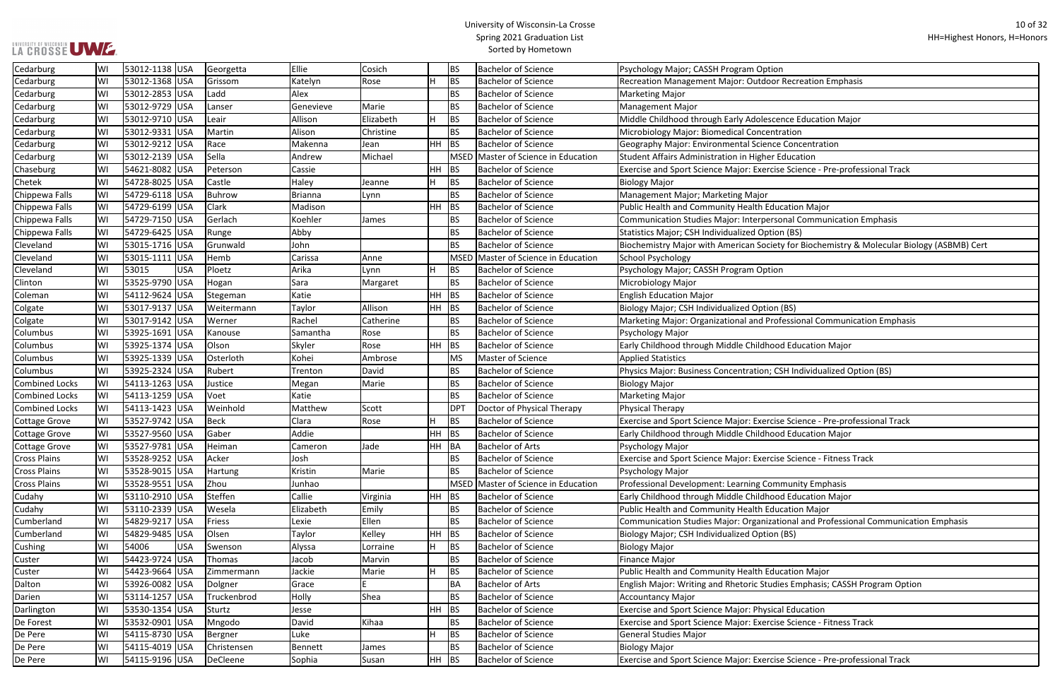r Recreation Emphasis

ence Education Major

se Science - Pre-professional Track

Sonal Communication Emphasis

ety for Biochemistry & Molecular Biology (ASBMB) Cert

ofessional Communication Emphasis

CSH Individualized Option (BS)

se Science - Pre-professional Track

**I**se Science - Fitness Track

tional and Professional Communication Emphasis

dies Emphasis; CASSH Program Option

ise Science - Fitness Track

ise Science - Pre-professional Track

| Cedarburg               | WI | 53012-1138 USA      | Georgetta   | Ellie          | Cosich    |           | <b>BS</b>       | <b>Bachelor of Science</b>     | Psychology Major; CASSH Program Option                           |
|-------------------------|----|---------------------|-------------|----------------|-----------|-----------|-----------------|--------------------------------|------------------------------------------------------------------|
| Cedarburg               | WI | 53012-1368 USA      | Grissom     | Katelyn        | Rose      |           | <b>BS</b>       | <b>Bachelor of Science</b>     | Recreation Management Major: Outdoor Recreation Empha            |
| Cedarburg               | WI | 53012-2853 USA      | Ladd        | Alex           |           |           | <b>BS</b>       | <b>Bachelor of Science</b>     | <b>Marketing Major</b>                                           |
| Cedarburg               | WI | 53012-9729 USA      | Lanser      | Genevieve      | Marie     |           | <b>BS</b>       | <b>Bachelor of Science</b>     | <b>Management Major</b>                                          |
| Cedarburg               | WI | 53012-9710 USA      | Leair       | Allison        | Elizabeth | H         | <b>BS</b>       | <b>Bachelor of Science</b>     | Middle Childhood through Early Adolescence Education Ma          |
| Cedarburg               | WI | 53012-9331 USA      | Martin      | Alison         | Christine |           | <b>BS</b>       | <b>Bachelor of Science</b>     | Microbiology Major: Biomedical Concentration                     |
| Cedarburg               | WI | 53012-9212 USA      | Race        | Makenna        | Jean      | <b>HH</b> | <b>BS</b>       | <b>Bachelor of Science</b>     | Geography Major: Environmental Science Concentration             |
| Cedarburg               | WI | 53012-2139 USA      | Sella       | Andrew         | Michael   |           | <b>MSED</b>     | Master of Science in Education | Student Affairs Administration in Higher Education               |
| Chaseburg               | WI | 54621-8082 USA      | Peterson    | Cassie         |           | <b>HH</b> | <b>BS</b>       | <b>Bachelor of Science</b>     | Exercise and Sport Science Major: Exercise Science - Pre-pro     |
| Chetek                  | WI | 54728-8025 USA      | Castle      | Haley          | Jeanne    | H         | <b>BS</b>       | <b>Bachelor of Science</b>     | <b>Biology Major</b>                                             |
| Chippewa Falls          | WI | 54729-6118 USA      | Buhrow      | <b>Brianna</b> | Lynn      |           | <b>BS</b>       | <b>Bachelor of Science</b>     | Management Major; Marketing Major                                |
| Chippewa Falls          | WI | 54729-6199 USA      | Clark       | Madison        |           | HH        | <b>BS</b>       | <b>Bachelor of Science</b>     | Public Health and Community Health Education Major               |
| Chippewa Falls          | WI | 54729-7150  USA     | Gerlach     | Koehler        | James     |           | <b>BS</b>       | <b>Bachelor of Science</b>     | <b>Communication Studies Major: Interpersonal Communication</b>  |
| Chippewa Falls          | WI | 54729-6425 USA      | Runge       | Abby           |           |           | <b>BS</b>       | <b>Bachelor of Science</b>     | Statistics Major; CSH Individualized Option (BS)                 |
| Cleveland               | WI | 53015-1716 USA      | Grunwald    | John           |           |           | <b>BS</b>       | <b>Bachelor of Science</b>     | Biochemistry Major with American Society for Biochemistry        |
| Cleveland               | WI | 53015-1111 USA      | Hemb        | Carissa        | Anne      |           | <b>MSED</b>     | Master of Science in Education | School Psychology                                                |
| Cleveland               | WI | 53015<br><b>USA</b> | Ploetz      | Arika          | Lynn      |           | <b>BS</b>       | <b>Bachelor of Science</b>     | Psychology Major; CASSH Program Option                           |
| Clinton                 | WI | 53525-9790 USA      | Hogan       | Sara           | Margaret  |           | <b>BS</b>       | <b>Bachelor of Science</b>     | Microbiology Major                                               |
| Coleman                 | WI | 54112-9624 USA      | Stegeman    | Katie          |           | HH        | BS              | <b>Bachelor of Science</b>     | <b>English Education Major</b>                                   |
| Colgate                 | WI | 53017-9137 USA      | Weitermann  | Taylor         | Allison   | HH        | <b>BS</b>       | <b>Bachelor of Science</b>     | Biology Major; CSH Individualized Option (BS)                    |
| Colgate                 | WI | 53017-9142 USA      | Werner      | Rachel         | Catherine |           | <b>BS</b>       | <b>Bachelor of Science</b>     | Marketing Major: Organizational and Professional Commun          |
| Columbus                | WI | 53925-1691  USA     | Kanouse     | Samantha       | Rose      |           | <b>BS</b>       | <b>Bachelor of Science</b>     | Psychology Major                                                 |
| Columbus                | WI | 53925-1374 USA      | Olson       | Skyler         | Rose      | HH        | <b>BS</b>       | <b>Bachelor of Science</b>     | Early Childhood through Middle Childhood Education Major         |
| Columbus                | WI | 53925-1339 USA      | Osterloth   | Kohei          | Ambrose   |           | <b>MS</b>       | <b>Master of Science</b>       | <b>Applied Statistics</b>                                        |
| Columbus                | WI | 53925-2324 USA      | Rubert      | Trenton        | David     |           | <b>BS</b>       | <b>Bachelor of Science</b>     | Physics Major: Business Concentration; CSH Individualized C      |
| <b>Combined Locks</b>   | WI | 54113-1263 USA      | Justice     | Megan          | Marie     |           | <b>BS</b>       | <b>Bachelor of Science</b>     | Biology Major                                                    |
| Combined Locks          | WI | 54113-1259 USA      | Voet        | Katie          |           |           | <b>BS</b>       | <b>Bachelor of Science</b>     | <b>Marketing Major</b>                                           |
| <b>Combined Locks</b>   | WI | 54113-1423 USA      | Weinhold    | Matthew        | Scott     |           | DP <sub>1</sub> | Doctor of Physical Therapy     | <b>Physical Therapy</b>                                          |
| <b>Cottage Grove</b>    | WI | 53527-9742 USA      | Beck        | Clara          | Rose      |           | <b>BS</b>       | <b>Bachelor of Science</b>     | Exercise and Sport Science Major: Exercise Science - Pre-pro     |
| <b>Cottage Grove</b>    | WI | 53527-9560 USA      | Gaber       | Addie          |           | <b>HH</b> | BS              | <b>Bachelor of Science</b>     | Early Childhood through Middle Childhood Education Major         |
| <b>Cottage Grove</b>    | WI | 53527-9781 USA      | Heiman      | Cameron        | Jade      | HH        | BA              | <b>Bachelor of Arts</b>        | Psychology Major                                                 |
| <b>Cross Plains</b>     | WI | 53528-9252 USA      | Acker       | Josh           |           |           | <b>BS</b>       | <b>Bachelor of Science</b>     | Exercise and Sport Science Major: Exercise Science - Fitness     |
| <b>Cross Plains</b>     | WI | 53528-9015 USA      | Hartung     | Kristin        | Marie     |           | <b>BS</b>       | <b>Bachelor of Science</b>     | Psychology Major                                                 |
| <b>Cross Plains</b>     | WI | 53528-9551 USA      | Zhou        | Junhao         |           |           | <b>MSED</b>     | Master of Science in Education | Professional Development: Learning Community Emphasis            |
| Cudahy                  | WI | 53110-2910 USA      | Steffen     | Callie         | Virginia  | HH.       | BS              | <b>Bachelor of Science</b>     | Early Childhood through Middle Childhood Education Major         |
| Cudahy                  | WI | 53110-2339 USA      | Wesela      | Elizabeth      | Emily     |           | <b>BS</b>       | <b>Bachelor of Science</b>     | Public Health and Community Health Education Major               |
| Cumberland              | WI | 54829-9217 USA      | Friess      | Lexie          | Ellen     |           | <b>BS</b>       | <b>Bachelor of Science</b>     | <b>Communication Studies Major: Organizational and Professio</b> |
| Cumberland              | WI | 54829-9485 USA      | Olsen       | Taylor         | Kelley    | HH        | <b>BS</b>       | <b>Bachelor of Science</b>     | Biology Major; CSH Individualized Option (BS)                    |
| Cushing                 | WI | 54006<br><b>USA</b> | Swenson     | Alyssa         | Lorraine  | н         | <b>BS</b>       | <b>Bachelor of Science</b>     | <b>Biology Major</b>                                             |
| Custer                  | WI | 54423-9724 USA      | Thomas      | Jacob          | Marvin    |           | <b>BS</b>       | <b>Bachelor of Science</b>     | <b>Finance Major</b>                                             |
| Custer                  | WI | 54423-9664 USA      | Zimmermann  | Jackie         | Marie     |           | <b>BS</b>       | <b>Bachelor of Science</b>     | Public Health and Community Health Education Major               |
| Dalton                  | WI | 53926-0082 USA      | Dolgner     | Grace          |           |           | <b>BA</b>       | <b>Bachelor of Arts</b>        | English Major: Writing and Rhetoric Studies Emphasis; CASS       |
| Darien                  | WI | 53114-1257 USA      | Truckenbrod | Holly          | Shea      |           | <b>BS</b>       | <b>Bachelor of Science</b>     | <b>Accountancy Major</b>                                         |
|                         | WI | 53530-1354 USA      | Sturtz      |                |           | HH        | BS              | <b>Bachelor of Science</b>     | Exercise and Sport Science Major: Physical Education             |
| Darlington<br>De Forest | WI | 53532-0901 USA      |             | Jesse<br>David | Kihaa     |           | <b>BS</b>       | <b>Bachelor of Science</b>     | Exercise and Sport Science Major: Exercise Science - Fitness     |
|                         |    |                     | Mngodo      |                |           |           |                 | <b>Bachelor of Science</b>     |                                                                  |
| De Pere                 | WI | 54115-8730 USA      | Bergner     | Luke           |           |           | <b>BS</b>       |                                | <b>General Studies Major</b>                                     |
| De Pere                 | WI | 54115-4019 USA      | Christensen | Bennett        | James     |           | <b>BS</b>       | <b>Bachelor of Science</b>     | <b>Biology Major</b>                                             |
| De Pere                 | WI | 54115-9196 USA      | DeCleene    | Sophia         | Susan     | $HH$ BS   |                 | <b>Bachelor of Science</b>     | Exercise and Sport Science Major: Exercise Science - Pre-pro     |

## LA CROSSE UWE ...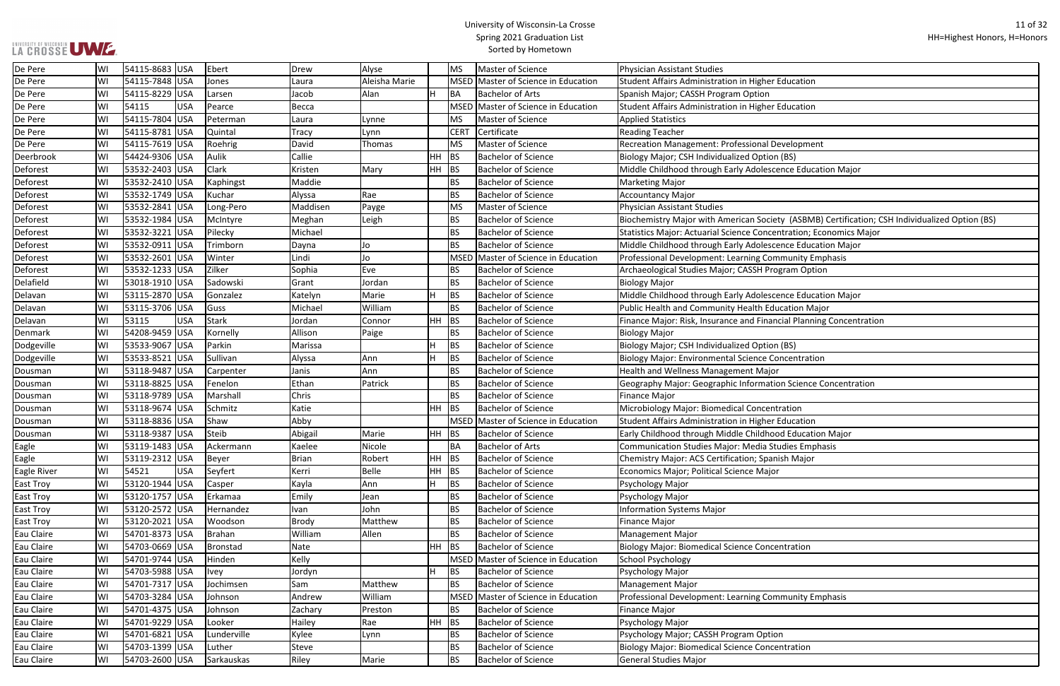ty (ASBMB) Certification; CSH Individualized Option (BS)

ntration; Economics Major

cial Planning Concentration

on Science Concentration

| De Pere          | lwı | 54115-8683 USA  |            | Ebert         | Drew         | Alyse         |           | <b>MS</b>   | Master of Science                   | Physician Assistant Studies                                           |
|------------------|-----|-----------------|------------|---------------|--------------|---------------|-----------|-------------|-------------------------------------|-----------------------------------------------------------------------|
| De Pere          | WI  | 54115-7848 USA  |            | Jones         | Laura        | Aleisha Marie |           |             | MSED Master of Science in Education | Student Affairs Administration in Higher Education                    |
| De Pere          | WI  | 54115-8229      | <b>USA</b> | Larsen        | Jacob        | Alan          |           | BA          | <b>Bachelor of Arts</b>             | Spanish Major; CASSH Program Option                                   |
| De Pere          | WI  | 54115           | <b>USA</b> | Pearce        | Becca        |               |           | MSED        | Master of Science in Education      | Student Affairs Administration in Higher Education                    |
| De Pere          | lwı | 54115-7804      | <b>USA</b> | Peterman      | Laura        | Lynne         |           | <b>MS</b>   | Master of Science                   | <b>Applied Statistics</b>                                             |
| De Pere          | WI  | 54115-8781 USA  |            | Quintal       | <b>Tracy</b> | Lynn          |           | <b>CERT</b> | Certificate                         | <b>Reading Teacher</b>                                                |
| De Pere          | WI  | 54115-7619 USA  |            | Roehrig       | David        | Thomas        |           | <b>MS</b>   | <b>Master of Science</b>            | Recreation Management: Professional Development                       |
| Deerbrook        | WI  | 54424-9306 USA  |            | Aulik         | Callie       |               | HH        | <b>BS</b>   | <b>Bachelor of Science</b>          | Biology Major; CSH Individualized Option (BS)                         |
| Deforest         | WI  | 53532-2403 USA  |            | Clark         | Kristen      | Mary          | HH        | BS          | <b>Bachelor of Science</b>          | Middle Childhood through Early Adolescence Education Major            |
| Deforest         | WI  | 53532-2410 USA  |            | Kaphingst     | Maddie       |               |           | <b>BS</b>   | <b>Bachelor of Science</b>          | <b>Marketing Major</b>                                                |
| Deforest         | WI  | 53532-1749 USA  |            | Kuchar        | Alyssa       | Rae           |           | <b>BS</b>   | <b>Bachelor of Science</b>          | <b>Accountancy Major</b>                                              |
| Deforest         | WI  | 53532-2841      | <b>USA</b> | Long-Pero     | Maddisen     | Payge         |           | <b>MS</b>   | <b>Master of Science</b>            | <b>Physician Assistant Studies</b>                                    |
| Deforest         | lwı | 53532-1984 USA  |            | McIntyre      | Meghan       | Leigh         |           | <b>BS</b>   | <b>Bachelor of Science</b>          | Biochemistry Major with American Society (ASBMB) Certificati          |
| Deforest         | WI  | 53532-3221  USA |            | Pilecky       | Michael      |               |           | <b>BS</b>   | <b>Bachelor of Science</b>          | <b>Statistics Major: Actuarial Science Concentration; Economics M</b> |
| Deforest         | WI  | 53532-0911 USA  |            | Trimborn      | Dayna        | Jo            |           | <b>BS</b>   | <b>Bachelor of Science</b>          | Middle Childhood through Early Adolescence Education Major            |
| Deforest         | WI  | 53532-2601 USA  |            | Winter        | Lindi        | Jo            |           |             | MSED Master of Science in Education | Professional Development: Learning Community Emphasis                 |
| Deforest         | lwı | 53532-1233      | USA        | Zilker        | Sophia       | Eve           |           | <b>BS</b>   | <b>Bachelor of Science</b>          | Archaeological Studies Major; CASSH Program Option                    |
| Delafield        | WI  | 53018-1910 USA  |            | Sadowski      | Grant        | Jordan        |           | <b>BS</b>   | <b>Bachelor of Science</b>          | <b>Biology Major</b>                                                  |
| Delavan          | WI  | 53115-2870 USA  |            | Gonzalez      | Katelyn      | Marie         |           | <b>BS</b>   | <b>Bachelor of Science</b>          | Middle Childhood through Early Adolescence Education Major            |
| Delavan          | WI  | 53115-3706 USA  |            | Guss          | Michael      | William       |           | <b>BS</b>   | <b>Bachelor of Science</b>          | Public Health and Community Health Education Major                    |
| Delavan          | WI  | 53115           | <b>USA</b> | <b>Stark</b>  | Jordan       | Connor        | <b>HH</b> | BS          | <b>Bachelor of Science</b>          | Finance Major: Risk, Insurance and Financial Planning Concenti        |
| Denmark          | WI  | 54208-9459      | <b>USA</b> | Kornelly      | Allison      | Paige         |           | <b>BS</b>   | <b>Bachelor of Science</b>          | <b>Biology Major</b>                                                  |
| Dodgeville       | WI  | 53533-9067 USA  |            | Parkin        | Marissa      |               |           | <b>BS</b>   | <b>Bachelor of Science</b>          | Biology Major; CSH Individualized Option (BS)                         |
| Dodgeville       | WI  | 53533-8521      | USA        | Sullivan      | Alyssa       | Ann           |           | <b>BS</b>   | <b>Bachelor of Science</b>          | <b>Biology Major: Environmental Science Concentration</b>             |
| Dousman          | WI  | 53118-9487 USA  |            | Carpenter     | Janis        | Ann           |           | <b>BS</b>   | <b>Bachelor of Science</b>          | Health and Wellness Management Major                                  |
| Dousman          | WI  | 53118-8825 USA  |            | Fenelon       | Ethan        | Patrick       |           | <b>BS</b>   | <b>Bachelor of Science</b>          | Geography Major: Geographic Information Science Concentrat            |
| Dousman          | lwı | 53118-9789 USA  |            | Marshall      | Chris        |               |           | <b>BS</b>   | <b>Bachelor of Science</b>          | Finance Major                                                         |
| Dousman          | WI  | 53118-9674 USA  |            | Schmitz       | Katie        |               | HH.       | <b>BS</b>   | <b>Bachelor of Science</b>          | Microbiology Major: Biomedical Concentration                          |
| Dousman          | lwı | 53118-8836      | USA        | Shaw          | Abby         |               |           |             | MSED Master of Science in Education | Student Affairs Administration in Higher Education                    |
| Dousman          | WI  | 53118-9387 USA  |            | Steib         | Abigail      | Marie         | HH        | BS          | <b>Bachelor of Science</b>          | Early Childhood through Middle Childhood Education Major              |
| Eagle            | WI  | 53119-1483 USA  |            | Ackermann     | Kaelee       | Nicole        |           | BA          | <b>Bachelor of Arts</b>             | <b>Communication Studies Major: Media Studies Emphasis</b>            |
| Eagle            | lWI | 53119-2312 USA  |            | Beyer         | Brian        | Robert        | $HH$ BS   |             | Bachelor of Science                 | Chemistry Major: ACS Certification; Spanish Major                     |
| Eagle River      | WI  | 54521           | <b>USA</b> | Seyfert       | Kerri        | Belle         | HH        | <b>BS</b>   | <b>Bachelor of Science</b>          | Economics Major; Political Science Major                              |
| <b>East Troy</b> | WI  | 53120-1944 USA  |            | Casper        | Kayla        | Ann           | H.        | <b>BS</b>   | <b>Bachelor of Science</b>          | Psychology Major                                                      |
| <b>East Troy</b> | WI  | 53120-1757 USA  |            | Erkamaa       | Emily        | Jean          |           | <b>BS</b>   | <b>Bachelor of Science</b>          | Psychology Major                                                      |
| <b>East Troy</b> | WI  | 53120-2572 USA  |            | Hernandez     | Ivan         | John          |           | <b>BS</b>   | <b>Bachelor of Science</b>          | <b>Information Systems Major</b>                                      |
| <b>East Troy</b> | WI  | 53120-2021 USA  |            | Woodson       | <b>Brody</b> | Matthew       |           | <b>BS</b>   | <b>Bachelor of Science</b>          | Finance Major                                                         |
| Eau Claire       | WI  | 54701-8373 USA  |            | <b>Brahan</b> | William      | Allen         |           | <b>BS</b>   | <b>Bachelor of Science</b>          | <b>Management Major</b>                                               |
| Eau Claire       | WI  | 54703-0669 USA  |            | Bronstad      | Nate         |               | <b>HH</b> | <b>BS</b>   | <b>Bachelor of Science</b>          | <b>Biology Major: Biomedical Science Concentration</b>                |
| Eau Claire       | WI  | 54701-9744 USA  |            | Hinden        | Kelly        |               |           |             | MSED Master of Science in Education | <b>School Psychology</b>                                              |
| Eau Claire       | WI  | 54703-5988 USA  |            | <b>Ivey</b>   | Jordyn       |               |           | <b>BS</b>   | <b>Bachelor of Science</b>          | Psychology Major                                                      |
| Eau Claire       | WI  | 54701-7317 USA  |            | Jochimsen     | Sam          | Matthew       |           | <b>BS</b>   | <b>Bachelor of Science</b>          | <b>Management Major</b>                                               |
| Eau Claire       | WI  | 54703-3284 USA  |            | Johnson       | Andrew       | William       |           | <b>MSED</b> | Master of Science in Education      | Professional Development: Learning Community Emphasis                 |
| Eau Claire       | WI  | 54701-4375 USA  |            | Johnson       | Zachary      | Preston       |           | <b>BS</b>   | <b>Bachelor of Science</b>          | Finance Major                                                         |
| Eau Claire       | WI  | 54701-9229 USA  |            | Looker        | Hailey       | Rae           | $HH$ BS   |             | <b>Bachelor of Science</b>          | Psychology Major                                                      |
| Eau Claire       | WI  | 54701-6821 USA  |            | Lunderville   | Kylee        | Lynn          |           | <b>BS</b>   | <b>Bachelor of Science</b>          | Psychology Major; CASSH Program Option                                |
| Eau Claire       | WI  | 54703-1399 USA  |            | Luther        | Steve        |               |           | <b>BS</b>   | <b>Bachelor of Science</b>          | <b>Biology Major: Biomedical Science Concentration</b>                |
| Eau Claire       | WI  | 54703-2600 USA  |            | Sarkauskas    | Riley        | Marie         |           | <b>BS</b>   | <b>Bachelor of Science</b>          | General Studies Major                                                 |
|                  |     |                 |            |               |              |               |           |             |                                     |                                                                       |

## LA CROSSE UWE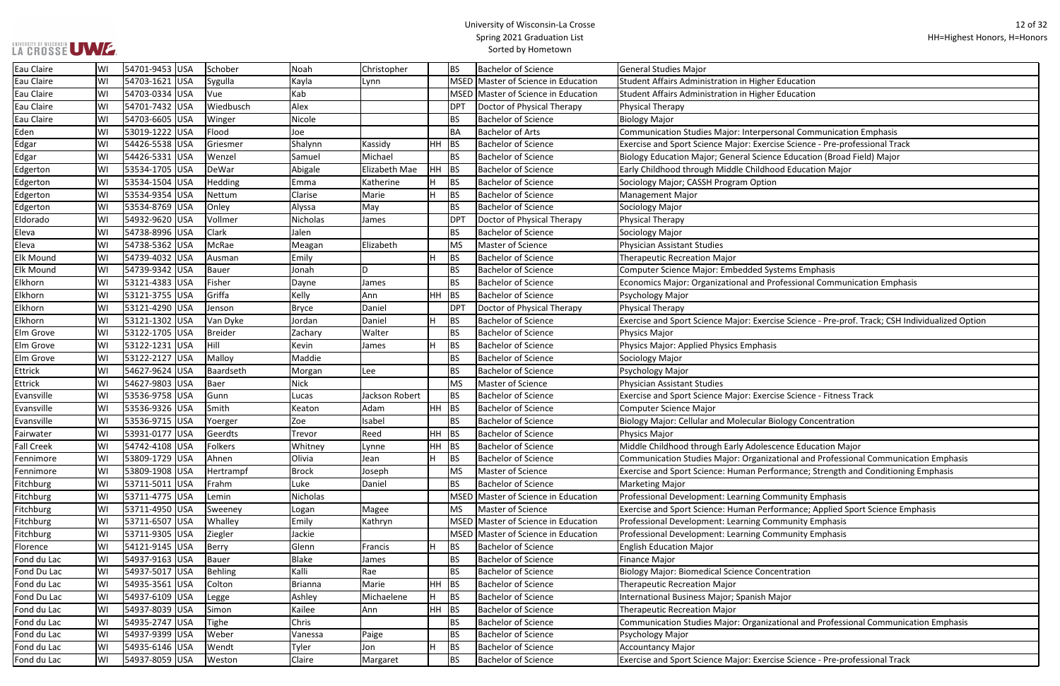| Education                                              |
|--------------------------------------------------------|
| Education                                              |
|                                                        |
|                                                        |
|                                                        |
| onal Communication Emphasis                            |
| e Science - Pre-professional Track                     |
| e Education (Broad Field) Major                        |
| d Education Major                                      |
|                                                        |
|                                                        |
|                                                        |
|                                                        |
|                                                        |
|                                                        |
|                                                        |
|                                                        |
| tems Emphasis                                          |
| ofessional Communication Emphasis                      |
|                                                        |
|                                                        |
|                                                        |
| e Science - Pre-prof. Track; CSH Individualized Option |
|                                                        |
|                                                        |
|                                                        |
|                                                        |
|                                                        |
| e Science - Fitness Track                              |
|                                                        |
|                                                        |
| ology Concentration                                    |
|                                                        |
| ence Education Major                                   |
| ional and Professional Communication Emphasis          |
| rmance; Strength and Conditioning Emphasis             |
|                                                        |
| <b>Imunity Emphasis</b>                                |
| rmance; Applied Sport Science Emphasis                 |
|                                                        |
| munity Emphasis                                        |
| munity Emphasis                                        |
|                                                        |
|                                                        |
| ntration                                               |
|                                                        |
| ajor                                                   |
|                                                        |
|                                                        |
| ional and Professional Communication Emphasis          |
|                                                        |

| Eau Claire        | WI | 54701-9453 USA  | Schober       | Noah         | Christopher    |         | <b>BS</b>   | <b>Bachelor of Science</b>          | General Studies Major                                                                           |
|-------------------|----|-----------------|---------------|--------------|----------------|---------|-------------|-------------------------------------|-------------------------------------------------------------------------------------------------|
| Eau Claire        | WI | 54703-1621 USA  | Sygulla       | Kayla        | Lynn           |         |             | MSED Master of Science in Education | <b>Student Affairs Administration in Higher Education</b>                                       |
| Eau Claire        | WI | 54703-0334 USA  | Vue           | Kab          |                |         | <b>MSED</b> | Master of Science in Education      | Student Affairs Administration in Higher Education                                              |
| Eau Claire        | WI | 54701-7432 USA  | Wiedbusch     | Alex         |                |         | DPT         | Doctor of Physical Therapy          | Physical Therapy                                                                                |
| Eau Claire        | WI | 54703-6605 USA  | <b>Winger</b> | Nicole       |                |         | <b>BS</b>   | <b>Bachelor of Science</b>          | <b>Biology Major</b>                                                                            |
| Eden              | WI | 53019-1222 USA  | Flood         | Joe          |                |         | BA          | <b>Bachelor of Arts</b>             | Communication Studies Major: Interpersonal Communication Emphasis                               |
| Edgar             | W١ | 54426-5538 USA  | Griesmer      | Shalynn      | Kassidy        | HH BS   |             | <b>Bachelor of Science</b>          | Exercise and Sport Science Major: Exercise Science - Pre-professional Track                     |
| Edgar             | W١ | 54426-5331 USA  | Wenzel        | Samuel       | Michael        |         | <b>BS</b>   | <b>Bachelor of Science</b>          | Biology Education Major; General Science Education (Broad Field) Major                          |
| Edgerton          | WI | 53534-1705 USA  | DeWar         | Abigale      | Elizabeth Mae  |         | $HH$ BS     | <b>Bachelor of Science</b>          | Early Childhood through Middle Childhood Education Major                                        |
| Edgerton          | WI | 53534-1504 USA  | Hedding       | Emma         | Katherine      | H.      | <b>BS</b>   | <b>Bachelor of Science</b>          | Sociology Major; CASSH Program Option                                                           |
| Edgerton          | WI | 53534-9354 USA  | Nettum        | Clarise      | Marie          | H.      | <b>BS</b>   | <b>Bachelor of Science</b>          | <b>Management Major</b>                                                                         |
| Edgerton          | WI | 53534-8769 USA  | Onley         | Alyssa       | May            |         | <b>BS</b>   | <b>Bachelor of Science</b>          | Sociology Major                                                                                 |
| Eldorado          | WI | 54932-9620 USA  | Vollmer       | Nicholas     | James          |         | <b>DPT</b>  | Doctor of Physical Therapy          | Physical Therapy                                                                                |
| Eleva             | WI | 54738-8996 USA  | <b>Clark</b>  | Jalen        |                |         | <b>BS</b>   | <b>Bachelor of Science</b>          | Sociology Major                                                                                 |
| Eleva             | WI | 54738-5362 USA  | McRae         | Meagan       | Elizabeth      |         | MS          | Master of Science                   | <b>Physician Assistant Studies</b>                                                              |
| <b>Elk Mound</b>  | WI | 54739-4032 USA  | Ausman        | Emily        |                | H       | <b>BS</b>   | <b>Bachelor of Science</b>          | <b>Therapeutic Recreation Major</b>                                                             |
| <b>Elk Mound</b>  | WI | 54739-9342 USA  | Bauer         | Jonah        | D              |         | <b>BS</b>   | <b>Bachelor of Science</b>          | Computer Science Major: Embedded Systems Emphasis                                               |
| Elkhorn           | WI | 53121-4383 USA  | Fisher        | Dayne        | James          |         | <b>BS</b>   | <b>Bachelor of Science</b>          | Economics Major: Organizational and Professional Communication Emphasis                         |
| Elkhorn           | WI | 53121-3755 USA  | Griffa        | Kelly        | Ann            | $HH$ BS |             | <b>Bachelor of Science</b>          | Psychology Major                                                                                |
| Elkhorn           | WI | 53121-4290 USA  | Jenson        | <b>Bryce</b> | Daniel         |         | <b>DPT</b>  | Doctor of Physical Therapy          | Physical Therapy                                                                                |
| Elkhorn           | WI | 53121-1302 USA  | Van Dyke      | Jordan       | Daniel         | H       | <b>BS</b>   | <b>Bachelor of Science</b>          | Exercise and Sport Science Major: Exercise Science - Pre-prof. Track; CSH Individualized Option |
| Elm Grove         | WI | 53122-1705 USA  | Breider       | Zachary      | Walter         |         | <b>BS</b>   | <b>Bachelor of Science</b>          | Physics Major                                                                                   |
| Elm Grove         | WI | 53122-1231 USA  | Hill          | Kevin        | James          | H       | <b>BS</b>   | <b>Bachelor of Science</b>          | Physics Major: Applied Physics Emphasis                                                         |
| Elm Grove         | WI | 53122-2127 USA  | Malloy        | Maddie       |                |         | <b>BS</b>   | <b>Bachelor of Science</b>          | Sociology Major                                                                                 |
| Ettrick           | WI | 54627-9624 USA  | Baardseth     | Morgan       | Lee            |         | <b>BS</b>   | <b>Bachelor of Science</b>          | Psychology Major                                                                                |
| Ettrick           | WI | 54627-9803 USA  | Baer          | Nick         |                |         | MS          | Master of Science                   | <b>Physician Assistant Studies</b>                                                              |
| Evansville        | WI | 53536-9758 USA  | Gunn          | Lucas        | Jackson Robert |         | <b>BS</b>   | <b>Bachelor of Science</b>          | Exercise and Sport Science Major: Exercise Science - Fitness Track                              |
| Evansville        | WI | 53536-9326 USA  | Smith         | Keaton       | Adam           | $HH$ BS |             | <b>Bachelor of Science</b>          | <b>Computer Science Major</b>                                                                   |
| Evansville        | WI | 53536-9715 USA  | Yoerger       | Zoe          | Isabel         |         | <b>BS</b>   | <b>Bachelor of Science</b>          | <b>Biology Major: Cellular and Molecular Biology Concentration</b>                              |
| Fairwater         | WI | 53931-0177 USA  | Geerdts       | Trevor       | Reed           | $HH$ BS |             | <b>Bachelor of Science</b>          | Physics Major                                                                                   |
| <b>Fall Creek</b> | WI | 54742-4108 USA  | Folkers       | Whitney      | Lynne          | $HH$ BS |             | <b>Bachelor of Science</b>          | Middle Childhood through Early Adolescence Education Major                                      |
| Fennimore         | WI | 53809-1729 USA  | Ahnen         | Olivia       | Jean           | H.      | BS          | <b>Bachelor of Science</b>          | Communication Studies Major: Organizational and Professional Communication Emphasis             |
| Fennimore         | WI | 53809-1908 USA  | Hertrampf     | <b>Brock</b> | Joseph         |         | <b>MS</b>   | Master of Science                   | Exercise and Sport Science: Human Performance; Strength and Conditioning Emphasis               |
| Fitchburg         | WI | 53711-5011 USA  | Frahm         | Luke         | Daniel         |         | <b>BS</b>   | <b>Bachelor of Science</b>          | <b>Marketing Major</b>                                                                          |
| Fitchburg         | WI | 53711-4775 USA  | Lemin         | Nicholas     |                |         |             | MSED Master of Science in Education | Professional Development: Learning Community Emphasis                                           |
| Fitchburg         | WI | 53711-4950 USA  | Sweeney       | Logan        | Magee          |         | <b>MS</b>   | Master of Science                   | Exercise and Sport Science: Human Performance; Applied Sport Science Emphasis                   |
| Fitchburg         | WI | 53711-6507 USA  | Whalley       | Emily        | Kathryn        |         |             | MSED Master of Science in Education | Professional Development: Learning Community Emphasis                                           |
| Fitchburg         | WI | 53711-9305 USA  | Ziegler       | Jackie       |                |         |             | MSED Master of Science in Education | Professional Development: Learning Community Emphasis                                           |
| Florence          | WI | 54121-9145 USA  | Berry         | Glenn        | Francis        | H.      | <b>BS</b>   | <b>Bachelor of Science</b>          | <b>English Education Major</b>                                                                  |
| Fond du Lac       | WI | 54937-9163 USA  | Bauer         | <b>Blake</b> | James          |         | <b>BS</b>   | <b>Bachelor of Science</b>          | <b>Finance Major</b>                                                                            |
| Fond Du Lac       | WI | 54937-5017 USA  | Behling       | Kalli        | Rae            |         | <b>BS</b>   | <b>Bachelor of Science</b>          | <b>Biology Major: Biomedical Science Concentration</b>                                          |
| Fond du Lac       | WI | 54935-3561 USA  | Colton        | Brianna      | Marie          | HH BS   |             | <b>Bachelor of Science</b>          | Therapeutic Recreation Major                                                                    |
| Fond Du Lac       | WI | 54937-6109 USA  | Legge         | Ashley       | Michaelene     | H.      | <b>BS</b>   | <b>Bachelor of Science</b>          | International Business Major; Spanish Major                                                     |
| Fond du Lac       | WI | 54937-8039 USA  | Simon         | Kailee       | Ann            | $HH$ BS |             | <b>Bachelor of Science</b>          | <b>Therapeutic Recreation Major</b>                                                             |
| Fond du Lac       | WI | 54935-2747 USA  | Tighe         | Chris        |                |         | <b>BS</b>   | <b>Bachelor of Science</b>          | Communication Studies Major: Organizational and Professional Communication Emphasis             |
| Fond du Lac       | WI | 54937-9399  USA | Weber         | Vanessa      | Paige          |         | <b>BS</b>   | <b>Bachelor of Science</b>          | Psychology Major                                                                                |
| Fond du Lac       | WI | 54935-6146 USA  | Wendt         | Tyler        | Jon            | H.      | <b>BS</b>   | <b>Bachelor of Science</b>          | <b>Accountancy Major</b>                                                                        |
| Fond du Lac       | WI | 54937-8059 USA  | Weston        | Claire       | Margaret       |         | <b>BS</b>   | <b>Bachelor of Science</b>          | Exercise and Sport Science Major: Exercise Science - Pre-professional Track                     |
|                   |    |                 |               |              |                |         |             |                                     |                                                                                                 |

UNIVERSITY OF WISCONSIN<br>LA CROSSE UWE.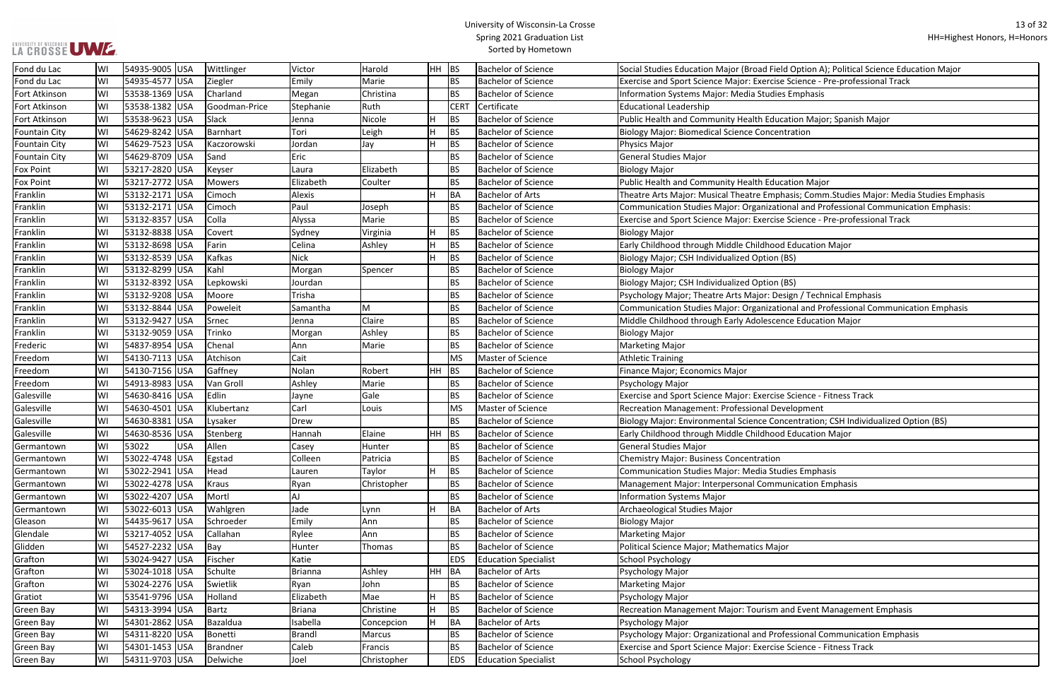## LA CROSSE UWE.

#### University of Wisconsin-La Crosse Spring 2021 Graduation List Sorted by Hometown

ield Option A); Political Science Education Major ise Science - Pre-professional Track

ucation Major; Spanish Major

phasis; Comm.Studies Major: Media Studies Emphasis tional and Professional Communication Emphasis:

se Science - Pre-professional Track

**Design / Technical Emphasis** 

tional and Professional Communication Emphasis

se Science - Fitness Track

oncentration; CSH Individualized Option (BS)

1 and Event Management Emphasis

rofessional Communication Emphasis

se Science - Fitness Track

| Fond du Lac          | WI | 54935-9005  USA |            | Wittlinger    | Victor         | Harold      | HH BS     |             | <b>Bachelor of Science</b>  | Social Studies Education Major (Broad Field Option A); Political |
|----------------------|----|-----------------|------------|---------------|----------------|-------------|-----------|-------------|-----------------------------|------------------------------------------------------------------|
| Fond du Lac          | WI | 54935-4577  USA |            | Ziegler       | Emily          | Marie       |           | BS          | <b>Bachelor of Science</b>  | Exercise and Sport Science Major: Exercise Science - Pre-profes  |
| Fort Atkinson        | WI | 53538-1369  USA |            | Charland      | Megan          | Christina   |           | BS          | <b>Bachelor of Science</b>  | Information Systems Major: Media Studies Emphasis                |
| Fort Atkinson        | WI | 53538-1382  USA |            | Goodman-Price | Stephanie      | Ruth        |           | <b>CERT</b> | Certificate                 | <b>Educational Leadership</b>                                    |
| Fort Atkinson        | WI | 53538-9623  USA |            | Slack         | Jenna          | Nicole      |           | <b>BS</b>   | <b>Bachelor of Science</b>  | Public Health and Community Health Education Major; Spanish      |
| <b>Fountain City</b> | WI | 54629-8242 USA  |            | Barnhart      | Tori           | Leigh       |           | <b>BS</b>   | <b>Bachelor of Science</b>  | <b>Biology Major: Biomedical Science Concentration</b>           |
| <b>Fountain City</b> | WI | 54629-7523 USA  |            | Kaczorowski   | Jordan         | Jay         |           | <b>BS</b>   | <b>Bachelor of Science</b>  | Physics Major                                                    |
| <b>Fountain City</b> | WI | 54629-8709  USA |            | Sand          | Eric           |             |           | BS          | <b>Bachelor of Science</b>  | <b>General Studies Major</b>                                     |
| <b>Fox Point</b>     | WI | 53217-2820 USA  |            | Keyser        | Laura          | Elizabeth   |           | BS          | <b>Bachelor of Science</b>  | <b>Biology Major</b>                                             |
| <b>Fox Point</b>     | W١ | 53217-2772  USA |            | <b>Mowers</b> | Elizabeth      | Coulter     |           | <b>BS</b>   | <b>Bachelor of Science</b>  | Public Health and Community Health Education Major               |
| Franklin             | WI | 53132-2171 USA  |            | Cimoch        | Alexis         |             |           | BA          | <b>Bachelor of Arts</b>     | Theatre Arts Major: Musical Theatre Emphasis; Comm.Studies       |
| Franklin             | W١ | 53132-2171 USA  |            | Cimoch        | Paul           | Joseph      |           | BS          | <b>Bachelor of Science</b>  | Communication Studies Major: Organizational and Professiona      |
| Franklin             | WI | 53132-8357 USA  |            | Colla         | Alyssa         | Marie       |           | <b>BS</b>   | <b>Bachelor of Science</b>  | Exercise and Sport Science Major: Exercise Science - Pre-profes  |
| Franklin             | WI | 53132-8838 USA  |            | Covert        | Sydney         | Virginia    | Н         | <b>BS</b>   | <b>Bachelor of Science</b>  | <b>Biology Major</b>                                             |
| Franklin             | W١ | 53132-8698 USA  |            | Farin         | Celina         | Ashley      | H.        | <b>BS</b>   | <b>Bachelor of Science</b>  | Early Childhood through Middle Childhood Education Major         |
| Franklin             | W١ | 53132-8539 USA  |            | Kafkas        | <b>Nick</b>    |             | H         | <b>BS</b>   | <b>Bachelor of Science</b>  | Biology Major; CSH Individualized Option (BS)                    |
| Franklin             | WI | 53132-8299  USA |            | Kahl          | Morgan         | Spencer     |           | BS          | <b>Bachelor of Science</b>  | <b>Biology Major</b>                                             |
| Franklin             | WI | 53132-8392 USA  |            | Lepkowski     | Jourdan        |             |           | BS          | <b>Bachelor of Science</b>  | Biology Major; CSH Individualized Option (BS)                    |
| Franklin             | WI | 53132-9208 USA  |            | Moore         | Trisha         |             |           | <b>BS</b>   | <b>Bachelor of Science</b>  | Psychology Major; Theatre Arts Major: Design / Technical Emp     |
| Franklin             | W١ | 53132-8844 USA  |            | Poweleit      | Samantha       | M           |           | BS          | <b>Bachelor of Science</b>  | Communication Studies Major: Organizational and Professiona      |
| Franklin             | WI | 53132-9427 USA  |            | Srnec         | Jenna          | Claire      |           | BS          | <b>Bachelor of Science</b>  | Middle Childhood through Early Adolescence Education Major       |
| Franklin             | W١ | 53132-9059  USA |            | Trinko        | Morgan         | Ashley      |           | ВS          | <b>Bachelor of Science</b>  | <b>Biology Major</b>                                             |
| Frederic             | W١ | 54837-8954 USA  |            | Chenal        | Ann            | Marie       |           | <b>BS</b>   | <b>Bachelor of Science</b>  | Marketing Major                                                  |
| Freedom              | W١ | 54130-7113 USA  |            | Atchison      | Cait           |             |           | <b>MS</b>   | <b>Master of Science</b>    | <b>Athletic Training</b>                                         |
| Freedom              | W١ | 54130-7156 USA  |            | Gaffney       | Nolan          | Robert      | HH        | BS          | <b>Bachelor of Science</b>  | Finance Major; Economics Major                                   |
| Freedom              | WI | 54913-8983  USA |            | Van Groll     | Ashley         | Marie       |           | BS          | <b>Bachelor of Science</b>  | Psychology Major                                                 |
| Galesville           | W١ | 54630-8416 USA  |            | Edlin         | Jayne          | Gale        |           | ВS          | <b>Bachelor of Science</b>  | Exercise and Sport Science Major: Exercise Science - Fitness Tra |
| Galesville           | WI | 54630-4501 USA  |            | Klubertanz    | Carl           | Louis       |           | <b>MS</b>   | <b>Master of Science</b>    | Recreation Management: Professional Development                  |
| Galesville           | W١ | 54630-8381 USA  |            | Lysaker       | Drew           |             |           | <b>BS</b>   | <b>Bachelor of Science</b>  | Biology Major: Environmental Science Concentration; CSH Indi     |
| Galesville           | WI | 54630-8536      | USA        | Stenberg      | Hannah         | Elaine      | HH.       | <b>BS</b>   | <b>Bachelor of Science</b>  | Early Childhood through Middle Childhood Education Major         |
| Germantown           | WI | 53022           | <b>USA</b> | Allen         | Casey          | Hunter      |           | BS.         | <b>Bachelor of Science</b>  | <b>General Studies Major</b>                                     |
| Germantown           | WI | 53022-4748  USA |            | Egstad        | Colleen        | Patricia    |           | BS          | <b>Bachelor of Science</b>  | <b>Chemistry Major: Business Concentration</b>                   |
| Germantown           | WI | 53022-2941 USA  |            | Head          | Lauren         | Taylor      | H         | <b>BS</b>   | <b>Bachelor of Science</b>  | <b>Communication Studies Major: Media Studies Emphasis</b>       |
| Germantown           | WI | 53022-4278  USA |            | Kraus         | Ryan           | Christopher |           | BS          | <b>Bachelor of Science</b>  | Management Major: Interpersonal Communication Emphasis           |
| Germantown           | W١ | 53022-4207 USA  |            | Mortl         | AJ             |             |           | <b>BS</b>   | <b>Bachelor of Science</b>  | <b>Information Systems Major</b>                                 |
| Germantown           | WI | 53022-6013 USA  |            | Wahlgren      | Jade           | Lynn        | H.        | <b>BA</b>   | <b>Bachelor of Arts</b>     | Archaeological Studies Major                                     |
| Gleason              | WI | 54435-9617  USA |            | Schroeder     | Emily          | Ann         |           | BS          | <b>Bachelor of Science</b>  | <b>Biology Major</b>                                             |
| Glendale             | WI | 53217-4052  USA |            | Callahan      | Rylee          | Ann         |           | <b>BS</b>   | <b>Bachelor of Science</b>  | Marketing Major                                                  |
| Glidden              | WI | 54527-2232  USA |            | Bay           | Hunter         | Thomas      |           | BS.         | <b>Bachelor of Science</b>  | Political Science Major; Mathematics Major                       |
| Grafton              | WI | 53024-9427 USA  |            | Fischer       | Katie          |             |           | <b>EDS</b>  | <b>Education Specialist</b> | School Psychology                                                |
| Grafton              | WI | 53024-1018 USA  |            | Schulte       | <b>Brianna</b> | Ashley      | <b>HH</b> | BA          | <b>Bachelor of Arts</b>     | Psychology Major                                                 |
| Grafton              | WI | 53024-2276 USA  |            | Swietlik      | Ryan           | John        |           | <b>BS</b>   | <b>Bachelor of Science</b>  | <b>Marketing Major</b>                                           |
| Gratiot              | WI | 53541-9796  USA |            | Holland       | Elizabeth      | Mae         |           | BS          | <b>Bachelor of Science</b>  | Psychology Major                                                 |
| Green Bay            | WI | 54313-3994  USA |            | Bartz         | <b>Briana</b>  | Christine   |           | <b>BS</b>   | <b>Bachelor of Science</b>  | Recreation Management Major: Tourism and Event Manageme          |
| Green Bay            | WI | 54301-2862 USA  |            | Bazaldua      | Isabella       | Concepcion  |           | <b>BA</b>   | <b>Bachelor of Arts</b>     | Psychology Major                                                 |
| Green Bay            | WI | 54311-8220  USA |            | Bonetti       | <b>Brandl</b>  | Marcus      |           | BS          | <b>Bachelor of Science</b>  | Psychology Major: Organizational and Professional Communica      |
| Green Bay            | WI | 54301-1453  USA |            | Brandner      | Caleb          | Francis     |           | <b>BS</b>   | <b>Bachelor of Science</b>  | Exercise and Sport Science Major: Exercise Science - Fitness Tra |
| Green Bay            | WI | 54311-9703 USA  |            | Delwiche      | Joel           | Christopher |           | <b>EDS</b>  | <b>Education Specialist</b> | School Psychology                                                |
|                      |    |                 |            |               |                |             |           |             |                             |                                                                  |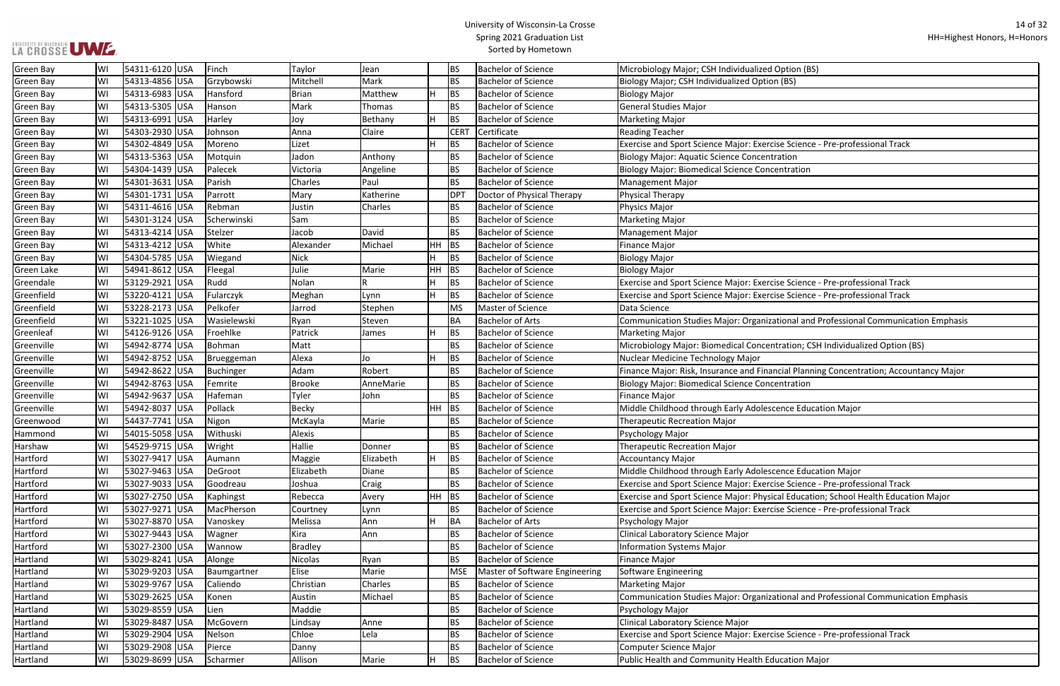## **LA CROSSE UME.**

## University of Wisconsin-La Crosse Spring 2021 Graduation List Sorted by Hometown

| ption (BS)                                     |
|------------------------------------------------|
| (BS)                                           |
|                                                |
|                                                |
|                                                |
|                                                |
|                                                |
|                                                |
| e Science - Pre-professional Track             |
| ation                                          |
|                                                |
| ntration                                       |
|                                                |
|                                                |
|                                                |
|                                                |
|                                                |
|                                                |
|                                                |
|                                                |
|                                                |
|                                                |
|                                                |
| e Science - Pre-professional Track             |
|                                                |
| e Science - Pre-professional Track             |
|                                                |
| ional and Professional Communication Emphasis  |
|                                                |
|                                                |
| ration; CSH Individualized Option (BS)         |
|                                                |
|                                                |
| cial Planning Concentration; Accountancy Major |
| ntration                                       |
|                                                |
|                                                |
| nce Education Major                            |
|                                                |
|                                                |
|                                                |
|                                                |
|                                                |
|                                                |
| nce Education Major                            |
|                                                |
| e Science - Pre-professional Track             |
| al Education; School Health Education Major    |
| e Science - Pre-professional Track             |
|                                                |
|                                                |
|                                                |
|                                                |
|                                                |
|                                                |
|                                                |
|                                                |
|                                                |
| ional and Professional Communication Emphasis  |
|                                                |
|                                                |
|                                                |
|                                                |
|                                                |
| e Science - Pre-professional Track             |

| <b>Green Bay</b>  | WI | 54311-6120  USA | Finch       | Taylor         | Jean      |           | BS              | <b>Bachelor of Science</b>     | Microbiology Major; CSH Individualized Option (BS)                                     |
|-------------------|----|-----------------|-------------|----------------|-----------|-----------|-----------------|--------------------------------|----------------------------------------------------------------------------------------|
| <b>Green Bay</b>  | WI | 54313-4856 USA  | Grzybowski  | Mitchell       | Mark      |           | <b>BS</b>       | <b>Bachelor of Science</b>     | Biology Major; CSH Individualized Option (BS)                                          |
| <b>Green Bay</b>  | WI | 54313-6983 USA  | Hansford    | <b>Brian</b>   | Matthew   |           | BS              | <b>Bachelor of Science</b>     | <b>Biology Major</b>                                                                   |
| <b>Green Bay</b>  | WI | 54313-5305 USA  | Hanson      | Mark           | Thomas    |           | <b>BS</b>       | <b>Bachelor of Science</b>     | General Studies Major                                                                  |
| Green Bay         | WI | 54313-6991  USA | Harley      | Joy            | Bethany   |           | BS              | <b>Bachelor of Science</b>     | Marketing Major                                                                        |
| <b>Green Bay</b>  | WI | 54303-2930 USA  | Johnson     | Anna           | Claire    |           | <b>CERT</b>     | Certificate                    | <b>Reading Teacher</b>                                                                 |
| <b>Green Bay</b>  | WI | 54302-4849 USA  | Moreno      | Lizet          |           |           | <b>BS</b>       | <b>Bachelor of Science</b>     | Exercise and Sport Science Major: Exercise Science - Pre-professional Track            |
| <b>Green Bay</b>  | WI | 54313-5363  USA | Motquin     | Jadon          | Anthony   |           | <b>BS</b>       | <b>Bachelor of Science</b>     | Biology Major: Aquatic Science Concentration                                           |
| <b>Green Bay</b>  | WI | 54304-1439 USA  | Palecek     | Victoria       | Angeline  |           | <b>BS</b>       | <b>Bachelor of Science</b>     | <b>Biology Major: Biomedical Science Concentration</b>                                 |
| <b>Green Bay</b>  | WI | 54301-3631 USA  | Parish      | Charles        | Paul      |           | <b>BS</b>       | <b>Bachelor of Science</b>     | Management Major                                                                       |
| <b>Green Bay</b>  | WI | 54301-1731 USA  | Parrott     | Mary           | Katherine |           | DP <sub>1</sub> | Doctor of Physical Therapy     | Physical Therapy                                                                       |
| <b>Green Bay</b>  | WI | 54311-4616  USA | Rebman      | Justin         | Charles   |           | <b>BS</b>       | <b>Bachelor of Science</b>     | Physics Major                                                                          |
| <b>Green Bay</b>  | WI | 54301-3124 USA  | Scherwinski | Sam            |           |           | BS              | <b>Bachelor of Science</b>     | Marketing Major                                                                        |
| <b>Green Bay</b>  | WI | 54313-4214 USA  | Stelzer     | Jacob          | David     |           | <b>BS</b>       | <b>Bachelor of Science</b>     | Management Major                                                                       |
| <b>Green Bay</b>  | WI | 54313-4212 USA  | White       | Alexander      | Michael   | <b>HH</b> | BS              | <b>Bachelor of Science</b>     | Finance Major                                                                          |
| <b>Green Bay</b>  | WI | 54304-5785 USA  | Wiegand     | Nick           |           |           | <b>BS</b>       | <b>Bachelor of Science</b>     | <b>Biology Major</b>                                                                   |
| <b>Green Lake</b> | WI | 54941-8612 USA  | Fleegal     | Julie          | Marie     | HH        | BS              | <b>Bachelor of Science</b>     | <b>Biology Major</b>                                                                   |
| Greendale         | WI | 53129-2921 USA  | Rudd        | Nolan          |           |           | <b>BS</b>       | <b>Bachelor of Science</b>     | Exercise and Sport Science Major: Exercise Science - Pre-professional Track            |
| Greenfield        | WI | 53220-4121 USA  | Fularczyk   | Meghan         | Lynn      |           | BS              | <b>Bachelor of Science</b>     | Exercise and Sport Science Major: Exercise Science - Pre-professional Track            |
| Greenfield        | WI | 53228-2173 USA  | Pelkofer    | Jarrod         | Stephen   |           | <b>MS</b>       | Master of Science              | Data Science                                                                           |
| Greenfield        | WI | 53221-1025 USA  | Wasielewski | Ryan           | Steven    |           | <b>BA</b>       | <b>Bachelor of Arts</b>        | Communication Studies Major: Organizational and Professional Communication Emphasis    |
| Greenleaf         | WI | 54126-9126 USA  | Froehlke    | Patrick        | James     |           | BS              | <b>Bachelor of Science</b>     | Marketing Major                                                                        |
| Greenville        | WI | 54942-8774 USA  | Bohman      | Matt           |           |           | <b>BS</b>       | <b>Bachelor of Science</b>     | Microbiology Major: Biomedical Concentration; CSH Individualized Option (BS)           |
| Greenville        | WI | 54942-8752  USA | Brueggeman  | Alexa          | Jo        |           | BS              | <b>Bachelor of Science</b>     | Nuclear Medicine Technology Major                                                      |
| Greenville        | WI | 54942-8622  USA | Buchinger   | Adam           | Robert    |           | <b>BS</b>       | <b>Bachelor of Science</b>     | Finance Major: Risk, Insurance and Financial Planning Concentration; Accountancy Major |
| Greenville        | WI | 54942-8763 USA  | Femrite     | <b>Brooke</b>  | AnneMarie |           | <b>BS</b>       | <b>Bachelor of Science</b>     | Biology Major: Biomedical Science Concentration                                        |
| Greenville        | WI | 54942-9637 USA  | Hafeman     | Tyler          | John      |           | BS              | <b>Bachelor of Science</b>     | Finance Major                                                                          |
| Greenville        | WI | 54942-8037 USA  | Pollack     | <b>Becky</b>   |           | $HH$ BS   |                 | <b>Bachelor of Science</b>     | Middle Childhood through Early Adolescence Education Major                             |
| Greenwood         | WI | 54437-7741  USA | Nigon       | McKayla        | Marie     |           | <b>BS</b>       | <b>Bachelor of Science</b>     | <b>Therapeutic Recreation Major</b>                                                    |
| Hammond           | WI | 54015-5058  USA | Withuski    | Alexis         |           |           | <b>BS</b>       | <b>Bachelor of Science</b>     | Psychology Major                                                                       |
| Harshaw           | WI | 54529-9715 USA  | Wright      | Hallie         | Donner    |           | <b>BS</b>       | <b>Bachelor of Science</b>     | Therapeutic Recreation Major                                                           |
| Hartford          | WI | 53027-9417  USA | Aumann      | Maggie         | Elizabeth |           | BS              | <b>Bachelor of Science</b>     | <b>Accountancy Major</b>                                                               |
| Hartford          | WI | 53027-9463 USA  | DeGroot     | Elizabeth      | Diane     |           | <b>BS</b>       | <b>Bachelor of Science</b>     | Middle Childhood through Early Adolescence Education Major                             |
| Hartford          | WI | 53027-9033  USA | Goodreau    | Joshua         | Craig     |           | <b>BS</b>       | <b>Bachelor of Science</b>     | Exercise and Sport Science Major: Exercise Science - Pre-professional Track            |
| Hartford          | WI | 53027-2750 USA  | Kaphingst   | Rebecca        | Avery     | $HH$ BS   |                 | <b>Bachelor of Science</b>     | Exercise and Sport Science Major: Physical Education; School Health Education Major    |
| Hartford          | WI | 53027-9271  USA | MacPherson  | Courtney       | Lynn      |           | <b>BS</b>       | <b>Bachelor of Science</b>     | Exercise and Sport Science Major: Exercise Science - Pre-professional Track            |
| Hartford          | WI | 53027-8870  USA | Vanoskey    | Melissa        | Ann       |           | BA              | <b>Bachelor of Arts</b>        | Psychology Major                                                                       |
| Hartford          | WI | 53027-9443 USA  | Wagner      | Kira           | Ann       |           | <b>BS</b>       | <b>Bachelor of Science</b>     | Clinical Laboratory Science Major                                                      |
| Hartford          | WI | 53027-2300 USA  | Wannow      | <b>Bradley</b> |           |           | <b>BS</b>       | <b>Bachelor of Science</b>     | Information Systems Major                                                              |
| Hartland          | WI | 53029-8241 USA  | Alonge      | Nicolas        | Ryan      |           | <b>BS</b>       | <b>Bachelor of Science</b>     | Finance Major                                                                          |
| Hartland          | WI | 53029-9203 USA  | Baumgartner | Elise          | Marie     |           | <b>MSE</b>      | Master of Software Engineering | Software Engineering                                                                   |
| Hartland          | WI | 53029-9767  USA | Caliendo    | Christian      | Charles   |           | <b>BS</b>       | <b>Bachelor of Science</b>     | Marketing Major                                                                        |
| Hartland          | WI | 53029-2625  USA | Konen       | Austin         | Michael   |           | <b>BS</b>       | <b>Bachelor of Science</b>     | Communication Studies Major: Organizational and Professional Communication Emphasis    |
| Hartland          | WI | 53029-8559 USA  | Lien        | Maddie         |           |           | BS              | <b>Bachelor of Science</b>     | Psychology Major                                                                       |
| Hartland          | WI | 53029-8487 USA  | McGovern    | Lindsay        | Anne      |           | BS              | <b>Bachelor of Science</b>     | Clinical Laboratory Science Major                                                      |
| Hartland          | WI | 53029-2904  USA | Nelson      | Chloe          | Lela      |           | <b>BS</b>       | <b>Bachelor of Science</b>     | Exercise and Sport Science Major: Exercise Science - Pre-professional Track            |
| Hartland          | WI | 53029-2908 USA  | Pierce      | Danny          |           |           | <b>BS</b>       | <b>Bachelor of Science</b>     | Computer Science Major                                                                 |
| Hartland          | WI | 53029-8699 USA  | Scharmer    | Allison        | Marie     |           | BS              | <b>Bachelor of Science</b>     | Public Health and Community Health Education Major                                     |
|                   |    |                 |             |                |           |           |                 |                                |                                                                                        |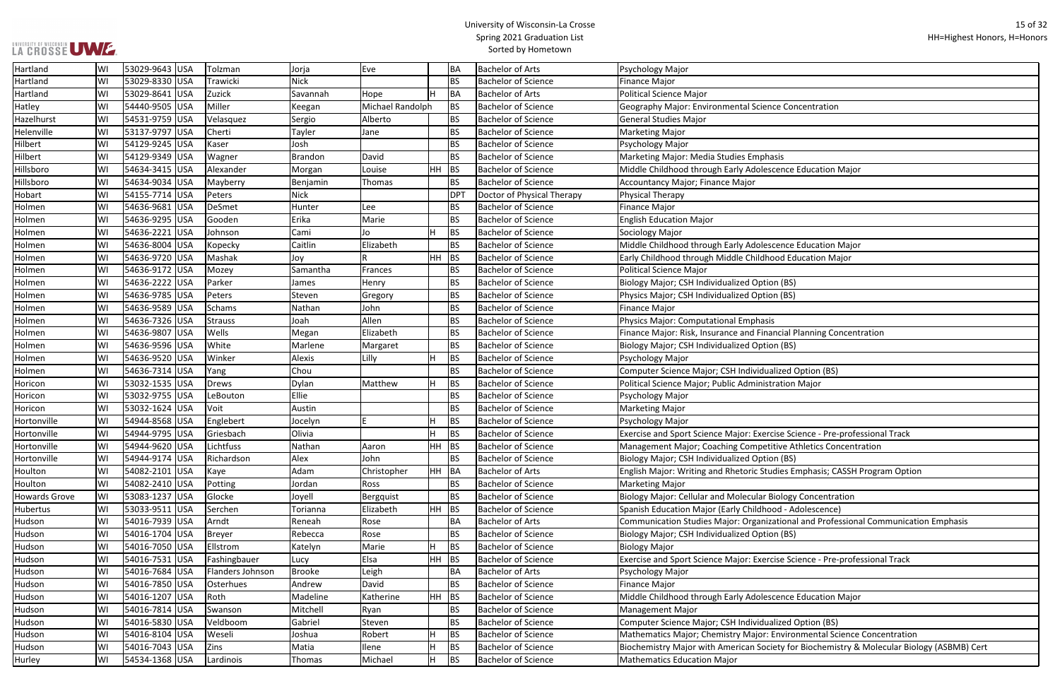| <b>Concentration</b>                                |
|-----------------------------------------------------|
|                                                     |
|                                                     |
|                                                     |
|                                                     |
| s                                                   |
| nce Education Major                                 |
|                                                     |
|                                                     |
|                                                     |
|                                                     |
|                                                     |
| nce Education Major                                 |
| d Education Major                                   |
|                                                     |
|                                                     |
| (BS)                                                |
| (BS)                                                |
|                                                     |
|                                                     |
| cial Planning Concentration                         |
| (BS)                                                |
|                                                     |
| zed Option (BS)                                     |
| tion Major                                          |
|                                                     |
|                                                     |
|                                                     |
| e Science - Pre-professional Track                  |
| ve Athletics Concentration                          |
|                                                     |
| (BS)                                                |
| es Emphasis; CASSH Program Option                   |
|                                                     |
| logy Concentration                                  |
| d - Adolescence)                                    |
| ional and Professional Communication Emphasis       |
| (BS)                                                |
|                                                     |
| e Science - Pre-professional Track                  |
|                                                     |
|                                                     |
|                                                     |
| nce Education Major                                 |
|                                                     |
| zed Option (BS)                                     |
| vironmental Science Concentration                   |
| y for Biochemistry & Molecular Biology (ASBMB) Cert |

| Hartland       | WI  | 53029-9643 USA | Tolzman          | Jorja          | Eve              |           | BA         | <b>Bachelor of Arts</b>    | Psychology Major                                                                           |
|----------------|-----|----------------|------------------|----------------|------------------|-----------|------------|----------------------------|--------------------------------------------------------------------------------------------|
| Hartland       | WI  | 53029-8330 USA | Trawicki         | <b>Nick</b>    |                  |           | <b>BS</b>  | <b>Bachelor of Science</b> | Finance Major                                                                              |
| Hartland       | WI  | 53029-8641 USA | Zuzick           | Savannah       | Hope             |           | BA         | <b>Bachelor of Arts</b>    | Political Science Major                                                                    |
| Hatley         | WI  | 54440-9505 USA | Miller           | Keegan         | Michael Randolph |           | <b>BS</b>  | <b>Bachelor of Science</b> | Geography Major: Environmental Science Concentration                                       |
| Hazelhurst     | WI  | 54531-9759 USA | Velasquez        | Sergio         | Alberto          |           | <b>BS</b>  | <b>Bachelor of Science</b> | General Studies Major                                                                      |
| Helenville     | WI  | 53137-9797 USA | Cherti           | Tayler         | Jane             |           | <b>BS</b>  | <b>Bachelor of Science</b> | <b>Marketing Major</b>                                                                     |
| <b>Hilbert</b> | WI  | 54129-9245 USA | Kaser            | Josh           |                  |           | <b>BS</b>  | <b>Bachelor of Science</b> | Psychology Major                                                                           |
| <b>Hilbert</b> | WI  | 54129-9349 USA | Wagner           | <b>Brandon</b> | David            |           | <b>BS</b>  | <b>Bachelor of Science</b> | Marketing Major: Media Studies Emphasis                                                    |
| Hillsboro      | WI  | 54634-3415 USA | Alexander        | Morgan         | Louise           | <b>HH</b> | BS         | <b>Bachelor of Science</b> | Middle Childhood through Early Adolescence Education Major                                 |
| Hillsboro      | WI  | 54634-9034 USA | Mayberry         | Benjamin       | Thomas           |           | <b>BS</b>  | <b>Bachelor of Science</b> | Accountancy Major; Finance Major                                                           |
| Hobart         | WI  | 54155-7714 USA | Peters           | <b>Nick</b>    |                  |           | <b>DPT</b> | Doctor of Physical Therapy | Physical Therapy                                                                           |
| Holmen         | WI  | 54636-9681 USA | DeSmet           | Hunter         | Lee              |           | <b>BS</b>  | <b>Bachelor of Science</b> | Finance Major                                                                              |
| Holmen         | WI  | 54636-9295 USA | Gooden           | Erika          | Marie            |           | <b>BS</b>  | <b>Bachelor of Science</b> | <b>English Education Major</b>                                                             |
| Holmen         | WI  | 54636-2221 USA | Johnson          | Cami           | Jo               | H         | <b>BS</b>  | <b>Bachelor of Science</b> | Sociology Major                                                                            |
| Holmen         | WI  | 54636-8004 USA | Kopecky          | Caitlin        | Elizabeth        |           | <b>BS</b>  | <b>Bachelor of Science</b> | Middle Childhood through Early Adolescence Education Major                                 |
| Holmen         | WI  | 54636-9720 USA | Mashak           | Joy            |                  | HH        | <b>BS</b>  | <b>Bachelor of Science</b> | Early Childhood through Middle Childhood Education Major                                   |
| Holmen         | WI  | 54636-9172 USA | Mozey            | Samantha       | Frances          |           | <b>BS</b>  | <b>Bachelor of Science</b> | Political Science Major                                                                    |
| Holmen         | WI  | 54636-2222 USA | Parker           | James          | Henry            |           | <b>BS</b>  | <b>Bachelor of Science</b> | Biology Major; CSH Individualized Option (BS)                                              |
| Holmen         | WI  | 54636-9785 USA | Peters           | Steven         | Gregory          |           | <b>BS</b>  | <b>Bachelor of Science</b> | Physics Major; CSH Individualized Option (BS)                                              |
| Holmen         | WI  | 54636-9589 USA | Schams           | Nathan         | John             |           | <b>BS</b>  | <b>Bachelor of Science</b> | Finance Major                                                                              |
| Holmen         | WI  | 54636-7326 USA | Strauss          | Joah           | Allen            |           | <b>BS</b>  | <b>Bachelor of Science</b> | Physics Major: Computational Emphasis                                                      |
| Holmen         | WI  | 54636-9807 USA | <b>Wells</b>     | Megan          | Elizabeth        |           | <b>BS</b>  | <b>Bachelor of Science</b> | Finance Major: Risk, Insurance and Financial Planning Concentration                        |
| Holmen         | WI  | 54636-9596 USA | White            | Marlene        | Margaret         |           | <b>BS</b>  | <b>Bachelor of Science</b> | Biology Major; CSH Individualized Option (BS)                                              |
| Holmen         | WI  | 54636-9520 USA | Winker           | Alexis         | Lilly            | H         | <b>BS</b>  | <b>Bachelor of Science</b> | Psychology Major                                                                           |
| Holmen         | WI  | 54636-7314 USA | Yang             | Chou           |                  |           | <b>BS</b>  | <b>Bachelor of Science</b> | Computer Science Major; CSH Individualized Option (BS)                                     |
| Horicon        | WI  | 53032-1535 USA | Drews            | Dylan          | Matthew          | H         | <b>BS</b>  | <b>Bachelor of Science</b> | Political Science Major; Public Administration Major                                       |
| Horicon        | WI  | 53032-9755 USA | LeBouton         | Ellie          |                  |           | <b>BS</b>  | <b>Bachelor of Science</b> | Psychology Major                                                                           |
| Horicon        | WI  | 53032-1624 USA | Voit             | Austin         |                  |           | <b>BS</b>  | <b>Bachelor of Science</b> | <b>Marketing Major</b>                                                                     |
| Hortonville    | WI  | 54944-8568 USA | Englebert        | Jocelyn        |                  |           | <b>BS</b>  | <b>Bachelor of Science</b> | Psychology Major                                                                           |
| Hortonville    | WI  | 54944-9795 USA | Griesbach        | Olivia         |                  | H         | <b>BS</b>  | <b>Bachelor of Science</b> | Exercise and Sport Science Major: Exercise Science - Pre-professional Track                |
| Hortonville    | WI  | 54944-9620 USA | Lichtfuss        | Nathan         | Aaron            |           | HH BS      | <b>Bachelor of Science</b> | Management Major; Coaching Competitive Athletics Concentration                             |
| Hortonville    | WI. | 54944-9174 USA | Richardson       | Alex           | John             |           | BS.        | <b>Bachelor of Science</b> | Biology Major; CSH Individualized Option (BS)                                              |
| Houlton        | WI  | 54082-2101 USA | Kaye             | Adam           | Christopher      |           | HH BA      | <b>Bachelor of Arts</b>    | English Major: Writing and Rhetoric Studies Emphasis; CASSH Program Option                 |
| Houlton        | WI  | 54082-2410 USA | Potting          | Jordan         | Ross             |           | <b>BS</b>  | <b>Bachelor of Science</b> | Marketing Major                                                                            |
| Howards Grove  | WI  | 53083-1237 USA | Glocke           | Joyell         | Bergquist        |           | BS.        | <b>Bachelor of Science</b> | Biology Major: Cellular and Molecular Biology Concentration                                |
| Hubertus       | WI  | 53033-9511 USA | Serchen          | Torianna       | Elizabeth        | HH        | BS         | <b>Bachelor of Science</b> | Spanish Education Major (Early Childhood - Adolescence)                                    |
| Hudson         | WI  | 54016-7939 USA | Arndt            | Reneah         | Rose             |           | BA         | <b>Bachelor of Arts</b>    | Communication Studies Major: Organizational and Professional Communication Emphasis        |
| Hudson         | WI  | 54016-1704 USA | <b>Breyer</b>    | Rebecca        | Rose             |           | BS.        | <b>Bachelor of Science</b> | Biology Major; CSH Individualized Option (BS)                                              |
| Hudson         | WI  | 54016-7050 USA | Ellstrom         | Katelyn        | Marie            | H         | <b>BS</b>  | <b>Bachelor of Science</b> | <b>Biology Major</b>                                                                       |
| Hudson         | WI  | 54016-7531 USA | Fashingbauer     | Lucy           | Elsa             | <b>HH</b> | BS         | <b>Bachelor of Science</b> | Exercise and Sport Science Major: Exercise Science - Pre-professional Track                |
| Hudson         | WI  | 54016-7684 USA | Flanders Johnson | <b>Brooke</b>  | Leigh            |           | BA         | <b>Bachelor of Arts</b>    | Psychology Major                                                                           |
| Hudson         | WI  | 54016-7850 USA | Osterhues        | Andrew         | David            |           | <b>BS</b>  | <b>Bachelor of Science</b> | <b>Finance Major</b>                                                                       |
| Hudson         | WI  | 54016-1207 USA | Roth             | Madeline       | Katherine        | HH        | BS         | <b>Bachelor of Science</b> | Middle Childhood through Early Adolescence Education Major                                 |
| Hudson         | WI  | 54016-7814 USA | Swanson          | Mitchell       | Ryan             |           | <b>BS</b>  | <b>Bachelor of Science</b> | Management Major                                                                           |
| Hudson         | WI  | 54016-5830 USA | Veldboom         | Gabriel        | Steven           |           | <b>BS</b>  | <b>Bachelor of Science</b> | Computer Science Major; CSH Individualized Option (BS)                                     |
| Hudson         | WI  | 54016-8104 USA | Weseli           | Joshua         | Robert           | H         | <b>BS</b>  | <b>Bachelor of Science</b> | Mathematics Major; Chemistry Major: Environmental Science Concentration                    |
| Hudson         | WI  | 54016-7043 USA | Zins             | Matia          | Ilene            | н         | <b>BS</b>  | <b>Bachelor of Science</b> | Biochemistry Major with American Society for Biochemistry & Molecular Biology (ASBMB) Cert |
| Hurley         | WI  | 54534-1368 USA | Lardinois        | Thomas         | Michael          | H         | BS         | <b>Bachelor of Science</b> | <b>Mathematics Education Major</b>                                                         |
|                |     |                |                  |                |                  |           |            |                            |                                                                                            |

## **LA GROSSE UME.**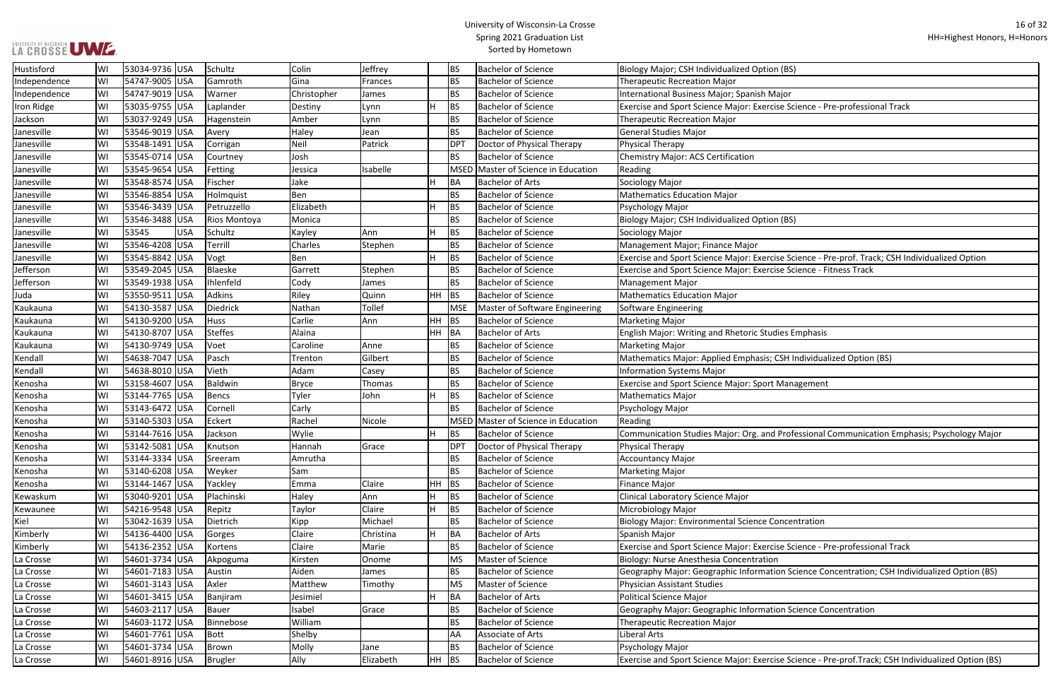| า (BS)                                                   |
|----------------------------------------------------------|
|                                                          |
| ajor                                                     |
| se Science - Pre-professional Track                      |
|                                                          |
|                                                          |
|                                                          |
|                                                          |
|                                                          |
|                                                          |
|                                                          |
| า (BS)                                                   |
|                                                          |
|                                                          |
| se Science - Pre-prof. Track; CSH Individualized Option  |
| se Science - Fitness Track                               |
|                                                          |
|                                                          |
|                                                          |
| lies Emphasis                                            |
|                                                          |
| CSH Individualized Option (BS)                           |
|                                                          |
| Management                                               |
|                                                          |
|                                                          |
|                                                          |
| Professional Communication Emphasis; Psychology Major    |
|                                                          |
|                                                          |
|                                                          |
|                                                          |
|                                                          |
| oncentration                                             |
|                                                          |
| se Science - Pre-professional Track                      |
|                                                          |
| on Science Concentration; CSH Individualized Option (BS) |
|                                                          |
|                                                          |
| on Science Concentration                                 |
|                                                          |
|                                                          |

| Hustisford   | WI | 53034-9736 USA |     | Schultz      | Colin        | Jeffrey      |         | <b>BS</b>   | <b>Bachelor of Science</b>     | Biology Major; CSH Individualized Option (BS)                                                       |
|--------------|----|----------------|-----|--------------|--------------|--------------|---------|-------------|--------------------------------|-----------------------------------------------------------------------------------------------------|
| Independence | WI | 54747-9005 USA |     | Gamroth      | Gina         | Frances      |         | <b>BS</b>   | <b>Bachelor of Science</b>     | <b>Therapeutic Recreation Major</b>                                                                 |
| Independence | WI | 54747-9019 USA |     | Warner       | Christopher  | James        |         | <b>BS</b>   | <b>Bachelor of Science</b>     | International Business Major; Spanish Major                                                         |
| Iron Ridge   | WI | 53035-9755 USA |     | Laplander    | Destiny      | Lynn         |         | <b>BS</b>   | <b>Bachelor of Science</b>     | Exercise and Sport Science Major: Exercise Science - Pre-professional Track                         |
| Jackson      | WI | 53037-9249 USA |     | Hagenstein   | Amber        | Lynn         |         | <b>BS</b>   | <b>Bachelor of Science</b>     | <b>Therapeutic Recreation Major</b>                                                                 |
| Janesville   | WI | 53546-9019 USA |     | Avery        | Haley        | Jean         |         | <b>BS</b>   | <b>Bachelor of Science</b>     | <b>General Studies Major</b>                                                                        |
| Janesville   | WI | 53548-1491 USA |     | Corrigan     | Neil         | Patrick      |         | <b>DPT</b>  | Doctor of Physical Therapy     | <b>Physical Therapy</b>                                                                             |
| Janesville   | WI | 53545-0714 USA |     | Courtney     | Josh         |              |         | <b>BS</b>   | <b>Bachelor of Science</b>     | <b>Chemistry Major: ACS Certification</b>                                                           |
| Janesville   | WI | 53545-9654 USA |     | Fetting      | Jessica      | Isabelle     |         | MSED        | Master of Science in Education | Reading                                                                                             |
| Janesville   | WI | 53548-8574 USA |     | Fischer      | Jake         |              |         | <b>BA</b>   | <b>Bachelor of Arts</b>        | Sociology Major                                                                                     |
| Janesville   | WI | 53546-8854 USA |     | Holmquist    | Ben          |              |         | <b>BS</b>   | <b>Bachelor of Science</b>     | <b>Mathematics Education Major</b>                                                                  |
| Janesville   | WI | 53546-3439 USA |     | Petruzzello  | Elizabeth    |              |         | <b>BS</b>   | <b>Bachelor of Science</b>     | Psychology Major                                                                                    |
| Janesville   | WI | 53546-3488 USA |     | Rios Montoya | Monica       |              |         | <b>BS</b>   | <b>Bachelor of Science</b>     | Biology Major; CSH Individualized Option (BS)                                                       |
| Janesville   | WI | 53545          | USA | Schultz      | Kayley       | Ann          |         | <b>BS</b>   | <b>Bachelor of Science</b>     | Sociology Major                                                                                     |
| Janesville   | WI | 53546-4208 USA |     | Terrill      | Charles      | Stephen      |         | <b>BS</b>   | <b>Bachelor of Science</b>     | Management Major; Finance Major                                                                     |
| Janesville   | WI | 53545-8842 USA |     | Vogt         | Ben          |              |         | <b>BS</b>   | <b>Bachelor of Science</b>     | Exercise and Sport Science Major: Exercise Science - Pre-prof. Track; CSH Individualized Option     |
| Jefferson    | WI | 53549-2045 USA |     | Blaeske      | Garrett      | Stephen      |         | <b>BS</b>   | <b>Bachelor of Science</b>     | Exercise and Sport Science Major: Exercise Science - Fitness Track                                  |
| Jefferson    | WI | 53549-1938 USA |     | Ihlenfeld    | Cody         | James        |         | <b>BS</b>   | <b>Bachelor of Science</b>     | <b>Management Major</b>                                                                             |
| Juda         | WI | 53550-9511 USA |     | Adkins       | Riley        | Quinn        | $HH$ BS |             | <b>Bachelor of Science</b>     | <b>Mathematics Education Major</b>                                                                  |
| Kaukauna     | WI | 54130-3587 USA |     | Diedrick     | Nathan       | Tollef       |         | <b>MSE</b>  | Master of Software Engineering | Software Engineering                                                                                |
| Kaukauna     | WI | 54130-9200 USA |     | Huss         | Carlie       | Ann          | $HH$ BS |             | <b>Bachelor of Science</b>     | <b>Marketing Major</b>                                                                              |
| Kaukauna     | WI | 54130-8707 USA |     | Steffes      | Alaina       |              | HH BA   |             | <b>Bachelor of Arts</b>        | English Major: Writing and Rhetoric Studies Emphasis                                                |
| Kaukauna     | WI | 54130-9749 USA |     | Voet         | Caroline     | Anne         |         | <b>BS</b>   | <b>Bachelor of Science</b>     | <b>Marketing Major</b>                                                                              |
| Kendall      | WI | 54638-7047 USA |     | Pasch        | Trenton      | Gilbert      |         | <b>BS</b>   | <b>Bachelor of Science</b>     | Mathematics Major: Applied Emphasis; CSH Individualized Option (BS)                                 |
| Kendall      | WI | 54638-8010 USA |     | Vieth        | Adam         | Casey        |         | <b>BS</b>   | <b>Bachelor of Science</b>     | <b>Information Systems Major</b>                                                                    |
| Kenosha      | WI | 53158-4607 USA |     | Baldwin      | <b>Bryce</b> | Thomas       |         | <b>BS</b>   | <b>Bachelor of Science</b>     | Exercise and Sport Science Major: Sport Management                                                  |
| Kenosha      | WI | 53144-7765 USA |     | Bencs        | Tyler        | John         | н       | <b>BS</b>   | <b>Bachelor of Science</b>     | <b>Mathematics Major</b>                                                                            |
| Kenosha      | WI | 53143-6472 USA |     | Cornell      | Carly        |              |         | <b>BS</b>   | <b>Bachelor of Science</b>     | Psychology Major                                                                                    |
| Kenosha      | WI | 53140-5303 USA |     | Eckert       | Rachel       | Nicole       |         | <b>MSED</b> | Master of Science in Education | Reading                                                                                             |
| Kenosha      | WI | 53144-7616 USA |     | Jackson      | Wylie        |              |         | <b>BS</b>   | <b>Bachelor of Science</b>     | Communication Studies Major: Org. and Professional Communication Emphasis; Psychology Major         |
| Kenosha      | WI | 53142-5081 USA |     | Knutson      | Hannah       | <b>Grace</b> |         | <b>DPT</b>  | Doctor of Physical Therapy     | Physical Therapy                                                                                    |
| Kenosha      | WI | 53144-3334 USA |     | Sreeram      | Amrutha      |              |         | <b>BS</b>   | <b>Bachelor of Science</b>     | <b>Accountancy Major</b>                                                                            |
| Kenosha      | WI | 53140-6208 USA |     | Weyker       | Sam          |              |         | <b>BS</b>   | <b>Bachelor of Science</b>     | <b>Marketing Major</b>                                                                              |
| Kenosha      | WI | 53144-1467 USA |     | Yackley      | Emma         | Claire       | $HH$ BS |             | <b>Bachelor of Science</b>     | Finance Major                                                                                       |
| Kewaskum     | WI | 53040-9201 USA |     | Plachinski   | Haley        | Ann          |         | <b>BS</b>   | <b>Bachelor of Science</b>     | Clinical Laboratory Science Major                                                                   |
| Kewaunee     | WI | 54216-9548 USA |     | Repitz       | Taylor       | Claire       |         | <b>BS</b>   | <b>Bachelor of Science</b>     | Microbiology Major                                                                                  |
| Kiel         | WI | 53042-1639 USA |     | Dietrich     | Kipp         | Michael      |         | <b>BS</b>   | <b>Bachelor of Science</b>     | <b>Biology Major: Environmental Science Concentration</b>                                           |
| Kimberly     | WI | 54136-4400 USA |     | Gorges       | Claire       | Christina    |         | BA          | <b>Bachelor of Arts</b>        | Spanish Major                                                                                       |
| Kimberly     | WI | 54136-2352 USA |     | Kortens      | Claire       | Marie        |         | <b>BS</b>   | <b>Bachelor of Science</b>     | Exercise and Sport Science Major: Exercise Science - Pre-professional Track                         |
| La Crosse    | WI | 54601-3734 USA |     | Akpoguma     | Kirsten      | Onome        |         | <b>MS</b>   | Master of Science              | Biology: Nurse Anesthesia Concentration                                                             |
| La Crosse    | WI | 54601-7183 USA |     | Austin       | Aiden        | James        |         | <b>BS</b>   | <b>Bachelor of Science</b>     | Geography Major: Geographic Information Science Concentration; CSH Individualized Option (BS)       |
| La Crosse    | WI | 54601-3143 USA |     | Axler        | Matthew      | Timothy      |         | <b>MS</b>   | Master of Science              | Physician Assistant Studies                                                                         |
| La Crosse    | WI | 54601-3415 USA |     | Banjiram     | Jesimiel     |              |         | BA          | <b>Bachelor of Arts</b>        | <b>Political Science Major</b>                                                                      |
| La Crosse    | WI | 54603-2117 USA |     | Bauer        | Isabel       | Grace        |         | <b>BS</b>   | <b>Bachelor of Science</b>     | Geography Major: Geographic Information Science Concentration                                       |
| La Crosse    | WI | 54603-1172 USA |     | Binnebose    | William      |              |         | <b>BS</b>   | <b>Bachelor of Science</b>     | <b>Therapeutic Recreation Major</b>                                                                 |
| La Crosse    | WI | 54601-7761 USA |     | Bott         | Shelby       |              |         | AA          | Associate of Arts              | Liberal Arts                                                                                        |
| La Crosse    | WI | 54601-3734 USA |     | Brown        | Molly        | Jane         |         | <b>BS</b>   | <b>Bachelor of Science</b>     | Psychology Major                                                                                    |
| La Crosse    | WI | 54601-8916 USA |     | Brugler      | Ally         | Elizabeth    | $HH$ BS |             | <b>Bachelor of Science</b>     | Exercise and Sport Science Major: Exercise Science - Pre-prof.Track; CSH Individualized Option (BS) |
|              |    |                |     |              |              |              |         |             |                                |                                                                                                     |

**LA CROSSE UME.**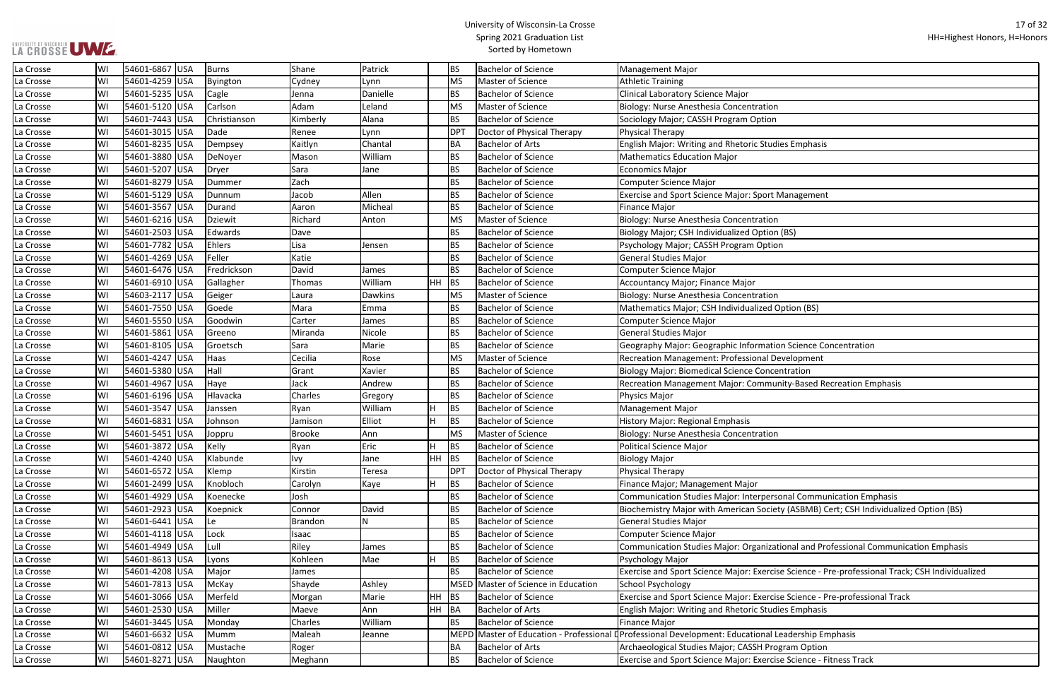| ies Emphasis                                           |
|--------------------------------------------------------|
|                                                        |
|                                                        |
|                                                        |
| Management                                             |
|                                                        |
|                                                        |
|                                                        |
| (BS)                                                   |
| n                                                      |
|                                                        |
|                                                        |
|                                                        |
|                                                        |
|                                                        |
| (BS) ption                                             |
|                                                        |
|                                                        |
| on Science Concentration                               |
|                                                        |
| evelopment                                             |
| ntration                                               |
| nity-Based Recreation Emphasis                         |
|                                                        |
|                                                        |
|                                                        |
|                                                        |
|                                                        |
|                                                        |
|                                                        |
|                                                        |
|                                                        |
|                                                        |
| onal Communication Emphasis                            |
| ty (ASBMB) Cert; CSH Individualized Option (BS)        |
|                                                        |
|                                                        |
| ional and Professional Communication Emphasis          |
|                                                        |
|                                                        |
| e Science - Pre-professional Track; CSH Individualized |
|                                                        |
| e Science - Pre-professional Track                     |
| ies Emphasis                                           |
|                                                        |
| eadership Emphasis                                     |
|                                                        |
| gram Option                                            |
| e Science - Fitness Track                              |

| La Crosse | WI | 54601-6867 USA | Burns          | Shane    | Patrick  |         | <b>BS</b>   | <b>Bachelor of Science</b>          | <b>Management Major</b>                                                                         |
|-----------|----|----------------|----------------|----------|----------|---------|-------------|-------------------------------------|-------------------------------------------------------------------------------------------------|
| La Crosse | WI | 54601-4259 USA | Byington       | Cydney   | Lynn     |         | <b>MS</b>   | Master of Science                   | <b>Athletic Training</b>                                                                        |
| La Crosse | WI | 54601-5235 USA | Cagle          | Jenna    | Danielle |         | <b>BS</b>   | <b>Bachelor of Science</b>          | <b>Clinical Laboratory Science Major</b>                                                        |
| La Crosse | WI | 54601-5120 USA | Carlson        | Adam     | Leland   |         | <b>MS</b>   | Master of Science                   | Biology: Nurse Anesthesia Concentration                                                         |
| La Crosse | WI | 54601-7443 USA | Christianson   | Kimberly | Alana    |         | <b>BS</b>   | <b>Bachelor of Science</b>          | Sociology Major; CASSH Program Option                                                           |
| La Crosse | WI | 54601-3015 USA | Dade           | Renee    | Lynn     |         | DPT         | Doctor of Physical Therapy          | Physical Therapy                                                                                |
| La Crosse | WI | 54601-8235 USA | Dempsey        | Kaitlyn  | Chantal  |         | <b>BA</b>   | <b>Bachelor of Arts</b>             | English Major: Writing and Rhetoric Studies Emphasis                                            |
| La Crosse | WI | 54601-3880 USA | DeNoyer        | Mason    | William  |         | <b>BS</b>   | <b>Bachelor of Science</b>          | <b>Mathematics Education Major</b>                                                              |
| La Crosse | W  | 54601-5207 USA | Dryer          | Sara     | Jane     |         | <b>BS</b>   | <b>Bachelor of Science</b>          | <b>Economics Major</b>                                                                          |
| La Crosse | WI | 54601-8279 USA | Dummer         | Zach     |          |         | <b>BS</b>   | <b>Bachelor of Science</b>          | <b>Computer Science Major</b>                                                                   |
| La Crosse | WI | 54601-5129 USA | Dunnum         | Jacob    | Allen    |         | <b>BS</b>   | <b>Bachelor of Science</b>          | Exercise and Sport Science Major: Sport Management                                              |
| La Crosse | WI | 54601-3567 USA | Durand         | Aaron    | Micheal  |         | <b>BS</b>   | <b>Bachelor of Science</b>          | <b>Finance Major</b>                                                                            |
| La Crosse | WI | 54601-6216 USA | <b>Dziewit</b> | Richard  | Anton    |         | <b>MS</b>   | Master of Science                   | Biology: Nurse Anesthesia Concentration                                                         |
| La Crosse | WI | 54601-2503 USA | Edwards        | Dave     |          |         | <b>BS</b>   | <b>Bachelor of Science</b>          | Biology Major; CSH Individualized Option (BS)                                                   |
| La Crosse | WI | 54601-7782 USA | Ehlers         | Lisa     | Jensen   |         | <b>BS</b>   | <b>Bachelor of Science</b>          | Psychology Major; CASSH Program Option                                                          |
| La Crosse | WI | 54601-4269 USA | Feller         | Katie    |          |         | <b>BS</b>   | <b>Bachelor of Science</b>          | <b>General Studies Major</b>                                                                    |
| La Crosse | WI | 54601-6476 USA | Fredrickson    | David    | James    |         | <b>BS</b>   | <b>Bachelor of Science</b>          | <b>Computer Science Major</b>                                                                   |
| La Crosse | WI | 54601-6910 USA | Gallagher      | Thomas   | William  | $HH$ BS |             | <b>Bachelor of Science</b>          | Accountancy Major; Finance Major                                                                |
| La Crosse | WI | 54603-2117 USA | Geiger         | Laura    | Dawkins  |         | <b>MS</b>   | Master of Science                   | Biology: Nurse Anesthesia Concentration                                                         |
| La Crosse | WI | 54601-7550 USA | Goede          | Mara     | Emma     |         | <b>BS</b>   | <b>Bachelor of Science</b>          | Mathematics Major; CSH Individualized Option (BS)                                               |
| La Crosse | WI | 54601-5550 USA | Goodwin        | Carter   | James    |         | <b>BS</b>   | <b>Bachelor of Science</b>          | <b>Computer Science Major</b>                                                                   |
| La Crosse | WI | 54601-5861 USA | Greeno         | Miranda  | Nicole   |         | <b>BS</b>   | <b>Bachelor of Science</b>          | <b>General Studies Major</b>                                                                    |
| La Crosse | WI | 54601-8105 USA | Groetsch       | Sara     | Marie    |         | <b>BS</b>   | <b>Bachelor of Science</b>          | Geography Major: Geographic Information Science Concentration                                   |
| La Crosse | WI | 54601-4247 USA | Haas           | Cecilia  | Rose     |         | <b>MS</b>   | Master of Science                   | Recreation Management: Professional Development                                                 |
| La Crosse | WI | 54601-5380 USA | Hall           | Grant    | Xavier   |         | <b>BS</b>   | <b>Bachelor of Science</b>          | <b>Biology Major: Biomedical Science Concentration</b>                                          |
| La Crosse | WI | 54601-4967 USA | Haye           | Jack     | Andrew   |         | <b>BS</b>   | <b>Bachelor of Science</b>          | Recreation Management Major: Community-Based Recreation Emphasis                                |
| La Crosse | WI | 54601-6196 USA | Hlavacka       | Charles  | Gregory  |         | <b>BS</b>   | <b>Bachelor of Science</b>          | Physics Major                                                                                   |
| La Crosse | W  | 54601-3547 USA | Janssen        | Ryan     | William  | H.      | <b>BS</b>   | <b>Bachelor of Science</b>          | <b>Management Major</b>                                                                         |
| La Crosse | WI | 54601-6831 USA | Johnson        | Jamison  | Elliot   | H.      | <b>BS</b>   | <b>Bachelor of Science</b>          | History Major: Regional Emphasis                                                                |
| La Crosse | WI | 54601-5451 USA | Joppru         | Brooke   | Ann      |         | <b>MS</b>   | Master of Science                   | Biology: Nurse Anesthesia Concentration                                                         |
| La Crosse | WI | 54601-3872 USA | Kelly          | Ryan     | Eric     |         | <b>BS</b>   | <b>Bachelor of Science</b>          | <b>Political Science Major</b>                                                                  |
| La Crosse | WI | 54601-4240 USA | Klabunde       | Ivy      | Jane     | $HH$ BS |             | <b>Bachelor of Science</b>          | <b>Biology Major</b>                                                                            |
| La Crosse | WI | 54601-6572 USA | Klemp          | Kirstin  | Teresa   |         | DPT         | Doctor of Physical Therapy          | Physical Therapy                                                                                |
| La Crosse | WI | 54601-2499 USA | Knobloch       | Carolyn  | Kaye     | H.      | <b>BS</b>   | <b>Bachelor of Science</b>          | Finance Major; Management Major                                                                 |
| La Crosse | WI | 54601-4929 USA | Koenecke       | Josh     |          |         | <b>BS</b>   | <b>Bachelor of Science</b>          | Communication Studies Major: Interpersonal Communication Emphasis                               |
| La Crosse | WI | 54601-2923 USA | Koepnick       | Connor   | David    |         | <b>BS</b>   | <b>Bachelor of Science</b>          | Biochemistry Major with American Society (ASBMB) Cert; CSH Individualized Option (BS)           |
| La Crosse | WI | 54601-6441 USA | Le             | Brandon  | N        |         | <b>BS</b>   | <b>Bachelor of Science</b>          | <b>General Studies Major</b>                                                                    |
| La Crosse | WI | 54601-4118 USA | Lock           | Isaac    |          |         | <b>BS</b>   | <b>Bachelor of Science</b>          | <b>Computer Science Major</b>                                                                   |
| La Crosse | WI | 54601-4949 USA | Lull           | Riley    | James    |         | <b>BS</b>   | <b>Bachelor of Science</b>          | Communication Studies Major: Organizational and Professional Communication Emphasis             |
| La Crosse | WI | 54601-8613 USA | Lyons          | Kohleen  | Mae      | H.      | <b>BS</b>   | <b>Bachelor of Science</b>          | Psychology Major                                                                                |
| La Crosse | WI | 54601-4208 USA | Major          | James    |          |         | <b>BS</b>   | <b>Bachelor of Science</b>          | Exercise and Sport Science Major: Exercise Science - Pre-professional Track; CSH Individualized |
| La Crosse | WI | 54601-7813 USA | McKay          | Shayde   | Ashley   |         |             | MSED Master of Science in Education | School Psychology                                                                               |
| La Crosse | WI | 54601-3066 USA | Merfeld        | Morgan   | Marie    | HH      | <b>BS</b>   | <b>Bachelor of Science</b>          | Exercise and Sport Science Major: Exercise Science - Pre-professional Track                     |
| La Crosse | WI | 54601-2530 USA | Miller         | Maeve    | Ann      | HH BA   |             | <b>Bachelor of Arts</b>             | English Major: Writing and Rhetoric Studies Emphasis                                            |
| La Crosse | WI | 54601-3445 USA | Monday         | Charles  | William  |         | <b>BS</b>   | <b>Bachelor of Science</b>          | Finance Major                                                                                   |
| La Crosse | WI | 54601-6632 USA | Mumm           | Maleah   | Jeanne   |         | <b>MEPD</b> |                                     | Master of Education - Professional Derofessional Development: Educational Leadership Emphasis   |
| La Crosse | WI | 54601-0812 USA | Mustache       | Roger    |          |         | <b>BA</b>   | <b>Bachelor of Arts</b>             | Archaeological Studies Major; CASSH Program Option                                              |
| La Crosse | WI | 54601-8271 USA | Naughton       | Meghann  |          |         | <b>BS</b>   | <b>Bachelor of Science</b>          | Exercise and Sport Science Major: Exercise Science - Fitness Track                              |
|           |    |                |                |          |          |         |             |                                     |                                                                                                 |

## UNIVERSITY OF WISCONSIN<br>LA CROSSE UWE.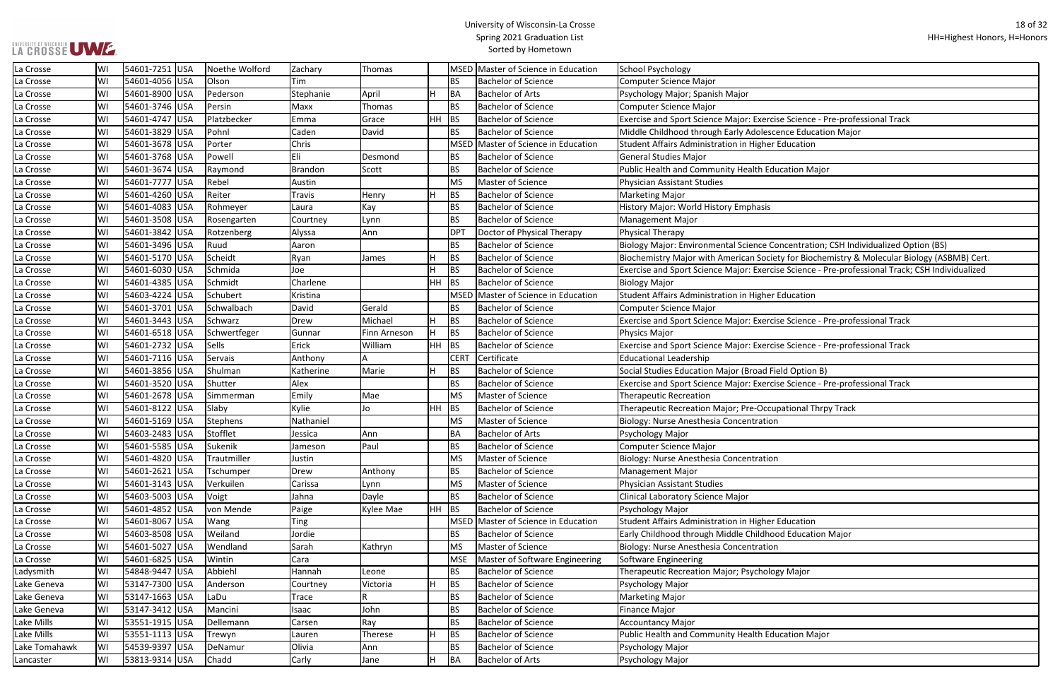se Science - Pre-professional Track **Lance Education Major** Cance oncentration; CSH Individualized Option (BS) ety for Biochemistry & Molecular Biology (ASBMB) Cert. se Science - Pre-professional Track; CSH Individualized ise Science - Pre-professional Track se Science - Pre-professional Track ise Science - Pre-professional Track

| La Crosse     | WI | 54601-7251 USA  | Noethe Wolford | Zachary        | Thomas       |              |                  | MSED Master of Science in Education | School Psychology                                             |
|---------------|----|-----------------|----------------|----------------|--------------|--------------|------------------|-------------------------------------|---------------------------------------------------------------|
| La Crosse     | WI | 54601-4056 USA  | Olson          | Tim            |              |              | <b>BS</b>        | <b>Bachelor of Science</b>          | Computer Science Major                                        |
| La Crosse     | WI | 54601-8900 USA  | Pederson       | Stephanie      | April        | H            | <b>BA</b>        | <b>Bachelor of Arts</b>             | Psychology Major; Spanish Major                               |
| La Crosse     | WI | 54601-3746 USA  | Persin         | Maxx           | Thomas       |              | <b>BS</b>        | <b>Bachelor of Science</b>          | <b>Computer Science Major</b>                                 |
| La Crosse     | WI | 54601-4747 USA  | Platzbecker    | Emma           | Grace        | HH           | <b>BS</b>        | <b>Bachelor of Science</b>          | Exercise and Sport Science Major: Exercise Science - Pre-prof |
| La Crosse     | WI | 54601-3829 USA  | Pohnl          | Caden          | David        |              | <b>BS</b>        | <b>Bachelor of Science</b>          | Middle Childhood through Early Adolescence Education Majo     |
| La Crosse     | WI | 54601-3678 USA  | Porter         | Chris          |              |              |                  | MSED Master of Science in Education | Student Affairs Administration in Higher Education            |
| La Crosse     | WI | 54601-3768 USA  | Powell         | Eli            | Desmond      |              | <b>BS</b>        | <b>Bachelor of Science</b>          | General Studies Major                                         |
| La Crosse     | WI | 54601-3674 USA  | Raymond        | <b>Brandon</b> | Scott        |              | <b>BS</b>        | <b>Bachelor of Science</b>          | Public Health and Community Health Education Major            |
| La Crosse     | WI | 54601-7777 USA  | Rebel          | Austin         |              |              | <b>MS</b>        | Master of Science                   | <b>Physician Assistant Studies</b>                            |
| La Crosse     | WI | 54601-4260 USA  | Reiter         | Travis         | Henry        | H            | <b>BS</b>        | <b>Bachelor of Science</b>          | <b>Marketing Major</b>                                        |
| La Crosse     | WI | 54601-4083 USA  | Rohmeyer       | Laura          | Kay          |              | <b>BS</b>        | <b>Bachelor of Science</b>          | History Major: World History Emphasis                         |
| La Crosse     | WI | 54601-3508 USA  | Rosengarten    | Courtney       | Lynn         |              | <b>BS</b>        | <b>Bachelor of Science</b>          | Management Major                                              |
| La Crosse     | WI | 54601-3842 USA  | Rotzenberg     | Alyssa         | Ann          |              | <b>DPT</b>       | Doctor of Physical Therapy          | <b>Physical Therapy</b>                                       |
| La Crosse     | WI | 54601-3496 USA  | Ruud           | Aaron          |              |              | <b>BS</b>        | <b>Bachelor of Science</b>          | Biology Major: Environmental Science Concentration; CSH Ind   |
| La Crosse     | WI | 54601-5170 USA  | Scheidt        | Ryan           | James        | H            | <b>BS</b>        | <b>Bachelor of Science</b>          | Biochemistry Major with American Society for Biochemistry &   |
| La Crosse     | WI | 54601-6030 USA  | Schmida        | Joe            |              | H            | <b>BS</b>        | <b>Bachelor of Science</b>          | Exercise and Sport Science Major: Exercise Science - Pre-prof |
| La Crosse     | WI | 54601-4385 USA  | Schmidt        | Charlene       |              | HH           | <b>BS</b>        | <b>Bachelor of Science</b>          | <b>Biology Major</b>                                          |
| La Crosse     | WI | 54603-4224 USA  | Schubert       | Kristina       |              |              |                  | MSED Master of Science in Education | Student Affairs Administration in Higher Education            |
| La Crosse     | WI | 54601-3701 USA  | Schwalbach     | David          | Gerald       |              | <b>BS</b>        | <b>Bachelor of Science</b>          | <b>Computer Science Major</b>                                 |
| La Crosse     | WI | 54601-3443 USA  | Schwarz        | Drew           | Michael      | H            | <b>BS</b>        | <b>Bachelor of Science</b>          | Exercise and Sport Science Major: Exercise Science - Pre-prof |
| La Crosse     | WI | 54601-6518 USA  | Schwertfeger   | Gunnar         | Finn Arneson | H.           | <b>BS</b>        | <b>Bachelor of Science</b>          | Physics Major                                                 |
| La Crosse     | WI | 54601-2732 USA  | Sells          | Erick          | William      | HH           | <b>BS</b>        | <b>Bachelor of Science</b>          | Exercise and Sport Science Major: Exercise Science - Pre-prof |
| La Crosse     | WI | 54601-7116 USA  | Servais        | Anthony        | A            |              | CER <sup>-</sup> | Certificate                         | <b>Educational Leadership</b>                                 |
| La Crosse     | WI | 54601-3856 USA  | Shulman        | Katherine      | Marie        | H            | <b>BS</b>        | <b>Bachelor of Science</b>          | Social Studies Education Major (Broad Field Option B)         |
| La Crosse     | WI | 54601-3520 USA  | Shutter        | Alex           |              |              | <b>BS</b>        | <b>Bachelor of Science</b>          | Exercise and Sport Science Major: Exercise Science - Pre-prof |
| La Crosse     | WI | 54601-2678 USA  | Simmerman      | Emily          | Mae          |              | <b>MS</b>        | Master of Science                   | <b>Therapeutic Recreation</b>                                 |
| La Crosse     | WI | 54601-8122 USA  | Slaby          | Kylie          | Jo           | HH           | <b>BS</b>        | <b>Bachelor of Science</b>          | Therapeutic Recreation Major; Pre-Occupational Thrpy Track    |
| La Crosse     | WI | 54601-5169 USA  | Stephens       | Nathaniel      |              |              | <b>MS</b>        | <b>Master of Science</b>            | Biology: Nurse Anesthesia Concentration                       |
| La Crosse     | WI | 54603-2483 USA  | Stofflet       | Jessica        | Ann          |              | <b>BA</b>        | <b>Bachelor of Arts</b>             | Psychology Major                                              |
| La Crosse     | WI | 54601-5585 USA  | Sukenik        | Jameson        | Paul         |              | BS               | <b>Bachelor of Science</b>          | Computer Science Major                                        |
| La Crosse     | WI | 54601-4820 USA  | Trautmiller    | Justin         |              |              | <b>MS</b>        | Master of Science                   | Biology: Nurse Anesthesia Concentration                       |
| La Crosse     | WI | 54601-2621 USA  | Tschumper      | Drew           | Anthony      |              | <b>BS</b>        | <b>Bachelor of Science</b>          | Management Major                                              |
| La Crosse     | WI | 54601-3143 USA  | Verkuilen      | Carissa        | Lynn         |              | <b>MS</b>        | Master of Science                   | Physician Assistant Studies                                   |
| La Crosse     | WI | 54603-5003 USA  | Voigt          | Jahna          | Dayle        |              | <b>BS</b>        | <b>Bachelor of Science</b>          | Clinical Laboratory Science Major                             |
| La Crosse     | WI | 54601-4852 USA  | von Mende      | Paige          | Kylee Mae    | HH           | <b>BS</b>        | <b>Bachelor of Science</b>          | Psychology Major                                              |
| La Crosse     | WI | 54601-8067 USA  | Wang           | Ting           |              |              |                  | MSED Master of Science in Education | Student Affairs Administration in Higher Education            |
| La Crosse     | WI | 54603-8508 USA  | Weiland        | Jordie         |              |              | <b>BS</b>        | <b>Bachelor of Science</b>          | Early Childhood through Middle Childhood Education Major      |
| La Crosse     | WI | 54601-5027 USA  | Wendland       | Sarah          | Kathryn      |              | <b>MS</b>        | Master of Science                   | Biology: Nurse Anesthesia Concentration                       |
| La Crosse     | WI | 54601-6825 USA  | Wintin         | Cara           |              |              | <b>MSE</b>       | Master of Software Engineering      | Software Engineering                                          |
| Ladysmith     | WI | 54848-9447  USA | Abbiehl        | Hannah         | Leone        |              | <b>BS</b>        | <b>Bachelor of Science</b>          | Therapeutic Recreation Major; Psychology Major                |
| Lake Geneva   | WI | 53147-7300  USA | Anderson       | Courtney       | Victoria     | H            | <b>BS</b>        | <b>Bachelor of Science</b>          | Psychology Major                                              |
| Lake Geneva   | WI | 53147-1663 USA  | LaDu           | Trace          | R            |              | <b>BS</b>        | <b>Bachelor of Science</b>          | <b>Marketing Major</b>                                        |
| Lake Geneva   | WI | 53147-3412 USA  | Mancini        | Isaac          | John         |              | <b>BS</b>        | <b>Bachelor of Science</b>          | <b>Finance Major</b>                                          |
| Lake Mills    | WI | 53551-1915  USA | Dellemann      | Carsen         | Ray          |              | <b>BS</b>        | <b>Bachelor of Science</b>          | <b>Accountancy Major</b>                                      |
| Lake Mills    | WI | 53551-1113 USA  | Trewyn         | Lauren         | Therese      | H            | <b>BS</b>        | <b>Bachelor of Science</b>          | Public Health and Community Health Education Major            |
| Lake Tomahawk | WI | 54539-9397  USA | DeNamur        | Olivia         | Ann          |              | <b>BS</b>        | <b>Bachelor of Science</b>          | Psychology Major                                              |
| Lancaster     | WI | 53813-9314 USA  | Chadd          | Carly          | Jane         | $\mathsf{H}$ | BA               | <b>Bachelor of Arts</b>             | Psychology Major                                              |
|               |    |                 |                |                |              |              |                  |                                     |                                                               |

LA CROSSE UWE.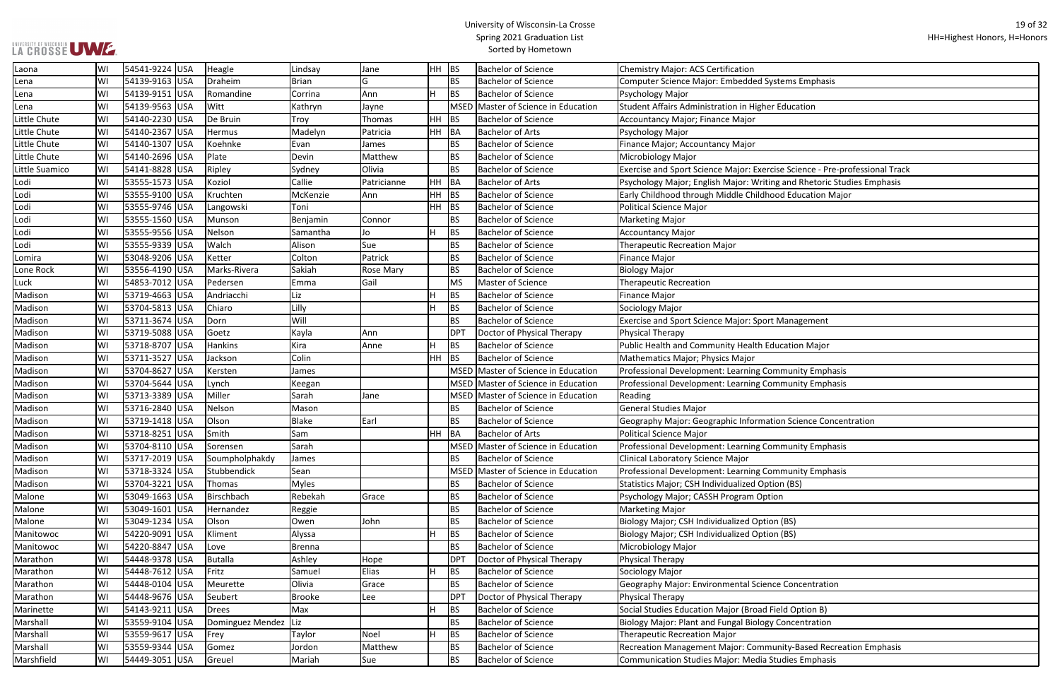| ems Emphasis                       |
|------------------------------------|
|                                    |
| ducation                           |
|                                    |
|                                    |
|                                    |
|                                    |
|                                    |
| e Science - Pre-professional Track |
| and Rhetoric Studies Emphasis      |
| d Education Major                  |
|                                    |
|                                    |
|                                    |
|                                    |
|                                    |
|                                    |
|                                    |
|                                    |
|                                    |
|                                    |
| <b>Aanagement</b>                  |
|                                    |
| cation Major                       |
|                                    |
|                                    |
| munity Emphasis                    |
| munity Emphasis                    |
|                                    |
|                                    |
| In Science Concentration           |
|                                    |
| munity Emphasis                    |
|                                    |
| munity Emphasis                    |
| n (BS)                             |
|                                    |
| n                                  |
|                                    |
| (BS)                               |
| (BS)                               |
|                                    |
|                                    |
|                                    |
| <b>Concentration</b>               |
|                                    |
| Id Option B)                       |
| concentration                      |
|                                    |
|                                    |
| nity-Based Recreation Emphasis     |
| udies Emphasis                     |
|                                    |

| Laona          | WI | 54541-9224 USA  | Heagle                 | Lindsay       | Jane        | HH BS     |             | <b>Bachelor of Science</b>          | <b>Chemistry Major: ACS Certification</b>                                   |
|----------------|----|-----------------|------------------------|---------------|-------------|-----------|-------------|-------------------------------------|-----------------------------------------------------------------------------|
| Lena           | WI | 54139-9163 USA  | Draheim                | <b>Brian</b>  | G           |           | <b>BS</b>   | <b>Bachelor of Science</b>          | Computer Science Major: Embedded Systems Emphasis                           |
| Lena           | WI | 54139-9151 USA  | Romandine              | Corrina       | Ann         |           | <b>BS</b>   | <b>Bachelor of Science</b>          | Psychology Major                                                            |
| Lena           | WI | 54139-9563 USA  | Witt                   | Kathryn       | Jayne       |           | <b>MSED</b> | Master of Science in Education      | Student Affairs Administration in Higher Education                          |
| Little Chute   | WI | 54140-2230 USA  | De Bruin               | Troy          | Thomas      | <b>HH</b> | BS          | <b>Bachelor of Science</b>          | <b>Accountancy Major; Finance Major</b>                                     |
| Little Chute   | WI | 54140-2367 USA  | Hermus                 | Madelyn       | Patricia    | HH BA     |             | <b>Bachelor of Arts</b>             | Psychology Major                                                            |
| Little Chute   | WI | 54140-1307 USA  | Koehnke                | Evan          | James       |           | <b>BS</b>   | <b>Bachelor of Science</b>          | Finance Major; Accountancy Major                                            |
| Little Chute   | WI | 54140-2696 USA  | Plate                  | Devin         | Matthew     |           | <b>BS</b>   | <b>Bachelor of Science</b>          | Microbiology Major                                                          |
| Little Suamico | WI | 54141-8828 USA  | Ripley                 | Sydney        | Olivia      |           | <b>BS</b>   | <b>Bachelor of Science</b>          | Exercise and Sport Science Major: Exercise Science - Pre-professional Track |
| Lodi           | W١ | 53555-1573 USA  | Koziol                 | Callie        | Patricianne | HH        | BA          | <b>Bachelor of Arts</b>             | Psychology Major; English Major: Writing and Rhetoric Studies Emphasis      |
| Lodi           | W١ | 53555-9100 USA  | Kruchten               | McKenzie      | Ann         | HН        | BS          | <b>Bachelor of Science</b>          | Early Childhood through Middle Childhood Education Major                    |
| Lodi           | WI | 53555-9746 USA  | Langowski              | Toni          |             | <b>HH</b> | <b>BS</b>   | <b>Bachelor of Science</b>          | Political Science Major                                                     |
| Lodi           | WI | 53555-1560 USA  | Munson                 | Benjamin      | Connor      |           | <b>BS</b>   | <b>Bachelor of Science</b>          | Marketing Major                                                             |
| Lodi           | WI | 53555-9556 USA  | Nelson                 | Samantha      | Jo          |           | <b>BS</b>   | <b>Bachelor of Science</b>          | Accountancy Major                                                           |
| Lodi           | W١ | 53555-9339  USA | Walch                  | Alison        | Sue         |           | <b>BS</b>   | <b>Bachelor of Science</b>          | <b>Therapeutic Recreation Major</b>                                         |
| Lomira         | WI | 53048-9206 USA  | Ketter                 | Colton        | Patrick     |           | <b>BS</b>   | <b>Bachelor of Science</b>          | <b>Finance Major</b>                                                        |
| Lone Rock      | WI | 53556-4190 USA  | Marks-Rivera           | Sakiah        | Rose Mary   |           | <b>BS</b>   | <b>Bachelor of Science</b>          | <b>Biology Major</b>                                                        |
| Luck           | WI | 54853-7012 USA  | Pedersen               | Emma          | Gail        |           | <b>MS</b>   | Master of Science                   | <b>Therapeutic Recreation</b>                                               |
| Madison        | WI | 53719-4663 USA  | Andriacchi             | Liz           |             |           | <b>BS</b>   | <b>Bachelor of Science</b>          | <b>Finance Major</b>                                                        |
| Madison        | WI | 53704-5813 USA  | Chiaro                 | Lilly         |             |           | <b>BS</b>   | <b>Bachelor of Science</b>          | Sociology Major                                                             |
| Madison        | W١ | 53711-3674 USA  | Dorn                   | Will          |             |           | <b>BS</b>   | <b>Bachelor of Science</b>          | Exercise and Sport Science Major: Sport Management                          |
| Madison        | W١ | 53719-5088 USA  | Goetz                  | Kayla         | Ann         |           | <b>DPT</b>  | Doctor of Physical Therapy          | <b>Physical Therapy</b>                                                     |
| Madison        | WI | 53718-8707 USA  | Hankins                | Kira          | Anne        |           | BS          | <b>Bachelor of Science</b>          | Public Health and Community Health Education Major                          |
| Madison        | W١ | 53711-3527 USA  | Jackson                | Colin         |             | <b>HH</b> | <b>BS</b>   | <b>Bachelor of Science</b>          | Mathematics Major; Physics Major                                            |
| Madison        | W١ | 53704-8627 USA  | Kersten                | James         |             |           | <b>MSED</b> | Master of Science in Education      | Professional Development: Learning Community Emphasis                       |
| Madison        | WI | 53704-5644 USA  | Lynch                  | Keegan        |             |           | <b>MSED</b> | Master of Science in Education      | Professional Development: Learning Community Emphasis                       |
| Madison        | WI | 53713-3389 USA  | Miller                 | Sarah         | Jane        |           | <b>MSED</b> | Master of Science in Education      | Reading                                                                     |
| Madison        | W١ | 53716-2840 USA  | Nelson                 | Mason         |             |           | <b>BS</b>   | <b>Bachelor of Science</b>          | General Studies Major                                                       |
| Madison        | W١ | 53719-1418 USA  | Olson                  | <b>Blake</b>  | Earl        |           | <b>BS</b>   | <b>Bachelor of Science</b>          | Geography Major: Geographic Information Science Concentration               |
| Madison        | WI | 53718-8251 USA  | Smith                  | Sam           |             | HH        | BA          | <b>Bachelor of Arts</b>             | Political Science Major                                                     |
| Madison        | WI | 53704-8110 USA  | Sorensen               | Sarah         |             |           |             | MSED Master of Science in Education | Professional Development: Learning Community Emphasis                       |
| Madison        | WI | 53717-2019 USA  | Soumpholphakdy         | James         |             |           | <b>BS</b>   | <b>Bachelor of Science</b>          | Clinical Laboratory Science Major                                           |
| Madison        | WI | 53718-3324 USA  | Stubbendick            | Sean          |             |           | <b>MSED</b> | Master of Science in Education      | Professional Development: Learning Community Emphasis                       |
| Madison        | WI | 53704-3221 USA  | Thomas                 | <b>Myles</b>  |             |           | <b>BS</b>   | <b>Bachelor of Science</b>          | Statistics Major; CSH Individualized Option (BS)                            |
| Malone         | WI | 53049-1663 USA  | Birschbach             | Rebekah       | Grace       |           | <b>BS</b>   | <b>Bachelor of Science</b>          | Psychology Major; CASSH Program Option                                      |
| Malone         | W١ | 53049-1601 USA  | Hernandez              | Reggie        |             |           | <b>BS</b>   | <b>Bachelor of Science</b>          | <b>Marketing Major</b>                                                      |
| Malone         | WI | 53049-1234 USA  | Olson                  | Owen          | John        |           | <b>BS</b>   | <b>Bachelor of Science</b>          | Biology Major; CSH Individualized Option (BS)                               |
| Manitowoc      | W١ | 54220-9091 USA  | Kliment                | Alyssa        |             |           | <b>BS</b>   | <b>Bachelor of Science</b>          | Biology Major; CSH Individualized Option (BS)                               |
| Manitowoc      | WI | 54220-8847 USA  | Love                   | <b>Brenna</b> |             |           | <b>BS</b>   | <b>Bachelor of Science</b>          | Microbiology Major                                                          |
| Marathon       | W١ | 54448-9378 USA  | Butalla                | Ashley        | Hope        |           | <b>DPT</b>  | Doctor of Physical Therapy          | Physical Therapy                                                            |
| Marathon       | W١ | 54448-7612 USA  | Fritz                  | Samuel        | Elias       |           | <b>BS</b>   | <b>Bachelor of Science</b>          | Sociology Major                                                             |
| Marathon       | WI | 54448-0104 USA  | Meurette               | Olivia        | Grace       |           | <b>BS</b>   | <b>Bachelor of Science</b>          | Geography Major: Environmental Science Concentration                        |
| Marathon       | W١ | 54448-9676 USA  | Seubert                | <b>Brooke</b> | Lee         |           | <b>DPT</b>  | Doctor of Physical Therapy          | <b>Physical Therapy</b>                                                     |
| Marinette      | WI | 54143-9211 USA  | Drees                  | Max           |             |           | <b>BS</b>   | <b>Bachelor of Science</b>          | Social Studies Education Major (Broad Field Option B)                       |
| Marshall       | WI | 53559-9104 USA  | Dominguez Mendez   Liz |               |             |           | <b>BS</b>   | <b>Bachelor of Science</b>          | Biology Major: Plant and Fungal Biology Concentration                       |
| Marshall       | WI | 53559-9617 USA  | Frey                   | Taylor        | Noel        |           | <b>BS</b>   | <b>Bachelor of Science</b>          | <b>Therapeutic Recreation Major</b>                                         |
| Marshall       | WI | 53559-9344 USA  | Gomez                  | Jordon        | Matthew     |           | <b>BS</b>   | <b>Bachelor of Science</b>          | Recreation Management Major: Community-Based Recreation Emphasis            |
| Marshfield     | WI | 54449-3051 USA  | Greuel                 | Mariah        | Sue         |           | <b>BS</b>   | <b>Bachelor of Science</b>          | <b>Communication Studies Major: Media Studies Emphasis</b>                  |
|                |    |                 |                        |               |             |           |             |                                     |                                                                             |

UNIVERSITY OF WISCONSIN<br>LA CROSSE UWE.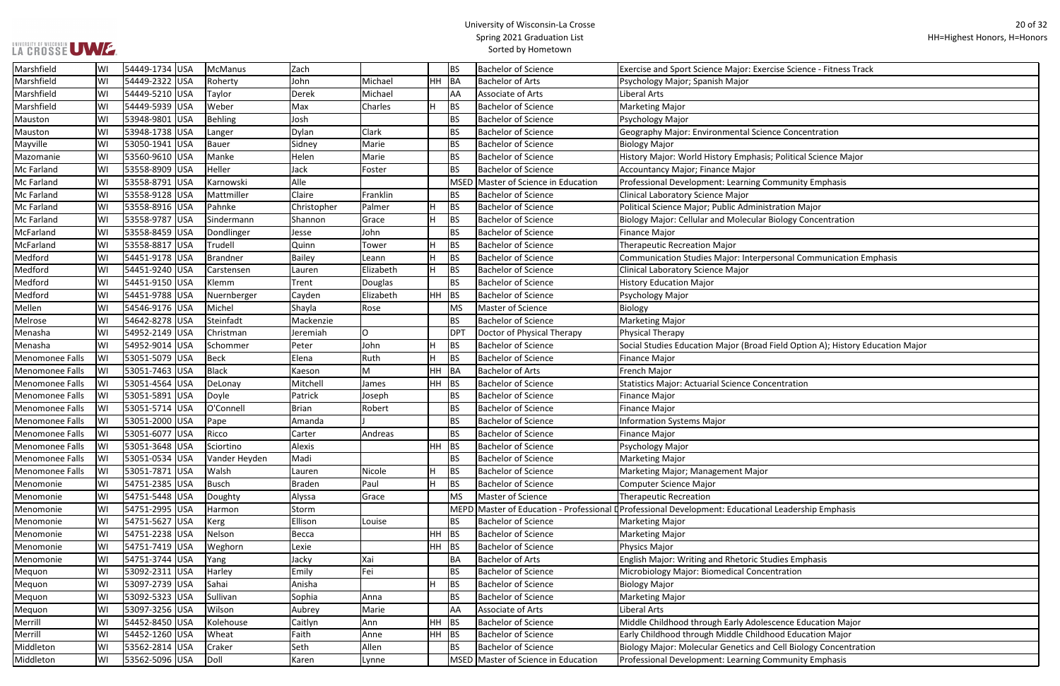## UNIVERSITY OF WISCONSIN<br>LA CROSSE UWE.

## University of Wisconsin-La Crosse Spring 2021 Graduation List Sorted by Hometown

| e Science - Fitness Track                    |
|----------------------------------------------|
|                                              |
|                                              |
|                                              |
|                                              |
| Concentration                                |
|                                              |
| 'olitical Science Major                      |
|                                              |
|                                              |
| munity Emphasis                              |
|                                              |
| tion Major                                   |
| logy Concentration                           |
|                                              |
|                                              |
| onal Communication Emphasis                  |
|                                              |
|                                              |
|                                              |
|                                              |
|                                              |
|                                              |
|                                              |
| Id Option A); History Education Major        |
|                                              |
|                                              |
|                                              |
| itration                                     |
|                                              |
|                                              |
|                                              |
|                                              |
|                                              |
|                                              |
|                                              |
|                                              |
|                                              |
|                                              |
|                                              |
|                                              |
| eadership Emphasis                           |
|                                              |
|                                              |
|                                              |
| es Emphasis                                  |
| ration                                       |
|                                              |
|                                              |
|                                              |
|                                              |
| nce Education Major                          |
| d Education Major                            |
| ell Biology Concentration<br>munity Emphasis |

| Marshfield             | lWI | 54449-1734 USA | McManus       | Zach          |           |     | <b>BS</b>   | <b>Bachelor of Science</b>          | Exercise and Sport Science Major: Exercise Science - Fitness Track                            |
|------------------------|-----|----------------|---------------|---------------|-----------|-----|-------------|-------------------------------------|-----------------------------------------------------------------------------------------------|
| Marshfield             | WI  | 54449-2322 USA | Roherty       | John          | Michael   | HH  | BA          | <b>Bachelor of Arts</b>             | Psychology Major; Spanish Major                                                               |
| Marshfield             | WI  | 54449-5210 USA | Taylor        | Derek         | Michael   |     | AA          | Associate of Arts                   | Liberal Arts                                                                                  |
| Marshfield             | WI  | 54449-5939 USA | Weber         | Max           | Charles   | ΙH. | <b>BS</b>   | <b>Bachelor of Science</b>          | <b>Marketing Major</b>                                                                        |
| Mauston                | WI  | 53948-9801 USA | Behling       | Josh          |           |     | <b>BS</b>   | <b>Bachelor of Science</b>          | Psychology Major                                                                              |
| Mauston                | WI  | 53948-1738 USA | Langer        | Dylan         | Clark     |     | <b>BS</b>   | <b>Bachelor of Science</b>          | Geography Major: Environmental Science Concentration                                          |
| Mayville               | WI  | 53050-1941 USA | Bauer         | Sidney        | Marie     |     | <b>BS</b>   | <b>Bachelor of Science</b>          | <b>Biology Major</b>                                                                          |
| Mazomanie              | WI  | 53560-9610 USA | Manke         | Helen         | Marie     |     | <b>BS</b>   | <b>Bachelor of Science</b>          | History Major: World History Emphasis; Political Science Major                                |
| Mc Farland             | WI  | 53558-8909 USA | Heller        | Jack          | Foster    |     | <b>BS</b>   | <b>Bachelor of Science</b>          | Accountancy Major; Finance Major                                                              |
| Mc Farland             | WI  | 53558-8791 USA | Karnowski     | Alle          |           |     |             | MSED Master of Science in Education | Professional Development: Learning Community Emphasis                                         |
| Mc Farland             | WI  | 53558-9128 USA | Mattmiller    | Claire        | Franklin  |     | <b>BS</b>   | <b>Bachelor of Science</b>          | Clinical Laboratory Science Major                                                             |
| <b>Mc Farland</b>      | WI  | 53558-8916 USA | Pahnke        | Christopher   | Palmer    | H   | <b>BS</b>   | <b>Bachelor of Science</b>          | Political Science Major; Public Administration Major                                          |
| Mc Farland             | WI  | 53558-9787 USA | Sindermann    | Shannon       | Grace     | lH. | <b>BS</b>   | <b>Bachelor of Science</b>          | Biology Major: Cellular and Molecular Biology Concentration                                   |
| McFarland              | WI  | 53558-8459 USA | Dondlinger    | Jesse         | John      |     | <b>BS</b>   | <b>Bachelor of Science</b>          | <b>Finance Major</b>                                                                          |
| McFarland              | WI  | 53558-8817 USA | Trudell       | Quinn         | Tower     | H   | <b>BS</b>   | <b>Bachelor of Science</b>          | <b>Therapeutic Recreation Major</b>                                                           |
| Medford                | WI  | 54451-9178 USA | Brandner      | Bailey        | Leann     | H   | <b>BS</b>   | <b>Bachelor of Science</b>          | Communication Studies Major: Interpersonal Communication Emphasis                             |
| Medford                | WI  | 54451-9240 USA | Carstensen    | Lauren        | Elizabeth | H   | <b>BS</b>   | <b>Bachelor of Science</b>          | <b>Clinical Laboratory Science Major</b>                                                      |
| Medford                | WI  | 54451-9150 USA | Klemm         | Trent         | Douglas   |     | <b>BS</b>   | <b>Bachelor of Science</b>          | <b>History Education Major</b>                                                                |
| Medford                | WI  | 54451-9788 USA | Nuernberger   | Cayden        | Elizabeth | HH  | BS          | <b>Bachelor of Science</b>          | Psychology Major                                                                              |
| Mellen                 | WI  | 54546-9176 USA | Michel        | Shayla        | Rose      |     | <b>MS</b>   | Master of Science                   | Biology                                                                                       |
| Melrose                | WI  | 54642-8278 USA | Steinfadt     | Mackenzie     |           |     | <b>BS</b>   | <b>Bachelor of Science</b>          | Marketing Major                                                                               |
| Menasha                | WI  | 54952-2149 USA | Christman     | Jeremiah      | 0         |     | <b>DPT</b>  | Doctor of Physical Therapy          | <b>Physical Therapy</b>                                                                       |
| Menasha                | WI  | 54952-9014 USA | Schommer      | Peter         | John      | H   | <b>BS</b>   | <b>Bachelor of Science</b>          | Social Studies Education Major (Broad Field Option A); History Education Major                |
| Menomonee Falls        | WI  | 53051-5079 USA | Beck          | Elena         | Ruth      | H   | <b>BS</b>   | <b>Bachelor of Science</b>          | <b>Finance Major</b>                                                                          |
| Menomonee Falls        | lWI | 53051-7463 USA | Black         | Kaeson        | M         | HH. | BA          | <b>Bachelor of Arts</b>             | French Major                                                                                  |
| Menomonee Falls        | WI  | 53051-4564 USA | DeLonay       | Mitchell      | James     | HH  | <b>BS</b>   | <b>Bachelor of Science</b>          | <b>Statistics Major: Actuarial Science Concentration</b>                                      |
| Menomonee Falls        | lWI | 53051-5891 USA | Doyle         | Patrick       | Joseph    |     | <b>BS</b>   | <b>Bachelor of Science</b>          | <b>Finance Major</b>                                                                          |
| Menomonee Falls        | WI  | 53051-5714 USA | O'Connell     | <b>Brian</b>  | Robert    |     | <b>BS</b>   | <b>Bachelor of Science</b>          | <b>Finance Major</b>                                                                          |
| <b>Menomonee Falls</b> | WI  | 53051-2000 USA | Pape          | Amanda        |           |     | <b>BS</b>   | <b>Bachelor of Science</b>          | <b>Information Systems Major</b>                                                              |
| Menomonee Falls        | WI  | 53051-6077 USA | Ricco         | Carter        | Andreas   |     | <b>BS</b>   | <b>Bachelor of Science</b>          | <b>Finance Major</b>                                                                          |
| Menomonee Falls        | lWI | 53051-3648 USA | Sciortino     | Alexis        |           | HH. | <b>BS</b>   | <b>Bachelor of Science</b>          | Psychology Major                                                                              |
| Menomonee Falls        | WI  | 53051-0534 USA | Vander Heyden | Madi          |           |     | <b>BS</b>   | <b>Bachelor of Science</b>          | <b>Marketing Major</b>                                                                        |
| Menomonee Falls        | lWI | 53051-7871 USA | Walsh         | Lauren        | Nicole    | ΙH. | <b>BS</b>   | <b>Bachelor of Science</b>          | Marketing Major; Management Major                                                             |
| Menomonie              | WI  | 54751-2385 USA | Busch         | <b>Braden</b> | Paul      | lH. | <b>BS</b>   | <b>Bachelor of Science</b>          | <b>Computer Science Major</b>                                                                 |
| Menomonie              | WI  | 54751-5448 USA | Doughty       | Alyssa        | Grace     |     | <b>MS</b>   | Master of Science                   | <b>Therapeutic Recreation</b>                                                                 |
| Menomonie              | WI  | 54751-2995 USA | Harmon        | Storm         |           |     | <b>MEPD</b> |                                     | Master of Education - Professional Derofessional Development: Educational Leadership Emphasis |
| Menomonie              | lWI | 54751-5627 USA | Kerg          | Ellison       | Louise    |     | <b>BS</b>   | <b>Bachelor of Science</b>          | <b>Marketing Major</b>                                                                        |
| Menomonie              | lWI | 54751-2238 USA | Nelson        | Becca         |           | HH  | <b>BS</b>   | <b>Bachelor of Science</b>          | <b>Marketing Major</b>                                                                        |
| Menomonie              | lWI | 54751-7419 USA | Weghorn       | Lexie         |           | HH  | BS          | <b>Bachelor of Science</b>          | Physics Major                                                                                 |
| Menomonie              | lwi | 54751-3744 USA | Yang          | Jacky         | Xai       |     | <b>BA</b>   | <b>Bachelor of Arts</b>             | English Major: Writing and Rhetoric Studies Emphasis                                          |
| Mequon                 | WI  | 53092-2311 USA | Harley        | Emily         | Fei       |     | <b>BS</b>   | <b>Bachelor of Science</b>          | Microbiology Major: Biomedical Concentration                                                  |
| Mequon                 | WI  | 53097-2739 USA | Sahai         | Anisha        |           | lH. | <b>BS</b>   | <b>Bachelor of Science</b>          | <b>Biology Major</b>                                                                          |
| Mequon                 | WI  | 53092-5323 USA | Sullivan      | Sophia        | Anna      |     | <b>BS</b>   | <b>Bachelor of Science</b>          | <b>Marketing Major</b>                                                                        |
| Mequon                 | WI  | 53097-3256 USA | Wilson        | Aubrey        | Marie     |     | AA          | Associate of Arts                   | Liberal Arts                                                                                  |
| Merrill                | WI  | 54452-8450 USA | Kolehouse     | Caitlyn       | Ann       | HH  | BS          | <b>Bachelor of Science</b>          | Middle Childhood through Early Adolescence Education Major                                    |
| Merrill                | lWI | 54452-1260 USA | Wheat         | Faith         | Anne      | HH  | <b>BS</b>   | <b>Bachelor of Science</b>          | Early Childhood through Middle Childhood Education Major                                      |
| Middleton              | WI  | 53562-2814 USA | Craker        | Seth          | Allen     |     | <b>BS</b>   | <b>Bachelor of Science</b>          | Biology Major: Molecular Genetics and Cell Biology Concentration                              |
| Middleton              | WI  | 53562-5096 USA | Doll          | Karen         | Lynne     |     |             | MSED Master of Science in Education | Professional Development: Learning Community Emphasis                                         |
|                        |     |                |               |               |           |     |             |                                     |                                                                                               |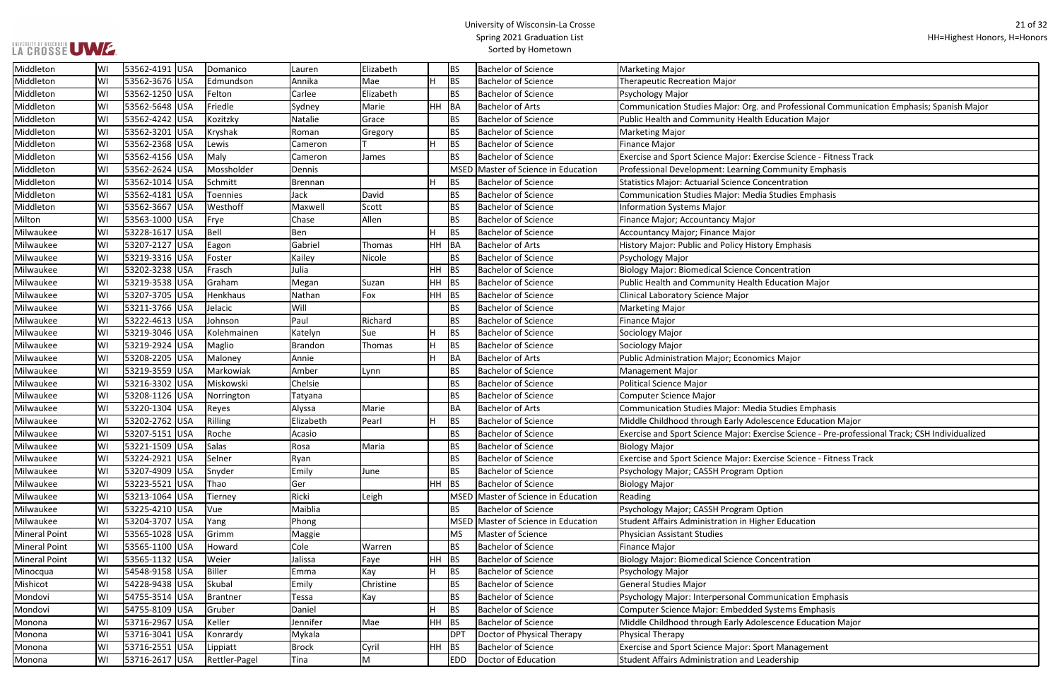## UNIVERSITY OF WISCONSIN<br>LA CROSSE UWE

## University of Wisconsin-La Crosse Spring 2021 Graduation List Sorted by Hometown

| Professional Communication Emphasis; Spanish Major     |
|--------------------------------------------------------|
| cation Major                                           |
|                                                        |
|                                                        |
| e Science - Fitness Track                              |
| munity Emphasis                                        |
| <b>tration</b>                                         |
| udies Emphasis                                         |
|                                                        |
|                                                        |
|                                                        |
| mphasis                                                |
|                                                        |
| ntration                                               |
| cation Major                                           |
|                                                        |
|                                                        |
|                                                        |
|                                                        |
|                                                        |
| Major                                                  |
|                                                        |
|                                                        |
|                                                        |
| udies Emphasis                                         |
| nce Education Major                                    |
| e Science - Pre-professional Track; CSH Individualized |
|                                                        |
| e Science - Fitness Track                              |
| n                                                      |
|                                                        |
|                                                        |
| n                                                      |
| Education                                              |
|                                                        |
|                                                        |
| ntration                                               |
|                                                        |
|                                                        |
| nication Emphasis                                      |
| ems Emphasis                                           |
| nce Education Major                                    |
|                                                        |
| <b>Management</b>                                      |
| rship                                                  |
|                                                        |

| Middleton            | WI | 53562-4191 USA | Domanico      | Lauren       | Elizabeth |         | <b>BS</b>  | <b>Bachelor of Science</b>          | <b>Marketing Major</b>                                                                          |
|----------------------|----|----------------|---------------|--------------|-----------|---------|------------|-------------------------------------|-------------------------------------------------------------------------------------------------|
| Middleton            | WI | 53562-3676 USA | Edmundson     | Annika       | Mae       | H.      | <b>BS</b>  | <b>Bachelor of Science</b>          | <b>Therapeutic Recreation Major</b>                                                             |
| Middleton            | WI | 53562-1250 USA | Felton        | Carlee       | Elizabeth |         | <b>BS</b>  | <b>Bachelor of Science</b>          | Psychology Major                                                                                |
| Middleton            | WI | 53562-5648 USA | Friedle       | Sydney       | Marie     | HH BA   |            | <b>Bachelor of Arts</b>             | Communication Studies Major: Org. and Professional Communication Emphasis; Spanish Major        |
| Middleton            | WI | 53562-4242 USA | Kozitzky      | Natalie      | Grace     |         | <b>BS</b>  | <b>Bachelor of Science</b>          | Public Health and Community Health Education Major                                              |
| Middleton            | WI | 53562-3201 USA | Kryshak       | Roman        | Gregory   |         | <b>BS</b>  | <b>Bachelor of Science</b>          | <b>Marketing Major</b>                                                                          |
| Middleton            | WI | 53562-2368 USA | Lewis         | Cameron      |           | IH.     | <b>BS</b>  | <b>Bachelor of Science</b>          | <b>Finance Major</b>                                                                            |
| Middleton            | WI | 53562-4156 USA | Maly          | Cameron      | James     |         | <b>BS</b>  | <b>Bachelor of Science</b>          | Exercise and Sport Science Major: Exercise Science - Fitness Track                              |
| Middleton            | WI | 53562-2624 USA | Mossholder    | Dennis       |           |         | MSED       | Master of Science in Education      | Professional Development: Learning Community Emphasis                                           |
| Middleton            | W  | 53562-1014 USA | Schmitt       | Brennan      |           | IH.     | <b>BS</b>  | <b>Bachelor of Science</b>          | <b>Statistics Major: Actuarial Science Concentration</b>                                        |
| Middleton            | WI | 53562-4181 USA | Toennies      | Jack         | David     |         | <b>BS</b>  | <b>Bachelor of Science</b>          | Communication Studies Major: Media Studies Emphasis                                             |
| Middleton            | WI | 53562-3667 USA | Westhoff      | Maxwell      | Scott     |         | <b>BS</b>  | <b>Bachelor of Science</b>          | <b>Information Systems Major</b>                                                                |
| Milton               | WI | 53563-1000 USA | Frye          | Chase        | Allen     |         | <b>BS</b>  | <b>Bachelor of Science</b>          | Finance Major; Accountancy Major                                                                |
| Milwaukee            | WI | 53228-1617 USA | Bell          | Ben          |           | H.      | <b>BS</b>  | <b>Bachelor of Science</b>          | <b>Accountancy Major; Finance Major</b>                                                         |
| Milwaukee            | WI | 53207-2127 USA | Eagon         | Gabriel      | Thomas    | HH BA   |            | <b>Bachelor of Arts</b>             | History Major: Public and Policy History Emphasis                                               |
| Milwaukee            | WI | 53219-3316 USA | Foster        | Kailey       | Nicole    |         | <b>BS</b>  | <b>Bachelor of Science</b>          | Psychology Major                                                                                |
| Milwaukee            | WI | 53202-3238 USA | Frasch        | Julia        |           | HH .    | <b>BS</b>  | <b>Bachelor of Science</b>          | <b>Biology Major: Biomedical Science Concentration</b>                                          |
| Milwaukee            | WI | 53219-3538 USA | Graham        | Megan        | Suzan     | $HH$ BS |            | <b>Bachelor of Science</b>          | Public Health and Community Health Education Major                                              |
| Milwaukee            | WI | 53207-3705 USA | Henkhaus      | Nathan       | Fox       | HH BS   |            | <b>Bachelor of Science</b>          | Clinical Laboratory Science Major                                                               |
| Milwaukee            | WI | 53211-3766 USA | Jelacic       | Will         |           |         | <b>BS</b>  | <b>Bachelor of Science</b>          | <b>Marketing Major</b>                                                                          |
| Milwaukee            | WI | 53222-4613 USA | Johnson       | Paul         | Richard   |         | <b>BS</b>  | <b>Bachelor of Science</b>          | <b>Finance Major</b>                                                                            |
| Milwaukee            | WI | 53219-3046 USA | Kolehmainen   | Katelyn      | Sue       | H.      | <b>BS</b>  | <b>Bachelor of Science</b>          | Sociology Major                                                                                 |
| Milwaukee            | WI | 53219-2924 USA | Maglio        | Brandon      | Thomas    | IH.     | <b>BS</b>  | <b>Bachelor of Science</b>          | Sociology Major                                                                                 |
| Milwaukee            | WI | 53208-2205 USA | Maloney       | Annie        |           | lH.     | <b>BA</b>  | <b>Bachelor of Arts</b>             | <b>Public Administration Major; Economics Major</b>                                             |
| Milwaukee            | WI | 53219-3559 USA | Markowiak     | Amber        | Lynn      |         | <b>BS</b>  | <b>Bachelor of Science</b>          | Management Major                                                                                |
| Milwaukee            | WI | 53216-3302 USA | Miskowski     | Chelsie      |           |         | <b>BS</b>  | <b>Bachelor of Science</b>          | <b>Political Science Major</b>                                                                  |
| Milwaukee            | WI | 53208-1126 USA | Norrington    | Tatyana      |           |         | <b>BS</b>  | <b>Bachelor of Science</b>          | Computer Science Major                                                                          |
| Milwaukee            | WI | 53220-1304 USA | Reyes         | Alyssa       | Marie     |         | <b>BA</b>  | <b>Bachelor of Arts</b>             | <b>Communication Studies Major: Media Studies Emphasis</b>                                      |
| Milwaukee            | W  | 53202-2762 USA | Rilling       | Elizabeth    | Pearl     | IH.     | <b>BS</b>  | <b>Bachelor of Science</b>          | Middle Childhood through Early Adolescence Education Major                                      |
| Milwaukee            | WI | 53207-5151 USA | Roche         | Acasio       |           |         | <b>BS</b>  | <b>Bachelor of Science</b>          | Exercise and Sport Science Major: Exercise Science - Pre-professional Track; CSH Individualized |
| Milwaukee            | WI | 53221-1509 USA | Salas         | Rosa         | Maria     |         | <b>BS</b>  | <b>Bachelor of Science</b>          | <b>Biology Major</b>                                                                            |
| Milwaukee            | WI | 53224-2921 USA | Selner        | Ryan         |           |         | <b>BS</b>  | <b>Bachelor of Science</b>          | Exercise and Sport Science Major: Exercise Science - Fitness Track                              |
| Milwaukee            | WI | 53207-4909 USA | Snyder        | Emily        | June      |         | <b>BS</b>  | <b>Bachelor of Science</b>          | Psychology Major; CASSH Program Option                                                          |
| Milwaukee            | WI | 53223-5521 USA | Thao          | Ger          |           | HH BS   |            | <b>Bachelor of Science</b>          | <b>Biology Major</b>                                                                            |
| Milwaukee            | WI | 53213-1064 USA | Tierney       | Ricki        | Leigh     |         |            | MSED Master of Science in Education | Reading                                                                                         |
| Milwaukee            | WI | 53225-4210 USA | Vue           | Maiblia      |           |         | <b>BS</b>  | <b>Bachelor of Science</b>          | Psychology Major; CASSH Program Option                                                          |
| Milwaukee            | WI | 53204-3707 USA | Yang          | Phong        |           |         |            | MSED Master of Science in Education | Student Affairs Administration in Higher Education                                              |
| <b>Mineral Point</b> | WI | 53565-1028 USA | Grimm         | Maggie       |           |         | MS         | Master of Science                   | <b>Physician Assistant Studies</b>                                                              |
| <b>Mineral Point</b> | WI | 53565-1100 USA | Howard        | Cole         | Warren    |         | BS         | <b>Bachelor of Science</b>          | <b>Finance Major</b>                                                                            |
| <b>Mineral Point</b> | WI | 53565-1132 USA | Weier         | Jalissa      | Faye      | HH      | <b>BS</b>  | <b>Bachelor of Science</b>          | <b>Biology Major: Biomedical Science Concentration</b>                                          |
| Minocqua             | WI | 54548-9158 USA | Biller        | Emma         | Kay       | H.      | <b>BS</b>  | <b>Bachelor of Science</b>          | Psychology Major                                                                                |
| Mishicot             | WI | 54228-9438 USA | Skubal        | Emily        | Christine |         | BS         | <b>Bachelor of Science</b>          | <b>General Studies Major</b>                                                                    |
| Mondovi              | WI | 54755-3514 USA | Brantner      | Tessa        | Kay       |         | <b>BS</b>  | <b>Bachelor of Science</b>          | Psychology Major: Interpersonal Communication Emphasis                                          |
| Mondovi              | WI | 54755-8109 USA | Gruber        | Daniel       |           | H.      | <b>BS</b>  | <b>Bachelor of Science</b>          | Computer Science Major: Embedded Systems Emphasis                                               |
| Monona               | WI | 53716-2967 USA | Keller        | Jennifer     | Mae       | HH BS   |            | <b>Bachelor of Science</b>          | Middle Childhood through Early Adolescence Education Major                                      |
|                      | WI | 53716-3041 USA | Konrardy      | Mykala       |           |         | <b>DPT</b> | Doctor of Physical Therapy          | Physical Therapy                                                                                |
| Monona               |    |                |               |              |           |         |            | <b>Bachelor of Science</b>          | Exercise and Sport Science Major: Sport Management                                              |
| Monona               | WI | 53716-2551 USA | Lippiatt      | <b>Brock</b> | Cyril     | HH BS   |            |                                     |                                                                                                 |
| Monona               | WI | 53716-2617 USA | Rettler-Pagel | Tina         | M         |         | EDD        | Doctor of Education                 | Student Affairs Administration and Leadership                                                   |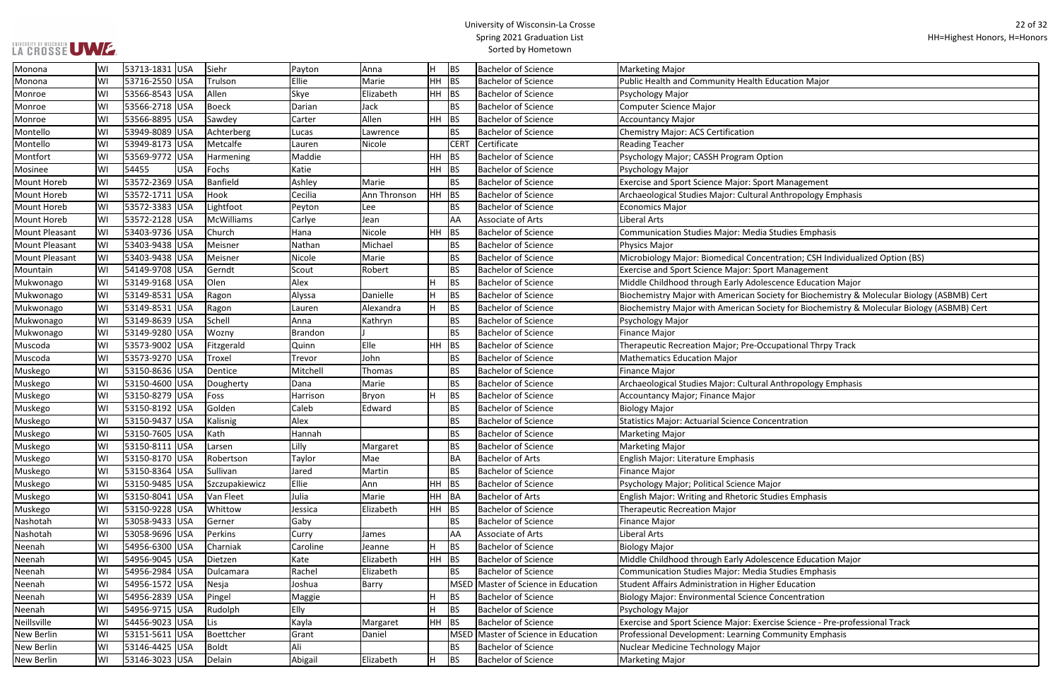| cation Major                                        |
|-----------------------------------------------------|
|                                                     |
|                                                     |
|                                                     |
|                                                     |
|                                                     |
| ١                                                   |
|                                                     |
| Aanagement                                          |
| thropology Emphasis                                 |
|                                                     |
|                                                     |
| dies Emphasis                                       |
|                                                     |
| ation; CSH Individualized Option (BS)               |
| Aanagement                                          |
| nce Education Major                                 |
| y for Biochemistry & Molecular Biology (ASBMB) Cert |
| y for Biochemistry & Molecular Biology (ASBMB) Cert |
|                                                     |
|                                                     |
| ational Thrpy Track                                 |
|                                                     |
|                                                     |
| thropology Emphasis                                 |
|                                                     |
|                                                     |
| tration                                             |
|                                                     |
|                                                     |
|                                                     |
|                                                     |
|                                                     |
| es Emphasis                                         |
|                                                     |
|                                                     |
|                                                     |
| nce Education Major                                 |
| dies Emphasis                                       |
| ducation                                            |
| ncentration                                         |
|                                                     |
| e Science - Pre-professional Track                  |
| munity Emphasis                                     |
|                                                     |
|                                                     |

| Monona                | WI | 53713-1831 USA   | Siehr           | Payton       | Anna         | н         | <b>BS</b>   | <b>Bachelor of Science</b>          | <b>Marketing Major</b>                                                                     |
|-----------------------|----|------------------|-----------------|--------------|--------------|-----------|-------------|-------------------------------------|--------------------------------------------------------------------------------------------|
| Monona                | W١ | 53716-2550 USA   | Trulson         | Ellie        | Marie        | <b>HH</b> | <b>BS</b>   | <b>Bachelor of Science</b>          | Public Health and Community Health Education Major                                         |
| Monroe                | WI | 53566-8543 USA   | Allen           | <b>Skye</b>  | Elizabeth    | HH BS     |             | <b>Bachelor of Science</b>          | Psychology Major                                                                           |
| Monroe                | WI | 53566-2718 USA   | <b>Boeck</b>    | Darian       | Jack         |           | <b>BS</b>   | <b>Bachelor of Science</b>          | <b>Computer Science Major</b>                                                              |
| Monroe                | WI | 53566-8895 USA   | Sawdey          | Carter       | Allen        | HH.       | <b>BS</b>   | <b>Bachelor of Science</b>          | <b>Accountancy Major</b>                                                                   |
| Montello              | WI | 53949-8089 USA   | Achterberg      | Lucas        | Lawrence     |           | <b>BS</b>   | <b>Bachelor of Science</b>          | <b>Chemistry Major: ACS Certification</b>                                                  |
| Montello              | WI | 53949-8173 USA   | Metcalfe        | Lauren       | Nicole       |           | <b>CERT</b> | Certificate                         | <b>Reading Teacher</b>                                                                     |
| Montfort              | WI | 53569-9772 USA   | Harmening       | Maddie       |              | HH        | <b>BS</b>   | <b>Bachelor of Science</b>          | Psychology Major; CASSH Program Option                                                     |
| Mosinee               | WI | 54455<br>USA     | Fochs           | Katie        |              | HH BS     |             | <b>Bachelor of Science</b>          | Psychology Major                                                                           |
| <b>Mount Horeb</b>    | WI | 53572-2369 USA   | <b>Banfield</b> | Ashley       | Marie        |           | <b>BS</b>   | <b>Bachelor of Science</b>          | <b>Exercise and Sport Science Major: Sport Management</b>                                  |
| <b>Mount Horeb</b>    | WI | 53572-1711 USA   | Hook            | Cecilia      | Ann Thronson | ΗH        | <b>BS</b>   | <b>Bachelor of Science</b>          | Archaeological Studies Major: Cultural Anthropology Emphasis                               |
| Mount Horeb           | WI | 53572-3383 USA   | Lightfoot       | Peyton       | l Lee        |           | <b>BS</b>   | <b>Bachelor of Science</b>          | <b>Economics Major</b>                                                                     |
| <b>Mount Horeb</b>    | W  | 53572-2128 USA   | McWilliams      | Carlye       | Jean         |           | AA          | Associate of Arts                   | <b>Liberal Arts</b>                                                                        |
| Mount Pleasant        | WI | 53403-9736 USA   | Church          | Hana         | Nicole       | <b>HH</b> | <b>BS</b>   | <b>Bachelor of Science</b>          | <b>Communication Studies Major: Media Studies Emphasis</b>                                 |
| <b>Mount Pleasant</b> | WI | 53403-9438 USA   | Meisner         | Nathan       | Michael      |           | <b>BS</b>   | <b>Bachelor of Science</b>          | Physics Major                                                                              |
| <b>Mount Pleasant</b> | WI | 53403-9438 USA   | Meisner         | Nicole       | Marie        |           | <b>BS</b>   | <b>Bachelor of Science</b>          | Microbiology Major: Biomedical Concentration; CSH Individualized Option (BS)               |
| Mountain              | WI | 54149-9708 USA   | Gerndt          | Scout        | Robert       |           | <b>BS</b>   | <b>Bachelor of Science</b>          | <b>Exercise and Sport Science Major: Sport Management</b>                                  |
| Mukwonago             | W  | 53149-9168 USA   | Olen            | Alex         |              |           | <b>BS</b>   | <b>Bachelor of Science</b>          | Middle Childhood through Early Adolescence Education Major                                 |
| Mukwonago             | WI | 53149-8531 USA   | Ragon           | Alyssa       | Danielle     |           | <b>BS</b>   | <b>Bachelor of Science</b>          | Biochemistry Major with American Society for Biochemistry & Molecular Biology (ASBMB) Cert |
| Mukwonago             | W  | 53149-8531 USA   | Ragon           | Lauren       | Alexandra    |           | <b>BS</b>   | <b>Bachelor of Science</b>          | Biochemistry Major with American Society for Biochemistry & Molecular Biology (ASBMB) Cert |
| Mukwonago             | WI | 53149-8639 USA   | Schell          | Anna         | Kathryn      |           | <b>BS</b>   | <b>Bachelor of Science</b>          | Psychology Major                                                                           |
| Mukwonago             | WI | 53149-9280 USA   | Wozny           | Brandon      |              |           | <b>BS</b>   | <b>Bachelor of Science</b>          | Finance Major                                                                              |
| Muscoda               | WI | 53573-9002 USA   | Fitzgerald      | Quinn        | Elle         | HH        | BS          | <b>Bachelor of Science</b>          | Therapeutic Recreation Major; Pre-Occupational Thrpy Track                                 |
| Muscoda               | WI | 53573-9270 USA   | Troxel          | Trevor       | John         |           | <b>BS</b>   | <b>Bachelor of Science</b>          | <b>Mathematics Education Major</b>                                                         |
| Muskego               | WI | 53150-8636 USA   | Dentice         | Mitchell     | Thomas       |           | <b>BS</b>   | <b>Bachelor of Science</b>          | Finance Major                                                                              |
| Muskego               | WI | 53150-4600 USA   | Dougherty       | Dana         | Marie        |           | <b>BS</b>   | <b>Bachelor of Science</b>          | Archaeological Studies Major: Cultural Anthropology Emphasis                               |
| Muskego               | WI | 53150-8279 USA   | Foss            | Harrison     | Bryon        |           | <b>BS</b>   | <b>Bachelor of Science</b>          | Accountancy Major; Finance Major                                                           |
| Muskego               | WI | 53150-8192 USA   | Golden          | Caleb        | Edward       |           | <b>BS</b>   | <b>Bachelor of Science</b>          | <b>Biology Major</b>                                                                       |
| Muskego               | WI | 53150-9437 USA   | Kalisnig        | Alex         |              |           | <b>BS</b>   | <b>Bachelor of Science</b>          | <b>Statistics Major: Actuarial Science Concentration</b>                                   |
| Muskego               | WI | 53150-7605 USA   | Kath            | Hannah       |              |           | <b>BS</b>   | <b>Bachelor of Science</b>          | <b>Marketing Major</b>                                                                     |
| Muskego               | WI | 53150-8111 USA   | Larsen          | Lilly        | Margaret     |           | <b>BS</b>   | <b>Bachelor of Science</b>          | Marketing Major                                                                            |
| Muskego               | WI | 53150-8170 USA   | Robertson       | Taylor       | Mae          |           | BA          | <b>Bachelor of Arts</b>             | English Major: Literature Emphasis                                                         |
| Muskego               | WI | 53150-8364 USA   | Sullivan        | Jared        | Martin       |           | <b>BS</b>   | <b>Bachelor of Science</b>          | Finance Major                                                                              |
| Muskego               | WI | 53150-9485 USA   | Szczupakiewicz  | Ellie        | Ann          | $HH$ BS   |             | <b>Bachelor of Science</b>          | Psychology Major; Political Science Major                                                  |
| Muskego               | WI | 53150-8041 USA   | Van Fleet       | Julia        | Marie        |           | HH BA       | <b>Bachelor of Arts</b>             | English Major: Writing and Rhetoric Studies Emphasis                                       |
| Muskego               | WI | 53150-9228 USA   | Whittow         | Jessica      | Elizabeth    | HH BS     |             | <b>Bachelor of Science</b>          | <b>Therapeutic Recreation Major</b>                                                        |
| Nashotah              | WI | 53058-9433 USA   | Gerner          | Gaby         |              |           | <b>BS</b>   | <b>Bachelor of Science</b>          | Finance Major                                                                              |
| Nashotah              | WI | 53058-9696 USA   | Perkins         | <b>Curry</b> | James        |           | <b>AA</b>   | Associate of Arts                   | Liberal Arts                                                                               |
| Neenah                | WI | 54956-6300 USA   | Charniak        | Caroline     | Jeanne       | н         | <b>BS</b>   | <b>Bachelor of Science</b>          | <b>Biology Major</b>                                                                       |
| Neenah                | WI | 54956-9045  USA  | Dietzen         | Kate         | Elizabeth    | $HH$ BS   |             | <b>Bachelor of Science</b>          | Middle Childhood through Early Adolescence Education Major                                 |
| Neenah                | WI | 54956-2984 USA   | Dulcamara       | Rachel       | Elizabeth    |           | <b>BS</b>   | <b>Bachelor of Science</b>          | <b>Communication Studies Major: Media Studies Emphasis</b>                                 |
| Neenah                | WI | 54956-1572   USA | Nesja           | Joshua       | Barry        |           |             | MSED Master of Science in Education | Student Affairs Administration in Higher Education                                         |
| Neenah                | WI | 54956-2839 USA   | Pingel          | Maggie       |              |           | BS.         | <b>Bachelor of Science</b>          | <b>Biology Major: Environmental Science Concentration</b>                                  |
| Neenah                | WI | 54956-9715 USA   | Rudolph         | Elly         |              | н         | <b>BS</b>   | <b>Bachelor of Science</b>          | Psychology Major                                                                           |
| Neillsville           | WI | 54456-9023 USA   | Lis             | Kayla        | Margaret     | HH BS     |             | <b>Bachelor of Science</b>          | Exercise and Sport Science Major: Exercise Science - Pre-professional Track                |
| New Berlin            | WI | 53151-5611 USA   | Boettcher       | Grant        | Daniel       |           |             | MSED Master of Science in Education | Professional Development: Learning Community Emphasis                                      |
| New Berlin            | WI | 53146-4425 USA   | Boldt           | Ali          |              |           | <b>BS</b>   | <b>Bachelor of Science</b>          | Nuclear Medicine Technology Major                                                          |
| New Berlin            | WI | 53146-3023 USA   | Delain          | Abigail      | Elizabeth    | H.        | <b>BS</b>   | <b>Bachelor of Science</b>          | Marketing Major                                                                            |
|                       |    |                  |                 |              |              |           |             |                                     |                                                                                            |

## UNIVERSITY OF WISCONSIN<br>LA CROSSE UWE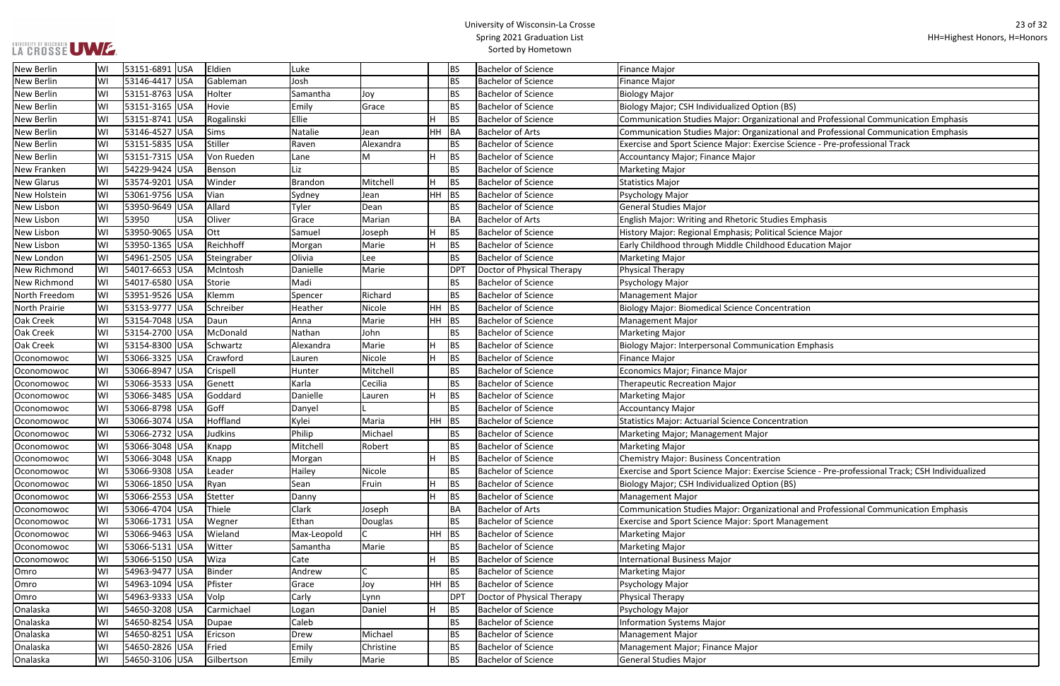| (BS)                                                   |
|--------------------------------------------------------|
| ional and Professional Communication Emphasis          |
| ional and Professional Communication Emphasis          |
| e Science - Pre-professional Track                     |
|                                                        |
|                                                        |
|                                                        |
|                                                        |
|                                                        |
|                                                        |
| es Emphasis                                            |
| al Science Major                                       |
| d Education Major                                      |
|                                                        |
|                                                        |
|                                                        |
|                                                        |
| ntration                                               |
|                                                        |
|                                                        |
| tion Emphasis                                          |
|                                                        |
|                                                        |
|                                                        |
|                                                        |
|                                                        |
|                                                        |
| <b>ntration</b>                                        |
|                                                        |
|                                                        |
|                                                        |
| e Science - Pre-professional Track; CSH Individualized |
| (BS)                                                   |
|                                                        |
| ional and Professional Communication Emphasis          |
| <b>Aanagement</b>                                      |
|                                                        |
|                                                        |
|                                                        |
|                                                        |
|                                                        |
|                                                        |
|                                                        |
|                                                        |

| New Berlin          | WI | 53151-6891 USA  | Eldien        | Luke           |           |       | <b>BS</b>  | <b>Bachelor of Science</b> | Finance Major                                                                                   |
|---------------------|----|-----------------|---------------|----------------|-----------|-------|------------|----------------------------|-------------------------------------------------------------------------------------------------|
| New Berlin          | WI | 53146-4417 USA  | Gableman      | Josh           |           |       | <b>BS</b>  | <b>Bachelor of Science</b> | <b>Finance Major</b>                                                                            |
| New Berlin          | WI | 53151-8763 USA  | Holter        | Samantha       | Joy       |       | <b>BS</b>  | <b>Bachelor of Science</b> | <b>Biology Major</b>                                                                            |
| New Berlin          | WI | 53151-3165 USA  | Hovie         | Emily          | Grace     |       | <b>BS</b>  | <b>Bachelor of Science</b> | Biology Major; CSH Individualized Option (BS)                                                   |
| New Berlin          | WI | 53151-8741 USA  | Rogalinski    | Ellie          |           | H     | <b>BS</b>  | <b>Bachelor of Science</b> | Communication Studies Major: Organizational and Professional Communication Emphasis             |
| New Berlin          | W  | 53146-4527 USA  | Sims          | Natalie        | Jean      | HH BA |            | <b>Bachelor of Arts</b>    | Communication Studies Major: Organizational and Professional Communication Emphasis             |
| New Berlin          | WI | 53151-5835 USA  | Stiller       | Raven          | Alexandra |       | <b>BS</b>  | <b>Bachelor of Science</b> | Exercise and Sport Science Major: Exercise Science - Pre-professional Track                     |
| New Berlin          | WI | 53151-7315 USA  | Von Rueden    | Lane           | M         | H.    | <b>BS</b>  | <b>Bachelor of Science</b> | Accountancy Major; Finance Major                                                                |
| <b>New Franken</b>  | WI | 54229-9424 USA  | Benson        | Liz            |           |       | <b>BS</b>  | <b>Bachelor of Science</b> | Marketing Major                                                                                 |
| <b>New Glarus</b>   | WI | 53574-9201 USA  | Winder        | <b>Brandon</b> | Mitchell  | Iн.   | <b>BS</b>  | <b>Bachelor of Science</b> | Statistics Major                                                                                |
| <b>New Holstein</b> | WI | 53061-9756 USA  | Vian          | Sydney         | Jean      | HH BS |            | <b>Bachelor of Science</b> | Psychology Major                                                                                |
| New Lisbon          | WI | 53950-9649 USA  | Allard        | Tyler          | Dean      |       | <b>BS</b>  | <b>Bachelor of Science</b> | General Studies Major                                                                           |
| New Lisbon          | W  | 53950<br>USA    | Oliver        | Grace          | Marian    |       | <b>BA</b>  | <b>Bachelor of Arts</b>    | <b>English Major: Writing and Rhetoric Studies Emphasis</b>                                     |
| New Lisbon          | WI | 53950-9065 USA  | Ott           | Samuel         | Joseph    | Iн.   | <b>BS</b>  | <b>Bachelor of Science</b> | History Major: Regional Emphasis; Political Science Major                                       |
| New Lisbon          | WI | 53950-1365 USA  | Reichhoff     | Morgan         | Marie     | Iн.   | <b>BS</b>  | <b>Bachelor of Science</b> | Early Childhood through Middle Childhood Education Major                                        |
| New London          | WI | 54961-2505 USA  | Steingraber   | Olivia         | Lee       |       | <b>BS</b>  | <b>Bachelor of Science</b> | Marketing Major                                                                                 |
| New Richmond        | WI | 54017-6653 USA  | McIntosh      | Danielle       | Marie     |       | <b>DPT</b> | Doctor of Physical Therapy | Physical Therapy                                                                                |
| New Richmond        | W  | 54017-6580 USA  | Storie        | Madi           |           |       | <b>BS</b>  | <b>Bachelor of Science</b> | Psychology Major                                                                                |
| North Freedom       | WI | 53951-9526 USA  | Klemm         | Spencer        | Richard   |       | <b>BS</b>  | <b>Bachelor of Science</b> | <b>Management Major</b>                                                                         |
| North Prairie       | WI | 53153-9777 USA  | Schreiber     | Heather        | Nicole    | HH BS |            | <b>Bachelor of Science</b> | <b>Biology Major: Biomedical Science Concentration</b>                                          |
| Oak Creek           | WI | 53154-7048 USA  | Daun          | Anna           | Marie     | HH BS |            | <b>Bachelor of Science</b> | <b>Management Major</b>                                                                         |
| Oak Creek           | WI | 53154-2700 USA  | McDonald      | Nathan         | John      |       | <b>BS</b>  | <b>Bachelor of Science</b> | Marketing Major                                                                                 |
| Oak Creek           | W  | 53154-8300 USA  | Schwartz      | Alexandra      | Marie     | IH.   | <b>BS</b>  | <b>Bachelor of Science</b> | Biology Major: Interpersonal Communication Emphasis                                             |
| Oconomowoc          | WI | 53066-3325 USA  | Crawford      | Lauren         | Nicole    | IH.   | <b>BS</b>  | <b>Bachelor of Science</b> | <b>Finance Major</b>                                                                            |
| Oconomowoc          | W  | 53066-8947 USA  | Crispell      | Hunter         | Mitchell  |       | <b>BS</b>  | <b>Bachelor of Science</b> | Economics Major; Finance Major                                                                  |
| Oconomowoc          | WI | 53066-3533 USA  | Genett        | Karla          | Cecilia   |       | <b>BS</b>  | <b>Bachelor of Science</b> | <b>Therapeutic Recreation Major</b>                                                             |
| Oconomowoc          | WI | 53066-3485 USA  | Goddard       | Danielle       | Lauren    | Iн.   | <b>BS</b>  | <b>Bachelor of Science</b> | Marketing Major                                                                                 |
| Oconomowoc          | WI | 53066-8798 USA  | Goff          | Danyel         |           |       | <b>BS</b>  | <b>Bachelor of Science</b> | <b>Accountancy Major</b>                                                                        |
| Oconomowoc          | WI | 53066-3074 USA  | Hoffland      | Kylei          | Maria     | HH BS |            | <b>Bachelor of Science</b> | <b>Statistics Major: Actuarial Science Concentration</b>                                        |
| Oconomowoc          | WI | 53066-2732  USA | Judkins       | Philip         | Michael   |       | BS.        | <b>Bachelor of Science</b> | Marketing Major; Management Major                                                               |
| Oconomowoc          | WI | 53066-3048 USA  | Knapp         | Mitchell       | Robert    |       | <b>BS</b>  | <b>Bachelor of Science</b> | Marketing Major                                                                                 |
| Oconomowoc          | WI | 53066-3048 USA  | Knapp         | Morgan         |           | H     | <b>BS</b>  | <b>Bachelor of Science</b> | Chemistry Major: Business Concentration                                                         |
| Oconomowoc          | WI | 53066-9308 USA  | Leader        | Hailey         | Nicole    |       | <b>BS</b>  | <b>Bachelor of Science</b> | Exercise and Sport Science Major: Exercise Science - Pre-professional Track; CSH Individualized |
| Oconomowoc          | WI | 53066-1850 USA  | Ryan          | Sean           | Fruin     | Iн.   | <b>BS</b>  | <b>Bachelor of Science</b> | Biology Major; CSH Individualized Option (BS)                                                   |
| Oconomowoc          | W  | 53066-2553 USA  | Stetter       | Danny          |           | H     | <b>BS</b>  | <b>Bachelor of Science</b> | Management Major                                                                                |
| Oconomowoc          | WI | 53066-4704 USA  | Thiele        | Clark          | Joseph    |       | BA         | <b>Bachelor of Arts</b>    | Communication Studies Major: Organizational and Professional Communication Emphasis             |
| Oconomowoc          | W  | 53066-1731 USA  | Wegner        | Ethan          | Douglas   |       | <b>BS</b>  | <b>Bachelor of Science</b> | <b>Exercise and Sport Science Major: Sport Management</b>                                       |
| Oconomowoc          | WI | 53066-9463 USA  | Wieland       | Max-Leopold    |           | HH BS |            | <b>Bachelor of Science</b> | <b>Marketing Major</b>                                                                          |
| Oconomowoc          | WI | 53066-5131 USA  | Witter        | Samantha       | Marie     |       | <b>BS</b>  | <b>Bachelor of Science</b> | Marketing Major                                                                                 |
| Oconomowoc          | WI | 53066-5150 USA  | Wiza          | Cate           |           | H     | <b>BS</b>  | <b>Bachelor of Science</b> | <b>International Business Major</b>                                                             |
| Omro                | WI | 54963-9477 USA  | <b>Binder</b> | Andrew         |           |       | <b>BS</b>  | <b>Bachelor of Science</b> | Marketing Major                                                                                 |
| Omro                | WI | 54963-1094 USA  | Pfister       | Grace          | Joy       | HH BS |            | <b>Bachelor of Science</b> | Psychology Major                                                                                |
| Omro                | WI | 54963-9333 USA  | Volp          | Carly          | Lynn      |       | DPT        | Doctor of Physical Therapy | Physical Therapy                                                                                |
| Onalaska            | WI | 54650-3208 USA  | Carmichael    | Logan          | Daniel    | IH.   | <b>BS</b>  | <b>Bachelor of Science</b> | Psychology Major                                                                                |
| Onalaska            | WI | 54650-8254 USA  | Dupae         | Caleb          |           |       | <b>BS</b>  | <b>Bachelor of Science</b> | <b>Information Systems Major</b>                                                                |
| Onalaska            | WI | 54650-8251 USA  | Ericson       | Drew           | Michael   |       | <b>BS</b>  | <b>Bachelor of Science</b> | Management Major                                                                                |
| Onalaska            | WI | 54650-2826 USA  | Fried         | Emily          | Christine |       | <b>BS</b>  | <b>Bachelor of Science</b> | Management Major; Finance Major                                                                 |
| Onalaska            | WI | 54650-3106 USA  | Gilbertson    | Emily          | Marie     |       | <b>BS</b>  | <b>Bachelor of Science</b> | General Studies Major                                                                           |
|                     |    |                 |               |                |           |       |            |                            |                                                                                                 |

## **LA CROSSE UME.**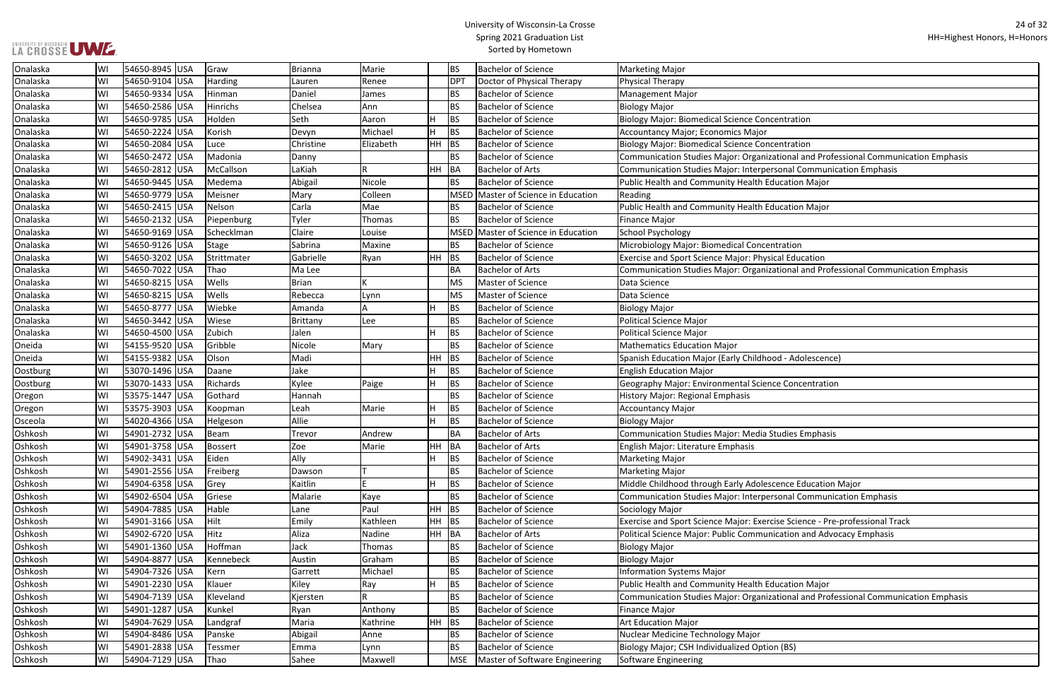## UNIVERSITY OF WISCONSIN<br>LA CROSSE UWE

## University of Wisconsin-La Crosse Spring 2021 Graduation List Sorted by Hometown

П

| ntration                                      |
|-----------------------------------------------|
|                                               |
| ntration                                      |
|                                               |
| ional and Professional Communication Emphasis |
| onal Communication Emphasis                   |
| cation Major                                  |
|                                               |
| cation Major                                  |
|                                               |
|                                               |
| ration                                        |
| al Education                                  |
|                                               |
| ional and Professional Communication Emphasis |
|                                               |
|                                               |
|                                               |
|                                               |
|                                               |
|                                               |
| d - Adolescence)                              |
|                                               |
| <b>Concentration</b>                          |
|                                               |
|                                               |
|                                               |
|                                               |
| dies Emphasis                                 |
|                                               |
|                                               |
|                                               |
| nce Education Major                           |
| onal Communication Emphasis                   |
|                                               |
|                                               |
| e Science - Pre-professional Track            |
| ation and Advocacy Emphasis                   |
|                                               |
|                                               |
|                                               |
| cation Major                                  |
| ional and Professional Communication Emphasis |
|                                               |
|                                               |
|                                               |

| Onalaska | WI | 54650-8945 USA | Graw            | <b>Brianna</b>  | Marie     |         | <b>BS</b>       | <b>Bachelor of Science</b>     | Marketing Major                                                                     |
|----------|----|----------------|-----------------|-----------------|-----------|---------|-----------------|--------------------------------|-------------------------------------------------------------------------------------|
| Onalaska | WI | 54650-9104 USA | Harding         | Lauren          | Renee     |         | DP <sub>1</sub> | Doctor of Physical Therapy     | Physical Therapy                                                                    |
| Onalaska | WI | 54650-9334 USA | Hinman          | Daniel          | James     |         | <b>BS</b>       | <b>Bachelor of Science</b>     | Management Major                                                                    |
| Onalaska | WI | 54650-2586 USA | <b>Hinrichs</b> | Chelsea         | Ann       |         | <b>BS</b>       | <b>Bachelor of Science</b>     | <b>Biology Major</b>                                                                |
| Onalaska | WI | 54650-9785 USA | Holden          | Seth            | Aaron     |         | <b>BS</b>       | <b>Bachelor of Science</b>     | <b>Biology Major: Biomedical Science Concentration</b>                              |
| Onalaska | WI | 54650-2224 USA | Korish          | Devyn           | Michael   |         | BS              | <b>Bachelor of Science</b>     | Accountancy Major; Economics Major                                                  |
| Onalaska | WI | 54650-2084 USA | Luce            | Christine       | Elizabeth | HH BS   |                 | <b>Bachelor of Science</b>     | <b>Biology Major: Biomedical Science Concentration</b>                              |
| Onalaska | WI | 54650-2472 USA | Madonia         | Danny           |           |         | <b>BS</b>       | <b>Bachelor of Science</b>     | Communication Studies Major: Organizational and Professional Communication Emphasis |
| Onalaska | WI | 54650-2812 USA | McCallson       | LaKiah          | R         |         | HH BA           | <b>Bachelor of Arts</b>        | Communication Studies Major: Interpersonal Communication Emphasis                   |
| Onalaska | WI | 54650-9445 USA | Medema          | Abigail         | Nicole    |         | <b>BS</b>       | <b>Bachelor of Science</b>     | Public Health and Community Health Education Major                                  |
| Onalaska | WI | 54650-9779 USA | Meisner         | Mary            | Colleen   |         | <b>MSED</b>     | Master of Science in Education | Reading                                                                             |
| Onalaska | WI | 54650-2415 USA | Nelson          | Carla           | Mae       |         | <b>BS</b>       | <b>Bachelor of Science</b>     | Public Health and Community Health Education Major                                  |
| Onalaska | WI | 54650-2132 USA | Piepenburg      | Tyler           | Thomas    |         | <b>BS</b>       | <b>Bachelor of Science</b>     | Finance Major                                                                       |
| Onalaska | WI | 54650-9169 USA | Schecklman      | Claire          | Louise    |         | MSED            | Master of Science in Education | School Psychology                                                                   |
| Onalaska | WI | 54650-9126 USA | <b>Stage</b>    | Sabrina         | Maxine    |         | <b>BS</b>       | <b>Bachelor of Science</b>     | Microbiology Major: Biomedical Concentration                                        |
| Onalaska | WI | 54650-3202 USA | Strittmater     | Gabrielle       | Ryan      | $HH$ BS |                 | <b>Bachelor of Science</b>     | Exercise and Sport Science Major: Physical Education                                |
| Onalaska | WI | 54650-7022 USA | Thao            | Ma Lee          |           |         | <b>BA</b>       | <b>Bachelor of Arts</b>        | Communication Studies Major: Organizational and Professional Communication Emphasis |
| Onalaska | WI | 54650-8215 USA | Wells           | Brian           |           |         | <b>MS</b>       | Master of Science              | Data Science                                                                        |
| Onalaska | WI | 54650-8215 USA | Wells           | Rebecca         | Lynn      |         | <b>MS</b>       | Master of Science              | Data Science                                                                        |
| Onalaska | WI | 54650-8777 USA | Wiebke          | Amanda          |           |         | <b>BS</b>       | <b>Bachelor of Science</b>     | <b>Biology Major</b>                                                                |
| Onalaska | WI | 54650-3442 USA | Wiese           | <b>Brittany</b> | Lee       |         | <b>BS</b>       | <b>Bachelor of Science</b>     | Political Science Major                                                             |
| Onalaska | WI | 54650-4500 USA | Zubich          | Jalen           |           |         | <b>BS</b>       | <b>Bachelor of Science</b>     | Political Science Major                                                             |
| Oneida   | WI | 54155-9520 USA | Gribble         | Nicole          | Mary      |         | <b>BS</b>       | <b>Bachelor of Science</b>     | Mathematics Education Major                                                         |
| Oneida   | WI | 54155-9382 USA | Olson           | Madi            |           | $HH$ BS |                 | <b>Bachelor of Science</b>     | Spanish Education Major (Early Childhood - Adolescence)                             |
| Oostburg | WI | 53070-1496 USA | Daane           | Jake            |           |         | BS              | <b>Bachelor of Science</b>     | <b>English Education Major</b>                                                      |
| Oostburg | WI | 53070-1433 USA | Richards        | Kylee           | Paige     |         | BS              | <b>Bachelor of Science</b>     | Geography Major: Environmental Science Concentration                                |
| Oregon   | WI | 53575-1447 USA | Gothard         | Hannah          |           |         | <b>BS</b>       | <b>Bachelor of Science</b>     | History Major: Regional Emphasis                                                    |
| Oregon   | WI | 53575-3903 USA | Koopman         | Leah            | Marie     |         | BS              | <b>Bachelor of Science</b>     | Accountancy Major                                                                   |
| Osceola  | WI | 54020-4366 USA | Helgeson        | Allie           |           |         | <b>BS</b>       | <b>Bachelor of Science</b>     | Biology Major                                                                       |
| Oshkosh  | WI | 54901-2732 USA | Beam            | Trevor          | Andrew    |         | <b>BA</b>       | <b>Bachelor of Arts</b>        | Communication Studies Major: Media Studies Emphasis                                 |
| Oshkosh  | WI | 54901-3758 USA | <b>Bossert</b>  | Zoe             | Marie     | HH BA   |                 | <b>Bachelor of Arts</b>        | English Major: Literature Emphasis                                                  |
| Oshkosh  | WI | 54902-3431 USA | Eiden           | Ally            |           |         | BS              | <b>Bachelor of Science</b>     | Marketing Major                                                                     |
| Oshkosh  | WI | 54901-2556 USA | Freiberg        | Dawson          |           |         | <b>BS</b>       | <b>Bachelor of Science</b>     | Marketing Major                                                                     |
| Oshkosh  | WI | 54904-6358 USA | Grey            | Kaitlin         |           |         | <b>BS</b>       | <b>Bachelor of Science</b>     | Middle Childhood through Early Adolescence Education Major                          |
| Oshkosh  | WI | 54902-6504 USA | Griese          | Malarie         | Kaye      |         | <b>BS</b>       | <b>Bachelor of Science</b>     | Communication Studies Major: Interpersonal Communication Emphasis                   |
| Oshkosh  | WI | 54904-7885 USA | Hable           | Lane            | Paul      | $HH$ BS |                 | <b>Bachelor of Science</b>     | Sociology Major                                                                     |
| Oshkosh  | WI | 54901-3166 USA | Hilt            | Emily           | Kathleen  | HH BS   |                 | <b>Bachelor of Science</b>     | Exercise and Sport Science Major: Exercise Science - Pre-professional Track         |
| Oshkosh  | WI | 54902-6720 USA | Hitz            | Aliza           | Nadine    | HH BA   |                 | <b>Bachelor of Arts</b>        | Political Science Major: Public Communication and Advocacy Emphasis                 |
| Oshkosh  | WI | 54901-1360 USA | Hoffman         | Jack            | Thomas    |         | <b>BS</b>       | <b>Bachelor of Science</b>     | <b>Biology Major</b>                                                                |
| Oshkosh  | WI | 54904-8877 USA | Kennebeck       | Austin          | Graham    |         | <b>BS</b>       | <b>Bachelor of Science</b>     | Biology Major                                                                       |
| Oshkosh  | WI | 54904-7326 USA | Kern            | Garrett         | Michael   |         | <b>BS</b>       | <b>Bachelor of Science</b>     | <b>Information Systems Major</b>                                                    |
| Oshkosh  | WI | 54901-2230 USA | Klauer          | Kiley           | Ray       |         | <b>BS</b>       | <b>Bachelor of Science</b>     | Public Health and Community Health Education Major                                  |
| Oshkosh  | WI | 54904-7139 USA | Kleveland       | Kjersten        |           |         | <b>BS</b>       | <b>Bachelor of Science</b>     | Communication Studies Major: Organizational and Professional Communication Emphasis |
| Oshkosh  | WI | 54901-1287 USA | Kunkel          | Ryan            | Anthony   |         | <b>BS</b>       | <b>Bachelor of Science</b>     | Finance Major                                                                       |
| Oshkosh  | WI | 54904-7629 USA | Landgraf        | Maria           | Kathrine  | HH BS   |                 | <b>Bachelor of Science</b>     | Art Education Major                                                                 |
| Oshkosh  | WI | 54904-8486 USA | Panske          | Abigail         | Anne      |         | <b>BS</b>       | <b>Bachelor of Science</b>     | Nuclear Medicine Technology Major                                                   |
| Oshkosh  | WI | 54901-2838 USA | Tessmer         | Emma            | Lynn      |         | <b>BS</b>       | <b>Bachelor of Science</b>     | Biology Major; CSH Individualized Option (BS)                                       |
| Oshkosh  | WI | 54904-7129 USA | Thao            | Sahee           | Maxwell   |         | <b>MSE</b>      | Master of Software Engineering | Software Engineering                                                                |
|          |    |                |                 |                 |           |         |                 |                                |                                                                                     |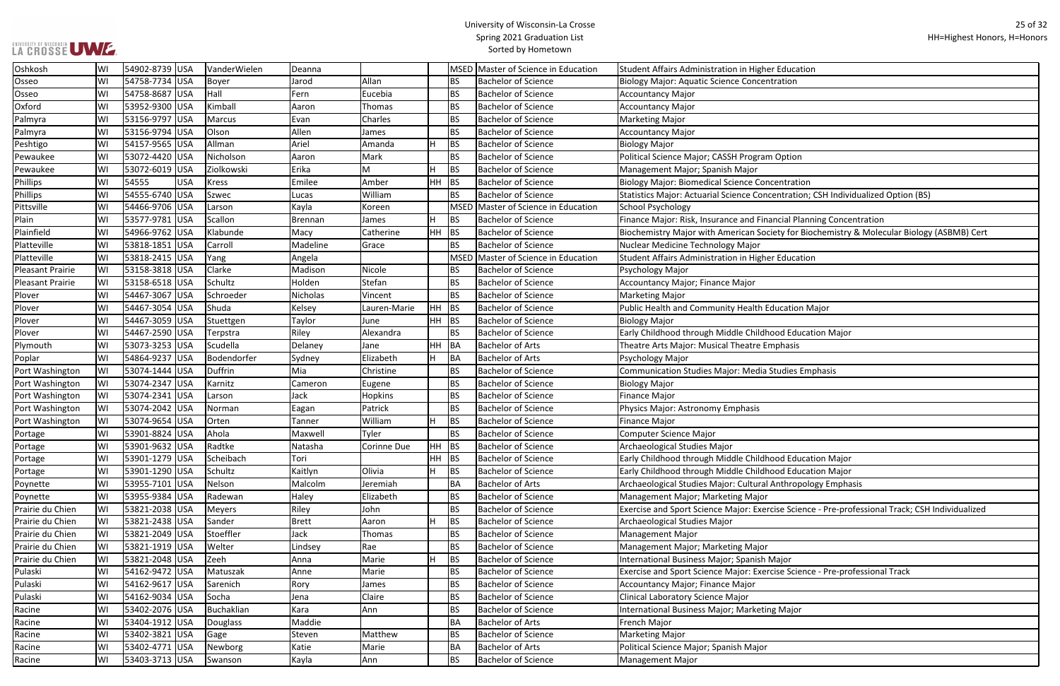| ducation                                               |
|--------------------------------------------------------|
| ation                                                  |
|                                                        |
|                                                        |
|                                                        |
|                                                        |
|                                                        |
| ption                                                  |
|                                                        |
| ntration                                               |
| ntration; CSH Individualized Option (BS)               |
|                                                        |
|                                                        |
| cial Planning Concentration                            |
| y for Biochemistry & Molecular Biology (ASBMB) Cert    |
|                                                        |
| ducation                                               |
|                                                        |
|                                                        |
|                                                        |
| cation Major                                           |
|                                                        |
| d Education Major                                      |
| hasis                                                  |
|                                                        |
| dies Emphasis                                          |
|                                                        |
|                                                        |
|                                                        |
|                                                        |
|                                                        |
|                                                        |
|                                                        |
| d Education Major                                      |
| d Education Major                                      |
| thropology Emphasis                                    |
|                                                        |
| e Science - Pre-professional Track; CSH Individualized |
|                                                        |
|                                                        |
|                                                        |
| ıjor                                                   |
| e Science - Pre-professional Track                     |
|                                                        |
|                                                        |
| Major                                                  |
|                                                        |
|                                                        |

| Oshkosh          | WI  | 54902-8739 USA      | VanderWielen   | Deanna   |                |           |           | MSED Master of Science in Education | Student Affairs Administration in Higher Education                                              |
|------------------|-----|---------------------|----------------|----------|----------------|-----------|-----------|-------------------------------------|-------------------------------------------------------------------------------------------------|
| Osseo            | WI  | 54758-7734 USA      | Boyer          | Jarod    | Allan          |           | BS.       | <b>Bachelor of Science</b>          | <b>Biology Major: Aquatic Science Concentration</b>                                             |
| Osseo            | WI  | 54758-8687 USA      | Hall           | Fern     | Eucebia        |           | <b>BS</b> | <b>Bachelor of Science</b>          | <b>Accountancy Major</b>                                                                        |
| Oxford           | WI  | 53952-9300 USA      | Kimball        | Aaron    | Thomas         |           | <b>BS</b> | <b>Bachelor of Science</b>          | <b>Accountancy Major</b>                                                                        |
| Palmyra          | WI  | 53156-9797 USA      | Marcus         | Evan     | Charles        |           | <b>BS</b> | <b>Bachelor of Science</b>          | <b>Marketing Major</b>                                                                          |
| Palmyra          | WI  | 53156-9794 USA      | Olson          | Allen    | James          |           | <b>BS</b> | <b>Bachelor of Science</b>          | <b>Accountancy Major</b>                                                                        |
| Peshtigo         | WI  | 54157-9565 USA      | Allman         | Ariel    | Amanda         |           | <b>BS</b> | <b>Bachelor of Science</b>          | <b>Biology Major</b>                                                                            |
| Pewaukee         | WI  | 53072-4420 USA      | Nicholson      | Aaron    | Mark           |           | <b>BS</b> | <b>Bachelor of Science</b>          | Political Science Major; CASSH Program Option                                                   |
| Pewaukee         | WI  | 53072-6019 USA      | Ziolkowski     | Erika    | М              |           | <b>BS</b> | <b>Bachelor of Science</b>          | Management Major; Spanish Major                                                                 |
| <b>Phillips</b>  | WI  | 54555<br><b>USA</b> | Kress          | Emilee   | Amber          | <b>HH</b> | BS        | <b>Bachelor of Science</b>          | <b>Biology Major: Biomedical Science Concentration</b>                                          |
| Phillips         | WI  | 54555-6740 USA      | Szwec          | Lucas    | William        |           | BS.       | <b>Bachelor of Science</b>          | Statistics Major: Actuarial Science Concentration; CSH Individualized Option (BS)               |
| Pittsville       | WI  | 54466-9706 USA      | Larson         | Kayla    | Koreen         |           |           | MSED Master of Science in Education | School Psychology                                                                               |
| Plain            | WI  | 53577-9781 USA      | Scallon        | Brennan  | James          |           | <b>BS</b> | <b>Bachelor of Science</b>          | Finance Major: Risk, Insurance and Financial Planning Concentration                             |
| Plainfield       | WI  | 54966-9762 USA      | Klabunde       | Macy     | Catherine      | HН        | BS        | <b>Bachelor of Science</b>          | Biochemistry Major with American Society for Biochemistry & Molecular Biology (ASBMB) Cert      |
| Platteville      | WI  | 53818-1851 USA      | <b>Carroll</b> | Madeline | Grace          |           | <b>BS</b> | <b>Bachelor of Science</b>          | Nuclear Medicine Technology Major                                                               |
| Platteville      | WI  | 53818-2415 USA      | Yang           | Angela   |                |           |           | MSED Master of Science in Education | Student Affairs Administration in Higher Education                                              |
| Pleasant Prairie | WI  | 53158-3818 USA      | Clarke         | Madison  | Nicole         |           | BS.       | <b>Bachelor of Science</b>          | Psychology Major                                                                                |
| Pleasant Prairie | WI  | 53158-6518 USA      | Schultz        | Holden   | Stefan         |           | <b>BS</b> | <b>Bachelor of Science</b>          | Accountancy Major; Finance Major                                                                |
| Plover           | WI  | 54467-3067 USA      | Schroeder      | Nicholas | Vincent        |           | <b>BS</b> | <b>Bachelor of Science</b>          | <b>Marketing Major</b>                                                                          |
| Plover           | WI  | 54467-3054 USA      | Shuda          | Kelsey   | Lauren-Marie   | HН        | <b>BS</b> | <b>Bachelor of Science</b>          | Public Health and Community Health Education Major                                              |
| Plover           | WI  | 54467-3059 USA      | Stuettgen      | Taylor   | June           | HH        | BS        | <b>Bachelor of Science</b>          | <b>Biology Major</b>                                                                            |
| Plover           | lWI | 54467-2590 USA      | Terpstra       | Riley    | Alexandra      |           | <b>BS</b> | <b>Bachelor of Science</b>          | Early Childhood through Middle Childhood Education Major                                        |
| Plymouth         | WI  | 53073-3253  USA     | Scudella       | Delaney  | Jane           |           | HH BA     | <b>Bachelor of Arts</b>             | Theatre Arts Major: Musical Theatre Emphasis                                                    |
| Poplar           | WI  | 54864-9237 USA      | Bodendorfer    | Sydney   | Elizabeth      | H         | <b>BA</b> | <b>Bachelor of Arts</b>             | Psychology Major                                                                                |
| Port Washington  | WI  | 53074-1444 USA      | Duffrin        | Mia      | Christine      |           | <b>BS</b> | <b>Bachelor of Science</b>          | <b>Communication Studies Major: Media Studies Emphasis</b>                                      |
| Port Washington  | WI  | 53074-2347 USA      | Karnitz        | Cameron  | Eugene         |           | <b>BS</b> | <b>Bachelor of Science</b>          | <b>Biology Major</b>                                                                            |
| Port Washington  | WI  | 53074-2341 USA      | Larson         | Jack     | <b>Hopkins</b> |           | <b>BS</b> | <b>Bachelor of Science</b>          | <b>Finance Major</b>                                                                            |
| Port Washington  | WI  | 53074-2042 USA      | Norman         | Eagan    | Patrick        |           | BS.       | <b>Bachelor of Science</b>          | Physics Major: Astronomy Emphasis                                                               |
| Port Washington  | WI  | 53074-9654  USA     | Orten          | Tanner   | William        | H.        | <b>BS</b> | <b>Bachelor of Science</b>          | <b>Finance Major</b>                                                                            |
| Portage          | W١  | 53901-8824 USA      | Ahola          | Maxwell  | Tyler          |           | BS.       | <b>Bachelor of Science</b>          | <b>Computer Science Major</b>                                                                   |
| Portage          | WI  | 53901-9632 USA      | Radtke         | Natasha  | Corinne Due    |           | HH BS     | <b>Bachelor of Science</b>          | Archaeological Studies Major                                                                    |
| Portage          | WI  | 53901-1279  USA     | Scheibach      | Tori     |                |           | $HH$ BS   | <b>Bachelor of Science</b>          | Early Childhood through Middle Childhood Education Major                                        |
| Portage          | WI  | 53901-1290 USA      | Schultz        | Kaitlyn  | Olivia         | H         | BS        | <b>Bachelor of Science</b>          | Early Childhood through Middle Childhood Education Major                                        |
| Poynette         | lWI | 53955-7101 USA      | Nelson         | Malcolm  | Jeremiah       |           | BA        | <b>Bachelor of Arts</b>             | Archaeological Studies Major: Cultural Anthropology Emphasis                                    |
| Poynette         | WI  | 53955-9384  USA     | Radewan        | Haley    | Elizabeth      |           | BS.       | <b>Bachelor of Science</b>          | Management Major; Marketing Major                                                               |
| Prairie du Chien | WI  | 53821-2038 USA      | Meyers         | Riley    | John           |           | <b>BS</b> | <b>Bachelor of Science</b>          | Exercise and Sport Science Major: Exercise Science - Pre-professional Track; CSH Individualized |
| Prairie du Chien | WI  | 53821-2438  USA     | Sander         | Brett    | Aaron          | н         | <b>BS</b> | <b>Bachelor of Science</b>          | Archaeological Studies Major                                                                    |
| Prairie du Chien | WI  | 53821-2049 USA      | Stoeffler      | Jack     | Thomas         |           | <b>BS</b> | <b>Bachelor of Science</b>          | <b>Management Major</b>                                                                         |
| Prairie du Chien | WI  | 53821-1919 USA      | Welter         | Lindsey  | Rae            |           | BS.       | <b>Bachelor of Science</b>          | Management Major; Marketing Major                                                               |
| Prairie du Chien | WI  | 53821-2048 USA      | Zeeh           | Anna     | Marie          | н         | <b>BS</b> | <b>Bachelor of Science</b>          | International Business Major; Spanish Major                                                     |
| Pulaski          | WI  | 54162-9472 USA      | Matuszak       | Anne     | Marie          |           | <b>BS</b> | <b>Bachelor of Science</b>          | Exercise and Sport Science Major: Exercise Science - Pre-professional Track                     |
| Pulaski          | WI  | 54162-9617 USA      | Sarenich       | Rory     | James          |           | <b>BS</b> | <b>Bachelor of Science</b>          | Accountancy Major; Finance Major                                                                |
| Pulaski          | WI  | 54162-9034 USA      | Socha          | Jena     | Claire         |           | <b>BS</b> | <b>Bachelor of Science</b>          | Clinical Laboratory Science Major                                                               |
| Racine           | WI  | 53402-2076 USA      | Buchaklian     | Kara     | Ann            |           | BS.       | <b>Bachelor of Science</b>          | International Business Major; Marketing Major                                                   |
| Racine           | WI  | 53404-1912 USA      | Douglass       | Maddie   |                |           | BA        | <b>Bachelor of Arts</b>             | French Major                                                                                    |
| Racine           | WI  | 53402-3821 USA      | Gage           | Steven   | Matthew        |           | BS.       | <b>Bachelor of Science</b>          | <b>Marketing Major</b>                                                                          |
| Racine           | WI  | 53402-4771 USA      | Newborg        | Katie    | Marie          |           | BA        | <b>Bachelor of Arts</b>             | Political Science Major; Spanish Major                                                          |
| Racine           | WI  | 53403-3713 USA      | Swanson        | Kayla    | Ann            |           | <b>BS</b> | <b>Bachelor of Science</b>          | <b>Management Major</b>                                                                         |
|                  |     |                     |                |          |                |           |           |                                     |                                                                                                 |

## UNIVERSITY OF WISCONSIN<br>LA CROSSE UWE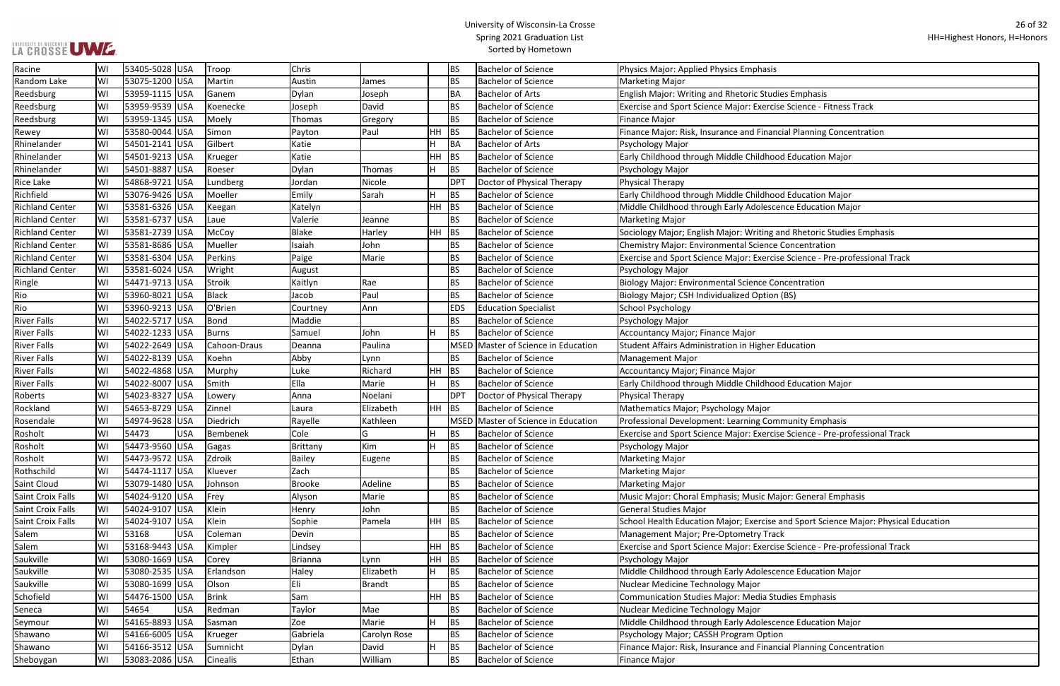## UNIVERSITY OF WISCONSIN<br>LA CROSSE UWE

## University of Wisconsin-La Crosse Spring 2021 Graduation List Sorted by Hometown

| Racine                   | WI | 53405-5028 USA |            | Troop           | Chris         |               |         | BS              | <b>Bachelor of Science</b>          | Physics Major: Applied Physics Emphasis                                             |
|--------------------------|----|----------------|------------|-----------------|---------------|---------------|---------|-----------------|-------------------------------------|-------------------------------------------------------------------------------------|
| Random Lake              | W١ | 53075-1200 USA |            | Martin          | Austin        | James         |         | <b>BS</b>       | <b>Bachelor of Science</b>          | <b>Marketing Major</b>                                                              |
| Reedsburg                | W١ | 53959-1115 USA |            | Ganem           | Dylan         | Joseph        |         | <b>BA</b>       | <b>Bachelor of Arts</b>             | English Major: Writing and Rhetoric Studies Emphasis                                |
| Reedsburg                | WI | 53959-9539 USA |            | Koenecke        | Joseph        | David         |         | <b>BS</b>       | <b>Bachelor of Science</b>          | Exercise and Sport Science Major: Exercise Science - Fitness Track                  |
| Reedsburg                | WI | 53959-1345 USA |            | Moely           | Thomas        | Gregory       |         | <b>BS</b>       | <b>Bachelor of Science</b>          | <b>Finance Major</b>                                                                |
| Rewey                    | WI | 53580-0044 USA |            | Simon           | Payton        | Paul          | HH BS   |                 | <b>Bachelor of Science</b>          | Finance Major: Risk, Insurance and Financial Planning Concentration                 |
| Rhinelander              | WI | 54501-2141 USA |            | Gilbert         | Katie         |               | lн      | BA              | <b>Bachelor of Arts</b>             | Psychology Major                                                                    |
| Rhinelander              | W١ | 54501-9213 USA |            | Krueger         | Katie         |               | HH BS   |                 | <b>Bachelor of Science</b>          | Early Childhood through Middle Childhood Education Major                            |
| Rhinelander              | WI | 54501-8887 USA |            | Roeser          | Dylan         | Thomas        | lн      | BS              | <b>Bachelor of Science</b>          | Psychology Major                                                                    |
| <b>Rice Lake</b>         | W١ | 54868-9721 USA |            | Lundberg        | Jordan        | Nicole        |         | DP <sub>1</sub> | Doctor of Physical Therapy          | Physical Therapy                                                                    |
| Richfield                | WI | 53076-9426 USA |            | Moeller         | Emily         | Sarah         |         | <b>BS</b>       | <b>Bachelor of Science</b>          | Early Childhood through Middle Childhood Education Major                            |
| <b>Richland Center</b>   | WI | 53581-6326 USA |            | Keegan          | Katelyn       |               | $HH$ BS |                 | <b>Bachelor of Science</b>          | Middle Childhood through Early Adolescence Education Major                          |
| <b>Richland Center</b>   | WI | 53581-6737 USA |            | Laue            | Valerie       | Jeanne        |         | <b>BS</b>       | <b>Bachelor of Science</b>          | <b>Marketing Major</b>                                                              |
| <b>Richland Center</b>   | WI | 53581-2739 USA |            | McCoy           | Blake         | Harley        | HH BS   |                 | <b>Bachelor of Science</b>          | Sociology Major; English Major: Writing and Rhetoric Studies Emphasis               |
| <b>Richland Center</b>   | WI | 53581-8686 USA |            | Mueller         | Isaiah        | John          |         | <b>BS</b>       | <b>Bachelor of Science</b>          | Chemistry Major: Environmental Science Concentration                                |
| <b>Richland Center</b>   | WI | 53581-6304 USA |            | Perkins         | Paige         | Marie         |         | <b>BS</b>       | <b>Bachelor of Science</b>          | Exercise and Sport Science Major: Exercise Science - Pre-professional Track         |
| <b>Richland Center</b>   | WI | 53581-6024 USA |            | Wright          | August        |               |         | <b>BS</b>       | <b>Bachelor of Science</b>          | Psychology Major                                                                    |
| Ringle                   | WI | 54471-9713 USA |            | <b>Stroik</b>   | Kaitlyn       | Rae           |         | <b>BS</b>       | <b>Bachelor of Science</b>          | <b>Biology Major: Environmental Science Concentration</b>                           |
| Rio                      | WI | 53960-8021 USA |            | <b>Black</b>    | Jacob         | Paul          |         | <b>BS</b>       | <b>Bachelor of Science</b>          | Biology Major; CSH Individualized Option (BS)                                       |
| Rio                      | WI | 53960-9213 USA |            | O'Brien         | Courtney      | Ann           |         | <b>EDS</b>      | <b>Education Specialist</b>         | <b>School Psychology</b>                                                            |
| <b>River Falls</b>       | W١ | 54022-5717 USA |            | Bond            | Maddie        |               |         | <b>BS</b>       | <b>Bachelor of Science</b>          | Psychology Major                                                                    |
| <b>River Falls</b>       | W١ | 54022-1233 USA |            | <b>Burns</b>    | Samuel        | John          | lн      | <b>BS</b>       | <b>Bachelor of Science</b>          | <b>Accountancy Major; Finance Major</b>                                             |
| <b>River Falls</b>       | WI | 54022-2649 USA |            | Cahoon-Draus    | Deanna        | Paulina       |         |                 | MSED Master of Science in Education | Student Affairs Administration in Higher Education                                  |
| <b>River Falls</b>       | WI | 54022-8139 USA |            | Koehn           | Abby          | Lynn          |         | <b>BS</b>       | <b>Bachelor of Science</b>          | Management Major                                                                    |
| <b>River Falls</b>       | W١ | 54022-4868 USA |            | Murphy          | Luke          | Richard       | HH BS   |                 | <b>Bachelor of Science</b>          | Accountancy Major; Finance Major                                                    |
| <b>River Falls</b>       | WI | 54022-8007 USA |            | Smith           | Ella          | Marie         | lн      | <b>BS</b>       | <b>Bachelor of Science</b>          | Early Childhood through Middle Childhood Education Major                            |
| Roberts                  | W١ | 54023-8327 USA |            | Lowery          | Anna          | Noelani       |         | DP <sub>1</sub> | Doctor of Physical Therapy          | Physical Therapy                                                                    |
| Rockland                 | WI | 54653-8729 USA |            | Zinnel          | Laura         | Elizabeth     | HH BS   |                 | <b>Bachelor of Science</b>          | Mathematics Major; Psychology Major                                                 |
| Rosendale                | WI | 54974-9628 USA |            | Diedrich        | Rayelle       | Kathleen      |         |                 | MSED Master of Science in Education | Professional Development: Learning Community Emphasis                               |
| Rosholt                  | WI | 54473          | <b>USA</b> | <b>Bembenek</b> | Cole          | G             |         | <b>BS</b>       | <b>Bachelor of Science</b>          | Exercise and Sport Science Major: Exercise Science - Pre-professional Track         |
| Rosholt                  | W١ | 54473-9560 USA |            | Gagas           | Brittany      | Kim           | lн      | <b>BS</b>       | <b>Bachelor of Science</b>          | Psychology Major                                                                    |
| Rosholt                  | WI | 54473-9572 USA |            | Zdroik          | Bailey        | Eugene        |         | <b>BS</b>       | <b>Bachelor of Science</b>          | <b>Marketing Major</b>                                                              |
| Rothschild               | WI | 54474-1117 USA |            | Kluever         | Zach          |               |         | <b>BS</b>       | <b>Bachelor of Science</b>          | <b>Marketing Major</b>                                                              |
| Saint Cloud              | WI | 53079-1480 USA |            | Johnson         | <b>Brooke</b> | Adeline       |         | <b>BS</b>       | <b>Bachelor of Science</b>          | <b>Marketing Major</b>                                                              |
| Saint Croix Falls        | WI | 54024-9120 USA |            | Frey            | Alyson        | Marie         |         | <b>BS</b>       | <b>Bachelor of Science</b>          | Music Major: Choral Emphasis; Music Major: General Emphasis                         |
| <b>Saint Croix Falls</b> | WI | 54024-9107 USA |            | Klein           | Henry         | John          |         | <b>BS</b>       | <b>Bachelor of Science</b>          | <b>General Studies Major</b>                                                        |
| Saint Croix Falls        | WI | 54024-9107 USA |            | Klein           | Sophie        | Pamela        | HH BS   |                 | <b>Bachelor of Science</b>          | School Health Education Major; Exercise and Sport Science Major: Physical Education |
| Salem                    | WI | 53168          | <b>USA</b> | Coleman         | Devin         |               |         | <b>BS</b>       | <b>Bachelor of Science</b>          | Management Major; Pre-Optometry Track                                               |
| Salem                    | W١ | 53168-9443 USA |            | Kimpler         | Lindsey       |               | HH BS   |                 | <b>Bachelor of Science</b>          | Exercise and Sport Science Major: Exercise Science - Pre-professional Track         |
| Saukville                | WI | 53080-1669 USA |            | Corey           | Brianna       | Lynn          | HH BS   |                 | <b>Bachelor of Science</b>          | Psychology Major                                                                    |
| Saukville                | WI | 53080-2535 USA |            | Erlandson       | Haley         | Elizabeth     | lH.     | BS              | <b>Bachelor of Science</b>          | Middle Childhood through Early Adolescence Education Major                          |
| Saukville                | WI | 53080-1699 USA |            | Olson           | Eli           | <b>Brandt</b> |         | <b>BS</b>       | <b>Bachelor of Science</b>          | Nuclear Medicine Technology Major                                                   |
| Schofield                | WI | 54476-1500 USA |            | <b>Brink</b>    | Sam           |               | $HH$ BS |                 | <b>Bachelor of Science</b>          | Communication Studies Major: Media Studies Emphasis                                 |
| Seneca                   | WI | 54654          | <b>USA</b> | Redman          | Taylor        | Mae           |         | <b>BS</b>       | <b>Bachelor of Science</b>          | Nuclear Medicine Technology Major                                                   |
| Seymour                  | WI | 54165-8893 USA |            | Sasman          | Zoe           | Marie         | lн      | <b>BS</b>       | <b>Bachelor of Science</b>          | Middle Childhood through Early Adolescence Education Major                          |
| Shawano                  | WI | 54166-6005 USA |            | Krueger         | Gabriela      | Carolyn Rose  |         | <b>BS</b>       | <b>Bachelor of Science</b>          | Psychology Major; CASSH Program Option                                              |
| Shawano                  | WI | 54166-3512 USA |            | Sumnicht        | Dylan         | David         | lн      | <b>BS</b>       | <b>Bachelor of Science</b>          | Finance Major: Risk, Insurance and Financial Planning Concentration                 |
| Sheboygan                | WI | 53083-2086 USA |            | Cinealis        | Ethan         | William       |         | <b>BS</b>       | <b>Bachelor of Science</b>          | Finance Major                                                                       |
|                          |    |                |            |                 |               |               |         |                 |                                     |                                                                                     |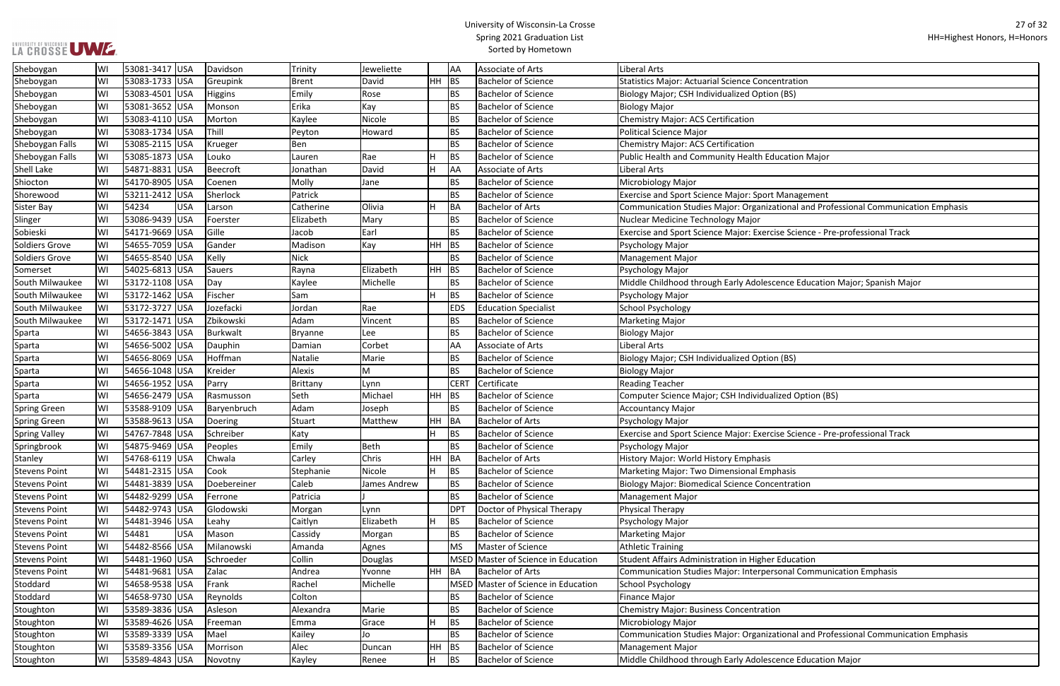## UNIVERSITY OF WISCONSIN<br>LA CROSSE UWE

## University of Wisconsin-La Crosse Spring 2021 Graduation List Sorted by Hometown

| <b>ntration</b>                               |
|-----------------------------------------------|
| (BS)                                          |
|                                               |
|                                               |
|                                               |
|                                               |
|                                               |
| cation Major                                  |
|                                               |
|                                               |
| <b>Management</b>                             |
| ional and Professional Communication Emphasis |
|                                               |
| e Science - Pre-professional Track            |
|                                               |
|                                               |
|                                               |
| nce Education Major; Spanish Major            |
|                                               |
|                                               |
|                                               |
|                                               |
|                                               |
|                                               |
| (BS)                                          |
|                                               |
|                                               |
| zed Option (BS)                               |
|                                               |
|                                               |
| e Science - Pre-professional Track            |
|                                               |
|                                               |
| aasis                                         |
| ntration                                      |
|                                               |
|                                               |
|                                               |
|                                               |
|                                               |
|                                               |
| Education                                     |
| onal Communication Emphasis                   |
|                                               |
|                                               |
|                                               |
|                                               |
|                                               |
| ional and Professional Communication Emphasis |
|                                               |
| nce Education Major                           |
|                                               |

| Sheboygan             | WI | 53081-3417 USA | Davidson        | Trinity        | Jeweliette   |         | AA          | Associate of Arts                   | Liberal Arts                                                                        |
|-----------------------|----|----------------|-----------------|----------------|--------------|---------|-------------|-------------------------------------|-------------------------------------------------------------------------------------|
| Sheboygan             | WI | 53083-1733 USA | Greupink        | <b>Brent</b>   | David        | $HH$ BS |             | <b>Bachelor of Science</b>          | Statistics Major: Actuarial Science Concentration                                   |
| Sheboygan             | WI | 53083-4501 USA | <b>Higgins</b>  | Emily          | Rose         |         | <b>BS</b>   | <b>Bachelor of Science</b>          | Biology Major; CSH Individualized Option (BS)                                       |
| Sheboygan             | WI | 53081-3652 USA | Monson          | Erika          | Kay          |         | <b>BS</b>   | <b>Bachelor of Science</b>          | <b>Biology Major</b>                                                                |
| Sheboygan             | WI | 53083-4110 USA | Morton          | Kaylee         | Nicole       |         | <b>BS</b>   | <b>Bachelor of Science</b>          | Chemistry Major: ACS Certification                                                  |
| Sheboygan             | WI | 53083-1734 USA | Thill           | Peyton         | Howard       |         | <b>BS</b>   | <b>Bachelor of Science</b>          | Political Science Major                                                             |
| Sheboygan Falls       | WI | 53085-2115 USA | Krueger         | Ben            |              |         | <b>BS</b>   | <b>Bachelor of Science</b>          | Chemistry Major: ACS Certification                                                  |
| Sheboygan Falls       | WI | 53085-1873 USA | Louko           | Lauren         | Rae          |         | BS          | <b>Bachelor of Science</b>          | Public Health and Community Health Education Major                                  |
| <b>Shell Lake</b>     | WI | 54871-8831 USA | <b>Beecroft</b> | Jonathan       | David        |         | <b>AA</b>   | Associate of Arts                   | Liberal Arts                                                                        |
| Shiocton              | WI | 54170-8905 USA | Coenen          | Molly          | Jane         |         | <b>BS</b>   | <b>Bachelor of Science</b>          | Microbiology Major                                                                  |
| Shorewood             | WI | 53211-2412 USA | Sherlock        | Patrick        |              |         | <b>BS</b>   | <b>Bachelor of Science</b>          | <b>Exercise and Sport Science Major: Sport Management</b>                           |
| <b>Sister Bay</b>     | WI | 54234<br>USA   | Larson          | Catherine      | Olivia       |         | BA          | <b>Bachelor of Arts</b>             | Communication Studies Major: Organizational and Professional Communication Emphasis |
| Slinger               | WI | 53086-9439 USA | Foerster        | Elizabeth      | Mary         |         | <b>BS</b>   | <b>Bachelor of Science</b>          | Nuclear Medicine Technology Major                                                   |
| Sobieski              | WI | 54171-9669 USA | Gille           | Jacob          | Earl         |         | <b>BS</b>   | <b>Bachelor of Science</b>          | Exercise and Sport Science Major: Exercise Science - Pre-professional Track         |
| Soldiers Grove        | WI | 54655-7059 USA | Gander          | Madison        | Kay          | $HH$ BS |             | <b>Bachelor of Science</b>          | Psychology Major                                                                    |
| <b>Soldiers Grove</b> | WI | 54655-8540 USA | Kelly           | <b>Nick</b>    |              |         | <b>BS</b>   | <b>Bachelor of Science</b>          | Management Major                                                                    |
| Somerset              | WI | 54025-6813 USA | Sauers          | Rayna          | Elizabeth    | HH BS   |             | <b>Bachelor of Science</b>          | Psychology Major                                                                    |
| South Milwaukee       | WI | 53172-1108 USA | Day             | Kaylee         | Michelle     |         | <b>BS</b>   | <b>Bachelor of Science</b>          | Middle Childhood through Early Adolescence Education Major; Spanish Major           |
| South Milwaukee       | W١ | 53172-1462 USA | Fischer         | Sam            |              |         | BS          | <b>Bachelor of Science</b>          | Psychology Major                                                                    |
| South Milwaukee       | W١ | 53172-3727 USA | Jozefacki       | Jordan         | Rae          |         | <b>EDS</b>  | <b>Education Specialist</b>         | School Psychology                                                                   |
| South Milwaukee       | W١ | 53172-1471 USA | Zbikowski       | Adam           | Vincent      |         | <b>BS</b>   | <b>Bachelor of Science</b>          | Marketing Major                                                                     |
| Sparta                | W١ | 54656-3843 USA | Burkwalt        | <b>Bryanne</b> | Lee          |         | <b>BS</b>   | <b>Bachelor of Science</b>          | Biology Major                                                                       |
| Sparta                | WI | 54656-5002 USA | Dauphin         | Damian         | Corbet       |         | AA          | Associate of Arts                   | <b>Liberal Arts</b>                                                                 |
| Sparta                | WI | 54656-8069 USA | Hoffman         | Natalie        | Marie        |         | <b>BS</b>   | <b>Bachelor of Science</b>          | Biology Major; CSH Individualized Option (BS)                                       |
| Sparta                | WI | 54656-1048 USA | Kreider         | Alexis         | M            |         | <b>BS</b>   | <b>Bachelor of Science</b>          | <b>Biology Major</b>                                                                |
| Sparta                | WI | 54656-1952 USA | Parry           | Brittany       | Lynn         |         | <b>CERT</b> | Certificate                         | <b>Reading Teacher</b>                                                              |
| Sparta                | WI | 54656-2479 USA | Rasmusson       | Seth           | Michael      | HH BS   |             | <b>Bachelor of Science</b>          | Computer Science Major; CSH Individualized Option (BS)                              |
| <b>Spring Green</b>   | WI | 53588-9109 USA | Baryenbruch     | Adam           | Joseph       |         | <b>BS</b>   | <b>Bachelor of Science</b>          | Accountancy Major                                                                   |
| <b>Spring Green</b>   | WI | 53588-9613 USA | Doering         | Stuart         | Matthew      | HH BA   |             | <b>Bachelor of Arts</b>             | Psychology Major                                                                    |
| <b>Spring Valley</b>  | WI | 54767-7848 USA | Schreiber       | Katy           |              |         | BS          | <b>Bachelor of Science</b>          | Exercise and Sport Science Major: Exercise Science - Pre-professional Track         |
| Springbrook           | WI | 54875-9469 USA | Peoples         | Emily          | Beth         |         | <b>BS</b>   | <b>Bachelor of Science</b>          | Psychology Major                                                                    |
| Stanley               | WI | 54768-6119 USA | Chwala          | Carley         | Chris        | HH BA   |             | <b>Bachelor of Arts</b>             | History Major: World History Emphasis                                               |
| <b>Stevens Point</b>  | WI | 54481-2315 USA | Cook            | Stephanie      | Nicole       |         | BS          | <b>Bachelor of Science</b>          | Marketing Major: Two Dimensional Emphasis                                           |
| <b>Stevens Point</b>  | WI | 54481-3839 USA | Doebereiner     | Caleb          | James Andrew |         | <b>BS</b>   | <b>Bachelor of Science</b>          | <b>Biology Major: Biomedical Science Concentration</b>                              |
| <b>Stevens Point</b>  | WI | 54482-9299 USA | Ferrone         | Patricia       |              |         | <b>BS</b>   | <b>Bachelor of Science</b>          | Management Major                                                                    |
| <b>Stevens Point</b>  | WI | 54482-9743 USA | Glodowski       | Morgan         | Lynn         |         | <b>DPT</b>  | Doctor of Physical Therapy          | Physical Therapy                                                                    |
| <b>Stevens Point</b>  | WI | 54481-3946 USA | Leahy           | Caitlyn        | Elizabeth    |         | BS          | <b>Bachelor of Science</b>          | Psychology Major                                                                    |
| <b>Stevens Point</b>  | WI | 54481<br>USA   | Mason           | Cassidy        | Morgan       |         | <b>BS</b>   | <b>Bachelor of Science</b>          | Marketing Major                                                                     |
| <b>Stevens Point</b>  | WI | 54482-8566 USA | Milanowski      | Amanda         | Agnes        |         | <b>MS</b>   | Master of Science                   | <b>Athletic Training</b>                                                            |
| <b>Stevens Point</b>  | WI | 54481-1960 USA | Schroeder       | Collin         | Douglas      |         | <b>MSED</b> | Master of Science in Education      | Student Affairs Administration in Higher Education                                  |
| <b>Stevens Point</b>  | WI | 54481-9681 USA | Zalac           | Andrea         | Yvonne       | HH BA   |             | <b>Bachelor of Arts</b>             | Communication Studies Major: Interpersonal Communication Emphasis                   |
| Stoddard              | WI | 54658-9538 USA | Frank           | Rachel         | Michelle     |         |             | MSED Master of Science in Education | School Psychology                                                                   |
| Stoddard              | WI | 54658-9730 USA | Reynolds        | Colton         |              |         | <b>BS</b>   | <b>Bachelor of Science</b>          | Finance Major                                                                       |
| Stoughton             | WI | 53589-3836 USA | Asleson         | Alexandra      | Marie        |         | <b>BS</b>   | <b>Bachelor of Science</b>          | Chemistry Major: Business Concentration                                             |
| Stoughton             | WI | 53589-4626 USA | Freeman         | Emma           | Grace        |         | BS          | <b>Bachelor of Science</b>          | Microbiology Major                                                                  |
| Stoughton             | WI | 53589-3339 USA | Mael            | Kailey         | Jo           |         | <b>BS</b>   | <b>Bachelor of Science</b>          | Communication Studies Major: Organizational and Professional Communication Emphasis |
| Stoughton             | WI | 53589-3356 USA | Morrison        | Alec           | Duncan       | HH BS   |             | <b>Bachelor of Science</b>          | Management Major                                                                    |
| Stoughton             | WI | 53589-4843 USA | Novotny         | Kayley         | Renee        | н       | BS          | <b>Bachelor of Science</b>          | Middle Childhood through Early Adolescence Education Major                          |
|                       |    |                |                 |                |              |         |             |                                     |                                                                                     |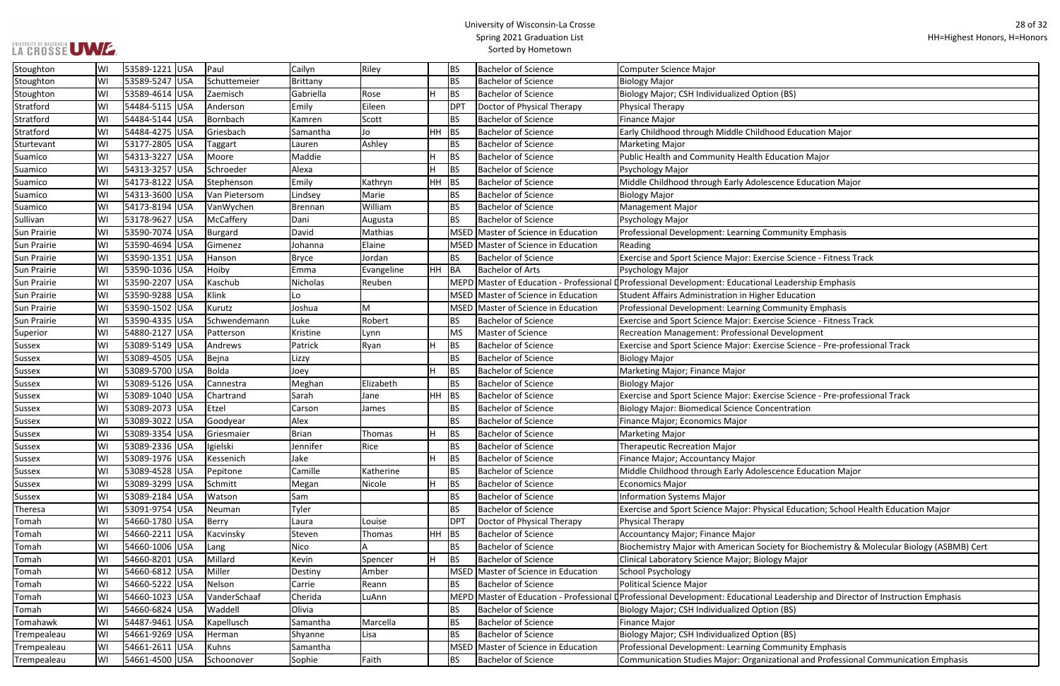| (BS)                                                |
|-----------------------------------------------------|
|                                                     |
|                                                     |
| d Education Major                                   |
|                                                     |
| cation Major                                        |
|                                                     |
|                                                     |
| nce Education Major                                 |
|                                                     |
|                                                     |
|                                                     |
| munity Emphasis                                     |
|                                                     |
| e Science - Fitness Track                           |
|                                                     |
| eadership Emphasis                                  |
| ducation                                            |
| munity Emphasis                                     |
|                                                     |
| e Science - Fitness Track                           |
| velopment                                           |
| e Science - Pre-professional Track                  |
|                                                     |
|                                                     |
|                                                     |
| e Science - Pre-professional Track                  |
| ntration                                            |
|                                                     |
|                                                     |
|                                                     |
|                                                     |
|                                                     |
| nce Education Major                                 |
|                                                     |
|                                                     |
| Il Education; School Health Education Major         |
|                                                     |
|                                                     |
| y for Biochemistry & Molecular Biology (ASBMB) Cert |
| / Major                                             |
|                                                     |
|                                                     |
|                                                     |
| eadership and Director of Instruction Emphasis      |
| (BS)                                                |
|                                                     |
| (BS)                                                |
| munity Emphasis                                     |

| Stoughton          | lWI | 53589-1221 USA  | Paul          | Cailyn    | Riley         |     | BS          | <b>Bachelor of Science</b>          | <b>Computer Science Major</b>                                                                                               |
|--------------------|-----|-----------------|---------------|-----------|---------------|-----|-------------|-------------------------------------|-----------------------------------------------------------------------------------------------------------------------------|
| Stoughton          | WI  | 53589-5247 USA  | Schuttemeier  | Brittany  |               |     | <b>BS</b>   | <b>Bachelor of Science</b>          | <b>Biology Major</b>                                                                                                        |
| Stoughton          | WI  | 53589-4614 USA  | Zaemisch      | Gabriella | Rose          | H.  | <b>BS</b>   | <b>Bachelor of Science</b>          | Biology Major; CSH Individualized Option (BS)                                                                               |
| Stratford          | WI  | 54484-5115 USA  | Anderson      | Emily     | Eileen        |     | <b>DPT</b>  | Doctor of Physical Therapy          | Physical Therapy                                                                                                            |
| Stratford          | WI  | 54484-5144 USA  | Bornbach      | Kamren    | Scott         |     | <b>BS</b>   | <b>Bachelor of Science</b>          | Finance Major                                                                                                               |
| Stratford          | WI  | 54484-4275 USA  | Griesbach     | Samantha  | Jo            | HH. | BS          | <b>Bachelor of Science</b>          | Early Childhood through Middle Childhood Education Major                                                                    |
| Sturtevant         | WI  | 53177-2805 USA  | Taggart       | Lauren    | Ashley        |     | <b>BS</b>   | <b>Bachelor of Science</b>          | <b>Marketing Major</b>                                                                                                      |
| Suamico            | WI  | 54313-3227 USA  | Moore         | Maddie    |               |     | <b>BS</b>   | <b>Bachelor of Science</b>          | Public Health and Community Health Education Major                                                                          |
| Suamico            | W١  | 54313-3257 USA  | Schroeder     | Alexa     |               |     | <b>BS</b>   | <b>Bachelor of Science</b>          | Psychology Major                                                                                                            |
| Suamico            | WI  | 54173-8122 USA  | Stephenson    | Emily     | Kathryn       |     | $HH$ BS     | <b>Bachelor of Science</b>          | Middle Childhood through Early Adolescence Education Major                                                                  |
| Suamico            | WI  | 54313-3600 USA  | Van Pietersom | Lindsey   | Marie         |     | <b>BS</b>   | <b>Bachelor of Science</b>          | <b>Biology Major</b>                                                                                                        |
| Suamico            | WI  | 54173-8194 USA  | VanWychen     | Brennan   | William       |     | <b>BS</b>   | <b>Bachelor of Science</b>          | <b>Management Major</b>                                                                                                     |
| Sullivan           | WI  | 53178-9627 USA  | McCaffery     | Dani      | Augusta       |     | <b>BS</b>   | <b>Bachelor of Science</b>          | Psychology Major                                                                                                            |
| <b>Sun Prairie</b> | WI  | 53590-7074 USA  | Burgard       | David     | Mathias       |     |             | MSED Master of Science in Education | Professional Development: Learning Community Emphasis                                                                       |
| <b>Sun Prairie</b> | lWI | 53590-4694 USA  | Gimenez       | Johanna   | Elaine        |     |             | MSED Master of Science in Education | Reading                                                                                                                     |
| <b>Sun Prairie</b> | WI  | 53590-1351 USA  | Hanson        | Bryce     | Jordan        |     | <b>BS</b>   | <b>Bachelor of Science</b>          | Exercise and Sport Science Major: Exercise Science - Fitness Track                                                          |
| <b>Sun Prairie</b> | WI  | 53590-1036 USA  | Hoiby         | Emma      | Evangeline    |     | HH BA       | <b>Bachelor of Arts</b>             | Psychology Major                                                                                                            |
| <b>Sun Prairie</b> | WI  | 53590-2207 USA  | Kaschub       | Nicholas  | Reuben        |     |             |                                     | MEPD Master of Education - Professional DProfessional Development: Educational Leadership Emphasis                          |
| <b>Sun Prairie</b> | WI  | 53590-9288 USA  | Klink         | Lo        |               |     |             | MSED Master of Science in Education | Student Affairs Administration in Higher Education                                                                          |
| <b>Sun Prairie</b> | lWI | 53590-1502 USA  | Kurutz        | Joshua    | M             |     |             | MSED Master of Science in Education | Professional Development: Learning Community Emphasis                                                                       |
| <b>Sun Prairie</b> | WI  | 53590-4335 USA  | Schwendemann  | Luke      | Robert        |     | <b>BS</b>   | <b>Bachelor of Science</b>          | Exercise and Sport Science Major: Exercise Science - Fitness Track                                                          |
| Superior           | WI  | 54880-2127 USA  | Patterson     | Kristine  | Lynn          |     | MS          | Master of Science                   | Recreation Management: Professional Development                                                                             |
| Sussex             | WI  | 53089-5149 USA  | Andrews       | Patrick   | Ryan          |     | <b>BS</b>   | <b>Bachelor of Science</b>          | Exercise and Sport Science Major: Exercise Science - Pre-professional Track                                                 |
| Sussex             | WI  | 53089-4505 USA  | Bejna         | Lizzy     |               |     | <b>BS</b>   | <b>Bachelor of Science</b>          | <b>Biology Major</b>                                                                                                        |
| <b>Sussex</b>      | WI  | 53089-5700 USA  | Bolda         | Joey      |               | H.  | <b>BS</b>   | <b>Bachelor of Science</b>          | Marketing Major; Finance Major                                                                                              |
| Sussex             | WI  | 53089-5126  USA | Cannestra     | Meghan    | Elizabeth     |     | <b>BS</b>   | <b>Bachelor of Science</b>          | <b>Biology Major</b>                                                                                                        |
| <b>Sussex</b>      | WI  | 53089-1040 USA  | Chartrand     | Sarah     | Jane          |     | $HH$ BS     | <b>Bachelor of Science</b>          | Exercise and Sport Science Major: Exercise Science - Pre-professional Track                                                 |
| Sussex             | WI  | 53089-2073 USA  | Etzel         | Carson    | James         |     | <b>BS</b>   | <b>Bachelor of Science</b>          | <b>Biology Major: Biomedical Science Concentration</b>                                                                      |
| <b>Sussex</b>      | WI  | 53089-3022 USA  | Goodyear      | Alex      |               |     | <b>BS</b>   | <b>Bachelor of Science</b>          | Finance Major; Economics Major                                                                                              |
| <b>Sussex</b>      | WI  | 53089-3354 USA  | Griesmaier    | Brian     | Thomas        | H.  | <b>BS</b>   | <b>Bachelor of Science</b>          | <b>Marketing Major</b>                                                                                                      |
| <b>Sussex</b>      | WI  | 53089-2336 USA  | Igielski      | Jennifer  | Rice          |     | <b>BS</b>   | <b>Bachelor of Science</b>          | Therapeutic Recreation Major                                                                                                |
| Sussex             | wı  | 53089-1976  USA | Kessenich     | Jake      |               |     | BS          | <b>Bachelor of Science</b>          | Finance Major; Accountancy Major                                                                                            |
| Sussex             | WI  | 53089-4528 USA  | Pepitone      | Camille   | Katherine     |     | <b>BS</b>   | <b>Bachelor of Science</b>          | Middle Childhood through Early Adolescence Education Major                                                                  |
| <b>Sussex</b>      | WI  | 53089-3299 USA  | Schmitt       | Megan     | Nicole        | H.  | <b>BS</b>   | <b>Bachelor of Science</b>          | Economics Major                                                                                                             |
| <b>Sussex</b>      | WI  | 53089-2184 USA  | Watson        | Sam       |               |     | <b>BS</b>   | <b>Bachelor of Science</b>          | <b>Information Systems Major</b>                                                                                            |
| Theresa            | WI  | 53091-9754 USA  | Neuman        | Tyler     |               |     | <b>BS</b>   | <b>Bachelor of Science</b>          | Exercise and Sport Science Major: Physical Education; School Health Education Major                                         |
| Tomah              | WI  | 54660-1780 USA  | Berry         | Laura     | Louise        |     | <b>DPT</b>  | Doctor of Physical Therapy          | <b>Physical Therapy</b>                                                                                                     |
| Tomah              | WI  | 54660-2211 USA  | Kacvinsky     | Steven    | <b>Thomas</b> |     | $HH$ BS     | <b>Bachelor of Science</b>          | <b>Accountancy Major; Finance Major</b>                                                                                     |
| Tomah              | WI  | 54660-1006 USA  | Lang          | Nico      |               |     | <b>BS</b>   | <b>Bachelor of Science</b>          | Biochemistry Major with American Society for Biochemistry & Molecular Biology (ASBMB) Cert                                  |
| Tomah              | WI  | 54660-8201 USA  | Millard       | Kevin     | Spencer       | H.  | BS          | <b>Bachelor of Science</b>          | Clinical Laboratory Science Major; Biology Major                                                                            |
| Tomah              | WI  | 54660-6812 USA  | Miller        | Destiny   | Amber         |     |             | MSED Master of Science in Education | <b>School Psychology</b>                                                                                                    |
| Tomah              | WI  | 54660-5222 USA  | Nelson        | Carrie    | Reann         |     | BS.         | <b>Bachelor of Science</b>          | <b>Political Science Major</b>                                                                                              |
| Tomah              | WI  | 54660-1023 USA  | VanderSchaaf  | Cherida   | LuAnn         |     | <b>MEPD</b> |                                     | Master of Education - Professional La Professional Development: Educational Leadership and Director of Instruction Emphasis |
| Tomah              | WI  | 54660-6824 USA  | Waddell       | Olivia    |               |     | <b>BS</b>   | <b>Bachelor of Science</b>          | Biology Major; CSH Individualized Option (BS)                                                                               |
| Tomahawk           | WI  | 54487-9461 USA  | Kapellusch    | Samantha  | Marcella      |     | <b>BS</b>   | <b>Bachelor of Science</b>          | <b>Finance Major</b>                                                                                                        |
| Trempealeau        | lWI | 54661-9269 USA  | Herman        | Shyanne   | Lisa          |     | <b>BS</b>   | <b>Bachelor of Science</b>          | Biology Major; CSH Individualized Option (BS)                                                                               |
| Trempealeau        | WI  | 54661-2611 USA  | Kuhns         | Samantha  |               |     |             | MSED Master of Science in Education | Professional Development: Learning Community Emphasis                                                                       |
| Trempealeau        | WI  | 54661-4500 USA  | Schoonover    | Sophie    | Faith         |     | <b>BS</b>   | <b>Bachelor of Science</b>          | Communication Studies Major: Organizational and Professional Communication Emphasis                                         |
|                    |     |                 |               |           |               |     |             |                                     |                                                                                                                             |

## **LA CROSSE UME.**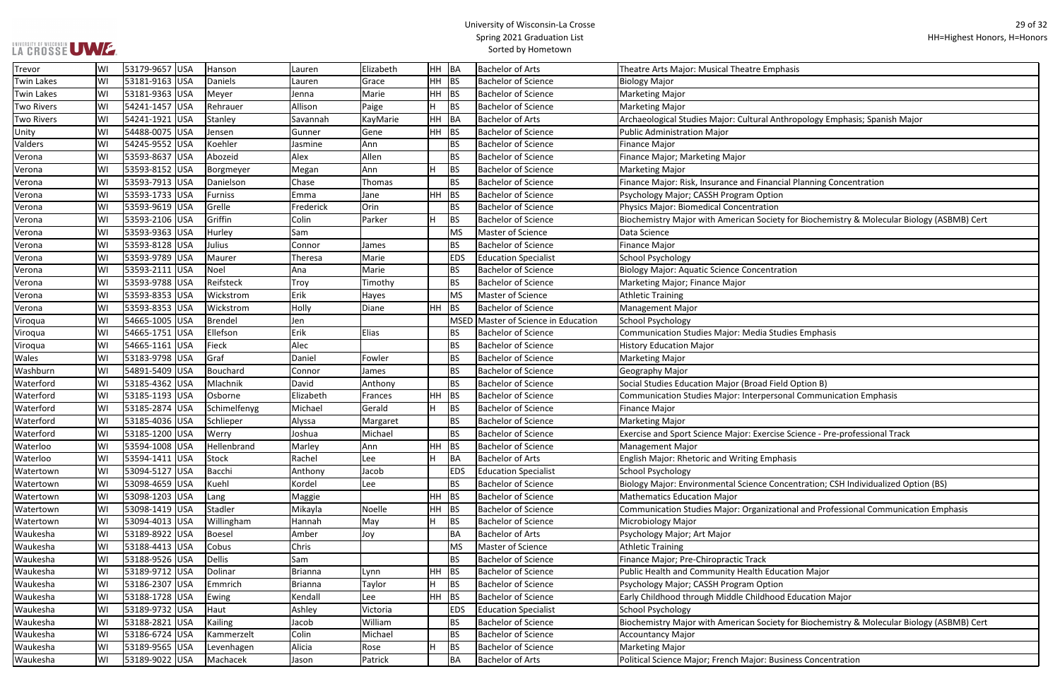## LA CROSSE UWE.

## University of Wisconsin-La Crosse Spring 2021 Graduation List Sorted by Hometown

nthropology Emphasis; Spanish Major

ncial Planning Concentration

ety for Biochemistry & Molecular Biology (ASBMB) Cert

sonal Communication Emphasis

se Science - Pre-professional Track

oncentration; CSH Individualized Option (BS)

Itional and Professional Communication Emphasis

ety for Biochemistry & Molecular Biology (ASBMB) Cert

| Trevor            | WI | 53179-9657 USA |            | Hanson         | Lauren         | Elizabeth | HH  | BA          | <b>Bachelor of Arts</b>        | Theatre Arts Major: Musical Theatre Emphasis                    |
|-------------------|----|----------------|------------|----------------|----------------|-----------|-----|-------------|--------------------------------|-----------------------------------------------------------------|
| <b>Twin Lakes</b> | W١ | 53181-9163 USA |            | Daniels        | Lauren         | Grace     | HH  | BS          | <b>Bachelor of Science</b>     | <b>Biology Major</b>                                            |
| <b>Twin Lakes</b> | W١ | 53181-9363 USA |            | Meyer          | Jenna          | Marie     | HН  | <b>BS</b>   | <b>Bachelor of Science</b>     | Marketing Major                                                 |
| <b>Two Rivers</b> | WI | 54241-1457 USA |            | Rehrauer       | Allison        | Paige     | H   | <b>BS</b>   | <b>Bachelor of Science</b>     | <b>Marketing Major</b>                                          |
| <b>Two Rivers</b> | WI | 54241-1921 USA |            | Stanley        | Savannah       | KayMarie  | HH  | <b>BA</b>   | <b>Bachelor of Arts</b>        | Archaeological Studies Major: Cultural Anthropology Emphasis    |
| Unity             | W١ | 54488-0075 USA |            | Jensen         | Gunner         | Gene      | HH  | <b>BS</b>   | <b>Bachelor of Science</b>     | <b>Public Administration Major</b>                              |
| Valders           | WI | 54245-9552 USA |            | Koehler        | Jasmine        | Ann       |     | BS          | <b>Bachelor of Science</b>     | Finance Major                                                   |
| Verona            | WI | 53593-8637 USA |            | Abozeid        | Alex           | Allen     |     | ΒS          | <b>Bachelor of Science</b>     | Finance Major; Marketing Major                                  |
| Verona            | WI | 53593-8152 USA |            | Borgmeyer      | Megan          | Ann       | н   | BS          | <b>Bachelor of Science</b>     | <b>Marketing Major</b>                                          |
| Verona            | WI | 53593-7913 USA |            | Danielson      | Chase          | Thomas    |     | <b>BS</b>   | <b>Bachelor of Science</b>     | Finance Major: Risk, Insurance and Financial Planning Concent   |
| Verona            | WI | 53593-1733 USA |            | <b>Furniss</b> | Emma           | Jane      | HH  | <b>BS</b>   | <b>Bachelor of Science</b>     | Psychology Major; CASSH Program Option                          |
| Verona            | WI | 53593-9619 USA |            | Grelle         | Frederick      | Orin      |     | <b>BS</b>   | <b>Bachelor of Science</b>     | Physics Major: Biomedical Concentration                         |
| Verona            | WI | 53593-2106 USA |            | Griffin        | Colin          | Parker    | H.  | <b>BS</b>   | <b>Bachelor of Science</b>     | Biochemistry Major with American Society for Biochemistry &     |
| Verona            | W١ | 53593-9363 USA |            | Hurley         | Sam            |           |     | <b>MS</b>   | Master of Science              | Data Science                                                    |
| Verona            | WI | 53593-8128 USA |            | Julius         | Connor         | James     |     | ВS          | <b>Bachelor of Science</b>     | Finance Major                                                   |
| Verona            | WI | 53593-9789 USA |            | Maurer         | Theresa        | Marie     |     | <b>EDS</b>  | <b>Education Specialist</b>    | School Psychology                                               |
| Verona            | WI | 53593-2111 USA |            | Noel           | Ana            | Marie     |     | BS.         | <b>Bachelor of Science</b>     | <b>Biology Major: Aquatic Science Concentration</b>             |
| Verona            | WI | 53593-9788 USA |            | Reifsteck      | Troy           | Timothy   |     | ВS          | <b>Bachelor of Science</b>     | Marketing Major; Finance Major                                  |
| Verona            | WI | 53593-8353 USA |            | Wickstrom      | Erik           | Hayes     |     | <b>MS</b>   | Master of Science              | <b>Athletic Training</b>                                        |
| Verona            | WI | 53593-8353 USA |            | Wickstrom      | Holly          | Diane     | HH  | <b>BS</b>   | <b>Bachelor of Science</b>     | Management Major                                                |
| Viroqua           | W١ | 54665-1005     | <b>USA</b> | Brendel        | Jen            |           |     | <b>MSED</b> | Master of Science in Education | School Psychology                                               |
| Viroqua           | W١ | 54665-1751 USA |            | Ellefson       | Erik           | Elias     |     | ВS          | <b>Bachelor of Science</b>     | Communication Studies Major: Media Studies Emphasis             |
| Viroqua           | WI | 54665-1161 USA |            | Fieck          | Alec           |           |     | <b>BS</b>   | <b>Bachelor of Science</b>     | <b>History Education Major</b>                                  |
| Wales             | WI | 53183-9798 USA |            | Graf           | Daniel         | Fowler    |     | <b>BS</b>   | <b>Bachelor of Science</b>     | <b>Marketing Major</b>                                          |
| Washburn          | WI | 54891-5409 USA |            | Bouchard       | Connor         | James     |     | ΒS          | <b>Bachelor of Science</b>     | Geography Major                                                 |
| Waterford         | WI | 53185-4362 USA |            | Mlachnik       | David          | Anthony   |     | <b>BS</b>   | <b>Bachelor of Science</b>     | Social Studies Education Major (Broad Field Option B)           |
| Waterford         | WI | 53185-1193 USA |            | Osborne        | Elizabeth      | Frances   | HH  | BS          | <b>Bachelor of Science</b>     | Communication Studies Major: Interpersonal Communication        |
| Waterford         | WI | 53185-2874     | <b>USA</b> | Schimelfenyg   | Michael        | Gerald    | H.  | BS          | <b>Bachelor of Science</b>     | Finance Major                                                   |
| Waterford         | WI | 53185-4036 USA |            | Schlieper      | Alyssa         | Margaret  |     | <b>BS</b>   | <b>Bachelor of Science</b>     | <b>Marketing Major</b>                                          |
| Waterford         | W١ | 53185-1200 USA |            | Werry          | Joshua         | Michael   |     | ВS          | <b>Bachelor of Science</b>     | Exercise and Sport Science Major: Exercise Science - Pre-profer |
| Waterloo          | WI | 53594-1008 USA |            | Hellenbrand    | Marley         | Ann       | HН  | <b>BS</b>   | <b>Bachelor of Science</b>     | Management Major                                                |
| Waterloo          | WI | 53594-1411 USA |            | Stock          | Rachel         | Lee       | Н.  | BA          | <b>Bachelor of Arts</b>        | <b>English Major: Rhetoric and Writing Emphasis</b>             |
| Watertown         | W١ | 53094-5127 USA |            | Bacchi         | Anthony        | Jacob     |     | <b>EDS</b>  | <b>Education Specialist</b>    | School Psychology                                               |
| Watertown         | WI | 53098-4659 USA |            | Kuehl          | Kordel         | Lee       |     | ВS          | <b>Bachelor of Science</b>     | Biology Major: Environmental Science Concentration; CSH Indi    |
| Watertown         | WI | 53098-1203 USA |            | Lang           | Maggie         |           | HН  | <b>BS</b>   | <b>Bachelor of Science</b>     | Mathematics Education Major                                     |
| Watertown         | WI | 53098-1419 USA |            | Stadler        | Mikayla        | Noelle    | HH. | <b>BS</b>   | <b>Bachelor of Science</b>     | Communication Studies Major: Organizational and Professiona     |
| Watertown         | WI | 53094-4013 USA |            | Willingham     | Hannah         | May       | H   | <b>BS</b>   | <b>Bachelor of Science</b>     | Microbiology Major                                              |
| Waukesha          | WI | 53189-8922 USA |            | <b>Boesel</b>  | Amber          | Joy       |     | ВA          | <b>Bachelor of Arts</b>        | Psychology Major; Art Major                                     |
| Waukesha          | WI | 53188-4413 USA |            | Cobus          | Chris          |           |     | <b>MS</b>   | Master of Science              | <b>Athletic Training</b>                                        |
| Waukesha          | W١ | 53188-9526 USA |            | <b>Dellis</b>  | Sam            |           |     | BS          | <b>Bachelor of Science</b>     | Finance Major; Pre-Chiropractic Track                           |
| Waukesha          | WI | 53189-9712 USA |            | Dolinar        | <b>Brianna</b> | Lynn      | HH  | <b>BS</b>   | <b>Bachelor of Science</b>     | Public Health and Community Health Education Major              |
| Waukesha          | WI | 53186-2307 USA |            | Emmrich        | <b>Brianna</b> | Taylor    | H.  | <b>BS</b>   | <b>Bachelor of Science</b>     | Psychology Major; CASSH Program Option                          |
| Waukesha          | WI | 53188-1728 USA |            | Ewing          | Kendall        | Lee       | HH. | <b>BS</b>   | <b>Bachelor of Science</b>     | Early Childhood through Middle Childhood Education Major        |
| Waukesha          | WI | 53189-9732 USA |            | Haut           | Ashley         | Victoria  |     | <b>EDS</b>  | <b>Education Specialist</b>    | School Psychology                                               |
| Waukesha          | WI | 53188-2821 USA |            | Kailing        | Jacob          | William   |     | ΒS          | <b>Bachelor of Science</b>     | Biochemistry Major with American Society for Biochemistry &     |
| Waukesha          | WI | 53186-6724 USA |            | Kammerzelt     | Colin          | Michael   |     | ВS          | <b>Bachelor of Science</b>     | Accountancy Major                                               |
| Waukesha          | W١ | 53189-9565 USA |            | Levenhagen     | Alicia         | Rose      | H   | BS          | <b>Bachelor of Science</b>     | Marketing Major                                                 |
| Waukesha          | WI | 53189-9022 USA |            | Machacek       | Jason          | Patrick   |     | BA          | <b>Bachelor of Arts</b>        | Political Science Major; French Major: Business Concentration   |
|                   |    |                |            |                |                |           |     |             |                                |                                                                 |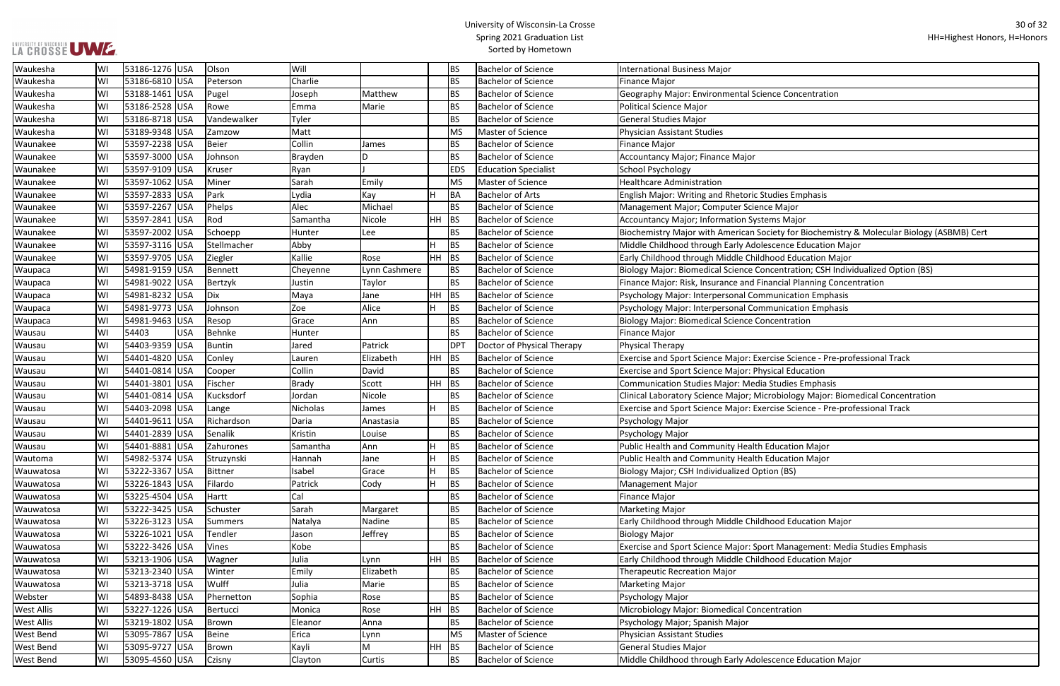| <b>Concentration</b>                                 |
|------------------------------------------------------|
|                                                      |
|                                                      |
|                                                      |
|                                                      |
|                                                      |
|                                                      |
|                                                      |
| es Emphasis                                          |
| ⁄lajor                                               |
| Major                                                |
| ty for Biochemistry & Molecular Biology (ASBMB) Cert |
| nce Education Major                                  |
| d Education Major                                    |
| ntration; CSH Individualized Option (BS)             |
| cial Planning Concentration                          |
| nication Emphasis                                    |
| nication Emphasis                                    |
| ntration                                             |
|                                                      |
|                                                      |
| e Science - Pre-professional Track                   |
| al Education                                         |
| udies Emphasis                                       |
| viology Major: Biomedical Concentration              |
| e Science - Pre-professional Track                   |
|                                                      |
|                                                      |
| cation Major                                         |
| cation Major                                         |
| (BS)                                                 |
|                                                      |
|                                                      |
|                                                      |
| d Education Major                                    |
|                                                      |
| Management: Media Studies Emphasis                   |
| d Education Major                                    |
|                                                      |
|                                                      |

| Waukesha          | WI | 53186-1276 USA      | Olson       | Will     |               |         | <b>BS</b>  | <b>Bachelor of Science</b>  | International Business Major                                                               |
|-------------------|----|---------------------|-------------|----------|---------------|---------|------------|-----------------------------|--------------------------------------------------------------------------------------------|
| Waukesha          | WI | 53186-6810 USA      | Peterson    | Charlie  |               |         | <b>BS</b>  | <b>Bachelor of Science</b>  | Finance Major                                                                              |
| Waukesha          | WI | 53188-1461 USA      | Pugel       | Joseph   | Matthew       |         | <b>BS</b>  | <b>Bachelor of Science</b>  | Geography Major: Environmental Science Concentration                                       |
| Waukesha          | WI | 53186-2528 USA      | Rowe        | Emma     | Marie         |         | <b>BS</b>  | <b>Bachelor of Science</b>  | Political Science Major                                                                    |
| Waukesha          | WI | 53186-8718 USA      | Vandewalker | Tyler    |               |         | <b>BS</b>  | <b>Bachelor of Science</b>  | <b>General Studies Major</b>                                                               |
| Waukesha          | WI | 53189-9348 USA      | Zamzow      | Matt     |               |         | <b>MS</b>  | Master of Science           | Physician Assistant Studies                                                                |
| Waunakee          | WI | 53597-2238 USA      | Beier       | Collin   | James         |         | <b>BS</b>  | <b>Bachelor of Science</b>  | Finance Major                                                                              |
| Waunakee          | WI | 53597-3000 USA      | Johnson     | Brayden  | D             |         | <b>BS</b>  | <b>Bachelor of Science</b>  | Accountancy Major; Finance Major                                                           |
| Waunakee          | WI | 53597-9109 USA      | Kruser      | Ryan     |               |         | <b>EDS</b> | <b>Education Specialist</b> | <b>School Psychology</b>                                                                   |
| Waunakee          | WI | 53597-1062 USA      | Miner       | Sarah    | Emily         |         | <b>MS</b>  | Master of Science           | <b>Healthcare Administration</b>                                                           |
| Waunakee          | WI | 53597-2833 USA      | Park        | Lydia    | Kay           | H       | <b>BA</b>  | <b>Bachelor of Arts</b>     | English Major: Writing and Rhetoric Studies Emphasis                                       |
| Waunakee          | WI | 53597-2267 USA      | Phelps      | Alec     | Michael       |         | <b>BS</b>  | <b>Bachelor of Science</b>  | Management Major; Computer Science Major                                                   |
| Waunakee          | WI | 53597-2841 USA      | Rod         | Samantha | Nicole        | $HH$ BS |            | <b>Bachelor of Science</b>  | Accountancy Major; Information Systems Major                                               |
| Waunakee          | WI | 53597-2002 USA      | Schoepp     | Hunter   | Lee           |         | <b>BS</b>  | <b>Bachelor of Science</b>  | Biochemistry Major with American Society for Biochemistry & Molecular Biology (ASBMB) Cert |
| Waunakee          | WI | 53597-3116 USA      | Stellmacher | Abby     |               |         | <b>BS</b>  | <b>Bachelor of Science</b>  | Middle Childhood through Early Adolescence Education Major                                 |
| Waunakee          | WI | 53597-9705 USA      | Ziegler     | Kallie   | Rose          | $HH$ BS |            | <b>Bachelor of Science</b>  | Early Childhood through Middle Childhood Education Major                                   |
| Waupaca           | W١ | 54981-9159 USA      | Bennett     | Cheyenne | Lynn Cashmere |         | <b>BS</b>  | <b>Bachelor of Science</b>  | Biology Major: Biomedical Science Concentration; CSH Individualized Option (BS)            |
| Waupaca           | WI | 54981-9022 USA      | Bertzyk     | Justin   | <b>Taylor</b> |         | <b>BS</b>  | <b>Bachelor of Science</b>  | Finance Major: Risk, Insurance and Financial Planning Concentration                        |
| Waupaca           | WI | 54981-8232 USA      | Dix         | Maya     | Jane          | HH      | <b>BS</b>  | <b>Bachelor of Science</b>  | Psychology Major: Interpersonal Communication Emphasis                                     |
| Waupaca           | WI | 54981-9773 USA      | Johnson     | Zoe      | Alice         | H.      | <b>BS</b>  | <b>Bachelor of Science</b>  | Psychology Major: Interpersonal Communication Emphasis                                     |
| Waupaca           | WI | 54981-9463 USA      | Resop       | Grace    | Ann           |         | <b>BS</b>  | <b>Bachelor of Science</b>  | <b>Biology Major: Biomedical Science Concentration</b>                                     |
| Wausau            | WI | 54403<br><b>USA</b> | Behnke      | Hunter   |               |         | <b>BS</b>  | <b>Bachelor of Science</b>  | Finance Major                                                                              |
| Wausau            | WI | 54403-9359 USA      | Buntin      | Jared    | Patrick       |         | <b>DPT</b> | Doctor of Physical Therapy  | Physical Therapy                                                                           |
| Wausau            | WI | 54401-4820 USA      | Conley      | Lauren   | Elizabeth     | $HH$ BS |            | <b>Bachelor of Science</b>  | Exercise and Sport Science Major: Exercise Science - Pre-professional Track                |
| Wausau            | WI | 54401-0814 USA      | Cooper      | Collin   | David         |         | <b>BS</b>  | <b>Bachelor of Science</b>  | <b>Exercise and Sport Science Major: Physical Education</b>                                |
| Wausau            | WI | 54401-3801 USA      | Fischer     | Brady    | Scott         | HH BS   |            | <b>Bachelor of Science</b>  | <b>Communication Studies Major: Media Studies Emphasis</b>                                 |
| Wausau            | WI | 54401-0814 USA      | Kucksdorf   | Jordan   | Nicole        |         | <b>BS</b>  | <b>Bachelor of Science</b>  | Clinical Laboratory Science Major; Microbiology Major: Biomedical Concentration            |
| Wausau            | WI | 54403-2098 USA      | Lange       | Nicholas | James         | H       | <b>BS</b>  | <b>Bachelor of Science</b>  | Exercise and Sport Science Major: Exercise Science - Pre-professional Track                |
| Wausau            | WI | 54401-9611 USA      | Richardson  | Daria    | Anastasia     |         | <b>BS</b>  | <b>Bachelor of Science</b>  | Psychology Major                                                                           |
| Wausau            | W١ | 54401-2839 USA      | Senalik     | Kristin  | Louise        |         | <b>BS</b>  | <b>Bachelor of Science</b>  | Psychology Major                                                                           |
| Wausau            | WI | 54401-8881 USA      | Zahurones   | Samantha | Ann           | H       | <b>BS</b>  | <b>Bachelor of Science</b>  | Public Health and Community Health Education Major                                         |
| Wautoma           | W١ | 54982-5374 USA      | Struzynski  | Hannah   | Jane          |         | <b>BS</b>  | <b>Bachelor of Science</b>  | Public Health and Community Health Education Major                                         |
| Wauwatosa         | WI | 53222-3367 USA      | Bittner     | Isabel   | Grace         | H.      | <b>BS</b>  | <b>Bachelor of Science</b>  | Biology Major; CSH Individualized Option (BS)                                              |
| Wauwatosa         | WI | 53226-1843 USA      | Filardo     | Patrick  | Cody          | H.      | <b>BS</b>  | <b>Bachelor of Science</b>  | Management Major                                                                           |
| Wauwatosa         | WI | 53225-4504 USA      | Hartt       | Cal      |               |         | <b>BS</b>  | <b>Bachelor of Science</b>  | Finance Major                                                                              |
| Wauwatosa         | WI | 53222-3425 USA      | Schuster    | Sarah    | Margaret      |         | <b>BS</b>  | <b>Bachelor of Science</b>  | <b>Marketing Major</b>                                                                     |
| Wauwatosa         | WI | 53226-3123 USA      | Summers     | Natalya  | Nadine        |         | <b>BS</b>  | <b>Bachelor of Science</b>  | Early Childhood through Middle Childhood Education Major                                   |
| Wauwatosa         | WI | 53226-1021 USA      | Tendler     | Jason    | Jeffrey       |         | <b>BS</b>  | <b>Bachelor of Science</b>  | <b>Biology Major</b>                                                                       |
| Wauwatosa         | WI | 53222-3426 USA      | Vines       | Kobe     |               |         | <b>BS</b>  | <b>Bachelor of Science</b>  | Exercise and Sport Science Major: Sport Management: Media Studies Emphasis                 |
| Wauwatosa         | WI | 53213-1906 USA      | Wagner      | Julia    | Lynn          | $HH$ BS |            | <b>Bachelor of Science</b>  | Early Childhood through Middle Childhood Education Major                                   |
| Wauwatosa         | WI | 53213-2340 USA      | Winter      | Emily    | Elizabeth     |         | <b>BS</b>  | <b>Bachelor of Science</b>  | <b>Therapeutic Recreation Major</b>                                                        |
| Wauwatosa         | WI | 53213-3718 USA      | Wulff       | Julia    | Marie         |         | <b>BS</b>  | <b>Bachelor of Science</b>  | <b>Marketing Major</b>                                                                     |
| Webster           | WI | 54893-8438 USA      | Phernetton  | Sophia   | Rose          |         | <b>BS</b>  | <b>Bachelor of Science</b>  | Psychology Major                                                                           |
| <b>West Allis</b> | WI | 53227-1226 USA      | Bertucci    | Monica   | Rose          | HH.     | BS         | <b>Bachelor of Science</b>  | Microbiology Major: Biomedical Concentration                                               |
| <b>West Allis</b> | WI | 53219-1802 USA      | Brown       | Eleanor  | Anna          |         | <b>BS</b>  | <b>Bachelor of Science</b>  | Psychology Major; Spanish Major                                                            |
| <b>West Bend</b>  | WI | 53095-7867 USA      | Beine       | Erica    | Lynn          |         | <b>MS</b>  | Master of Science           | Physician Assistant Studies                                                                |
| <b>West Bend</b>  | WI | 53095-9727 USA      | Brown       | Kayli    | M             |         | $HH$ BS    | <b>Bachelor of Science</b>  | <b>General Studies Major</b>                                                               |
| <b>West Bend</b>  | WI | 53095-4560 USA      | Czisny      | Clayton  | Curtis        |         | <b>BS</b>  | <b>Bachelor of Science</b>  | Middle Childhood through Early Adolescence Education Major                                 |

## UNIVERSITY OF WISCONSIN<br>LA CROSSE UWE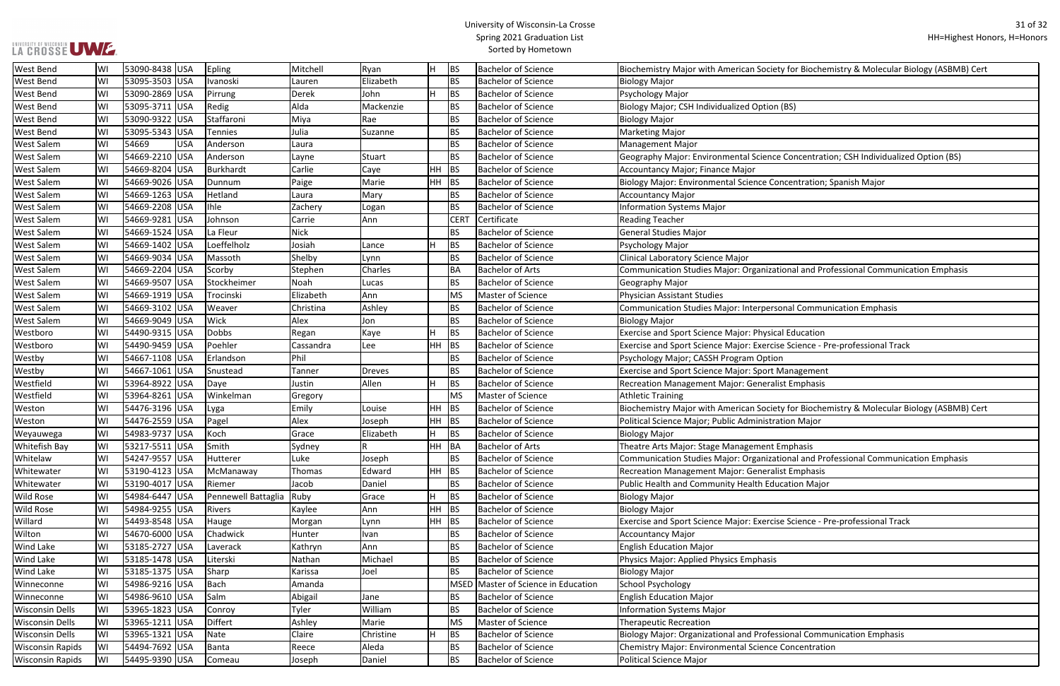## LA CROSSE UWE ...

## University of Wisconsin-La Crosse Spring 2021 Graduation List Sorted by Hometown

# ety for Biochemistry & Molecular Biology (ASBMB) Cert e Concentration; CSH Individualized Option (BS): Encircultualized Option oncentration; Spanish Major tional and Professional Communication Emphasis sonal Communication Emphasis se Science - Pre-professional Track ety for Biochemistry & Molecular Biology (ASBMB) Cert tional and Professional Communication Emphasis se Science - Pre-professional Track

## ssional Communication Emphasis

| <b>West Bend</b>        | WI | 53090-8438 USA  |            | Epling              | Mitchell      | Ryan          | H         | <b>BS</b>   | <b>Bachelor of Science</b>     | Biochemistry Major with American Society for Biochemi        |
|-------------------------|----|-----------------|------------|---------------------|---------------|---------------|-----------|-------------|--------------------------------|--------------------------------------------------------------|
| <b>West Bend</b>        | WI | 53095-3503 USA  |            | Ivanoski            | Lauren        | Elizabeth     |           | <b>BS</b>   | <b>Bachelor of Science</b>     | <b>Biology Major</b>                                         |
| <b>West Bend</b>        | W١ | 53090-2869 USA  |            | Pirrung             | Derek         | John          | H         | BS          | <b>Bachelor of Science</b>     | Psychology Major                                             |
| <b>West Bend</b>        | WI | 53095-3711 USA  |            | Redig               | Alda          | Mackenzie     |           | <b>BS</b>   | <b>Bachelor of Science</b>     | Biology Major; CSH Individualized Option (BS)                |
| <b>West Bend</b>        | WI | 53090-9322 USA  |            | Staffaroni          | Miya          | Rae           |           | BS          | <b>Bachelor of Science</b>     | <b>Biology Major</b>                                         |
| <b>West Bend</b>        | WI | 53095-5343 USA  |            | <b>Tennies</b>      | Julia         | Suzanne       |           | <b>BS</b>   | <b>Bachelor of Science</b>     | <b>Marketing Major</b>                                       |
| <b>West Salem</b>       | WI | 54669           | <b>USA</b> | Anderson            | Laura         |               |           | <b>BS</b>   | <b>Bachelor of Science</b>     | <b>Management Major</b>                                      |
| <b>West Salem</b>       | WI | 54669-2210 USA  |            | Anderson            | Layne         | Stuart        |           | BS          | <b>Bachelor of Science</b>     | Geography Major: Environmental Science Concentratior         |
| <b>West Salem</b>       | WI | 54669-8204 USA  |            | Burkhardt           | Carlie        | Caye          | <b>HH</b> | <b>BS</b>   | <b>Bachelor of Science</b>     | Accountancy Major; Finance Major                             |
| <b>West Salem</b>       | WI | 54669-9026 USA  |            | Dunnum              | Paige         | Marie         | <b>HH</b> | BS          | <b>Bachelor of Science</b>     | Biology Major: Environmental Science Concentration; Sp       |
| <b>West Salem</b>       | WI | 54669-1263 USA  |            | Hetland             | Laura         | Mary          |           | BS          | <b>Bachelor of Science</b>     | <b>Accountancy Major</b>                                     |
| <b>West Salem</b>       | WI | 54669-2208 USA  |            | <b>Ihle</b>         | Zachery       | Logan         |           | <b>BS</b>   | <b>Bachelor of Science</b>     | <b>Information Systems Major</b>                             |
| <b>West Salem</b>       | WI | 54669-9281 USA  |            | Johnson             | Carrie        | Ann           |           | <b>CERT</b> | Certificate                    | <b>Reading Teacher</b>                                       |
| <b>West Salem</b>       | WI | 54669-1524 USA  |            | La Fleur            | <b>Nick</b>   |               |           | BS          | <b>Bachelor of Science</b>     | <b>General Studies Major</b>                                 |
| <b>West Salem</b>       | WI | 54669-1402 USA  |            | Loeffelholz         | Josiah        | Lance         | H         | BS          | <b>Bachelor of Science</b>     | Psychology Major                                             |
| <b>West Salem</b>       | WI | 54669-9034 USA  |            | Massoth             | Shelby        | Lynn          |           | BS          | <b>Bachelor of Science</b>     | Clinical Laboratory Science Major                            |
| <b>West Salem</b>       | WI | 54669-2204 USA  |            | Scorby              | Stephen       | Charles       |           | <b>BA</b>   | <b>Bachelor of Arts</b>        | Communication Studies Major: Organizational and Profe        |
| <b>West Salem</b>       | WI | 54669-9507 USA  |            | Stockheimer         | Noah          | Lucas         |           | BS          | <b>Bachelor of Science</b>     | Geography Major                                              |
| <b>West Salem</b>       | WI | 54669-1919 USA  |            | Trocinski           | Elizabeth     | Ann           |           | MS          | Master of Science              | <b>Physician Assistant Studies</b>                           |
| <b>West Salem</b>       | WI | 54669-3102 USA  |            | Weaver              | Christina     | Ashley        |           | <b>BS</b>   | <b>Bachelor of Science</b>     | Communication Studies Major: Interpersonal Communic          |
| <b>West Salem</b>       | WI | 54669-9049 USA  |            | Wick                | Alex          | Jon           |           | BS          | <b>Bachelor of Science</b>     | <b>Biology Major</b>                                         |
| Westboro                | WI | 54490-9315  USA |            | Dobbs               | Regan         | Kaye          | H         | BS          | <b>Bachelor of Science</b>     | Exercise and Sport Science Major: Physical Education         |
| Westboro                | WI | 54490-9459 USA  |            | Poehler             | Cassandra     | Lee           | <b>HH</b> | <b>BS</b>   | <b>Bachelor of Science</b>     | Exercise and Sport Science Major: Exercise Science - Pre-    |
| Westby                  | WI | 54667-1108 USA  |            | Erlandson           | Phil          |               |           | <b>BS</b>   | <b>Bachelor of Science</b>     | Psychology Major; CASSH Program Option                       |
| Westby                  | WI | 54667-1061 USA  |            | Snustead            | Tanner        | <b>Dreves</b> |           | <b>BS</b>   | <b>Bachelor of Science</b>     | Exercise and Sport Science Major: Sport Management           |
| Westfield               | WI | 53964-8922 USA  |            | Daye                | Justin        | Allen         | H         | BS          | <b>Bachelor of Science</b>     | Recreation Management Major: Generalist Emphasis             |
| Westfield               | WI | 53964-8261 USA  |            | Winkelman           | Gregory       |               |           | <b>MS</b>   | Master of Science              | <b>Athletic Training</b>                                     |
| Weston                  | WI | 54476-3196 USA  |            | Lyga                | Emily         | Louise        | <b>HH</b> | <b>BS</b>   | <b>Bachelor of Science</b>     | Biochemistry Major with American Society for Biochemi        |
| Weston                  | WI | 54476-2559 USA  |            | Pagel               | Alex          | Joseph        | HH        | <b>BS</b>   | <b>Bachelor of Science</b>     | Political Science Major; Public Administration Major         |
| Weyauwega               | WI | 54983-9737 USA  |            | Koch                | Grace         | Elizabeth     | H.        | <b>BS</b>   | <b>Bachelor of Science</b>     | <b>Biology Major</b>                                         |
| <b>Whitefish Bay</b>    | WI | 53217-5511 USA  |            | Smith               | Sydney        | R             | <b>HH</b> | BA          | <b>Bachelor of Arts</b>        | Theatre Arts Major: Stage Management Emphasis                |
| Whitelaw                | WI | 54247-9557 USA  |            | Hutterer            | Luke          | Joseph        |           | <b>BS</b>   | <b>Bachelor of Science</b>     | Communication Studies Major: Organizational and Profe        |
| Whitewater              | WI | 53190-4123 USA  |            | McManaway           | <b>Thomas</b> | Edward        | <b>HH</b> | BS          | <b>Bachelor of Science</b>     | Recreation Management Major: Generalist Emphasis             |
| Whitewater              | WI | 53190-4017 USA  |            | Riemer              | Jacob         | Daniel        |           | BS          | <b>Bachelor of Science</b>     | Public Health and Community Health Education Major           |
| <b>Wild Rose</b>        | WI | 54984-6447 USA  |            | Pennewell Battaglia | Ruby          | Grace         | н         | BS          | <b>Bachelor of Science</b>     | <b>Biology Major</b>                                         |
| <b>Wild Rose</b>        | WI | 54984-9255  USA |            | Rivers              | Kaylee        | Ann           | HH        | <b>BS</b>   | <b>Bachelor of Science</b>     | <b>Biology Major</b>                                         |
| Willard                 | WI | 54493-8548 USA  |            | Hauge               | Morgan        | Lynn          | HH BS     |             | <b>Bachelor of Science</b>     | Exercise and Sport Science Major: Exercise Science - Pre-    |
| Wilton                  | WI | 54670-6000 USA  |            | Chadwick            | Hunter        | Ivan          |           | BS          | <b>Bachelor of Science</b>     | <b>Accountancy Major</b>                                     |
| <b>Wind Lake</b>        | WI | 53185-2727 USA  |            | Laverack            | Kathryn       | Ann           |           | <b>BS</b>   | <b>Bachelor of Science</b>     | <b>English Education Major</b>                               |
| <b>Wind Lake</b>        | WI | 53185-1478 USA  |            | Literski            | Nathan        | Michael       |           | BS          | <b>Bachelor of Science</b>     | Physics Major: Applied Physics Emphasis                      |
| <b>Wind Lake</b>        | WI | 53185-1375 USA  |            | Sharp               | Karissa       | Joel          |           | <b>BS</b>   | <b>Bachelor of Science</b>     | <b>Biology Major</b>                                         |
| Winneconne              | WI | 54986-9216 USA  |            | Bach                | Amanda        |               |           | <b>MSED</b> | Master of Science in Education | <b>School Psychology</b>                                     |
| Winneconne              | WI | 54986-9610 USA  |            | Salm                | Abigail       | Jane          |           | BS          | <b>Bachelor of Science</b>     | <b>English Education Major</b>                               |
| <b>Wisconsin Dells</b>  | WI | 53965-1823 USA  |            | Conroy              | Tyler         | William       |           | <b>BS</b>   | <b>Bachelor of Science</b>     | <b>Information Systems Major</b>                             |
| <b>Wisconsin Dells</b>  | WI | 53965-1211 USA  |            | <b>Differt</b>      | Ashley        | Marie         |           | MS          | Master of Science              | <b>Therapeutic Recreation</b>                                |
| <b>Wisconsin Dells</b>  | WI | 53965-1321 USA  |            | Nate                | Claire        | Christine     | H         | <b>BS</b>   | <b>Bachelor of Science</b>     | <b>Biology Major: Organizational and Professional Commun</b> |
| <b>Wisconsin Rapids</b> | WI | 54494-7692  USA |            | Banta               | Reece         | Aleda         |           | BS          | <b>Bachelor of Science</b>     | <b>Chemistry Major: Environmental Science Concentration</b>  |
| <b>Wisconsin Rapids</b> | WI | 54495-9390 USA  |            | Comeau              | Joseph        | Daniel        |           | <b>BS</b>   | <b>Bachelor of Science</b>     | Political Science Major                                      |